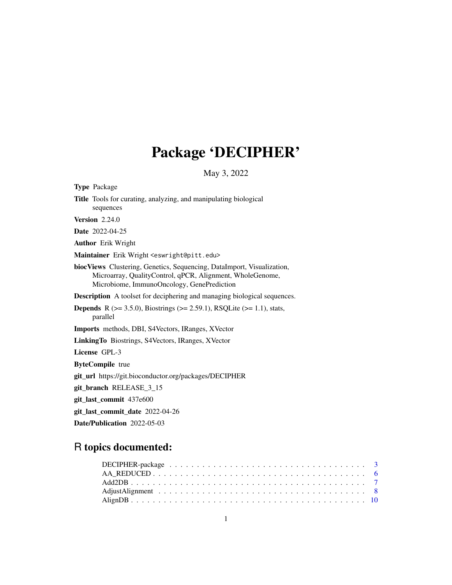# Package 'DECIPHER'

May 3, 2022

| <b>Type Package</b>                                                                                                                                                               |
|-----------------------------------------------------------------------------------------------------------------------------------------------------------------------------------|
| Title Tools for curating, analyzing, and manipulating biological<br>sequences                                                                                                     |
| <b>Version 2.24.0</b>                                                                                                                                                             |
| Date 2022-04-25                                                                                                                                                                   |
| <b>Author</b> Erik Wright                                                                                                                                                         |
| Maintainer Erik Wright <eswright@pitt.edu></eswright@pitt.edu>                                                                                                                    |
| biocViews Clustering, Genetics, Sequencing, DataImport, Visualization,<br>Microarray, QualityControl, qPCR, Alignment, WholeGenome,<br>Microbiome, ImmunoOncology, GenePrediction |
| <b>Description</b> A toolset for deciphering and managing biological sequences.                                                                                                   |
| <b>Depends</b> R ( $>= 3.5.0$ ), Biostrings ( $>= 2.59.1$ ), RSQLite ( $>= 1.1$ ), stats,<br>parallel                                                                             |
| <b>Imports</b> methods, DBI, S4Vectors, IRanges, XVector                                                                                                                          |
| Linking To Biostrings, S4Vectors, IRanges, XVector                                                                                                                                |
| <b>License GPL-3</b>                                                                                                                                                              |
| <b>ByteCompile</b> true                                                                                                                                                           |
| git_url https://git.bioconductor.org/packages/DECIPHER                                                                                                                            |
| git_branch RELEASE_3_15                                                                                                                                                           |
| git_last_commit 437e600                                                                                                                                                           |
| git_last_commit_date 2022-04-26                                                                                                                                                   |
|                                                                                                                                                                                   |

Date/Publication 2022-05-03

# R topics documented: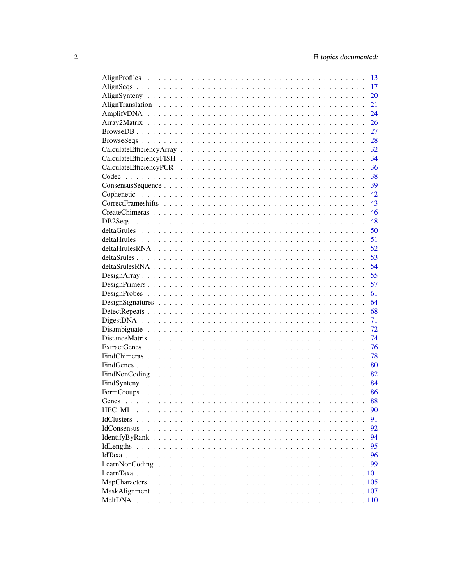|        | 13 |
|--------|----|
|        | 17 |
|        | 20 |
|        | 21 |
|        | 24 |
|        | 26 |
|        | 27 |
|        | 28 |
|        | 32 |
|        | 34 |
|        | 36 |
|        | 38 |
|        | 39 |
|        | 42 |
|        | 43 |
|        | 46 |
|        | 48 |
|        | 50 |
|        | 51 |
|        | 52 |
|        | 53 |
|        | 54 |
|        | 55 |
|        | 57 |
|        | 61 |
|        | 64 |
|        | 68 |
|        | 71 |
|        | 72 |
|        | 74 |
|        | 76 |
|        | 78 |
|        | 80 |
|        | 82 |
|        | 84 |
|        | 86 |
|        | 88 |
| HEC MI | 90 |
|        | 91 |
|        | 92 |
|        | 94 |
|        | 95 |
|        | 96 |
|        | 99 |
|        |    |
|        |    |
|        |    |
|        |    |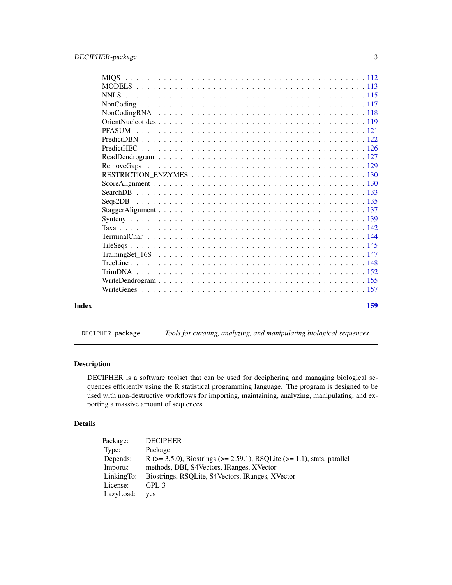<span id="page-2-0"></span>

|       | <b>MIOS</b>   |     |
|-------|---------------|-----|
|       |               |     |
|       |               |     |
|       |               |     |
|       |               |     |
|       |               |     |
|       | <b>PFASUM</b> |     |
|       |               |     |
|       |               |     |
|       |               |     |
|       |               |     |
|       |               |     |
|       |               |     |
|       |               |     |
|       |               |     |
|       |               |     |
|       |               |     |
|       |               |     |
|       |               |     |
|       |               |     |
|       |               |     |
|       |               |     |
|       |               |     |
|       |               |     |
|       |               |     |
|       |               |     |
| Index |               | 159 |
|       |               |     |

# DECIPHER-package *Tools for curating, analyzing, and manipulating biological sequences*

# Description

DECIPHER is a software toolset that can be used for deciphering and managing biological sequences efficiently using the R statistical programming language. The program is designed to be used with non-destructive workflows for importing, maintaining, analyzing, manipulating, and exporting a massive amount of sequences.

# Details

| Package:   | <b>DECIPHER</b>                                                                     |
|------------|-------------------------------------------------------------------------------------|
| Type:      | Package                                                                             |
| Depends:   | R ( $>= 3.5.0$ ), Biostrings ( $>= 2.59.1$ ), RSQLite ( $>= 1.1$ ), stats, parallel |
| Imports:   | methods, DBI, S4Vectors, IRanges, XVector                                           |
| LinkingTo: | Biostrings, RSOLite, S4Vectors, IRanges, XVector                                    |
| License:   | $GPL-3$                                                                             |
| LazyLoad:  | yes                                                                                 |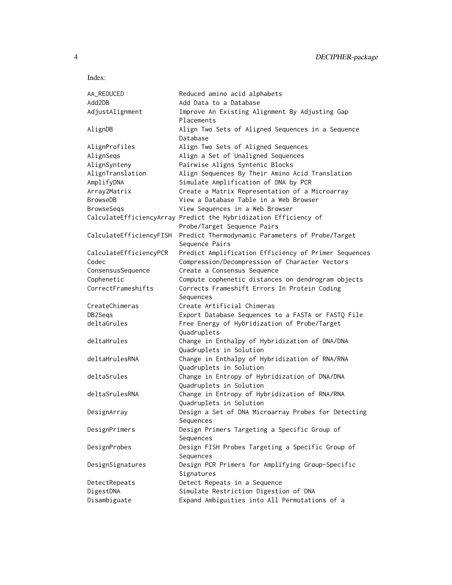| AA_REDUCED              | Reduced amino acid alphabets                                     |
|-------------------------|------------------------------------------------------------------|
| Add2DB                  | Add Data to a Database                                           |
| AdjustAlignment         | Improve An Existing Alignment By Adjusting Gap                   |
|                         | Placements                                                       |
| AlignDB                 | Align Two Sets of Aligned Sequences in a Sequence                |
|                         | Database                                                         |
| AlignProfiles           | Align Two Sets of Aligned Sequences                              |
| AlignSeqs               | Align a Set of Unaligned Sequences                               |
| AlignSynteny            | Pairwise Aligns Syntenic Blocks                                  |
| AlignTranslation        | Align Sequences By Their Amino Acid Translation                  |
| AmplifyDNA              | Simulate Amplification of DNA by PCR                             |
| Array2Matrix            | Create a Matrix Representation of a Microarray                   |
| <b>BrowseDB</b>         | View a Database Table in a Web Browser                           |
| <b>BrowseSegs</b>       | View Sequences in a Web Browser                                  |
|                         | CalculateEfficiencyArray Predict the Hybridization Efficiency of |
|                         | Probe/Target Sequence Pairs                                      |
| CalculateEfficiencyFISH | Predict Thermodynamic Parameters of Probe/Target                 |
|                         | Sequence Pairs                                                   |
| CalculateEfficiencyPCR  | Predict Amplification Efficiency of Primer Sequences             |
| Codec                   | Compression/Decompression of Character Vectors                   |
| ConsensusSequence       | Create a Consensus Sequence                                      |
| Cophenetic              | Compute cophenetic distances on dendrogram objects               |
| CorrectFrameshifts      | Corrects Frameshift Errors In Protein Coding                     |
|                         | Sequences                                                        |
| CreateChimeras          | Create Artificial Chimeras                                       |
| DB2Segs                 | Export Database Sequences to a FASTA or FASTQ File               |
| deltaGrules             | Free Energy of Hybridization of Probe/Target                     |
|                         | Quadruplets                                                      |
| deltaHrules             | Change in Enthalpy of Hybridization of DNA/DNA                   |
|                         | Quadruplets in Solution                                          |
| deltaHrulesRNA          | Change in Enthalpy of Hybridization of RNA/RNA                   |
|                         | Quadruplets in Solution                                          |
| deltaSrules             | Change in Entropy of Hybridization of DNA/DNA                    |
|                         | Quadruplets in Solution                                          |
| deltaSrulesRNA          | Change in Entropy of Hybridization of RNA/RNA                    |
|                         | Quadruplets in Solution                                          |
| DesignArray             | Design a Set of DNA Microarray Probes for Detecting              |
|                         |                                                                  |
| DesignPrimers           | Sequences<br>Design Primers Targeting a Specific Group of        |
|                         | Sequences                                                        |
|                         | Design FISH Probes Targeting a Specific Group of                 |
| DesignProbes            |                                                                  |
|                         | Sequences                                                        |
| DesignSignatures        | Design PCR Primers for Amplifying Group-Specific                 |
|                         | Signatures                                                       |
| DetectRepeats           | Detect Repeats in a Sequence                                     |
| DigestDNA               | Simulate Restriction Digestion of DNA                            |
| Disambiguate            | Expand Ambiguities into All Permutations of a                    |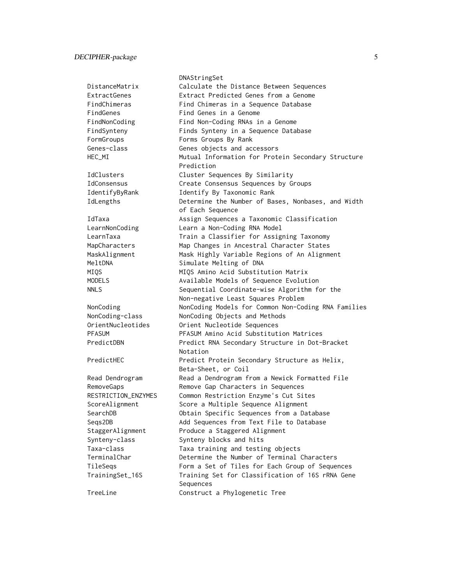DNAStringSet

DistanceMatrix Calculate the Distance Between Sequences ExtractGenes Extract Predicted Genes from a Genome FindChimeras Find Chimeras in a Sequence Database FindGenes Find Genes in a Genome FindNonCoding Find Non-Coding RNAs in a Genome FindSynteny Finds Synteny in a Sequence Database FormGroups Forms Groups By Rank Genes-class Genes objects and accessors HEC\_MI Mutual Information for Protein Secondary Structure Prediction IdClusters Cluster Sequences By Similarity IdConsensus Create Consensus Sequences by Groups IdentifyByRank Identify By Taxonomic Rank IdLengths Determine the Number of Bases, Nonbases, and Width of Each Sequence IdTaxa Assign Sequences a Taxonomic Classification LearnNonCoding Learn a Non-Coding RNA Model LearnTaxa Train a Classifier for Assigning Taxonomy MapCharacters Map Changes in Ancestral Character States MaskAlignment Mask Highly Variable Regions of An Alignment MeltDNA Simulate Melting of DNA MIQS MIQS Amino Acid Substitution Matrix MODELS MODELS Available Models of Sequence Evolution NNLS Sequential Coordinate-wise Algorithm for the Non-negative Least Squares Problem NonCoding NonCoding Models for Common Non-Coding RNA Families NonCoding-class NonCoding Objects and Methods OrientNucleotides Orient Nucleotide Sequences PFASUM PFASUM Amino Acid Substitution Matrices PredictDBN Predict RNA Secondary Structure in Dot-Bracket Notation PredictHEC **Predict Protein Secondary Structure as Helix**, Beta-Sheet, or Coil Read Dendrogram Read a Dendrogram from a Newick Formatted File RemoveGaps Remove Gap Characters in Sequences RESTRICTION\_ENZYMES Common Restriction Enzyme's Cut Sites ScoreAlignment Score a Multiple Sequence Alignment SearchDB Obtain Specific Sequences from a Database Seqs2DB Add Sequences from Text File to Database StaggerAlignment Produce a Staggered Alignment Synteny-class Synteny blocks and hits Taxa-class Taxa training and testing objects TerminalChar Determine the Number of Terminal Characters TileSeqs Form a Set of Tiles for Each Group of Sequences TrainingSet\_16S Training Set for Classification of 16S rRNA Gene Sequences TreeLine Construct a Phylogenetic Tree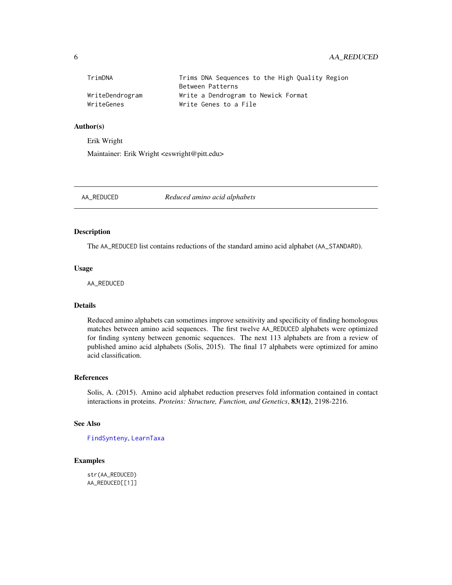# <span id="page-5-0"></span>6 AA\_REDUCED

| TrimDNA         | Trims DNA Sequences to the High Quality Region |
|-----------------|------------------------------------------------|
|                 | Between Patterns                               |
| WriteDendrogram | Write a Dendrogram to Newick Format            |
| WriteGenes      | Write Genes to a File                          |

#### Author(s)

Erik Wright

Maintainer: Erik Wright <eswright@pitt.edu>

AA\_REDUCED *Reduced amino acid alphabets*

# Description

The AA\_REDUCED list contains reductions of the standard amino acid alphabet (AA\_STANDARD).

#### Usage

AA\_REDUCED

#### Details

Reduced amino alphabets can sometimes improve sensitivity and specificity of finding homologous matches between amino acid sequences. The first twelve AA\_REDUCED alphabets were optimized for finding synteny between genomic sequences. The next 113 alphabets are from a review of published amino acid alphabets (Solis, 2015). The final 17 alphabets were optimized for amino acid classification.

# References

Solis, A. (2015). Amino acid alphabet reduction preserves fold information contained in contact interactions in proteins. *Proteins: Structure, Function, and Genetics*, 83(12), 2198-2216.

# See Also

[FindSynteny](#page-83-1), [LearnTaxa](#page-100-1)

# Examples

str(AA\_REDUCED) AA\_REDUCED[[1]]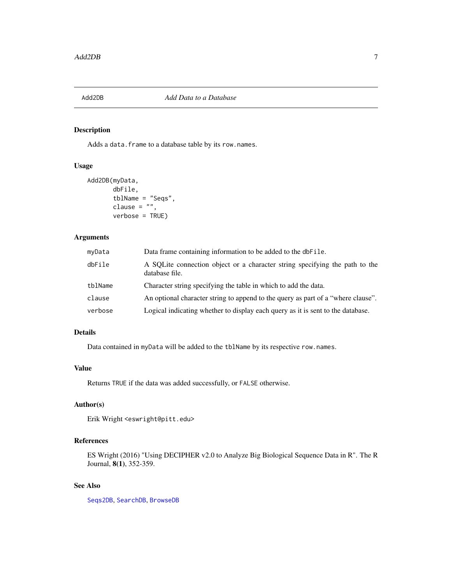<span id="page-6-0"></span>

# Description

Adds a data.frame to a database table by its row.names.

# Usage

```
Add2DB(myData,
       dbFile,
       tblName = "Seqs",
       clause = ",
       verbose = TRUE)
```
### Arguments

| myData  | Data frame containing information to be added to the dbFile.                                  |
|---------|-----------------------------------------------------------------------------------------------|
| dbFile  | A SQLite connection object or a character string specifying the path to the<br>database file. |
| tblName | Character string specifying the table in which to add the data.                               |
| clause  | An optional character string to append to the query as part of a "where clause".              |
| verbose | Logical indicating whether to display each query as it is sent to the database.               |

# Details

Data contained in myData will be added to the tblName by its respective row.names.

#### Value

Returns TRUE if the data was added successfully, or FALSE otherwise.

#### Author(s)

Erik Wright <eswright@pitt.edu>

# References

ES Wright (2016) "Using DECIPHER v2.0 to Analyze Big Biological Sequence Data in R". The R Journal, 8(1), 352-359.

# See Also

[Seqs2DB](#page-134-1), [SearchDB](#page-132-1), [BrowseDB](#page-26-1)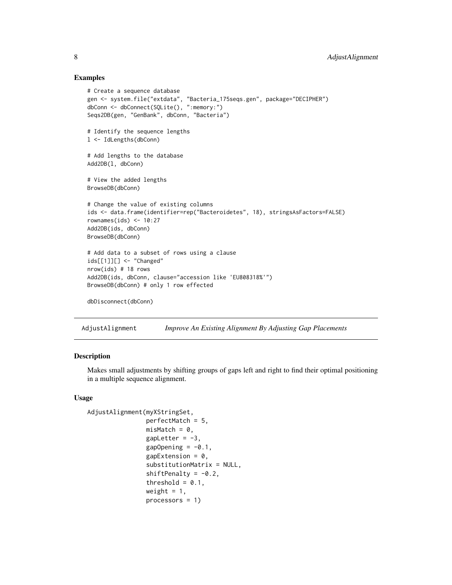#### Examples

```
# Create a sequence database
gen <- system.file("extdata", "Bacteria_175seqs.gen", package="DECIPHER")
dbConn <- dbConnect(SQLite(), ":memory:")
Seqs2DB(gen, "GenBank", dbConn, "Bacteria")
# Identify the sequence lengths
l <- IdLengths(dbConn)
# Add lengths to the database
Add2DB(l, dbConn)
# View the added lengths
BrowseDB(dbConn)
# Change the value of existing columns
ids <- data.frame(identifier=rep("Bacteroidetes", 18), stringsAsFactors=FALSE)
rownames(ids) <-10:27Add2DB(ids, dbConn)
BrowseDB(dbConn)
# Add data to a subset of rows using a clause
ids[[1]][] <- "Changed"
nrow(ids) # 18 rows
Add2DB(ids, dbConn, clause="accession like 'EU808318%'")
BrowseDB(dbConn) # only 1 row effected
dbDisconnect(dbConn)
```
<span id="page-7-1"></span>AdjustAlignment *Improve An Existing Alignment By Adjusting Gap Placements*

# Description

Makes small adjustments by shifting groups of gaps left and right to find their optimal positioning in a multiple sequence alignment.

# Usage

```
AdjustAlignment(myXStringSet,
                perfectMatch = 5,
                misMatch = 0,gapletter = -3,
                gapOpening = -0.1,gapExtension = 0.
                substitutionMatrix = NULL,
                shiftPenalty = -0.2,
                threshold = 0.1,
                weight = 1,
                processors = 1)
```
<span id="page-7-0"></span>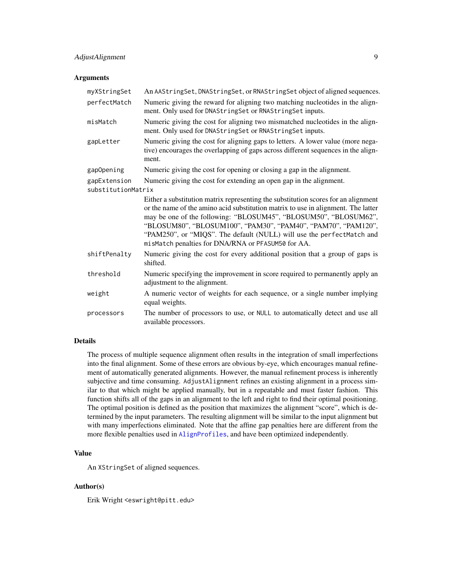# AdjustAlignment 9

#### **Arguments**

| myXStringSet       | An AAStringSet, DNAStringSet, or RNAStringSet object of aligned sequences.                                                                                                                                                                                                                                                                                                                                                                  |
|--------------------|---------------------------------------------------------------------------------------------------------------------------------------------------------------------------------------------------------------------------------------------------------------------------------------------------------------------------------------------------------------------------------------------------------------------------------------------|
| perfectMatch       | Numeric giving the reward for aligning two matching nucleotides in the align-<br>ment. Only used for DNAStringSet or RNAStringSet inputs.                                                                                                                                                                                                                                                                                                   |
| misMatch           | Numeric giving the cost for aligning two mismatched nucleotides in the align-<br>ment. Only used for DNAStringSet or RNAStringSet inputs.                                                                                                                                                                                                                                                                                                   |
| gapLetter          | Numeric giving the cost for aligning gaps to letters. A lower value (more nega-<br>tive) encourages the overlapping of gaps across different sequences in the align-<br>ment.                                                                                                                                                                                                                                                               |
| gapOpening         | Numeric giving the cost for opening or closing a gap in the alignment.                                                                                                                                                                                                                                                                                                                                                                      |
| gapExtension       | Numeric giving the cost for extending an open gap in the alignment.                                                                                                                                                                                                                                                                                                                                                                         |
| substitutionMatrix |                                                                                                                                                                                                                                                                                                                                                                                                                                             |
|                    | Either a substitution matrix representing the substitution scores for an alignment<br>or the name of the amino acid substitution matrix to use in alignment. The latter<br>may be one of the following: "BLOSUM45", "BLOSUM50", "BLOSUM62",<br>"BLOSUM80", "BLOSUM100", "PAM30", "PAM40", "PAM70", "PAM120",<br>"PAM250", or "MIQS". The default (NULL) will use the perfectMatch and<br>misMatch penalties for DNA/RNA or PFASUM50 for AA. |
| shiftPenalty       | Numeric giving the cost for every additional position that a group of gaps is<br>shifted.                                                                                                                                                                                                                                                                                                                                                   |
| threshold          | Numeric specifying the improvement in score required to permanently apply an<br>adjustment to the alignment.                                                                                                                                                                                                                                                                                                                                |
| weight             | A numeric vector of weights for each sequence, or a single number implying<br>equal weights.                                                                                                                                                                                                                                                                                                                                                |
| processors         | The number of processors to use, or NULL to automatically detect and use all<br>available processors.                                                                                                                                                                                                                                                                                                                                       |

# Details

The process of multiple sequence alignment often results in the integration of small imperfections into the final alignment. Some of these errors are obvious by-eye, which encourages manual refinement of automatically generated alignments. However, the manual refinement process is inherently subjective and time consuming. AdjustAlignment refines an existing alignment in a process similar to that which might be applied manually, but in a repeatable and must faster fashion. This function shifts all of the gaps in an alignment to the left and right to find their optimal positioning. The optimal position is defined as the position that maximizes the alignment "score", which is determined by the input parameters. The resulting alignment will be similar to the input alignment but with many imperfections eliminated. Note that the affine gap penalties here are different from the more flexible penalties used in [AlignProfiles](#page-12-1), and have been optimized independently.

# Value

An XStringSet of aligned sequences.

# Author(s)

Erik Wright <eswright@pitt.edu>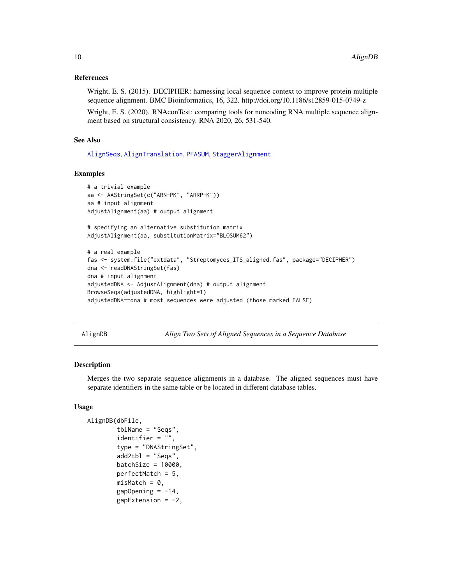#### <span id="page-9-0"></span>References

Wright, E. S. (2015). DECIPHER: harnessing local sequence context to improve protein multiple sequence alignment. BMC Bioinformatics, 16, 322. http://doi.org/10.1186/s12859-015-0749-z

Wright, E. S. (2020). RNAconTest: comparing tools for noncoding RNA multiple sequence alignment based on structural consistency. RNA 2020, 26, 531-540.

# See Also

[AlignSeqs](#page-16-1), [AlignTranslation](#page-20-1), [PFASUM](#page-120-1), [StaggerAlignment](#page-136-1)

#### Examples

```
# a trivial example
aa <- AAStringSet(c("ARN-PK", "ARRP-K"))
aa # input alignment
AdjustAlignment(aa) # output alignment
# specifying an alternative substitution matrix
AdjustAlignment(aa, substitutionMatrix="BLOSUM62")
# a real example
fas <- system.file("extdata", "Streptomyces_ITS_aligned.fas", package="DECIPHER")
dna <- readDNAStringSet(fas)
dna # input alignment
adjustedDNA <- AdjustAlignment(dna) # output alignment
BrowseSeqs(adjustedDNA, highlight=1)
adjustedDNA==dna # most sequences were adjusted (those marked FALSE)
```
<span id="page-9-1"></span>AlignDB *Align Two Sets of Aligned Sequences in a Sequence Database*

# Description

Merges the two separate sequence alignments in a database. The aligned sequences must have separate identifiers in the same table or be located in different database tables.

#### Usage

```
AlignDB(dbFile,
       tblName = "Seqs",
        identifier = ",
        type = "DNAStringSet",
       add2tb1 = "Segs",batchSize = 10000,perfectMatch = 5,
       misMatch = 0,gapOpening = -14,
       gapExtension = -2,
```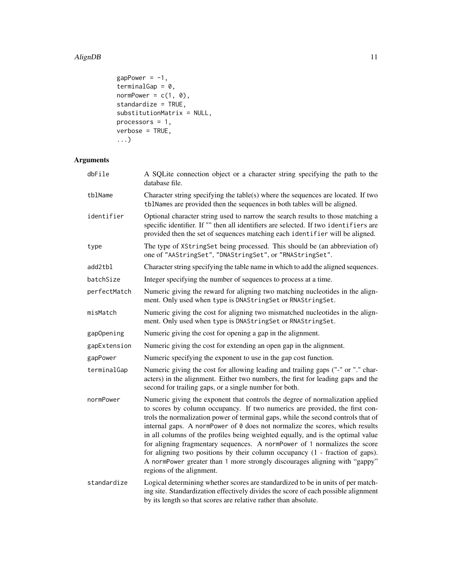```
gapPower = -1,
terminalGap = 0,normPower = c(1, 0),
standardize = TRUE,
substitutionMatrix = NULL,
processors = 1,
verbose = TRUE,
...)
```
# Arguments

| dbFile       | A SQLite connection object or a character string specifying the path to the<br>database file.                                                                                                                                                                                                                                                                                                                                                                                                                                                                                                                                                                                                  |
|--------------|------------------------------------------------------------------------------------------------------------------------------------------------------------------------------------------------------------------------------------------------------------------------------------------------------------------------------------------------------------------------------------------------------------------------------------------------------------------------------------------------------------------------------------------------------------------------------------------------------------------------------------------------------------------------------------------------|
| tblName      | Character string specifying the table(s) where the sequences are located. If two<br>tblNames are provided then the sequences in both tables will be aligned.                                                                                                                                                                                                                                                                                                                                                                                                                                                                                                                                   |
| identifier   | Optional character string used to narrow the search results to those matching a<br>specific identifier. If "" then all identifiers are selected. If two identifiers are<br>provided then the set of sequences matching each identifier will be aligned.                                                                                                                                                                                                                                                                                                                                                                                                                                        |
| type         | The type of XStringSet being processed. This should be (an abbreviation of)<br>one of "AAStringSet", "DNAStringSet", or "RNAStringSet".                                                                                                                                                                                                                                                                                                                                                                                                                                                                                                                                                        |
| add2tbl      | Character string specifying the table name in which to add the aligned sequences.                                                                                                                                                                                                                                                                                                                                                                                                                                                                                                                                                                                                              |
| batchSize    | Integer specifying the number of sequences to process at a time.                                                                                                                                                                                                                                                                                                                                                                                                                                                                                                                                                                                                                               |
| perfectMatch | Numeric giving the reward for aligning two matching nucleotides in the align-<br>ment. Only used when type is DNAStringSet or RNAStringSet.                                                                                                                                                                                                                                                                                                                                                                                                                                                                                                                                                    |
| misMatch     | Numeric giving the cost for aligning two mismatched nucleotides in the align-<br>ment. Only used when type is DNAStringSet or RNAStringSet.                                                                                                                                                                                                                                                                                                                                                                                                                                                                                                                                                    |
| gapOpening   | Numeric giving the cost for opening a gap in the alignment.                                                                                                                                                                                                                                                                                                                                                                                                                                                                                                                                                                                                                                    |
| gapExtension | Numeric giving the cost for extending an open gap in the alignment.                                                                                                                                                                                                                                                                                                                                                                                                                                                                                                                                                                                                                            |
| gapPower     | Numeric specifying the exponent to use in the gap cost function.                                                                                                                                                                                                                                                                                                                                                                                                                                                                                                                                                                                                                               |
| terminalGap  | Numeric giving the cost for allowing leading and trailing gaps ("-" or "." char-<br>acters) in the alignment. Either two numbers, the first for leading gaps and the<br>second for trailing gaps, or a single number for both.                                                                                                                                                                                                                                                                                                                                                                                                                                                                 |
| normPower    | Numeric giving the exponent that controls the degree of normalization applied<br>to scores by column occupancy. If two numerics are provided, the first con-<br>trols the normalization power of terminal gaps, while the second controls that of<br>internal gaps. A normPower of 0 does not normalize the scores, which results<br>in all columns of the profiles being weighted equally, and is the optimal value<br>for aligning fragmentary sequences. A normPower of 1 normalizes the score<br>for aligning two positions by their column occupancy $(1 -$ fraction of gaps).<br>A normPower greater than 1 more strongly discourages aligning with "gappy"<br>regions of the alignment. |
| standardize  | Logical determining whether scores are standardized to be in units of per match-<br>ing site. Standardization effectively divides the score of each possible alignment<br>by its length so that scores are relative rather than absolute.                                                                                                                                                                                                                                                                                                                                                                                                                                                      |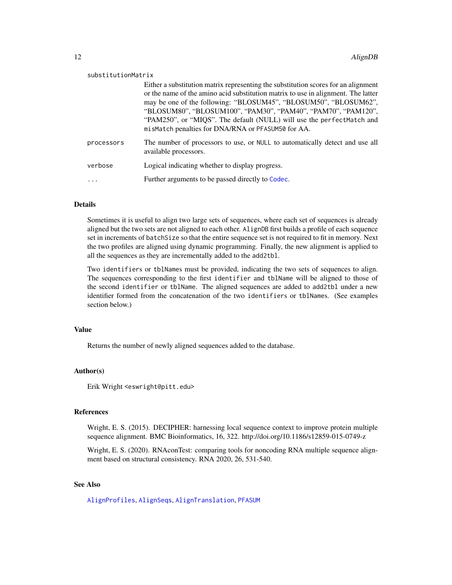| substitutionMatrix |                                                                                                                                                                                                                                                                                                                                                                                                                                             |
|--------------------|---------------------------------------------------------------------------------------------------------------------------------------------------------------------------------------------------------------------------------------------------------------------------------------------------------------------------------------------------------------------------------------------------------------------------------------------|
|                    | Either a substitution matrix representing the substitution scores for an alignment<br>or the name of the amino acid substitution matrix to use in alignment. The latter<br>may be one of the following: "BLOSUM45", "BLOSUM50", "BLOSUM62",<br>"BLOSUM80", "BLOSUM100", "PAM30", "PAM40", "PAM70", "PAM120",<br>"PAM250", or "MIQS". The default (NULL) will use the perfectMatch and<br>misMatch penalties for DNA/RNA or PFASUM50 for AA. |
| processors         | The number of processors to use, or NULL to automatically detect and use all<br>available processors.                                                                                                                                                                                                                                                                                                                                       |
| verbose            | Logical indicating whether to display progress.                                                                                                                                                                                                                                                                                                                                                                                             |
|                    | Further arguments to be passed directly to Codec.                                                                                                                                                                                                                                                                                                                                                                                           |

#### Details

Sometimes it is useful to align two large sets of sequences, where each set of sequences is already aligned but the two sets are not aligned to each other. AlignDB first builds a profile of each sequence set in increments of batchSize so that the entire sequence set is not required to fit in memory. Next the two profiles are aligned using dynamic programming. Finally, the new alignment is applied to all the sequences as they are incrementally added to the add2tbl.

Two identifiers or tblNames must be provided, indicating the two sets of sequences to align. The sequences corresponding to the first identifier and tblName will be aligned to those of the second identifier or tblName. The aligned sequences are added to add2tbl under a new identifier formed from the concatenation of the two identifiers or tblNames. (See examples section below.)

# Value

Returns the number of newly aligned sequences added to the database.

#### Author(s)

Erik Wright <eswright@pitt.edu>

### References

Wright, E. S. (2015). DECIPHER: harnessing local sequence context to improve protein multiple sequence alignment. BMC Bioinformatics, 16, 322. http://doi.org/10.1186/s12859-015-0749-z

Wright, E. S. (2020). RNAconTest: comparing tools for noncoding RNA multiple sequence alignment based on structural consistency. RNA 2020, 26, 531-540.

# See Also

[AlignProfiles](#page-12-1), [AlignSeqs](#page-16-1), [AlignTranslation](#page-20-1), [PFASUM](#page-120-1)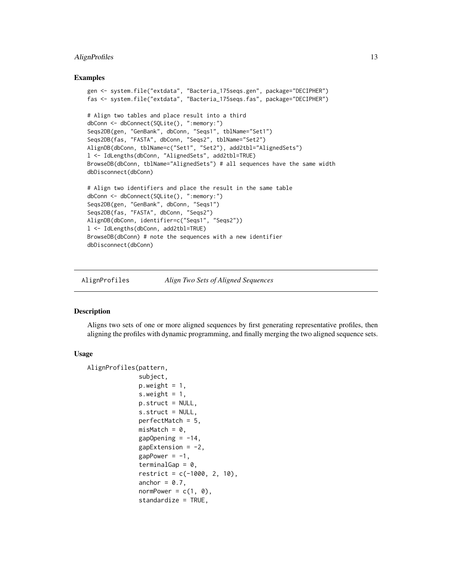# <span id="page-12-0"></span>AlignProfiles 13

#### Examples

```
gen <- system.file("extdata", "Bacteria_175seqs.gen", package="DECIPHER")
fas <- system.file("extdata", "Bacteria_175seqs.fas", package="DECIPHER")
# Align two tables and place result into a third
dbConn <- dbConnect(SQLite(), ":memory:")
Seqs2DB(gen, "GenBank", dbConn, "Seqs1", tblName="Set1")
Seqs2DB(fas, "FASTA", dbConn, "Seqs2", tblName="Set2")
AlignDB(dbConn, tblName=c("Set1", "Set2"), add2tbl="AlignedSets")
l <- IdLengths(dbConn, "AlignedSets", add2tbl=TRUE)
BrowseDB(dbConn, tblName="AlignedSets") # all sequences have the same width
dbDisconnect(dbConn)
# Align two identifiers and place the result in the same table
dbConn <- dbConnect(SQLite(), ":memory:")
Seqs2DB(gen, "GenBank", dbConn, "Seqs1")
Seqs2DB(fas, "FASTA", dbConn, "Seqs2")
AlignDB(dbConn, identifier=c("Seqs1", "Seqs2"))
l <- IdLengths(dbConn, add2tbl=TRUE)
BrowseDB(dbConn) # note the sequences with a new identifier
dbDisconnect(dbConn)
```
<span id="page-12-1"></span>AlignProfiles *Align Two Sets of Aligned Sequences*

#### Description

Aligns two sets of one or more aligned sequences by first generating representative profiles, then aligning the profiles with dynamic programming, and finally merging the two aligned sequence sets.

#### Usage

```
AlignProfiles(pattern,
              subject,
              p. weight = 1,s.weight = 1,
              p.struct = NULL,
              s.struct = NULL,
              perfectMatch = 5,
              misMatch = 0,gapOpening = -14,gapExtension = -2,
              gapPower = -1,
              terminalGap = 0,
              restriet = c(-1000, 2, 10),
              anchor = 0.7,
              normPower = c(1, 0),
              standardize = TRUE,
```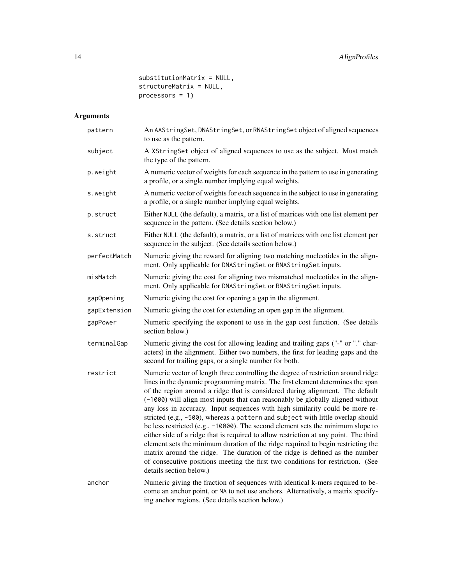substitutionMatrix = NULL, structureMatrix = NULL, processors = 1)

# Arguments

| pattern      | An AAStringSet, DNAStringSet, or RNAStringSet object of aligned sequences<br>to use as the pattern.                                                                                                                                                                                                                                                                                                                                                                                                                                                                                                                                                                                                                                                                                                                                                                                                                                                                   |
|--------------|-----------------------------------------------------------------------------------------------------------------------------------------------------------------------------------------------------------------------------------------------------------------------------------------------------------------------------------------------------------------------------------------------------------------------------------------------------------------------------------------------------------------------------------------------------------------------------------------------------------------------------------------------------------------------------------------------------------------------------------------------------------------------------------------------------------------------------------------------------------------------------------------------------------------------------------------------------------------------|
| subject      | A XStringSet object of aligned sequences to use as the subject. Must match<br>the type of the pattern.                                                                                                                                                                                                                                                                                                                                                                                                                                                                                                                                                                                                                                                                                                                                                                                                                                                                |
| p.weight     | A numeric vector of weights for each sequence in the pattern to use in generating<br>a profile, or a single number implying equal weights.                                                                                                                                                                                                                                                                                                                                                                                                                                                                                                                                                                                                                                                                                                                                                                                                                            |
| s.weight     | A numeric vector of weights for each sequence in the subject to use in generating<br>a profile, or a single number implying equal weights.                                                                                                                                                                                                                                                                                                                                                                                                                                                                                                                                                                                                                                                                                                                                                                                                                            |
| p.struct     | Either NULL (the default), a matrix, or a list of matrices with one list element per<br>sequence in the pattern. (See details section below.)                                                                                                                                                                                                                                                                                                                                                                                                                                                                                                                                                                                                                                                                                                                                                                                                                         |
| s.struct     | Either NULL (the default), a matrix, or a list of matrices with one list element per<br>sequence in the subject. (See details section below.)                                                                                                                                                                                                                                                                                                                                                                                                                                                                                                                                                                                                                                                                                                                                                                                                                         |
| perfectMatch | Numeric giving the reward for aligning two matching nucleotides in the align-<br>ment. Only applicable for DNAStringSet or RNAStringSet inputs.                                                                                                                                                                                                                                                                                                                                                                                                                                                                                                                                                                                                                                                                                                                                                                                                                       |
| misMatch     | Numeric giving the cost for aligning two mismatched nucleotides in the align-<br>ment. Only applicable for DNAStringSet or RNAStringSet inputs.                                                                                                                                                                                                                                                                                                                                                                                                                                                                                                                                                                                                                                                                                                                                                                                                                       |
| gapOpening   | Numeric giving the cost for opening a gap in the alignment.                                                                                                                                                                                                                                                                                                                                                                                                                                                                                                                                                                                                                                                                                                                                                                                                                                                                                                           |
| gapExtension | Numeric giving the cost for extending an open gap in the alignment.                                                                                                                                                                                                                                                                                                                                                                                                                                                                                                                                                                                                                                                                                                                                                                                                                                                                                                   |
| gapPower     | Numeric specifying the exponent to use in the gap cost function. (See details<br>section below.)                                                                                                                                                                                                                                                                                                                                                                                                                                                                                                                                                                                                                                                                                                                                                                                                                                                                      |
| terminalGap  | Numeric giving the cost for allowing leading and trailing gaps ("-" or "." char-<br>acters) in the alignment. Either two numbers, the first for leading gaps and the<br>second for trailing gaps, or a single number for both.                                                                                                                                                                                                                                                                                                                                                                                                                                                                                                                                                                                                                                                                                                                                        |
| restrict     | Numeric vector of length three controlling the degree of restriction around ridge<br>lines in the dynamic programming matrix. The first element determines the span<br>of the region around a ridge that is considered during alignment. The default<br>(-1000) will align most inputs that can reasonably be globally aligned without<br>any loss in accuracy. Input sequences with high similarity could be more re-<br>stricted (e.g., -500), whereas a pattern and subject with little overlap should<br>be less restricted (e.g., -10000). The second element sets the minimum slope to<br>either side of a ridge that is required to allow restriction at any point. The third<br>element sets the minimum duration of the ridge required to begin restricting the<br>matrix around the ridge. The duration of the ridge is defined as the number<br>of consecutive positions meeting the first two conditions for restriction. (See<br>details section below.) |
| anchor       | Numeric giving the fraction of sequences with identical k-mers required to be-<br>come an anchor point, or NA to not use anchors. Alternatively, a matrix specify-<br>ing anchor regions. (See details section below.)                                                                                                                                                                                                                                                                                                                                                                                                                                                                                                                                                                                                                                                                                                                                                |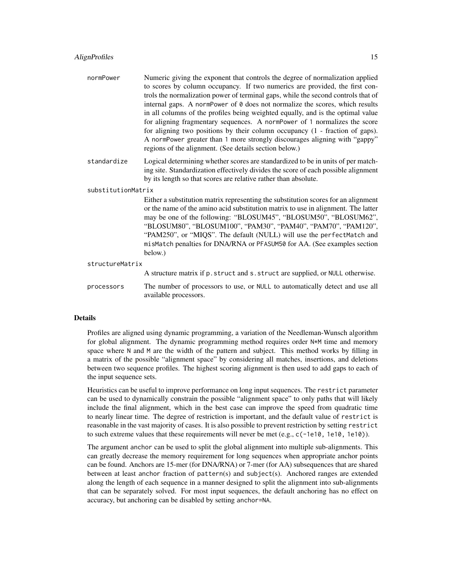#### AlignProfiles 15

| normPower | Numeric giving the exponent that controls the degree of normalization applied     |
|-----------|-----------------------------------------------------------------------------------|
|           | to scores by column occupancy. If two numerics are provided, the first con-       |
|           | trols the normalization power of terminal gaps, while the second controls that of |
|           | internal gaps. A norm-Power of 0 does not normalize the scores, which results     |
|           | in all columns of the profiles being weighted equally, and is the optimal value   |
|           | for aligning fragmentary sequences. A norm-ower of 1 normalizes the score         |
|           | for aligning two positions by their column occupancy $(1 -$ fraction of gaps).    |
|           | A normPower greater than 1 more strongly discourages aligning with "gappy"        |
|           | regions of the alignment. (See details section below.)                            |
|           |                                                                                   |

standardize Logical determining whether scores are standardized to be in units of per matching site. Standardization effectively divides the score of each possible alignment by its length so that scores are relative rather than absolute.

substitutionMatrix

Either a substitution matrix representing the substitution scores for an alignment or the name of the amino acid substitution matrix to use in alignment. The latter may be one of the following: "BLOSUM45", "BLOSUM50", "BLOSUM62", "BLOSUM80", "BLOSUM100", "PAM30", "PAM40", "PAM70", "PAM120", "PAM250", or "MIQS". The default (NULL) will use the perfectMatch and misMatch penalties for DNA/RNA or PFASUM50 for AA. (See examples section below.)

structureMatrix

A structure matrix if p.struct and s.struct are supplied, or NULL otherwise.

processors The number of processors to use, or NULL to automatically detect and use all available processors.

#### Details

Profiles are aligned using dynamic programming, a variation of the Needleman-Wunsch algorithm for global alignment. The dynamic programming method requires order N\*M time and memory space where N and M are the width of the pattern and subject. This method works by filling in a matrix of the possible "alignment space" by considering all matches, insertions, and deletions between two sequence profiles. The highest scoring alignment is then used to add gaps to each of the input sequence sets.

Heuristics can be useful to improve performance on long input sequences. The restrict parameter can be used to dynamically constrain the possible "alignment space" to only paths that will likely include the final alignment, which in the best case can improve the speed from quadratic time to nearly linear time. The degree of restriction is important, and the default value of restrict is reasonable in the vast majority of cases. It is also possible to prevent restriction by setting restrict to such extreme values that these requirements will never be met  $(e.g., c(-1e10, 1e10, 1e10))$ .

The argument anchor can be used to split the global alignment into multiple sub-alignments. This can greatly decrease the memory requirement for long sequences when appropriate anchor points can be found. Anchors are 15-mer (for DNA/RNA) or 7-mer (for AA) subsequences that are shared between at least anchor fraction of pattern(s) and subject(s). Anchored ranges are extended along the length of each sequence in a manner designed to split the alignment into sub-alignments that can be separately solved. For most input sequences, the default anchoring has no effect on accuracy, but anchoring can be disabled by setting anchor=NA.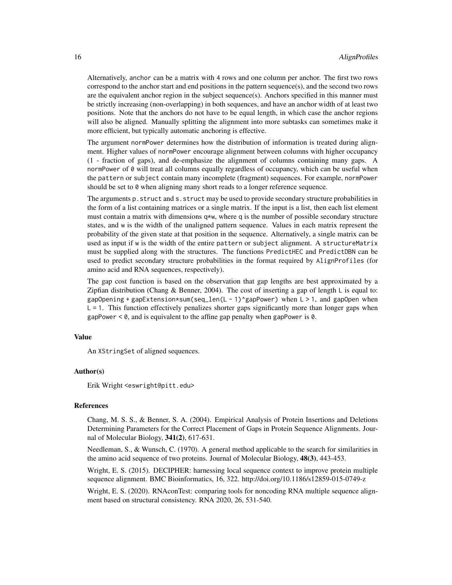Alternatively, anchor can be a matrix with 4 rows and one column per anchor. The first two rows correspond to the anchor start and end positions in the pattern sequence(s), and the second two rows are the equivalent anchor region in the subject sequence(s). Anchors specified in this manner must be strictly increasing (non-overlapping) in both sequences, and have an anchor width of at least two positions. Note that the anchors do not have to be equal length, in which case the anchor regions will also be aligned. Manually splitting the alignment into more subtasks can sometimes make it more efficient, but typically automatic anchoring is effective.

The argument normPower determines how the distribution of information is treated during alignment. Higher values of normPower encourage alignment between columns with higher occupancy (1 - fraction of gaps), and de-emphasize the alignment of columns containing many gaps. A normPower of 0 will treat all columns equally regardless of occupancy, which can be useful when the pattern or subject contain many incomplete (fragment) sequences. For example, normPower should be set to 0 when aligning many short reads to a longer reference sequence.

The arguments p.struct and s.struct may be used to provide secondary structure probabilities in the form of a list containing matrices or a single matrix. If the input is a list, then each list element must contain a matrix with dimensions  $q \star w$ , where q is the number of possible secondary structure states, and w is the width of the unaligned pattern sequence. Values in each matrix represent the probability of the given state at that position in the sequence. Alternatively, a single matrix can be used as input if w is the width of the entire pattern or subject alignment. A structureMatrix must be supplied along with the structures. The functions PredictHEC and PredictDBN can be used to predict secondary structure probabilities in the format required by AlignProfiles (for amino acid and RNA sequences, respectively).

The gap cost function is based on the observation that gap lengths are best approximated by a Zipfian distribution (Chang & Benner, 2004). The cost of inserting a gap of length L is equal to:  $gapOpening + gapExtension * sum(seq_length (L - 1)^{argapPower})$  when L > 1, and gapOpen when  $L = 1$ . This function effectively penalizes shorter gaps significantly more than longer gaps when gapPower  $< 0$ , and is equivalent to the affine gap penalty when gapPower is  $0$ .

#### Value

An XStringSet of aligned sequences.

#### Author(s)

Erik Wright <eswright@pitt.edu>

# References

Chang, M. S. S., & Benner, S. A. (2004). Empirical Analysis of Protein Insertions and Deletions Determining Parameters for the Correct Placement of Gaps in Protein Sequence Alignments. Journal of Molecular Biology, 341(2), 617-631.

Needleman, S., & Wunsch, C. (1970). A general method applicable to the search for similarities in the amino acid sequence of two proteins. Journal of Molecular Biology, 48(3), 443-453.

Wright, E. S. (2015). DECIPHER: harnessing local sequence context to improve protein multiple sequence alignment. BMC Bioinformatics, 16, 322. http://doi.org/10.1186/s12859-015-0749-z

Wright, E. S. (2020). RNAconTest: comparing tools for noncoding RNA multiple sequence alignment based on structural consistency. RNA 2020, 26, 531-540.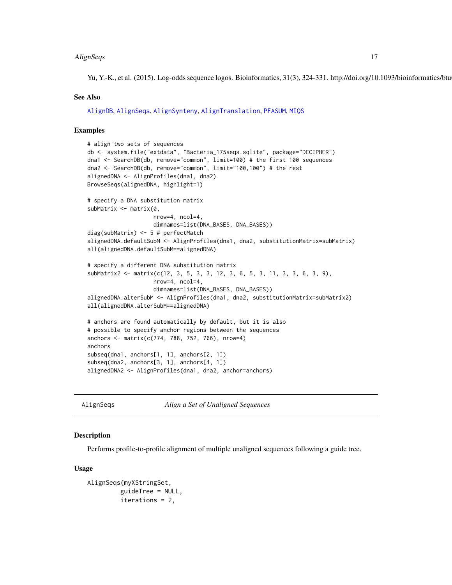#### <span id="page-16-0"></span>AlignSeqs 17

Yu, Y.-K., et al. (2015). Log-odds sequence logos. Bioinformatics, 31(3), 324-331. http://doi.org/10.1093/bioinformatics/btu634

#### See Also

[AlignDB](#page-9-1), [AlignSeqs](#page-16-1), [AlignSynteny](#page-19-1), [AlignTranslation](#page-20-1), [PFASUM](#page-120-1), [MIQS](#page-111-1)

#### Examples

```
# align two sets of sequences
db <- system.file("extdata", "Bacteria_175seqs.sqlite", package="DECIPHER")
dna1 <- SearchDB(db, remove="common", limit=100) # the first 100 sequences
dna2 <- SearchDB(db, remove="common", limit="100,100") # the rest
alignedDNA <- AlignProfiles(dna1, dna2)
BrowseSeqs(alignedDNA, highlight=1)
# specify a DNA substitution matrix
subMatrix <- matrix(0,
                    nrow=4, ncol=4,
                    dimnames=list(DNA_BASES, DNA_BASES))
diag(subMatrix) <- 5 # perfectMatch
alignedDNA.defaultSubM <- AlignProfiles(dna1, dna2, substitutionMatrix=subMatrix)
all(alignedDNA.defaultSubM==alignedDNA)
# specify a different DNA substitution matrix
subMatrix2 \leq - \text{matrix}(c(12, 3, 5, 3, 3, 12, 3, 6, 5, 3, 11, 3, 3, 6, 3, 9),nrow=4, ncol=4,
                    dimnames=list(DNA_BASES, DNA_BASES))
alignedDNA.alterSubM <- AlignProfiles(dna1, dna2, substitutionMatrix=subMatrix2)
all(alignedDNA.alterSubM==alignedDNA)
# anchors are found automatically by default, but it is also
# possible to specify anchor regions between the sequences
anchors <- matrix(c(774, 788, 752, 766), nrow=4)
anchors
subseq(dna1, anchors[1, 1], anchors[2, 1])
subseq(dna2, anchors[3, 1], anchors[4, 1])
alignedDNA2 <- AlignProfiles(dna1, dna2, anchor=anchors)
```
<span id="page-16-1"></span>AlignSeqs *Align a Set of Unaligned Sequences*

#### Description

Performs profile-to-profile alignment of multiple unaligned sequences following a guide tree.

#### Usage

```
AlignSeqs(myXStringSet,
         guideTree = NULL,
         iterations = 2,
```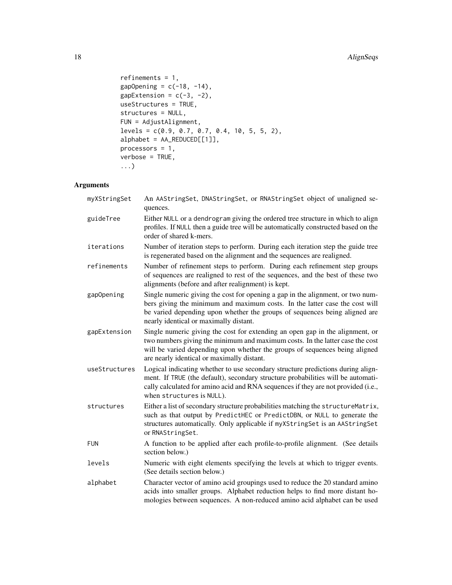# 18 AlignSeqs

```
refinements = 1,
gapOpening = c(-18, -14),gapExtension = c(-3, -2),
useStructures = TRUE,
structures = NULL,
FUN = AdjustAlignment,
levels = c(0.9, 0.7, 0.7, 0.4, 10, 5, 5, 2),
alphabet = AA_REDUCED[[1]],
processors = 1,
verbose = TRUE,
...)
```
# Arguments

| myXStringSet  | An AAStringSet, DNAStringSet, or RNAStringSet object of unaligned se-<br>quences.                                                                                                                                                                                                           |
|---------------|---------------------------------------------------------------------------------------------------------------------------------------------------------------------------------------------------------------------------------------------------------------------------------------------|
| guideTree     | Either NULL or a dendrogram giving the ordered tree structure in which to align<br>profiles. If NULL then a guide tree will be automatically constructed based on the<br>order of shared k-mers.                                                                                            |
| iterations    | Number of iteration steps to perform. During each iteration step the guide tree<br>is regenerated based on the alignment and the sequences are realigned.                                                                                                                                   |
| refinements   | Number of refinement steps to perform. During each refinement step groups<br>of sequences are realigned to rest of the sequences, and the best of these two<br>alignments (before and after realignment) is kept.                                                                           |
| gapOpening    | Single numeric giving the cost for opening a gap in the alignment, or two num-<br>bers giving the minimum and maximum costs. In the latter case the cost will<br>be varied depending upon whether the groups of sequences being aligned are<br>nearly identical or maximally distant.       |
| gapExtension  | Single numeric giving the cost for extending an open gap in the alignment, or<br>two numbers giving the minimum and maximum costs. In the latter case the cost<br>will be varied depending upon whether the groups of sequences being aligned<br>are nearly identical or maximally distant. |
| useStructures | Logical indicating whether to use secondary structure predictions during align-<br>ment. If TRUE (the default), secondary structure probabilities will be automati-<br>cally calculated for amino acid and RNA sequences if they are not provided (i.e.,<br>when structures is NULL).       |
| structures    | Either a list of secondary structure probabilities matching the structureMatrix,<br>such as that output by PredictHEC or PredictDBN, or NULL to generate the<br>structures automatically. Only applicable if myXStringSet is an AAStringSet<br>or RNAStringSet.                             |
| <b>FUN</b>    | A function to be applied after each profile-to-profile alignment. (See details<br>section below.)                                                                                                                                                                                           |
| levels        | Numeric with eight elements specifying the levels at which to trigger events.<br>(See details section below.)                                                                                                                                                                               |
| alphabet      | Character vector of amino acid groupings used to reduce the 20 standard amino<br>acids into smaller groups. Alphabet reduction helps to find more distant ho-<br>mologies between sequences. A non-reduced amino acid alphabet can be used                                                  |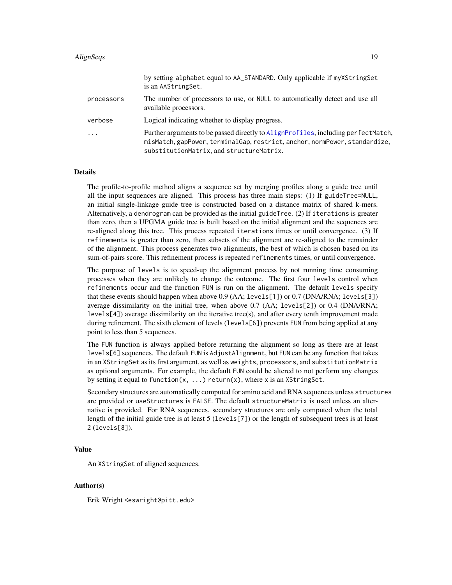#### AlignSeqs 19

|            | by setting alphabet equal to AA_STANDARD. Only applicable if myXStringSet<br>is an AAStringSet.                                                                                                             |
|------------|-------------------------------------------------------------------------------------------------------------------------------------------------------------------------------------------------------------|
| processors | The number of processors to use, or NULL to automatically detect and use all<br>available processors.                                                                                                       |
| verbose    | Logical indicating whether to display progress.                                                                                                                                                             |
| .          | Further arguments to be passed directly to AlignProfiles, including perfectMatch,<br>misMatch, gapPower, terminalGap, restrict, anchor, normPower, standardize,<br>substitutionMatrix, and structureMatrix. |

#### Details

The profile-to-profile method aligns a sequence set by merging profiles along a guide tree until all the input sequences are aligned. This process has three main steps: (1) If guideTree=NULL, an initial single-linkage guide tree is constructed based on a distance matrix of shared k-mers. Alternatively, a dendrogram can be provided as the initial guideTree. (2) If iterations is greater than zero, then a UPGMA guide tree is built based on the initial alignment and the sequences are re-aligned along this tree. This process repeated iterations times or until convergence. (3) If refinements is greater than zero, then subsets of the alignment are re-aligned to the remainder of the alignment. This process generates two alignments, the best of which is chosen based on its sum-of-pairs score. This refinement process is repeated refinements times, or until convergence.

The purpose of levels is to speed-up the alignment process by not running time consuming processes when they are unlikely to change the outcome. The first four levels control when refinements occur and the function FUN is run on the alignment. The default levels specify that these events should happen when above 0.9 (AA; levels[1]) or 0.7 (DNA/RNA; levels[3]) average dissimilarity on the initial tree, when above 0.7 (AA; levels[2]) or 0.4 (DNA/RNA;  $levels[4]$ ) average dissimilarity on the iterative tree(s), and after every tenth improvement made during refinement. The sixth element of levels (levels[6]) prevents FUN from being applied at any point to less than 5 sequences.

The FUN function is always applied before returning the alignment so long as there are at least levels[6] sequences. The default FUN is AdjustAlignment, but FUN can be any function that takes in an XStringSet as its first argument, as well as weights, processors, and substitutionMatrix as optional arguments. For example, the default FUN could be altered to not perform any changes by setting it equal to function(x, ...) return(x), where x is an XStringSet.

Secondary structures are automatically computed for amino acid and RNA sequences unless structures are provided or useStructures is FALSE. The default structureMatrix is used unless an alternative is provided. For RNA sequences, secondary structures are only computed when the total length of the initial guide tree is at least 5 (levels[7]) or the length of subsequent trees is at least 2 (levels[8]).

#### Value

An XStringSet of aligned sequences.

#### Author(s)

Erik Wright <eswright@pitt.edu>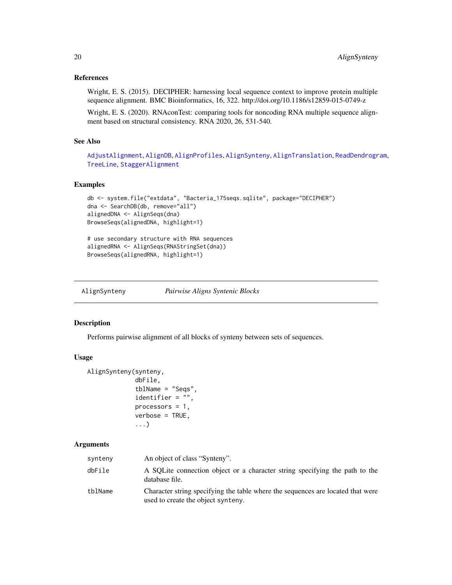# <span id="page-19-0"></span>References

Wright, E. S. (2015). DECIPHER: harnessing local sequence context to improve protein multiple sequence alignment. BMC Bioinformatics, 16, 322. http://doi.org/10.1186/s12859-015-0749-z

Wright, E. S. (2020). RNAconTest: comparing tools for noncoding RNA multiple sequence alignment based on structural consistency. RNA 2020, 26, 531-540.

# See Also

[AdjustAlignment](#page-7-1), [AlignDB](#page-9-1), [AlignProfiles](#page-12-1), [AlignSynteny](#page-19-1), [AlignTranslation](#page-20-1), [ReadDendrogram](#page-126-1), [TreeLine](#page-147-1), [StaggerAlignment](#page-136-1)

# Examples

```
db <- system.file("extdata", "Bacteria_175seqs.sqlite", package="DECIPHER")
dna <- SearchDB(db, remove="all")
alignedDNA <- AlignSeqs(dna)
BrowseSeqs(alignedDNA, highlight=1)
# use secondary structure with RNA sequences
alignedRNA <- AlignSeqs(RNAStringSet(dna))
```

```
BrowseSeqs(alignedRNA, highlight=1)
```
<span id="page-19-1"></span>

| AlignSynteny | Pairwise Aligns Syntenic Blocks |
|--------------|---------------------------------|
|              |                                 |

#### Description

Performs pairwise alignment of all blocks of synteny between sets of sequences.

### Usage

```
AlignSynteny(synteny,
             dbFile,
             tblName = "Seqs",
             identifier = "",
             processors = 1,
             verbose = TRUE,
             ...)
```
#### Arguments

| synteny | An object of class "Synteny".                                                                                         |
|---------|-----------------------------------------------------------------------------------------------------------------------|
| dbFile  | A SQLite connection object or a character string specifying the path to the<br>database file.                         |
| tblName | Character string specifying the table where the sequences are located that were<br>used to create the object synteny. |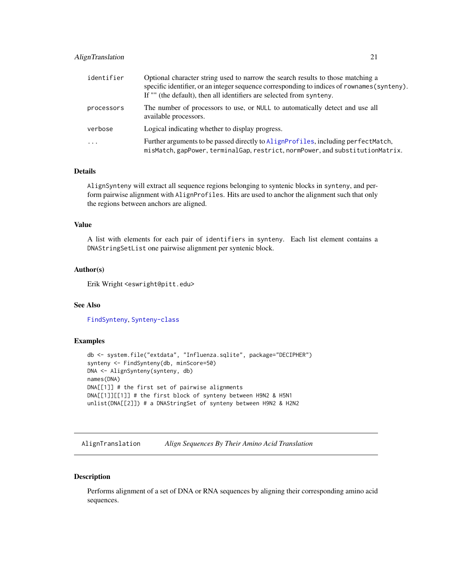# <span id="page-20-0"></span>AlignTranslation 21

| identifier              | Optional character string used to narrow the search results to those matching a<br>specific identifier, or an integer sequence corresponding to indices of rownames (synteny).<br>If "" (the default), then all identifiers are selected from synteny. |
|-------------------------|--------------------------------------------------------------------------------------------------------------------------------------------------------------------------------------------------------------------------------------------------------|
| processors              | The number of processors to use, or NULL to automatically detect and use all<br>available processors.                                                                                                                                                  |
| verbose                 | Logical indicating whether to display progress.                                                                                                                                                                                                        |
| $\cdot$ $\cdot$ $\cdot$ | Further arguments to be passed directly to AlignProfiles, including perfectMatch,<br>misMatch, gapPower, terminalGap, restrict, normPower, and substitutionMatrix.                                                                                     |

#### Details

AlignSynteny will extract all sequence regions belonging to syntenic blocks in synteny, and perform pairwise alignment with AlignProfiles. Hits are used to anchor the alignment such that only the regions between anchors are aligned.

### Value

A list with elements for each pair of identifiers in synteny. Each list element contains a DNAStringSetList one pairwise alignment per syntenic block.

# Author(s)

Erik Wright <eswright@pitt.edu>

# See Also

[FindSynteny](#page-83-1), [Synteny-class](#page-138-1)

# Examples

```
db <- system.file("extdata", "Influenza.sqlite", package="DECIPHER")
synteny <- FindSynteny(db, minScore=50)
DNA <- AlignSynteny(synteny, db)
names(DNA)
DNA[[1]] # the first set of pairwise alignments
DNA[[1]][[1]] # the first block of synteny between H9N2 & H5N1
unlist(DNA[[2]]) # a DNAStringSet of synteny between H9N2 & H2N2
```
<span id="page-20-1"></span>AlignTranslation *Align Sequences By Their Amino Acid Translation*

# Description

Performs alignment of a set of DNA or RNA sequences by aligning their corresponding amino acid sequences.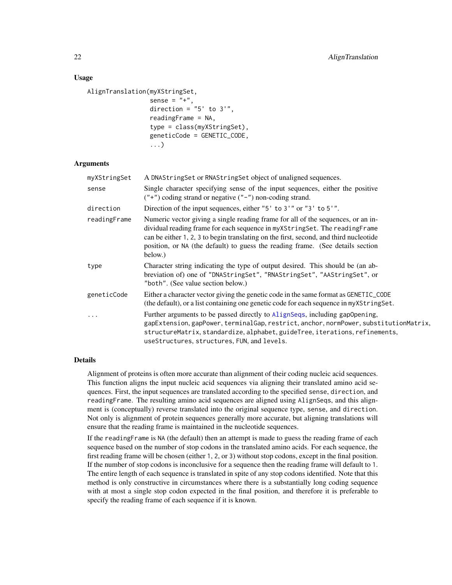#### Usage

```
AlignTranslation(myXStringSet,
```

```
sense = "+",
direction = "5' to 3',
readingFrame = NA,
type = class(myXStringSet),
geneticCode = GENETIC_CODE,
...)
```
#### Arguments

| myXStringSet | A DNAString Set or RNAString Set object of unaligned sequences.                                                                                                                                                                                                                                                                                      |
|--------------|------------------------------------------------------------------------------------------------------------------------------------------------------------------------------------------------------------------------------------------------------------------------------------------------------------------------------------------------------|
| sense        | Single character specifying sense of the input sequences, either the positive<br>$("+")$ coding strand or negative $("-")$ non-coding strand.                                                                                                                                                                                                        |
| direction    | Direction of the input sequences, either "5' to 3'" or "3' to 5'".                                                                                                                                                                                                                                                                                   |
| readingFrame | Numeric vector giving a single reading frame for all of the sequences, or an in-<br>dividual reading frame for each sequence in myXStringSet. The readingFrame<br>can be either 1, 2, 3 to begin translating on the first, second, and third nucleotide<br>position, or NA (the default) to guess the reading frame. (See details section<br>below.) |
| type         | Character string indicating the type of output desired. This should be (an ab-<br>breviation of) one of "DNAStringSet", "RNAStringSet", "AAStringSet", or<br>"both". (See value section below.)                                                                                                                                                      |
| geneticCode  | Either a character vector giving the genetic code in the same format as GENETIC_CODE<br>(the default), or a list containing one genetic code for each sequence in my XString Set.                                                                                                                                                                    |
| $\cdots$     | Further arguments to be passed directly to AlignSeqs, including gapopening,<br>gapExtension, gapPower, terminalGap, restrict, anchor, normPower, substitutionMatrix,<br>structureMatrix, standardize, alphabet, guideTree, iterations, refinements,<br>useStructures, structures, FUN, and levels.                                                   |

#### Details

Alignment of proteins is often more accurate than alignment of their coding nucleic acid sequences. This function aligns the input nucleic acid sequences via aligning their translated amino acid sequences. First, the input sequences are translated according to the specified sense, direction, and readingFrame. The resulting amino acid sequences are aligned using AlignSeqs, and this alignment is (conceptually) reverse translated into the original sequence type, sense, and direction. Not only is alignment of protein sequences generally more accurate, but aligning translations will ensure that the reading frame is maintained in the nucleotide sequences.

If the readingFrame is NA (the default) then an attempt is made to guess the reading frame of each sequence based on the number of stop codons in the translated amino acids. For each sequence, the first reading frame will be chosen (either 1, 2, or 3) without stop codons, except in the final position. If the number of stop codons is inconclusive for a sequence then the reading frame will default to 1. The entire length of each sequence is translated in spite of any stop codons identified. Note that this method is only constructive in circumstances where there is a substantially long coding sequence with at most a single stop codon expected in the final position, and therefore it is preferable to specify the reading frame of each sequence if it is known.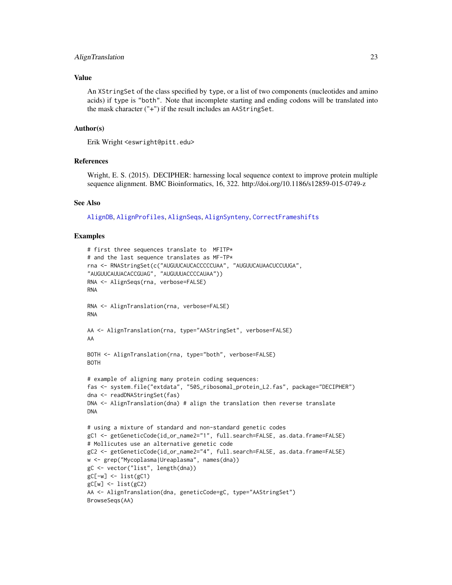#### AlignTranslation 23

# Value

An XStringSet of the class specified by type, or a list of two components (nucleotides and amino acids) if type is "both". Note that incomplete starting and ending codons will be translated into the mask character ("+") if the result includes an AAStringSet.

#### Author(s)

Erik Wright <eswright@pitt.edu>

# **References**

Wright, E. S. (2015). DECIPHER: harnessing local sequence context to improve protein multiple sequence alignment. BMC Bioinformatics, 16, 322. http://doi.org/10.1186/s12859-015-0749-z

#### See Also

[AlignDB](#page-9-1), [AlignProfiles](#page-12-1), [AlignSeqs](#page-16-1), [AlignSynteny](#page-19-1), [CorrectFrameshifts](#page-42-1)

# Examples

```
# first three sequences translate to MFITP*
# and the last sequence translates as MF-TP*
rna <- RNAStringSet(c("AUGUUCAUCACCCCCUAA", "AUGUUCAUAACUCCUUGA",
"AUGUUCAUUACACCGUAG", "AUGUUUACCCCAUAA"))
RNA <- AlignSeqs(rna, verbose=FALSE)
RNA
RNA <- AlignTranslation(rna, verbose=FALSE)
RNA
AA <- AlignTranslation(rna, type="AAStringSet", verbose=FALSE)
AA
BOTH <- AlignTranslation(rna, type="both", verbose=FALSE)
BOTH
# example of aligning many protein coding sequences:
fas <- system.file("extdata", "50S_ribosomal_protein_L2.fas", package="DECIPHER")
dna <- readDNAStringSet(fas)
DNA <- AlignTranslation(dna) # align the translation then reverse translate
DNA
# using a mixture of standard and non-standard genetic codes
gC1 <- getGeneticCode(id_or_name2="1", full.search=FALSE, as.data.frame=FALSE)
# Mollicutes use an alternative genetic code
gC2 <- getGeneticCode(id_or_name2="4", full.search=FALSE, as.data.frame=FALSE)
w <- grep("Mycoplasma|Ureaplasma", names(dna))
gC <- vector("list", length(dna))
gC[-w] <- list(gC1)
gC[w] <- list(gC2)
AA <- AlignTranslation(dna, geneticCode=gC, type="AAStringSet")
BrowseSeqs(AA)
```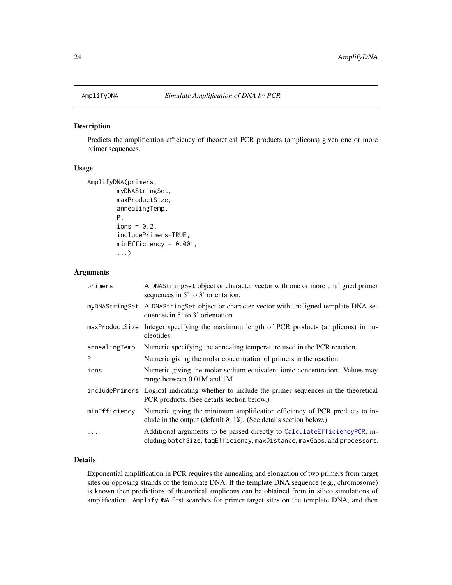<span id="page-23-0"></span>

# Description

Predicts the amplification efficiency of theoretical PCR products (amplicons) given one or more primer sequences.

#### Usage

```
AmplifyDNA(primers,
        myDNAStringSet,
        maxProductSize,
        annealingTemp,
        P,
        ions = 0.2,
        includePrimers=TRUE,
        minEfficiency = 0.001,
        ...)
```
# Arguments

| primers       | A DNAStringSet object or character vector with one or more unaligned primer<br>sequences in $5'$ to $3'$ orientation.                                   |
|---------------|---------------------------------------------------------------------------------------------------------------------------------------------------------|
|               | myDNAStringSet A DNAStringSet object or character vector with unaligned template DNA se-<br>quences in 5' to 3' orientation.                            |
|               | maxProductSize Integer specifying the maximum length of PCR products (amplicons) in nu-<br>cleotides.                                                   |
| annealingTemp | Numeric specifying the annealing temperature used in the PCR reaction.                                                                                  |
| P             | Numeric giving the molar concentration of primers in the reaction.                                                                                      |
| ions          | Numeric giving the molar sodium equivalent ionic concentration. Values may<br>range between 0.01M and 1M.                                               |
|               | includePrimers Logical indicating whether to include the primer sequences in the theoretical<br>PCR products. (See details section below.)              |
| minEfficiency | Numeric giving the minimum amplification efficiency of PCR products to in-<br>clude in the output (default $\theta$ . 1%). (See details section below.) |
| $\cdots$      | Additional arguments to be passed directly to CalculateEfficiencyPCR, in-<br>cluding batchSize, taqEfficiency, maxDistance, maxGaps, and processors.    |

# Details

Exponential amplification in PCR requires the annealing and elongation of two primers from target sites on opposing strands of the template DNA. If the template DNA sequence (e.g., chromosome) is known then predictions of theoretical amplicons can be obtained from in silico simulations of amplification. AmplifyDNA first searches for primer target sites on the template DNA, and then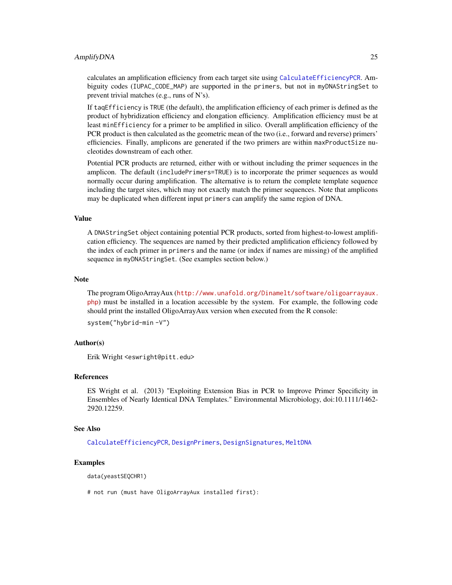#### AmplifyDNA 25

calculates an amplification efficiency from each target site using [CalculateEfficiencyPCR](#page-35-1). Ambiguity codes (IUPAC\_CODE\_MAP) are supported in the primers, but not in myDNAStringSet to prevent trivial matches (e.g., runs of N's).

If taqEfficiency is TRUE (the default), the amplification efficiency of each primer is defined as the product of hybridization efficiency and elongation efficiency. Amplification efficiency must be at least minEfficiency for a primer to be amplified in silico. Overall amplification efficiency of the PCR product is then calculated as the geometric mean of the two (i.e., forward and reverse) primers' efficiencies. Finally, amplicons are generated if the two primers are within maxProductSize nucleotides downstream of each other.

Potential PCR products are returned, either with or without including the primer sequences in the amplicon. The default (includePrimers=TRUE) is to incorporate the primer sequences as would normally occur during amplification. The alternative is to return the complete template sequence including the target sites, which may not exactly match the primer sequences. Note that amplicons may be duplicated when different input primers can amplify the same region of DNA.

#### Value

A DNAStringSet object containing potential PCR products, sorted from highest-to-lowest amplification efficiency. The sequences are named by their predicted amplification efficiency followed by the index of each primer in primers and the name (or index if names are missing) of the amplified sequence in myDNAStringSet. (See examples section below.)

#### **Note**

The program OligoArrayAux ([http://www.unafold.org/Dinamelt/software/oligoarrayaux.](http://www.unafold.org/Dinamelt/software/oligoarrayaux.php) [php](http://www.unafold.org/Dinamelt/software/oligoarrayaux.php)) must be installed in a location accessible by the system. For example, the following code should print the installed OligoArrayAux version when executed from the R console:

```
system("hybrid-min -V")
```
#### Author(s)

Erik Wright <eswright@pitt.edu>

# References

ES Wright et al. (2013) "Exploiting Extension Bias in PCR to Improve Primer Specificity in Ensembles of Nearly Identical DNA Templates." Environmental Microbiology, doi:10.1111/1462- 2920.12259.

#### See Also

[CalculateEfficiencyPCR](#page-35-1), [DesignPrimers](#page-56-1), [DesignSignatures](#page-63-1), [MeltDNA](#page-109-1)

#### Examples

data(yeastSEQCHR1)

# not run (must have OligoArrayAux installed first):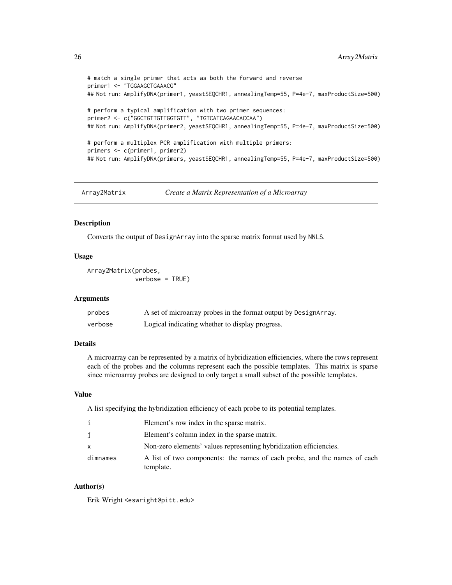```
# match a single primer that acts as both the forward and reverse
primer1 <- "TGGAAGCTGAAACG"
## Not run: AmplifyDNA(primer1, yeastSEQCHR1, annealingTemp=55, P=4e-7, maxProductSize=500)
# perform a typical amplification with two primer sequences:
primer2 <- c("GGCTGTTGTTGGTGTT", "TGTCATCAGAACACCAA")
## Not run: AmplifyDNA(primer2, yeastSEQCHR1, annealingTemp=55, P=4e-7, maxProductSize=500)
# perform a multiplex PCR amplification with multiple primers:
primers <- c(primer1, primer2)
## Not run: AmplifyDNA(primers, yeastSEQCHR1, annealingTemp=55, P=4e-7, maxProductSize=500)
```
Array2Matrix *Create a Matrix Representation of a Microarray*

# **Description**

Converts the output of DesignArray into the sparse matrix format used by NNLS.

# Usage

```
Array2Matrix(probes,
             verbose = TRUE)
```
#### Arguments

| probes  | A set of microarray probes in the format output by DesignArray. |
|---------|-----------------------------------------------------------------|
| verbose | Logical indicating whether to display progress.                 |

# Details

A microarray can be represented by a matrix of hybridization efficiencies, where the rows represent each of the probes and the columns represent each the possible templates. This matrix is sparse since microarray probes are designed to only target a small subset of the possible templates.

# Value

A list specifying the hybridization efficiency of each probe to its potential templates.

| i        | Element's row index in the sparse matrix.                                             |
|----------|---------------------------------------------------------------------------------------|
| j        | Element's column index in the sparse matrix.                                          |
| X        | Non-zero elements' values representing hybridization efficiencies.                    |
| dimnames | A list of two components: the names of each probe, and the names of each<br>template. |

# Author(s)

Erik Wright <eswright@pitt.edu>

<span id="page-25-0"></span>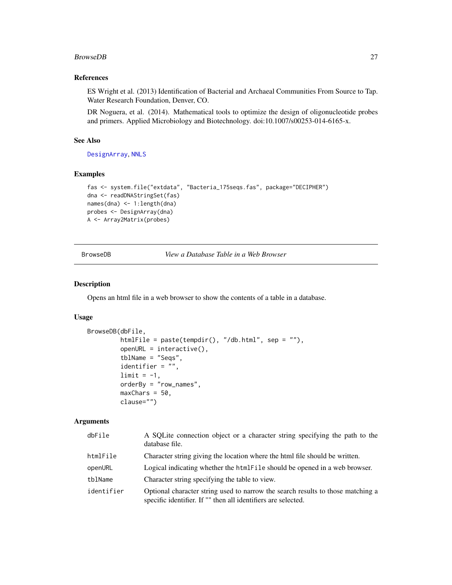#### <span id="page-26-0"></span>BrowseDB 27

# References

ES Wright et al. (2013) Identification of Bacterial and Archaeal Communities From Source to Tap. Water Research Foundation, Denver, CO.

DR Noguera, et al. (2014). Mathematical tools to optimize the design of oligonucleotide probes and primers. Applied Microbiology and Biotechnology. doi:10.1007/s00253-014-6165-x.

# See Also

[DesignArray](#page-54-1), [NNLS](#page-114-1)

#### Examples

```
fas <- system.file("extdata", "Bacteria_175seqs.fas", package="DECIPHER")
dna <- readDNAStringSet(fas)
names(dna) <- 1:length(dna)
probes <- DesignArray(dna)
A <- Array2Matrix(probes)
```
<span id="page-26-1"></span>BrowseDB *View a Database Table in a Web Browser*

### Description

Opens an html file in a web browser to show the contents of a table in a database.

# Usage

```
BrowseDB(dbFile,
         htmlFile = paste(tempdir(), "/db.html", sep = ""),
         openURL = interactive(),tblName = "Seqs",
         identifier = "",
         limit = -1,orderBy = "row_names",
         maxChars = 50,
         clause="")
```
# Arguments

| dbFile     | A SQLite connection object or a character string specifying the path to the<br>database file.                                                    |
|------------|--------------------------------------------------------------------------------------------------------------------------------------------------|
| htmlFile   | Character string giving the location where the html file should be written.                                                                      |
| openURL    | Logical indicating whether the html File should be opened in a web browser.                                                                      |
| tblName    | Character string specifying the table to view.                                                                                                   |
| identifier | Optional character string used to narrow the search results to those matching a<br>specific identifier. If "" then all identifiers are selected. |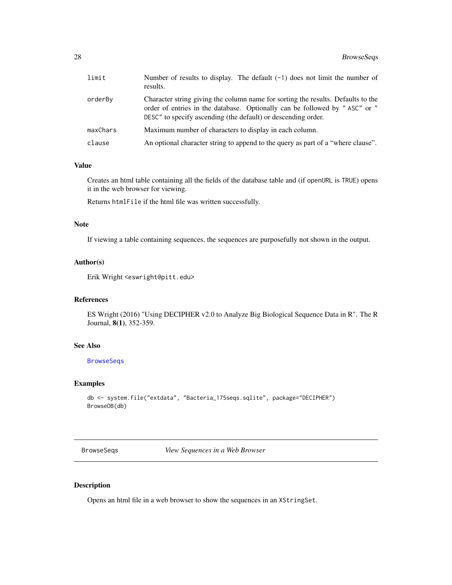<span id="page-27-0"></span>

| limit    | Number of results to display. The default $(-1)$ does not limit the number of<br>results.                                                                                                                                       |
|----------|---------------------------------------------------------------------------------------------------------------------------------------------------------------------------------------------------------------------------------|
| orderBy  | Character string giving the column name for sorting the results. Defaults to the<br>order of entries in the database. Optionally can be followed by "ASC" or "<br>DESC" to specify ascending (the default) or descending order. |
| maxChars | Maximum number of characters to display in each column.                                                                                                                                                                         |
| clause   | An optional character string to append to the query as part of a "where clause".                                                                                                                                                |

#### Value

Creates an html table containing all the fields of the database table and (if openURL is TRUE) opens it in the web browser for viewing.

Returns htmlFile if the html file was written successfully.

# Note

If viewing a table containing sequences, the sequences are purposefully not shown in the output.

# Author(s)

Erik Wright <eswright@pitt.edu>

# References

ES Wright (2016) "Using DECIPHER v2.0 to Analyze Big Biological Sequence Data in R". The R Journal, 8(1), 352-359.

# See Also

**[BrowseSeqs](#page-27-1)** 

# Examples

```
db <- system.file("extdata", "Bacteria_175seqs.sqlite", package="DECIPHER")
BrowseDB(db)
```
<span id="page-27-1"></span>BrowseSeqs *View Sequences in a Web Browser*

#### Description

Opens an html file in a web browser to show the sequences in an XStringSet.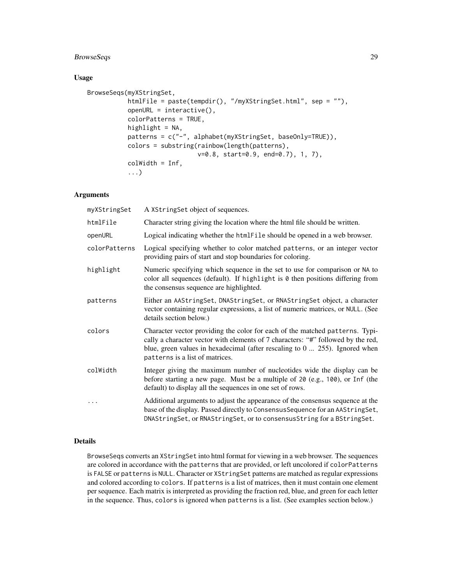# BrowseSeqs 29

# Usage

```
BrowseSeqs(myXStringSet,
           htmlFile = paste(tempdir(), "/myXStringSet.html", sep = ""),
           openURL = interactive(),
           colorPatterns = TRUE,
          highlight = NA,
           patterns = c("-", alphabet(myXStringSet, baseOnly=TRUE)),
           colors = substring(rainbow(length(patterns),
                              v=0.8, start=0.9, end=0.7), 1, 7),
           colWidth = Inf,
           ...)
```
# Arguments

| myXStringSet  | A XStringSet object of sequences.                                                                                                                                                                                                                                                           |
|---------------|---------------------------------------------------------------------------------------------------------------------------------------------------------------------------------------------------------------------------------------------------------------------------------------------|
| htmlFile      | Character string giving the location where the html file should be written.                                                                                                                                                                                                                 |
| openURL       | Logical indicating whether the htmlFile should be opened in a web browser.                                                                                                                                                                                                                  |
| colorPatterns | Logical specifying whether to color matched patterns, or an integer vector<br>providing pairs of start and stop boundaries for coloring.                                                                                                                                                    |
| highlight     | Numeric specifying which sequence in the set to use for comparison or NA to<br>color all sequences (default). If highlight is $\theta$ then positions differing from<br>the consensus sequence are highlighted.                                                                             |
| patterns      | Either an AAStringSet, DNAStringSet, or RNAStringSet object, a character<br>vector containing regular expressions, a list of numeric matrices, or NULL. (See<br>details section below.)                                                                                                     |
| colors        | Character vector providing the color for each of the matched patterns. Typi-<br>cally a character vector with elements of 7 characters: "#" followed by the red,<br>blue, green values in hexadecimal (after rescaling to $0 \ldots 255$ ). Ignored when<br>patterns is a list of matrices. |
| colWidth      | Integer giving the maximum number of nucleotides wide the display can be<br>before starting a new page. Must be a multiple of 20 (e.g., 100), or Inf (the<br>default) to display all the sequences in one set of rows.                                                                      |
|               | Additional arguments to adjust the appearance of the consensus sequence at the<br>base of the display. Passed directly to Consensus Sequence for an AAString Set,<br>DNAStringSet, or RNAStringSet, or to consensusString for a BStringSet.                                                 |

# Details

BrowseSeqs converts an XStringSet into html format for viewing in a web browser. The sequences are colored in accordance with the patterns that are provided, or left uncolored if colorPatterns is FALSE or patterns is NULL. Character or XStringSet patterns are matched as regular expressions and colored according to colors. If patterns is a list of matrices, then it must contain one element per sequence. Each matrix is interpreted as providing the fraction red, blue, and green for each letter in the sequence. Thus, colors is ignored when patterns is a list. (See examples section below.)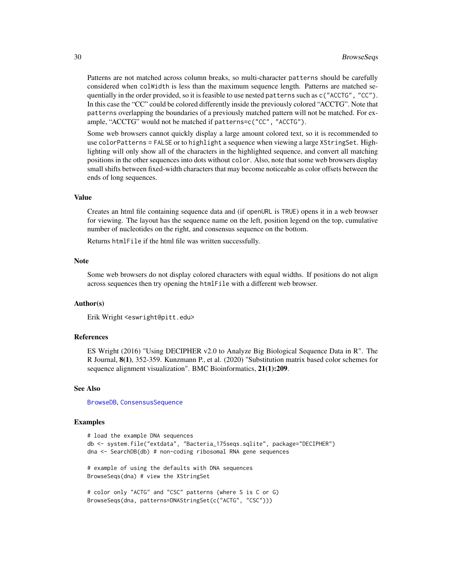Patterns are not matched across column breaks, so multi-character patterns should be carefully considered when colWidth is less than the maximum sequence length. Patterns are matched sequentially in the order provided, so it is feasible to use nested patterns such as c("ACCTG", "CC"). In this case the "CC" could be colored differently inside the previously colored "ACCTG". Note that patterns overlapping the boundaries of a previously matched pattern will not be matched. For example, "ACCTG" would not be matched if patterns=c("CC", "ACCTG").

Some web browsers cannot quickly display a large amount colored text, so it is recommended to use colorPatterns = FALSE or to highlight a sequence when viewing a large XStringSet. Highlighting will only show all of the characters in the highlighted sequence, and convert all matching positions in the other sequences into dots without color. Also, note that some web browsers display small shifts between fixed-width characters that may become noticeable as color offsets between the ends of long sequences.

#### Value

Creates an html file containing sequence data and (if openURL is TRUE) opens it in a web browser for viewing. The layout has the sequence name on the left, position legend on the top, cumulative number of nucleotides on the right, and consensus sequence on the bottom.

Returns htmlFile if the html file was written successfully.

#### Note

Some web browsers do not display colored characters with equal widths. If positions do not align across sequences then try opening the htmlFile with a different web browser.

#### Author(s)

Erik Wright <eswright@pitt.edu>

#### References

ES Wright (2016) "Using DECIPHER v2.0 to Analyze Big Biological Sequence Data in R". The R Journal, 8(1), 352-359. Kunzmann P., et al. (2020) "Substitution matrix based color schemes for sequence alignment visualization". BMC Bioinformatics, 21(1):209.

#### See Also

[BrowseDB](#page-26-1), [ConsensusSequence](#page-38-1)

#### Examples

```
# load the example DNA sequences
db <- system.file("extdata", "Bacteria_175seqs.sqlite", package="DECIPHER")
dna <- SearchDB(db) # non-coding ribosomal RNA gene sequences
# example of using the defaults with DNA sequences
BrowseSeqs(dna) # view the XStringSet
# color only "ACTG" and "CSC" patterns (where S is C or G)
BrowseSeqs(dna, patterns=DNAStringSet(c("ACTG", "CSC")))
```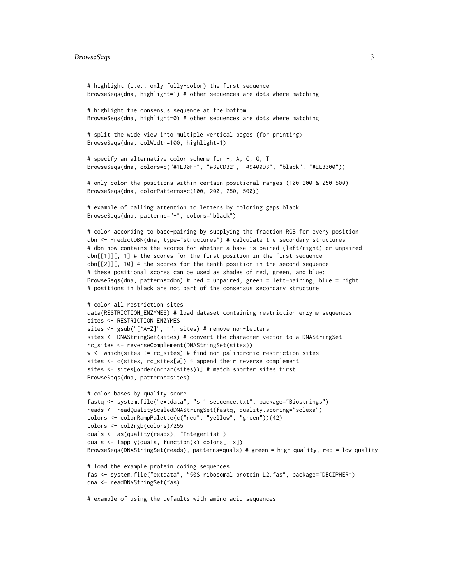#### BrowseSeqs 31

```
# highlight (i.e., only fully-color) the first sequence
BrowseSeqs(dna, highlight=1) # other sequences are dots where matching
# highlight the consensus sequence at the bottom
BrowseSeqs(dna, highlight=0) # other sequences are dots where matching
# split the wide view into multiple vertical pages (for printing)
BrowseSeqs(dna, colWidth=100, highlight=1)
# specify an alternative color scheme for -, A, C, G, T
BrowseSeqs(dna, colors=c("#1E90FF", "#32CD32", "#9400D3", "black", "#EE3300"))
# only color the positions within certain positional ranges (100-200 & 250-500)
BrowseSeqs(dna, colorPatterns=c(100, 200, 250, 500))
# example of calling attention to letters by coloring gaps black
BrowseSeqs(dna, patterns="-", colors="black")
# color according to base-pairing by supplying the fraction RGB for every position
dbn <- PredictDBN(dna, type="structures") # calculate the secondary structures
# dbn now contains the scores for whether a base is paired (left/right) or unpaired
dbn[[1]][, 1] # the scores for the first position in the first sequence
dbn[[2]][, 10] # the scores for the tenth position in the second sequence
# these positional scores can be used as shades of red, green, and blue:
BrowseSeqs(dna, patterns=dbn) # red = unpaired, green = left-pairing, blue = right
# positions in black are not part of the consensus secondary structure
# color all restriction sites
data(RESTRICTION_ENZYMES) # load dataset containing restriction enzyme sequences
sites <- RESTRICTION_ENZYMES
sites <- gsub("[^A-Z]", "", sites) # remove non-letters
sites <- DNAStringSet(sites) # convert the character vector to a DNAStringSet
rc_sites <- reverseComplement(DNAStringSet(sites))
w <- which(sites != rc_sites) # find non-palindromic restriction sites
sites <- c(sites, rc_sites[w]) # append their reverse complement
sites <- sites[order(nchar(sites))] # match shorter sites first
BrowseSeqs(dna, patterns=sites)
# color bases by quality score
fastq <- system.file("extdata", "s_1_sequence.txt", package="Biostrings")
reads <- readQualityScaledDNAStringSet(fastq, quality.scoring="solexa")
colors <- colorRampPalette(c("red", "yellow", "green"))(42)
colors <- col2rgb(colors)/255
quals <- as(quality(reads), "IntegerList")
quals <- lapply(quals, function(x) colors[, x])
BrowseSeqs(DNAStringSet(reads), patterns=quals) # green = high quality, red = low quality
# load the example protein coding sequences
fas <- system.file("extdata", "50S_ribosomal_protein_L2.fas", package="DECIPHER")
dna <- readDNAStringSet(fas)
# example of using the defaults with amino acid sequences
```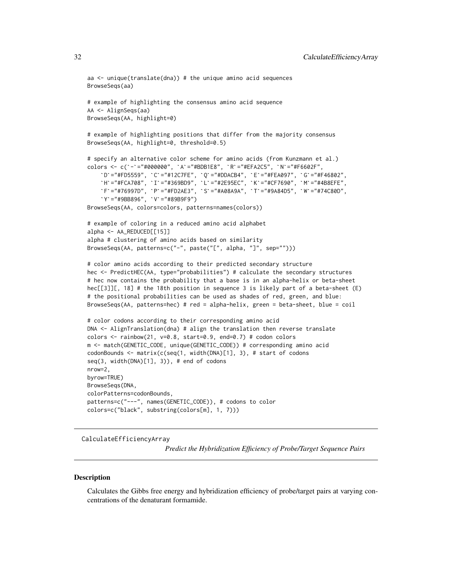```
aa \leq unique(translate(dna)) # the unique amino acid sequences
BrowseSeqs(aa)
# example of highlighting the consensus amino acid sequence
AA <- AlignSeqs(aa)
BrowseSeqs(AA, highlight=0)
# example of highlighting positions that differ from the majority consensus
BrowseSeqs(AA, highlight=0, threshold=0.5)
# specify an alternative color scheme for amino acids (from Kunzmann et al.)
`BrowseSeqs(AA, highlight=0, threshold=0.5)<br># specify an alternative color scheme for amino acids (from Kunzmann et<br>colors <- c(`-`="#000000", `A`="#BDB1E8", `R`="#EFA2C5", `N`="#F6602F",
       cify an alternative color scheme for amino acids (from Kunzmann et al.)<br>s <– c(`–`="#000000", `A`="#BDB1E8", `R`="#EFA2C5", `N`="#F6602F",<br>D`="#FD5559", `C`="#12C7FE", `Q`="#DDACB4", `E`="#FEA097", `G`="#F46802",
       cify an alternative color scheme for amino acids (from Kunzmann et al.)<br>s <- c(`-`="#000000", `A`="#BDB1E8", `R`="#EFA2C5", `N`="#F6602F",<br>D`="#FD5559", `C`="#12C7FE", `Q`="#DDACB4", `E`="#FEA097", `G`="#F46802",<br>H`="#FCA7
       s <- c(`-`="#000000", `A`="#BDB1E8", `R`="#EFA2C5", `N`="#F6602F",<br>D`="#FD5559", `C`="#12C7FE", `Q`="#DDACB4", `E`="#FEA097", `G`="#F46802",<br>H`="#FCA708", `I`="#369BD9", `L`="#2E95EC", `K`="#CF7690", `M`="#4B8EFE",<br>F`="#76
     `D`="#FD5559", `C`="#12C7FE",<br>`H`="#FCA708", `I`="#369BD9",<br>`F`="#76997D", `P`="#FD2AE3",<br>`Y`="#9BB896", `V`="#89B9F9")
BrowseSeqs(AA, colors=colors, patterns=names(colors))
# example of coloring in a reduced amino acid alphabet
alpha <- AA_REDUCED[[15]]
alpha # clustering of amino acids based on similarity
BrowseSeqs(AA, patterns=c("-", paste("[", alpha, "]", sep="")))
# color amino acids according to their predicted secondary structure
hec <- PredictHEC(AA, type="probabilities") # calculate the secondary structures
# hec now contains the probability that a base is in an alpha-helix or beta-sheet
hec[[3]][, 18] # the 18th position in sequence 3 is likely part of a beta-sheet (E)
# the positional probabilities can be used as shades of red, green, and blue:
BrowseSeqs(AA, patterns=hec) # red = alpha-helix, green = beta-sheet, blue = coil
# color codons according to their corresponding amino acid
DNA <- AlignTranslation(dna) # align the translation then reverse translate
colors <- rainbow(21, v=0.8, start=0.9, end=0.7) # codon colors
m <- match(GENETIC_CODE, unique(GENETIC_CODE)) # corresponding amino acid
codonBounds <- matrix(c(seq(1, width(DNA)[1], 3), # start of codons
seq(3, width(DNA)[1], 3)), # end of codons
nrow=2,
byrow=TRUE)
BrowseSeqs(DNA,
colorPatterns=codonBounds,
patterns=c("---", names(GENETIC_CODE)), # codons to color
colors=c("black", substring(colors[m], 1, 7)))
```
CalculateEfficiencyArray

*Predict the Hybridization Efficiency of Probe/Target Sequence Pairs*

#### **Description**

Calculates the Gibbs free energy and hybridization efficiency of probe/target pairs at varying concentrations of the denaturant formamide.

<span id="page-31-0"></span>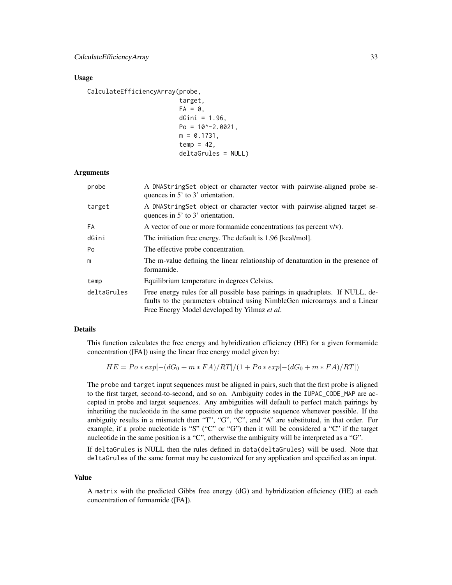#### Usage

CalculateEfficiencyArray(probe,

```
target,
FA = 0,
dGini = 1.96,
Po = 10^{\circ} - 2.0021,
m = 0.1731,
temp = 42,
deltaGrules = NULL)
```
#### Arguments

| probe       | A DNAStringSet object or character vector with pairwise-aligned probe se-<br>quences in 5' to 3' orientation.                                                                                               |
|-------------|-------------------------------------------------------------------------------------------------------------------------------------------------------------------------------------------------------------|
| target      | A DNAString Set object or character vector with pairwise-aligned target se-<br>quences in 5' to 3' orientation.                                                                                             |
| FA          | A vector of one or more formamide concentrations (as percent $v/v$ ).                                                                                                                                       |
| dGini       | The initiation free energy. The default is 1.96 [kcal/mol].                                                                                                                                                 |
| Po          | The effective probe concentration.                                                                                                                                                                          |
| m           | The m-value defining the linear relationship of denaturation in the presence of<br>formamide.                                                                                                               |
| temp        | Equilibrium temperature in degrees Celsius.                                                                                                                                                                 |
| deltaGrules | Free energy rules for all possible base pairings in quadruplets. If NULL, de-<br>faults to the parameters obtained using NimbleGen microarrays and a Linear<br>Free Energy Model developed by Yilmaz et al. |

#### Details

This function calculates the free energy and hybridization efficiency (HE) for a given formamide concentration ([FA]) using the linear free energy model given by:

$$
HE = Po * exp[-(dG_0 + m * FA)/RT]/(1 + Po * exp[-(dG_0 + m * FA)/RT])
$$

The probe and target input sequences must be aligned in pairs, such that the first probe is aligned to the first target, second-to-second, and so on. Ambiguity codes in the IUPAC\_CODE\_MAP are accepted in probe and target sequences. Any ambiguities will default to perfect match pairings by inheriting the nucleotide in the same position on the opposite sequence whenever possible. If the ambiguity results in a mismatch then "T", "G", "C", and "A" are substituted, in that order. For example, if a probe nucleotide is "S" ("C" or "G") then it will be considered a "C" if the target nucleotide in the same position is a "C", otherwise the ambiguity will be interpreted as a "G".

If deltaGrules is NULL then the rules defined in data(deltaGrules) will be used. Note that deltaGrules of the same format may be customized for any application and specified as an input.

#### Value

A matrix with the predicted Gibbs free energy (dG) and hybridization efficiency (HE) at each concentration of formamide ([FA]).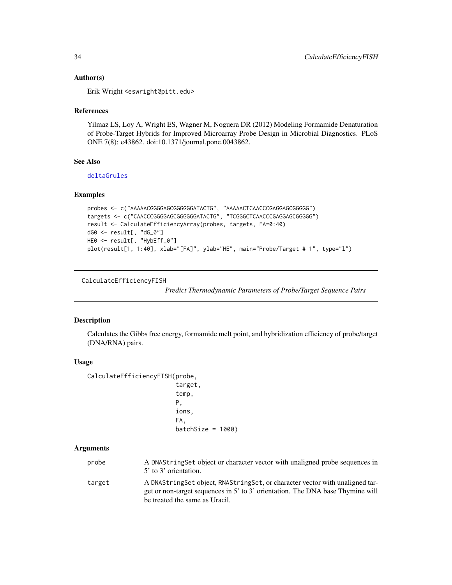#### <span id="page-33-0"></span>Author(s)

Erik Wright <eswright@pitt.edu>

#### References

Yilmaz LS, Loy A, Wright ES, Wagner M, Noguera DR (2012) Modeling Formamide Denaturation of Probe-Target Hybrids for Improved Microarray Probe Design in Microbial Diagnostics. PLoS ONE 7(8): e43862. doi:10.1371/journal.pone.0043862.

# See Also

[deltaGrules](#page-49-1)

# Examples

```
probes <- c("AAAAACGGGGAGCGGGGGGATACTG", "AAAAACTCAACCCGAGGAGCGGGGG")
targets <- c("CAACCCGGGGAGCGGGGGGATACTG", "TCGGGCTCAACCCGAGGAGCGGGGG")
result <- CalculateEfficiencyArray(probes, targets, FA=0:40)
dG0 <- result[, "dG_0"]
HE0 <- result[, "HybEff_0"]
plot(result[1, 1:40], xlab="[FA]", ylab="HE", main="Probe/Target # 1", type="l")
```
CalculateEfficiencyFISH

*Predict Thermodynamic Parameters of Probe/Target Sequence Pairs*

#### Description

Calculates the Gibbs free energy, formamide melt point, and hybridization efficiency of probe/target (DNA/RNA) pairs.

#### Usage

```
CalculateEfficiencyFISH(probe,
```

```
target,
temp,
P,
ions,
FA,
batchSize = 1000
```
#### Arguments

probe A DNAStringSet object or character vector with unaligned probe sequences in 5' to 3' orientation. target A DNAStringSet object, RNAStringSet, or character vector with unaligned target or non-target sequences in 5' to 3' orientation. The DNA base Thymine will

be treated the same as Uracil.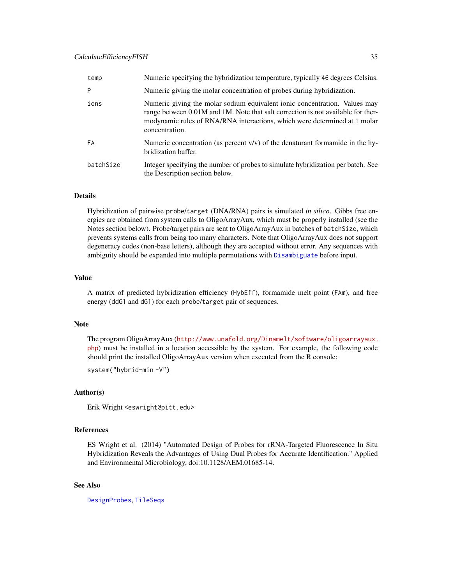| temp      | Numeric specifying the hybridization temperature, typically 46 degrees Celsius.                                                                                                                                                                               |
|-----------|---------------------------------------------------------------------------------------------------------------------------------------------------------------------------------------------------------------------------------------------------------------|
| P         | Numeric giving the molar concentration of probes during hybridization.                                                                                                                                                                                        |
| ions      | Numeric giving the molar sodium equivalent ionic concentration. Values may<br>range between 0.01M and 1M. Note that salt correction is not available for ther-<br>modynamic rules of RNA/RNA interactions, which were determined at 1 molar<br>concentration. |
| FA        | Numeric concentration (as percent $v/v$ ) of the denaturant formamide in the hy-<br>bridization buffer.                                                                                                                                                       |
| batchSize | Integer specifying the number of probes to simulate hybridization per batch. See<br>the Description section below.                                                                                                                                            |

# Details

Hybridization of pairwise probe/target (DNA/RNA) pairs is simulated *in silico*. Gibbs free energies are obtained from system calls to OligoArrayAux, which must be properly installed (see the Notes section below). Probe/target pairs are sent to OligoArrayAux in batches of batchSize, which prevents systems calls from being too many characters. Note that OligoArrayAux does not support degeneracy codes (non-base letters), although they are accepted without error. Any sequences with ambiguity should be expanded into multiple permutations with [Disambiguate](#page-71-1) before input.

#### Value

A matrix of predicted hybridization efficiency (HybEff), formamide melt point (FAm), and free energy (ddG1 and dG1) for each probe/target pair of sequences.

#### Note

The program OligoArrayAux ([http://www.unafold.org/Dinamelt/software/oligoarrayaux.](http://www.unafold.org/Dinamelt/software/oligoarrayaux.php) [php](http://www.unafold.org/Dinamelt/software/oligoarrayaux.php)) must be installed in a location accessible by the system. For example, the following code should print the installed OligoArrayAux version when executed from the R console:

```
system("hybrid-min -V")
```
#### Author(s)

Erik Wright <eswright@pitt.edu>

#### References

ES Wright et al. (2014) "Automated Design of Probes for rRNA-Targeted Fluorescence In Situ Hybridization Reveals the Advantages of Using Dual Probes for Accurate Identification." Applied and Environmental Microbiology, doi:10.1128/AEM.01685-14.

## See Also

[DesignProbes](#page-60-1), [TileSeqs](#page-144-1)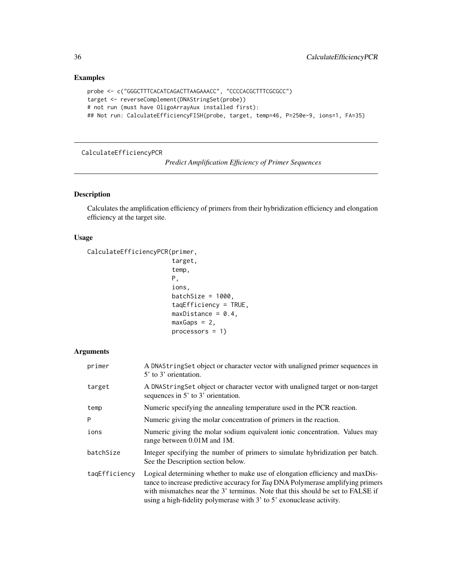# Examples

```
probe <- c("GGGCTTTCACATCAGACTTAAGAAACC", "CCCCACGCTTTCGCGCC")
target <- reverseComplement(DNAStringSet(probe))
# not run (must have OligoArrayAux installed first):
## Not run: CalculateEfficiencyFISH(probe, target, temp=46, P=250e-9, ions=1, FA=35)
```
#### <span id="page-35-1"></span>CalculateEfficiencyPCR

*Predict Amplification Efficiency of Primer Sequences*

# Description

Calculates the amplification efficiency of primers from their hybridization efficiency and elongation efficiency at the target site.

#### Usage

```
CalculateEfficiencyPCR(primer,
```

```
target,
temp,
P,
ions,
batchSize = 1000,
taqEfficiency = TRUE,
maxDistance = 0.4,
maxGaps = 2,
processors = 1)
```
# Arguments

| primer        | A DNAStringSet object or character vector with unaligned primer sequences in<br>5' to 3' orientation.                                                                                                                                                                                                                         |
|---------------|-------------------------------------------------------------------------------------------------------------------------------------------------------------------------------------------------------------------------------------------------------------------------------------------------------------------------------|
| target        | A DNAString Set object or character vector with unaligned target or non-target<br>sequences in $5'$ to $3'$ orientation.                                                                                                                                                                                                      |
| temp          | Numeric specifying the annealing temperature used in the PCR reaction.                                                                                                                                                                                                                                                        |
| P             | Numeric giving the molar concentration of primers in the reaction.                                                                                                                                                                                                                                                            |
| ions          | Numeric giving the molar sodium equivalent ionic concentration. Values may<br>range between 0.01M and 1M.                                                                                                                                                                                                                     |
| batchSize     | Integer specifying the number of primers to simulate hybridization per batch.<br>See the Description section below.                                                                                                                                                                                                           |
| tagEfficiency | Logical determining whether to make use of elongation efficiency and maxDis-<br>tance to increase predictive accuracy for Taq DNA Polymerase amplifying primers<br>with mismatches near the 3' terminus. Note that this should be set to FALSE if<br>using a high-fidelity polymerase with $3'$ to $5'$ exonuclease activity. |

<span id="page-35-0"></span>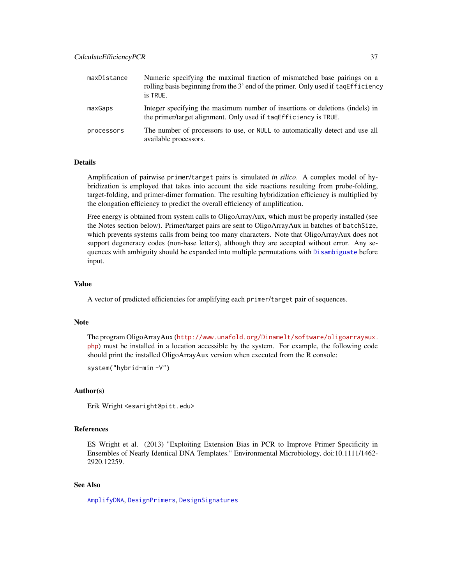| maxDistance | Numeric specifying the maximal fraction of mismatched base pairings on a<br>rolling basis beginning from the 3' end of the primer. Only used if taqEfficiency<br>is TRUE. |
|-------------|---------------------------------------------------------------------------------------------------------------------------------------------------------------------------|
| maxGaps     | Integer specifying the maximum number of insertions or deletions (indels) in<br>the primer/target alignment. Only used if tages ficiency is TRUE.                         |
| processors  | The number of processors to use, or NULL to automatically detect and use all<br>available processors.                                                                     |

## Details

Amplification of pairwise primer/target pairs is simulated *in silico*. A complex model of hybridization is employed that takes into account the side reactions resulting from probe-folding, target-folding, and primer-dimer formation. The resulting hybridization efficiency is multiplied by the elongation efficiency to predict the overall efficiency of amplification.

Free energy is obtained from system calls to OligoArrayAux, which must be properly installed (see the Notes section below). Primer/target pairs are sent to OligoArrayAux in batches of batchSize, which prevents systems calls from being too many characters. Note that OligoArrayAux does not support degeneracy codes (non-base letters), although they are accepted without error. Any sequences with ambiguity should be expanded into multiple permutations with [Disambiguate](#page-71-0) before input.

## Value

A vector of predicted efficiencies for amplifying each primer/target pair of sequences.

#### **Note**

The program OligoArrayAux ([http://www.unafold.org/Dinamelt/software/oligoarrayaux.](http://www.unafold.org/Dinamelt/software/oligoarrayaux.php) [php](http://www.unafold.org/Dinamelt/software/oligoarrayaux.php)) must be installed in a location accessible by the system. For example, the following code should print the installed OligoArrayAux version when executed from the R console:

system("hybrid-min -V")

## Author(s)

Erik Wright <eswright@pitt.edu>

#### References

ES Wright et al. (2013) "Exploiting Extension Bias in PCR to Improve Primer Specificity in Ensembles of Nearly Identical DNA Templates." Environmental Microbiology, doi:10.1111/1462- 2920.12259.

### See Also

[AmplifyDNA](#page-23-0), [DesignPrimers](#page-56-0), [DesignSignatures](#page-63-0)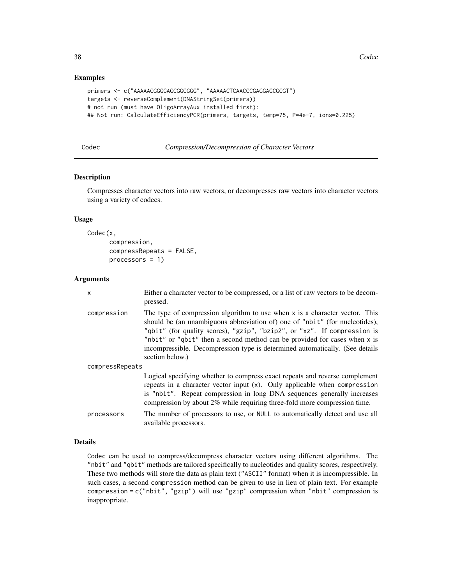#### Examples

```
primers <- c("AAAAACGGGGAGCGGGGGG", "AAAAACTCAACCCGAGGAGCGCGT")
targets <- reverseComplement(DNAStringSet(primers))
# not run (must have OligoArrayAux installed first):
## Not run: CalculateEfficiencyPCR(primers, targets, temp=75, P=4e-7, ions=0.225)
```

| Codec | Compression/Decompression of Character Vectors |  |
|-------|------------------------------------------------|--|
|-------|------------------------------------------------|--|

#### Description

Compresses character vectors into raw vectors, or decompresses raw vectors into character vectors using a variety of codecs.

## Usage

```
Codec(x,
      compression,
      compressRepeats = FALSE,
      processors = 1)
```
### Arguments

| $\times$        | Either a character vector to be compressed, or a list of raw vectors to be decom-<br>pressed.                                                                                                                                                                                                                                                                                                                            |  |
|-----------------|--------------------------------------------------------------------------------------------------------------------------------------------------------------------------------------------------------------------------------------------------------------------------------------------------------------------------------------------------------------------------------------------------------------------------|--|
| compression     | The type of compression algorithm to use when $x$ is a character vector. This<br>should be (an unambiguous abbreviation of) one of "nbit" (for nucleotides),<br>"qbit" (for quality scores), "gzip", "bzip2", or "xz". If compression is<br>"nbit" or "qbit" then a second method can be provided for cases when x is<br>incompressible. Decompression type is determined automatically. (See details<br>section below.) |  |
| compressRepeats |                                                                                                                                                                                                                                                                                                                                                                                                                          |  |
|                 | Logical specifying whether to compress exact repeats and reverse complement<br>repeats in a character vector input (x). Only applicable when compression<br>is "nbit". Repeat compression in long DNA sequences generally increases<br>compression by about $2\%$ while requiring three-fold more compression time.                                                                                                      |  |
| processors      | The number of processors to use, or NULL to automatically detect and use all<br>available processors.                                                                                                                                                                                                                                                                                                                    |  |

## Details

Codec can be used to compress/decompress character vectors using different algorithms. The "nbit" and "qbit" methods are tailored specifically to nucleotides and quality scores, respectively. These two methods will store the data as plain text ("ASCII" format) when it is incompressible. In such cases, a second compression method can be given to use in lieu of plain text. For example compression = c("nbit", "gzip") will use "gzip" compression when "nbit" compression is inappropriate.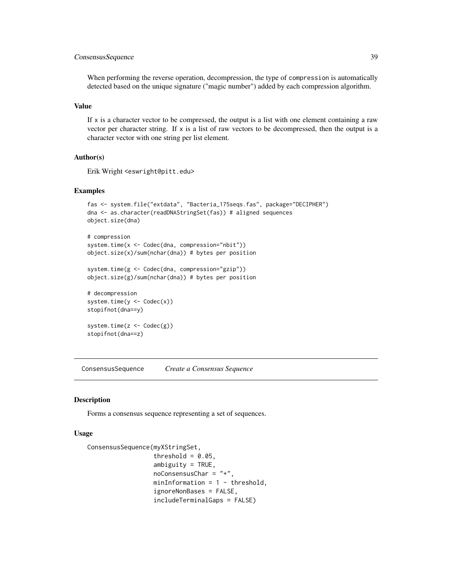## ConsensusSequence 39

When performing the reverse operation, decompression, the type of compression is automatically detected based on the unique signature ("magic number") added by each compression algorithm.

## Value

If  $x$  is a character vector to be compressed, the output is a list with one element containing a raw vector per character string. If x is a list of raw vectors to be decompressed, then the output is a character vector with one string per list element.

### Author(s)

Erik Wright <eswright@pitt.edu>

### Examples

```
fas <- system.file("extdata", "Bacteria_175seqs.fas", package="DECIPHER")
dna <- as.character(readDNAStringSet(fas)) # aligned sequences
object.size(dna)
# compression
system.time(x <- Codec(dna, compression="nbit"))
```

```
object.size(x)/sum(nchar(dna)) # bytes per position
```

```
system.time(g <- Codec(dna, compression="gzip"))
object.size(g)/sum(nchar(dna)) # bytes per position
```

```
# decompression
system.time(y <- Codec(x))
stopifnot(dna==y)
```

```
system.time(z <- Codec(g))
stopifnot(dna==z)
```
ConsensusSequence *Create a Consensus Sequence*

#### Description

Forms a consensus sequence representing a set of sequences.

#### Usage

```
ConsensusSequence(myXStringSet,
                  threshold = 0.05,
                  ambiguity = TRUE,
                  noConsensusChar = "+".minInformation = 1 - threshold,ignoreNonBases = FALSE,
                  includeTerminalGaps = FALSE)
```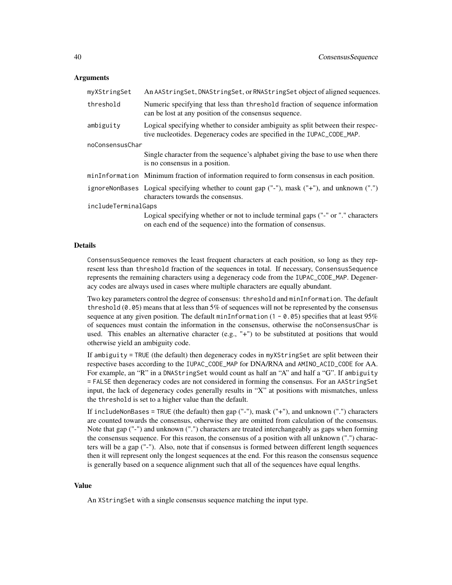#### Arguments

| myXStringSet        | An AAStringSet, DNAStringSet, or RNAStringSet object of aligned sequences.                                                                                 |  |
|---------------------|------------------------------------------------------------------------------------------------------------------------------------------------------------|--|
| threshold           | Numeric specifying that less than threshold fraction of sequence information<br>can be lost at any position of the consensus sequence.                     |  |
| ambiguity           | Logical specifying whether to consider ambiguity as split between their respec-<br>tive nucleotides. Degeneracy codes are specified in the IUPAC_CODE_MAP. |  |
| noConsensusChar     |                                                                                                                                                            |  |
|                     | Single character from the sequence's alphabet giving the base to use when there<br>is no consensus in a position.                                          |  |
|                     | minInformation Minimum fraction of information required to form consensus in each position.                                                                |  |
|                     | ignoreNonBases Logical specifying whether to count gap ("-"), mask ("+"), and unknown (".")<br>characters towards the consensus.                           |  |
| includeTerminalGaps |                                                                                                                                                            |  |
|                     | Logical specifying whether or not to include terminal gaps ("-" or "." characters<br>on each end of the sequence) into the formation of consensus.         |  |

#### Details

ConsensusSequence removes the least frequent characters at each position, so long as they represent less than threshold fraction of the sequences in total. If necessary, ConsensusSequence represents the remaining characters using a degeneracy code from the IUPAC\_CODE\_MAP. Degeneracy codes are always used in cases where multiple characters are equally abundant.

Two key parameters control the degree of consensus: threshold and minInformation. The default threshold  $(0.05)$  means that at less than 5% of sequences will not be represented by the consensus sequence at any given position. The default minInformation  $(1 - 0.05)$  specifies that at least 95% of sequences must contain the information in the consensus, otherwise the noConsensusChar is used. This enables an alternative character (e.g., " $+$ ") to be substituted at positions that would otherwise yield an ambiguity code.

If ambiguity = TRUE (the default) then degeneracy codes in myXStringSet are split between their respective bases according to the IUPAC\_CODE\_MAP for DNA/RNA and AMINO\_ACID\_CODE for AA. For example, an "R" in a DNAStringSet would count as half an "A" and half a "G". If ambiguity = FALSE then degeneracy codes are not considered in forming the consensus. For an AAStringSet input, the lack of degeneracy codes generally results in "X" at positions with mismatches, unless the threshold is set to a higher value than the default.

If includeNonBases = TRUE (the default) then gap  $("-")$ , mask  $("+")$ , and unknown  $("")$  characters are counted towards the consensus, otherwise they are omitted from calculation of the consensus. Note that gap ("-") and unknown (".") characters are treated interchangeably as gaps when forming the consensus sequence. For this reason, the consensus of a position with all unknown (".") characters will be a gap ("-"). Also, note that if consensus is formed between different length sequences then it will represent only the longest sequences at the end. For this reason the consensus sequence is generally based on a sequence alignment such that all of the sequences have equal lengths.

#### Value

An XStringSet with a single consensus sequence matching the input type.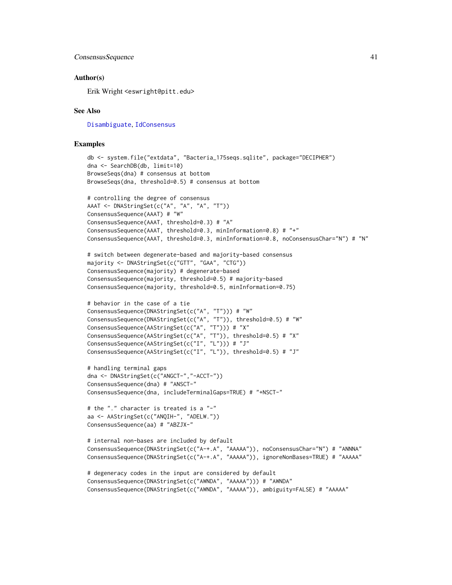#### ConsensusSequence 41

### Author(s)

Erik Wright <eswright@pitt.edu>

#### See Also

[Disambiguate](#page-71-0), [IdConsensus](#page-91-0)

```
db <- system.file("extdata", "Bacteria_175seqs.sqlite", package="DECIPHER")
dna <- SearchDB(db, limit=10)
BrowseSeqs(dna) # consensus at bottom
BrowseSeqs(dna, threshold=0.5) # consensus at bottom
# controlling the degree of consensus
AAAT <- DNAStringSet(c("A", "A", "A", "T"))
ConsensusSequence(AAAT) # "W"
ConsensusSequence(AAAT, threshold=0.3) # "A"
ConsensusSequence(AAAT, threshold=0.3, minInformation=0.8) # "+"
ConsensusSequence(AAAT, threshold=0.3, minInformation=0.8, noConsensusChar="N") # "N"
# switch between degenerate-based and majority-based consensus
majority <- DNAStringSet(c("GTT", "GAA", "CTG"))
ConsensusSequence(majority) # degenerate-based
ConsensusSequence(majority, threshold=0.5) # majority-based
ConsensusSequence(majority, threshold=0.5, minInformation=0.75)
# behavior in the case of a tie
ConsensusSequence(DNAStringSet(c("A", "T"))) # "W"
ConsensusSequence(DNAStringSet(c("A", "T")), threshold=0.5) # "W"ConsensusSequence(AAStringSet(c("A", "T"))) # "X"
ConsensusSequence(AAStringSet(c("A", "T")), threshold=0.5) # "X"
ConsensusSequence(AAStringSet(c("I", "L"))) # "J"
ConsensusSequence(AAStringSet(c("I", "L")), threshold=0.5) # "J"
# handling terminal gaps
dna <- DNAStringSet(c("ANGCT-","-ACCT-"))
ConsensusSequence(dna) # "ANSCT-"
ConsensusSequence(dna, includeTerminalGaps=TRUE) # "+NSCT-"
# the "." character is treated is a "-"
aa <- AAStringSet(c("ANQIH-", "ADELW."))
ConsensusSequence(aa) # "ABZJX-"
# internal non-bases are included by default
ConsensusSequence(DNAStringSet(c("A-+.A", "AAAAA")), noConsensusChar="N") # "ANNNA"
ConsensusSequence(DNAStringSet(c("A-+.A", "AAAAA")), ignoreNonBases=TRUE) # "AAAAA"
# degeneracy codes in the input are considered by default
ConsensusSequence(DNAStringSet(c("AWNDA", "AAAAA"))) # "AWNDA"
ConsensusSequence(DNAStringSet(c("AWNDA", "AAAAA")), ambiguity=FALSE) # "AAAAA"
```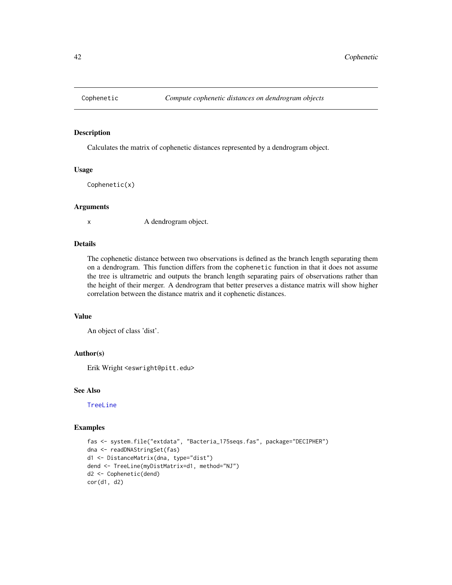#### Description

Calculates the matrix of cophenetic distances represented by a dendrogram object.

## Usage

Cophenetic(x)

## Arguments

x A dendrogram object.

## Details

The cophenetic distance between two observations is defined as the branch length separating them on a dendrogram. This function differs from the cophenetic function in that it does not assume the tree is ultrametric and outputs the branch length separating pairs of observations rather than the height of their merger. A dendrogram that better preserves a distance matrix will show higher correlation between the distance matrix and it cophenetic distances.

### Value

An object of class 'dist'.

## Author(s)

Erik Wright <eswright@pitt.edu>

### See Also

#### [TreeLine](#page-147-0)

```
fas <- system.file("extdata", "Bacteria_175seqs.fas", package="DECIPHER")
dna <- readDNAStringSet(fas)
d1 <- DistanceMatrix(dna, type="dist")
dend <- TreeLine(myDistMatrix=d1, method="NJ")
d2 <- Cophenetic(dend)
cor(d1, d2)
```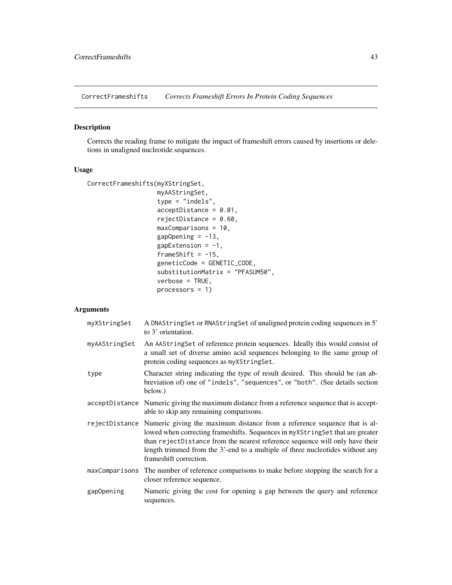CorrectFrameshifts *Corrects Frameshift Errors In Protein Coding Sequences*

## Description

Corrects the reading frame to mitigate the impact of frameshift errors caused by insertions or deletions in unaligned nucleotide sequences.

## Usage

```
CorrectFrameshifts(myXStringSet,
                   myAAStringSet,
                   type = "indels",
                   acceptDistance = 0.01,
                   rejectDistance = 0.60,
                   maxComparisons = 10,
                   gapOpening = -13,
                   gapExtension = -1,
                   frameShift = -15,
                   geneticCode = GENETIC_CODE,
                   substitutionMatrix = "PFASUM50",
                   verbose = TRUE,
                   processors = 1)
```

| myXStringSet  | A DNAString Set or RNAString Set of unaligned protein coding sequences in 5'<br>to 3' orientation.                                                                                                                                                                                                                                                                   |
|---------------|----------------------------------------------------------------------------------------------------------------------------------------------------------------------------------------------------------------------------------------------------------------------------------------------------------------------------------------------------------------------|
| myAAStringSet | An AAString Set of reference protein sequences. Ideally this would consist of<br>a small set of diverse amino acid sequences belonging to the same group of<br>protein coding sequences as myXStringSet.                                                                                                                                                             |
| type          | Character string indicating the type of result desired. This should be (an ab-<br>breviation of) one of "indels", "sequences", or "both". (See details section<br>below.)                                                                                                                                                                                            |
|               | accept Distance Numeric giving the maximum distance from a reference sequence that is accept-<br>able to skip any remaining comparisons.                                                                                                                                                                                                                             |
|               | rejectDistance Numeric giving the maximum distance from a reference sequence that is al-<br>lowed when correcting frameshifts. Sequences in myXStringSet that are greater<br>than rejectDistance from the nearest reference sequence will only have their<br>length trimmed from the 3'-end to a multiple of three nucleotides without any<br>frameshift correction. |
|               | maxComparisons The number of reference comparisons to make before stopping the search for a<br>closer reference sequence.                                                                                                                                                                                                                                            |
| gapOpening    | Numeric giving the cost for opening a gap between the query and reference<br>sequences.                                                                                                                                                                                                                                                                              |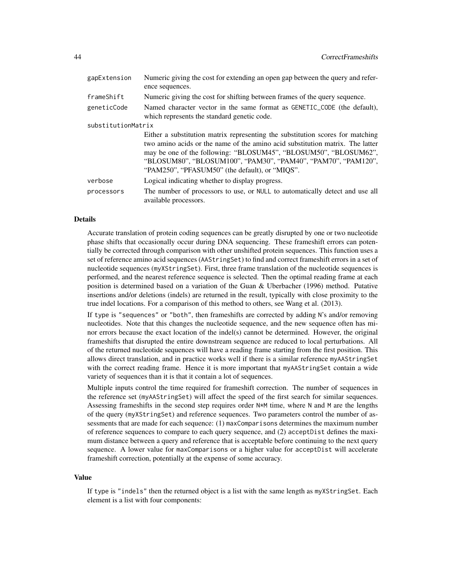| gapExtension       | Numeric giving the cost for extending an open gap between the query and refer-<br>ence sequences.                                                                                                                                                                                                                                                      |  |
|--------------------|--------------------------------------------------------------------------------------------------------------------------------------------------------------------------------------------------------------------------------------------------------------------------------------------------------------------------------------------------------|--|
| frameShift         | Numeric giving the cost for shifting between frames of the query sequence.                                                                                                                                                                                                                                                                             |  |
| geneticCode        | Named character vector in the same format as GENETIC_CODE (the default),<br>which represents the standard genetic code.                                                                                                                                                                                                                                |  |
| substitutionMatrix |                                                                                                                                                                                                                                                                                                                                                        |  |
|                    | Either a substitution matrix representing the substitution scores for matching<br>two amino acids or the name of the amino acid substitution matrix. The latter<br>may be one of the following: "BLOSUM45", "BLOSUM50", "BLOSUM62",<br>"BLOSUM80", "BLOSUM100", "PAM30", "PAM40", "PAM70", "PAM120",<br>"PAM250", "PFASUM50" (the default), or "MIQS". |  |
| verbose            | Logical indicating whether to display progress.                                                                                                                                                                                                                                                                                                        |  |
| processors         | The number of processors to use, or NULL to automatically detect and use all<br>available processors.                                                                                                                                                                                                                                                  |  |

## Details

Accurate translation of protein coding sequences can be greatly disrupted by one or two nucleotide phase shifts that occasionally occur during DNA sequencing. These frameshift errors can potentially be corrected through comparison with other unshifted protein sequences. This function uses a set of reference amino acid sequences (AAStringSet) to find and correct frameshift errors in a set of nucleotide sequences (myXStringSet). First, three frame translation of the nucleotide sequences is performed, and the nearest reference sequence is selected. Then the optimal reading frame at each position is determined based on a variation of the Guan & Uberbacher (1996) method. Putative insertions and/or deletions (indels) are returned in the result, typically with close proximity to the true indel locations. For a comparison of this method to others, see Wang et al. (2013).

If type is "sequences" or "both", then frameshifts are corrected by adding N's and/or removing nucleotides. Note that this changes the nucleotide sequence, and the new sequence often has minor errors because the exact location of the indel(s) cannot be determined. However, the original frameshifts that disrupted the entire downstream sequence are reduced to local perturbations. All of the returned nucleotide sequences will have a reading frame starting from the first position. This allows direct translation, and in practice works well if there is a similar reference myAAStringSet with the correct reading frame. Hence it is more important that myAAStringSet contain a wide variety of sequences than it is that it contain a lot of sequences.

Multiple inputs control the time required for frameshift correction. The number of sequences in the reference set (myAAStringSet) will affect the speed of the first search for similar sequences. Assessing frameshifts in the second step requires order  $N*M$  time, where N and M are the lengths of the query (myXStringSet) and reference sequences. Two parameters control the number of assessments that are made for each sequence: (1) maxComparisons determines the maximum number of reference sequences to compare to each query sequence, and (2) acceptDist defines the maximum distance between a query and reference that is acceptable before continuing to the next query sequence. A lower value for maxComparisons or a higher value for acceptDist will accelerate frameshift correction, potentially at the expense of some accuracy.

#### Value

If type is "indels" then the returned object is a list with the same length as myXStringSet. Each element is a list with four components: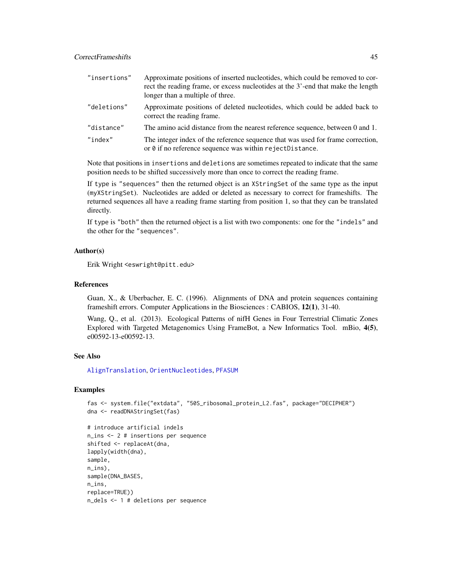| "insertions" | Approximate positions of inserted nucleotides, which could be removed to cor-<br>rect the reading frame, or excess nucleotides at the 3'-end that make the length<br>longer than a multiple of three. |
|--------------|-------------------------------------------------------------------------------------------------------------------------------------------------------------------------------------------------------|
| "deletions"  | Approximate positions of deleted nucleotides, which could be added back to<br>correct the reading frame.                                                                                              |
| "distance"   | The amino acid distance from the nearest reference sequence, between 0 and 1.                                                                                                                         |
| "index"      | The integer index of the reference sequence that was used for frame correction,<br>or $\theta$ if no reference sequence was within rejectDistance.                                                    |

Note that positions in insertions and deletions are sometimes repeated to indicate that the same position needs to be shifted successively more than once to correct the reading frame.

If type is "sequences" then the returned object is an XStringSet of the same type as the input (myXStringSet). Nucleotides are added or deleted as necessary to correct for frameshifts. The returned sequences all have a reading frame starting from position 1, so that they can be translated directly.

If type is "both" then the returned object is a list with two components: one for the "indels" and the other for the "sequences".

### Author(s)

Erik Wright <eswright@pitt.edu>

### References

Guan, X., & Uberbacher, E. C. (1996). Alignments of DNA and protein sequences containing frameshift errors. Computer Applications in the Biosciences : CABIOS, 12(1), 31-40.

Wang, Q., et al. (2013). Ecological Patterns of nifH Genes in Four Terrestrial Climatic Zones Explored with Targeted Metagenomics Using FrameBot, a New Informatics Tool. mBio, 4(5), e00592-13-e00592-13.

## See Also

[AlignTranslation](#page-20-0), [OrientNucleotides](#page-118-0), [PFASUM](#page-120-0)

```
fas <- system.file("extdata", "50S_ribosomal_protein_L2.fas", package="DECIPHER")
dna <- readDNAStringSet(fas)
# introduce artificial indels
```

```
n_ins <- 2 # insertions per sequence
shifted <- replaceAt(dna,
lapply(width(dna),
sample,
n_ins),
sample(DNA_BASES,
n_ins,
replace=TRUE))
n_dels <- 1 # deletions per sequence
```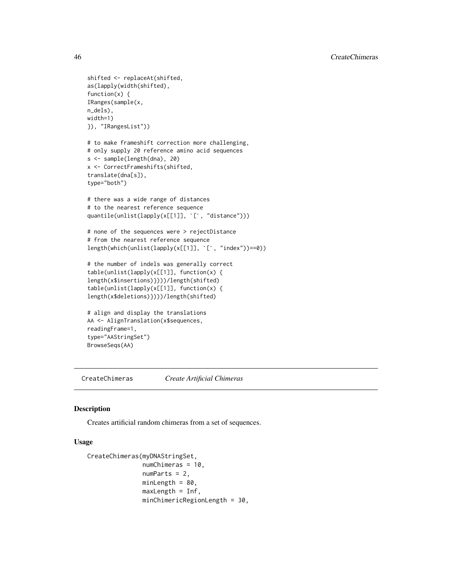```
shifted <- replaceAt(shifted,
as(lapply(width(shifted),
function(x) {
IRanges(sample(x,
n_dels),
width=1)
}), "IRangesList"))
# to make frameshift correction more challenging,
# only supply 20 reference amino acid sequences
s <- sample(length(dna), 20)
x <- CorrectFrameshifts(shifted,
translate(dna[s]),
type="both")
# there was a wide range of distances
# to the nearest reference sequence
quantile(unlist(lapply(x[[1]], `[`, "distance")))
# none of the sequences were > rejectDistance
# from the nearest reference sequence
length(which(unlist(lapply(x[[1]], `[`, "index"))==0))
# the number of indels was generally correct
table(unlist(lapply(x[[1]], function(x) {
length(x$insertions)})))/length(shifted)
table(unlist(lapply(x[[1]], function(x) {
length(x$deletions)})))/length(shifted)
# align and display the translations
AA <- AlignTranslation(x$sequences,
readingFrame=1,
type="AAStringSet")
```
BrowseSeqs(AA)

CreateChimeras *Create Artificial Chimeras*

#### Description

Creates artificial random chimeras from a set of sequences.

## Usage

```
CreateChimeras(myDNAStringSet,
               numChimeras = 10,
               numParts = 2,
               minLength = 80,
               maxLength = Inf,
               minChimericRegionLength = 30,
```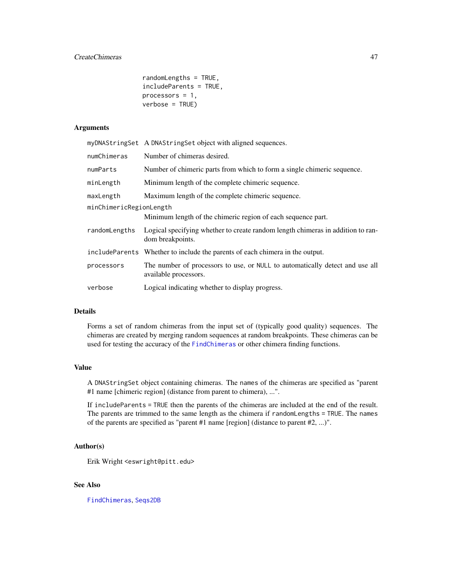## CreateChimeras 47

```
randomLengths = TRUE,
includeParents = TRUE,
processors = 1,
verbose = TRUE)
```
## Arguments

|                         | myDNAStringSet A DNAStringSet object with aligned sequences.                                          |  |
|-------------------------|-------------------------------------------------------------------------------------------------------|--|
| numChimeras             | Number of chimeras desired.                                                                           |  |
| numParts                | Number of chimeric parts from which to form a single chimeric sequence.                               |  |
| minLength               | Minimum length of the complete chimeric sequence.                                                     |  |
| maxLength               | Maximum length of the complete chimeric sequence.                                                     |  |
| minChimericRegionLength |                                                                                                       |  |
|                         | Minimum length of the chimeric region of each sequence part.                                          |  |
| randomLengths           | Logical specifying whether to create random length chimeras in addition to ran-<br>dom breakpoints.   |  |
|                         | include Parents Whether to include the parents of each chimera in the output.                         |  |
| processors              | The number of processors to use, or NULL to automatically detect and use all<br>available processors. |  |
| verbose                 | Logical indicating whether to display progress.                                                       |  |

## Details

Forms a set of random chimeras from the input set of (typically good quality) sequences. The chimeras are created by merging random sequences at random breakpoints. These chimeras can be used for testing the accuracy of the [FindChimeras](#page-77-0) or other chimera finding functions.

## Value

A DNAStringSet object containing chimeras. The names of the chimeras are specified as "parent #1 name [chimeric region] (distance from parent to chimera), ...".

If includeParents = TRUE then the parents of the chimeras are included at the end of the result. The parents are trimmed to the same length as the chimera if randomLengths = TRUE. The names of the parents are specified as "parent #1 name [region] (distance to parent #2, ...)".

#### Author(s)

Erik Wright <eswright@pitt.edu>

## See Also

[FindChimeras](#page-77-0), [Seqs2DB](#page-134-0)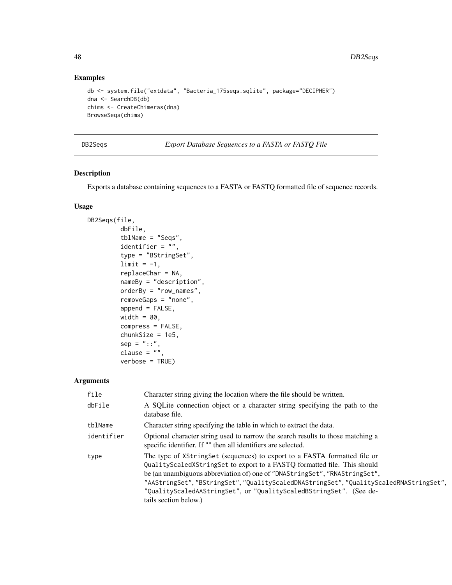48 DB2Seqs

## Examples

```
db <- system.file("extdata", "Bacteria_175seqs.sqlite", package="DECIPHER")
dna <- SearchDB(db)
chims <- CreateChimeras(dna)
BrowseSeqs(chims)
```
DB2Seqs *Export Database Sequences to a FASTA or FASTQ File*

## Description

Exports a database containing sequences to a FASTA or FASTQ formatted file of sequence records.

## Usage

```
DB2Seqs(file,
         dbFile,
         tblName = "Seqs",
         identifier = ",
         type = "BStringSet",
         limit = -1,replaceChar = NA,
         nameBy = "description",
         orderBy = "row_names",
         removeGaps = "none",
         append = FALSE,
        width = 80,
         compress = FALSE,
         chunkSize = 1e5,
         sep = "::",clause = ",
         verbose = TRUE)
```

| file       | Character string giving the location where the file should be written.                                                                                                                                                                                                                                                                                                                                                    |
|------------|---------------------------------------------------------------------------------------------------------------------------------------------------------------------------------------------------------------------------------------------------------------------------------------------------------------------------------------------------------------------------------------------------------------------------|
| dbFile     | A SQLite connection object or a character string specifying the path to the<br>database file.                                                                                                                                                                                                                                                                                                                             |
| tblName    | Character string specifying the table in which to extract the data.                                                                                                                                                                                                                                                                                                                                                       |
| identifier | Optional character string used to narrow the search results to those matching a<br>specific identifier. If "" then all identifiers are selected.                                                                                                                                                                                                                                                                          |
| type       | The type of XStringSet (sequences) to export to a FASTA formatted file or<br>QualityScaledXStringSet to export to a FASTQ formatted file. This should<br>be (an unambiguous abbreviation of) one of "DNAStringSet", "RNAStringSet",<br>"AAStringSet","BStringSet","QualityScaledDNAStringSet","QualityScaledRNAStringSet",<br>"QualityScaledAAStringSet", or "QualityScaledBStringSet". (See de-<br>tails section below.) |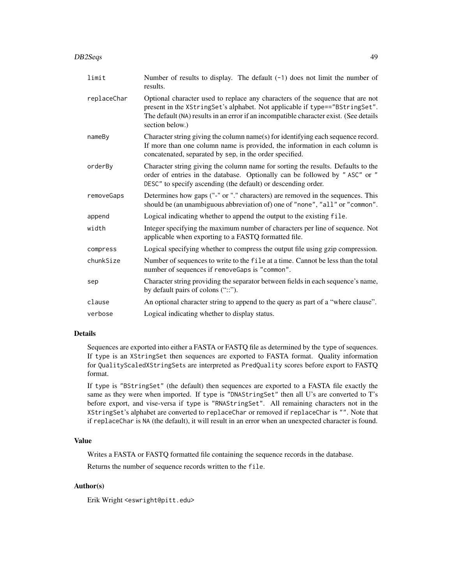| DB2Segs | 49 |
|---------|----|
|         |    |

| limit       | Number of results to display. The default $(-1)$ does not limit the number of<br>results.                                                                                                                                                                                 |  |
|-------------|---------------------------------------------------------------------------------------------------------------------------------------------------------------------------------------------------------------------------------------------------------------------------|--|
| replaceChar | Optional character used to replace any characters of the sequence that are not<br>present in the XStringSet's alphabet. Not applicable if type=="BStringSet".<br>The default (NA) results in an error if an incompatible character exist. (See details<br>section below.) |  |
| nameBy      | Character string giving the column name(s) for identifying each sequence record.<br>If more than one column name is provided, the information in each column is<br>concatenated, separated by sep, in the order specified.                                                |  |
| orderBy     | Character string giving the column name for sorting the results. Defaults to the<br>order of entries in the database. Optionally can be followed by "ASC" or "<br>DESC" to specify ascending (the default) or descending order.                                           |  |
| removeGaps  | Determines how gaps ("-" or "." characters) are removed in the sequences. This<br>should be (an unambiguous abbreviation of) one of "none", "all" or "common".                                                                                                            |  |
| append      | Logical indicating whether to append the output to the existing file.                                                                                                                                                                                                     |  |
| width       | Integer specifying the maximum number of characters per line of sequence. Not<br>applicable when exporting to a FASTQ formatted file.                                                                                                                                     |  |
| compress    | Logical specifying whether to compress the output file using gzip compression.                                                                                                                                                                                            |  |
| chunkSize   | Number of sequences to write to the file at a time. Cannot be less than the total<br>number of sequences if removeGaps is "common".                                                                                                                                       |  |
| sep         | Character string providing the separator between fields in each sequence's name,<br>by default pairs of colons ("::").                                                                                                                                                    |  |
| clause      | An optional character string to append to the query as part of a "where clause".                                                                                                                                                                                          |  |
| verbose     | Logical indicating whether to display status.                                                                                                                                                                                                                             |  |

## Details

Sequences are exported into either a FASTA or FASTQ file as determined by the type of sequences. If type is an XStringSet then sequences are exported to FASTA format. Quality information for QualityScaledXStringSets are interpreted as PredQuality scores before export to FASTQ format.

If type is "BStringSet" (the default) then sequences are exported to a FASTA file exactly the same as they were when imported. If type is "DNAStringSet" then all U's are converted to T's before export, and vise-versa if type is "RNAStringSet". All remaining characters not in the XStringSet's alphabet are converted to replaceChar or removed if replaceChar is "". Note that if replaceChar is NA (the default), it will result in an error when an unexpected character is found.

### Value

Writes a FASTA or FASTQ formatted file containing the sequence records in the database.

Returns the number of sequence records written to the file.

## Author(s)

Erik Wright <eswright@pitt.edu>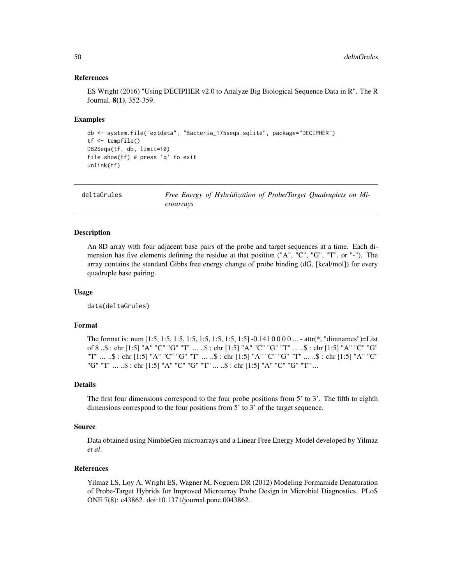### References

ES Wright (2016) "Using DECIPHER v2.0 to Analyze Big Biological Sequence Data in R". The R Journal, 8(1), 352-359.

#### Examples

```
db <- system.file("extdata", "Bacteria_175seqs.sqlite", package="DECIPHER")
tf <- tempfile()
DB2Seqs(tf, db, limit=10)
file.show(tf) # press 'q' to exit
unlink(tf)
```
deltaGrules *Free Energy of Hybridization of Probe/Target Quadruplets on Microarrays*

#### **Description**

An 8D array with four adjacent base pairs of the probe and target sequences at a time. Each dimension has five elements defining the residue at that position ("A", "C", "G", "T", or "-"). The array contains the standard Gibbs free energy change of probe binding (dG, [kcal/mol]) for every quadruple base pairing.

## Usage

data(deltaGrules)

### Format

The format is: num [1:5, 1:5, 1:5, 1:5, 1:5, 1:5, 1:5, 1:5] -0.141 0 0 0 0 ... - attr(\*, "dimnames")=List of 8 ..\$ : chr [1:5] "A" "C" "G" "T" ... ..\$ : chr [1:5] "A" "C" "G" "T" ... ..\$ : chr [1:5] "A" "C" "G" "T" ... ..\$ : chr [1:5] "A" "C" "G" "T" ... ..\$ : chr [1:5] "A" "C" "G" "T" ... ..\$ : chr [1:5] "A" "C" "G" "T" ... ..\$ : chr [1:5] "A" "C" "G" "T" ... ..\$ : chr [1:5] "A" "C" "G" "T" ...

#### Details

The first four dimensions correspond to the four probe positions from 5' to 3'. The fifth to eighth dimensions correspond to the four positions from 5' to 3' of the target sequence.

#### Source

Data obtained using NimbleGen microarrays and a Linear Free Energy Model developed by Yilmaz *et al*.

## References

Yilmaz LS, Loy A, Wright ES, Wagner M, Noguera DR (2012) Modeling Formamide Denaturation of Probe-Target Hybrids for Improved Microarray Probe Design in Microbial Diagnostics. PLoS ONE 7(8): e43862. doi:10.1371/journal.pone.0043862.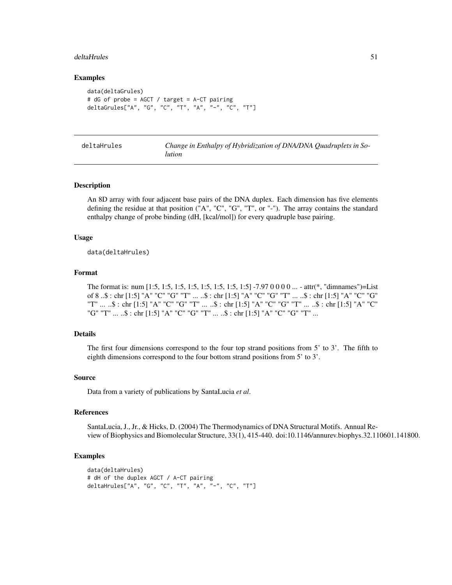#### deltaHrules 51

### Examples

```
data(deltaGrules)
# dG of probe = AGCT / target = A-CT pairing
deltaGrules["A", "G", "C", "T", "A", "-", "C", "T"]
```

| deltaHrules | Change in Enthalpy of Hybridization of DNA/DNA Quadruplets in So- |
|-------------|-------------------------------------------------------------------|
|             | <i>lution</i>                                                     |

## Description

An 8D array with four adjacent base pairs of the DNA duplex. Each dimension has five elements defining the residue at that position  $("A", "C", "G", "T", or "-").$  The array contains the standard enthalpy change of probe binding (dH, [kcal/mol]) for every quadruple base pairing.

### Usage

data(deltaHrules)

## Format

The format is: num [1:5, 1:5, 1:5, 1:5, 1:5, 1:5, 1:5, 1:5] -7.97 0 0 0 0 ... - attr(\*, "dimnames")=List of 8 ..\$ : chr [1:5] "A" "C" "G" "T" ... ..\$ : chr [1:5] "A" "C" "G" "T" ... ..\$ : chr [1:5] "A" "C" "G" "T" ... ..\$ : chr [1:5] "A" "C" "G" "T" ... ..\$ : chr [1:5] "A" "C" "G" "T" ... ..\$ : chr [1:5] "A" "C" "G" "T" ... ..\$ : chr [1:5] "A" "C" "G" "T" ... ..\$ : chr [1:5] "A" "C" "G" "T" ...

## Details

The first four dimensions correspond to the four top strand positions from 5' to 3'. The fifth to eighth dimensions correspond to the four bottom strand positions from 5' to 3'.

#### Source

Data from a variety of publications by SantaLucia *et al*.

## References

SantaLucia, J., Jr., & Hicks, D. (2004) The Thermodynamics of DNA Structural Motifs. Annual Review of Biophysics and Biomolecular Structure, 33(1), 415-440. doi:10.1146/annurev.biophys.32.110601.141800.

```
data(deltaHrules)
# dH of the duplex AGCT / A-CT pairing
deltaHrules["A", "G", "C", "T", "A", "-", "C", "T"]
```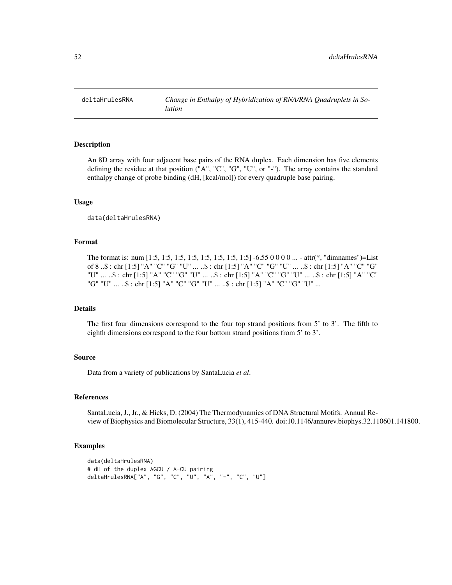deltaHrulesRNA *Change in Enthalpy of Hybridization of RNA/RNA Quadruplets in Solution*

## Description

An 8D array with four adjacent base pairs of the RNA duplex. Each dimension has five elements defining the residue at that position ("A", "C", "G", "U", or "-"). The array contains the standard enthalpy change of probe binding (dH, [kcal/mol]) for every quadruple base pairing.

### Usage

data(deltaHrulesRNA)

### Format

The format is: num  $[1:5, 1:5, 1:5, 1:5, 1:5, 1:5, 1:5, 1:5]$  -6.55 0 0 0 0 ... - attr(\*, "dimnames")=List of 8 ..\$ : chr [1:5] "A" "C" "G" "U" ... ..\$ : chr [1:5] "A" "C" "G" "U" ... ..\$ : chr [1:5] "A" "C" "G" "U" ... ..\$ : chr [1:5] "A" "C" "G" "U" ... ..\$ : chr [1:5] "A" "C" "G" "U" ... ..\$ : chr [1:5] "A" "C" "G" "U" ... ..\$ : chr [1:5] "A" "C" "G" "U" ... ..\$ : chr [1:5] "A" "C" "G" "U" ...

## Details

The first four dimensions correspond to the four top strand positions from 5' to 3'. The fifth to eighth dimensions correspond to the four bottom strand positions from 5' to 3'.

## Source

Data from a variety of publications by SantaLucia *et al*.

### References

SantaLucia, J., Jr., & Hicks, D. (2004) The Thermodynamics of DNA Structural Motifs. Annual Review of Biophysics and Biomolecular Structure, 33(1), 415-440. doi:10.1146/annurev.biophys.32.110601.141800.

```
data(deltaHrulesRNA)
# dH of the duplex AGCU / A-CU pairing
deltaHrulesRNA["A", "G", "C", "U", "A", "-", "C", "U"]
```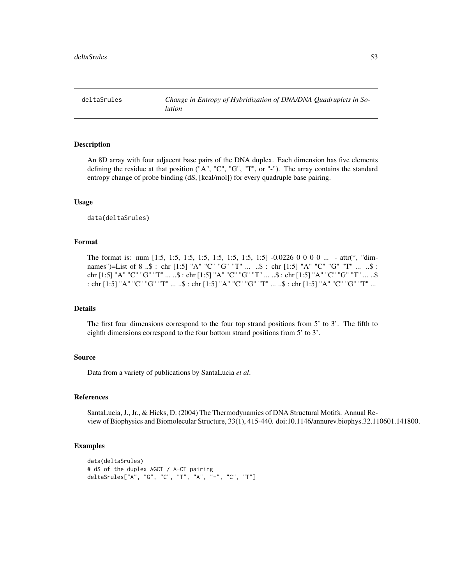deltaSrules *Change in Entropy of Hybridization of DNA/DNA Quadruplets in Solution*

### Description

An 8D array with four adjacent base pairs of the DNA duplex. Each dimension has five elements defining the residue at that position ("A", "C", "G", "T", or "-"). The array contains the standard entropy change of probe binding (dS, [kcal/mol]) for every quadruple base pairing.

### Usage

```
data(deltaSrules)
```
#### Format

The format is: num [1:5, 1:5, 1:5, 1:5, 1:5, 1:5, 1:5, 1:5] -0.0226 0 0 0 0 ... - attr(\*, "dimnames")=List of 8 ..\$ : chr [1:5] "A" "C" "G" "T" ... ..\$ : chr [1:5] "A" "C" "G" "T" ... ..\$ : chr [1:5] "A" "C" "G" "T" ... ..\$ : chr [1:5] "A" "C" "G" "T" ... ..\$ : chr [1:5] "A" "C" "G" "T" ... ..\$ : chr [1:5] "A" "C" "G" "T" ... ..\$ : chr [1:5] "A" "C" "G" "T" ... ..\$ : chr [1:5] "A" "C" "G" "T" ...

## Details

The first four dimensions correspond to the four top strand positions from 5' to 3'. The fifth to eighth dimensions correspond to the four bottom strand positions from 5' to 3'.

## Source

Data from a variety of publications by SantaLucia *et al*.

#### References

SantaLucia, J., Jr., & Hicks, D. (2004) The Thermodynamics of DNA Structural Motifs. Annual Review of Biophysics and Biomolecular Structure, 33(1), 415-440. doi:10.1146/annurev.biophys.32.110601.141800.

```
data(deltaSrules)
# dS of the duplex AGCT / A-CT pairing
deltaSrules["A", "G", "C", "T", "A", "-", "C", "T"]
```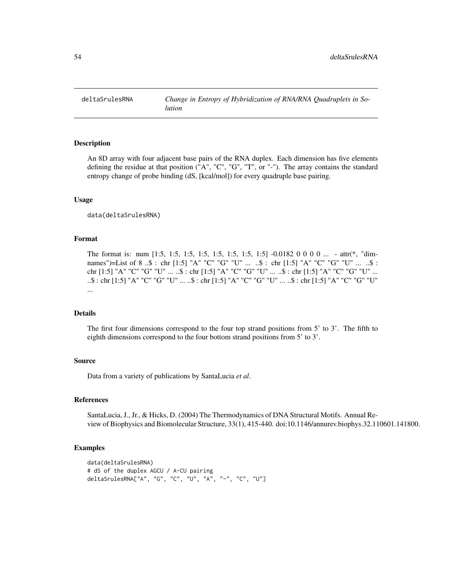deltaSrulesRNA Change in Entropy of Hybridization of RNA/RNA Quadruplets in So*lution*

#### Description

An 8D array with four adjacent base pairs of the RNA duplex. Each dimension has five elements defining the residue at that position ("A", "C", "G", "T", or "-"). The array contains the standard entropy change of probe binding (dS, [kcal/mol]) for every quadruple base pairing.

#### Usage

data(deltaSrulesRNA)

#### Format

The format is: num [1:5, 1:5, 1:5, 1:5, 1:5, 1:5, 1:5, 1:5] -0.0182 0 0 0 0 ... - attr(\*, "dimnames")=List of 8..\$: chr [1:5] "A" "C" "G" "U" ... ..\$: chr [1:5] "A" "C" "G" "U" ... ..\$: chr [1:5] "A" "C" "G" "U" ... ..\$ : chr [1:5] "A" "C" "G" "U" ... ..\$ : chr [1:5] "A" "C" "G" "U" ... ..\$ : chr [1:5] "A" "C" "G" "U" ... ..\$ : chr [1:5] "A" "C" "G" "U" ... ..\$ : chr [1:5] "A" "C" "G" "U" ...

#### Details

The first four dimensions correspond to the four top strand positions from 5' to 3'. The fifth to eighth dimensions correspond to the four bottom strand positions from 5' to 3'.

## Source

Data from a variety of publications by SantaLucia *et al*.

#### References

SantaLucia, J., Jr., & Hicks, D. (2004) The Thermodynamics of DNA Structural Motifs. Annual Review of Biophysics and Biomolecular Structure, 33(1), 415-440. doi:10.1146/annurev.biophys.32.110601.141800.

```
data(deltaSrulesRNA)
# dS of the duplex AGCU / A-CU pairing
deltaSrulesRNA["A", "G", "C", "U", "A", "-", "C", "U"]
```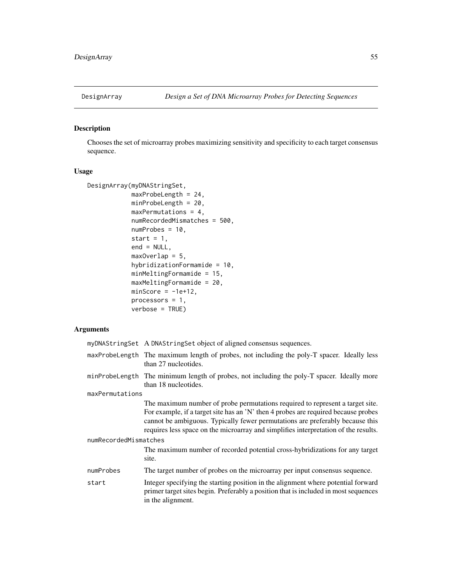## Description

Chooses the set of microarray probes maximizing sensitivity and specificity to each target consensus sequence.

## Usage

```
DesignArray(myDNAStringSet,
            maxProbeLength = 24,
            minProbeLength = 20,
            maxPermutations = 4,
            numRecordedMismatches = 500,
            numProbes = 10,
            start = 1,end = NULL,maxOverlap = 5,
            hybridizationFormamide = 10,
            minMeltingFormamide = 15,
            maxMeltingFormamide = 20,
            minScore = -1e+12,
            processors = 1,
            verbose = TRUE)
```

|                       | myDNAStringSet A DNAStringSet object of aligned consensus sequences.                                                                                                                                                                                                                                                                        |
|-----------------------|---------------------------------------------------------------------------------------------------------------------------------------------------------------------------------------------------------------------------------------------------------------------------------------------------------------------------------------------|
|                       | maxProbeLength The maximum length of probes, not including the poly-T spacer. Ideally less<br>than 27 nucleotides.                                                                                                                                                                                                                          |
|                       | minProbeLength The minimum length of probes, not including the poly-T spacer. Ideally more<br>than 18 nucleotides.                                                                                                                                                                                                                          |
| maxPermutations       |                                                                                                                                                                                                                                                                                                                                             |
|                       | The maximum number of probe permutations required to represent a target site.<br>For example, if a target site has an 'N' then 4 probes are required because probes<br>cannot be ambiguous. Typically fewer permutations are preferably because this<br>requires less space on the microarray and simplifies interpretation of the results. |
| numRecordedMismatches |                                                                                                                                                                                                                                                                                                                                             |
|                       | The maximum number of recorded potential cross-hybridizations for any target<br>site.                                                                                                                                                                                                                                                       |
| numProbes             | The target number of probes on the microarray per input consensus sequence.                                                                                                                                                                                                                                                                 |
| start                 | Integer specifying the starting position in the alignment where potential forward<br>primer target sites begin. Preferably a position that is included in most sequences<br>in the alignment.                                                                                                                                               |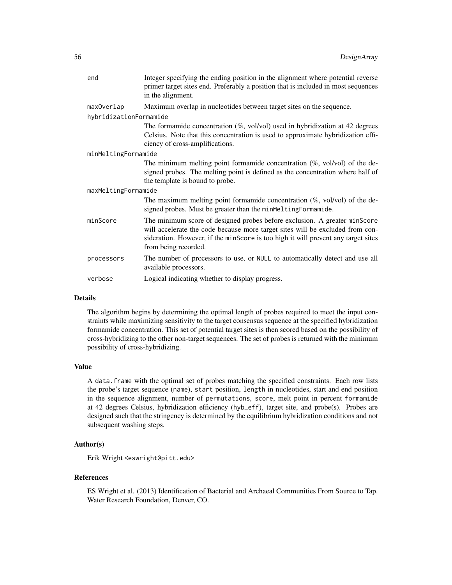| end                    | Integer specifying the ending position in the alignment where potential reverse<br>primer target sites end. Preferably a position that is included in most sequences<br>in the alignment.                                                                               |  |
|------------------------|-------------------------------------------------------------------------------------------------------------------------------------------------------------------------------------------------------------------------------------------------------------------------|--|
| maxOverlap             | Maximum overlap in nucleotides between target sites on the sequence.                                                                                                                                                                                                    |  |
| hybridizationFormamide |                                                                                                                                                                                                                                                                         |  |
|                        | The formamide concentration $(\%$ , vol/vol) used in hybridization at 42 degrees<br>Celsius. Note that this concentration is used to approximate hybridization effi-<br>ciency of cross-amplifications.                                                                 |  |
| minMeltingFormamide    |                                                                                                                                                                                                                                                                         |  |
|                        | The minimum melting point formamide concentration $(\% , vol/vol)$ of the de-<br>signed probes. The melting point is defined as the concentration where half of<br>the template is bound to probe.                                                                      |  |
| maxMeltingFormamide    |                                                                                                                                                                                                                                                                         |  |
|                        | The maximum melting point formamide concentration $(\% , vol/vol)$ of the de-<br>signed probes. Must be greater than the minMeltingFormamide.                                                                                                                           |  |
| minScore               | The minimum score of designed probes before exclusion. A greater minScore<br>will accelerate the code because more target sites will be excluded from con-<br>sideration. However, if the minScore is too high it will prevent any target sites<br>from being recorded. |  |
| processors             | The number of processors to use, or NULL to automatically detect and use all<br>available processors.                                                                                                                                                                   |  |
| verbose                | Logical indicating whether to display progress.                                                                                                                                                                                                                         |  |

#### Details

The algorithm begins by determining the optimal length of probes required to meet the input constraints while maximizing sensitivity to the target consensus sequence at the specified hybridization formamide concentration. This set of potential target sites is then scored based on the possibility of cross-hybridizing to the other non-target sequences. The set of probes is returned with the minimum possibility of cross-hybridizing.

#### Value

A data.frame with the optimal set of probes matching the specified constraints. Each row lists the probe's target sequence (name), start position, length in nucleotides, start and end position in the sequence alignment, number of permutations, score, melt point in percent formamide at 42 degrees Celsius, hybridization efficiency (hyb\_eff), target site, and probe(s). Probes are designed such that the stringency is determined by the equilibrium hybridization conditions and not subsequent washing steps.

### Author(s)

Erik Wright <eswright@pitt.edu>

## References

ES Wright et al. (2013) Identification of Bacterial and Archaeal Communities From Source to Tap. Water Research Foundation, Denver, CO.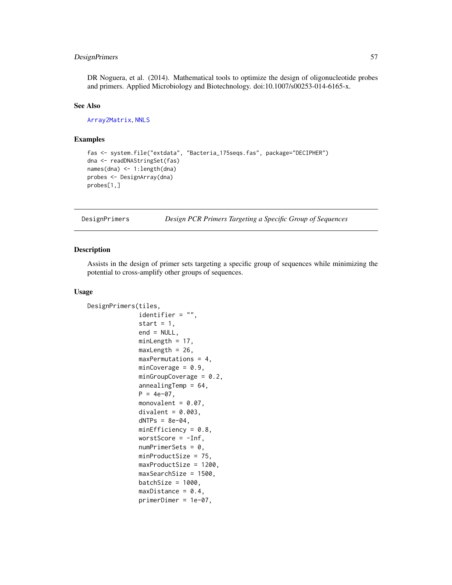## DesignPrimers 57

DR Noguera, et al. (2014). Mathematical tools to optimize the design of oligonucleotide probes and primers. Applied Microbiology and Biotechnology. doi:10.1007/s00253-014-6165-x.

## See Also

[Array2Matrix](#page-25-0), [NNLS](#page-114-0)

## Examples

```
fas <- system.file("extdata", "Bacteria_175seqs.fas", package="DECIPHER")
dna <- readDNAStringSet(fas)
names(dna) <- 1:length(dna)
probes <- DesignArray(dna)
probes[1,]
```
<span id="page-56-0"></span>DesignPrimers *Design PCR Primers Targeting a Specific Group of Sequences*

#### Description

Assists in the design of primer sets targeting a specific group of sequences while minimizing the potential to cross-amplify other groups of sequences.

#### Usage

```
DesignPrimers(tiles,
              identifier = "",
              start = 1,
              end = NULL,minLength = 17,
              maxLength = 26,
              maxPermutations = 4,
              minCoverage = 0.9,minGroupCoverage = 0.2,annealingTemp = 64,
              P = 4e-07,
              monovalent = 0.07,
              divalent = 0.003,
              dNTPs = 8e-04,
              minEfficiency = 0.8,
              worstScore = -Inf,
              numPrimarySets = 0,minProductSize = 75,
              maxProductSize = 1200,
              maxSearchSize = 1500,
              batchSize = 1000,
              maxDistance = 0.4,
              primerDimer = 1e-07,
```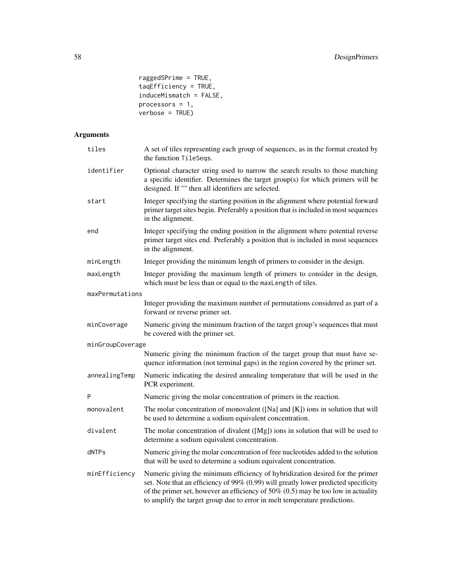```
ragged5Prime = TRUE,
tagEfficiency = TRUE,induceMismatch = FALSE,
processors = 1,
verbose = TRUE)
```

| tiles            | A set of tiles representing each group of sequences, as in the format created by<br>the function TileSeqs.                                                                                                                                                                                                                               |
|------------------|------------------------------------------------------------------------------------------------------------------------------------------------------------------------------------------------------------------------------------------------------------------------------------------------------------------------------------------|
| identifier       | Optional character string used to narrow the search results to those matching<br>a specific identifier. Determines the target group(s) for which primers will be<br>designed. If "" then all identifiers are selected.                                                                                                                   |
| start            | Integer specifying the starting position in the alignment where potential forward<br>primer target sites begin. Preferably a position that is included in most sequences<br>in the alignment.                                                                                                                                            |
| end              | Integer specifying the ending position in the alignment where potential reverse<br>primer target sites end. Preferably a position that is included in most sequences<br>in the alignment.                                                                                                                                                |
| minLength        | Integer providing the minimum length of primers to consider in the design.                                                                                                                                                                                                                                                               |
| maxLength        | Integer providing the maximum length of primers to consider in the design,<br>which must be less than or equal to the maxLength of tiles.                                                                                                                                                                                                |
| maxPermutations  |                                                                                                                                                                                                                                                                                                                                          |
|                  | Integer providing the maximum number of permutations considered as part of a<br>forward or reverse primer set.                                                                                                                                                                                                                           |
| minCoverage      | Numeric giving the minimum fraction of the target group's sequences that must<br>be covered with the primer set.                                                                                                                                                                                                                         |
| minGroupCoverage |                                                                                                                                                                                                                                                                                                                                          |
|                  | Numeric giving the minimum fraction of the target group that must have se-<br>quence information (not terminal gaps) in the region covered by the primer set.                                                                                                                                                                            |
| annealingTemp    | Numeric indicating the desired annealing temperature that will be used in the<br>PCR experiment.                                                                                                                                                                                                                                         |
| P                | Numeric giving the molar concentration of primers in the reaction.                                                                                                                                                                                                                                                                       |
| monovalent       | The molar concentration of monovalent ([Na] and [K]) ions in solution that will<br>be used to determine a sodium equivalent concentration.                                                                                                                                                                                               |
| divalent         | The molar concentration of divalent $([Mg])$ ions in solution that will be used to<br>determine a sodium equivalent concentration.                                                                                                                                                                                                       |
| dNTPs            | Numeric giving the molar concentration of free nucleotides added to the solution<br>that will be used to determine a sodium equivalent concentration.                                                                                                                                                                                    |
| minEfficiency    | Numeric giving the minimum efficiency of hybridization desired for the primer<br>set. Note that an efficiency of 99% (0.99) will greatly lower predicted specificity<br>of the primer set, however an efficiency of 50% $(0.5)$ may be too low in actuality<br>to amplify the target group due to error in melt temperature predictions. |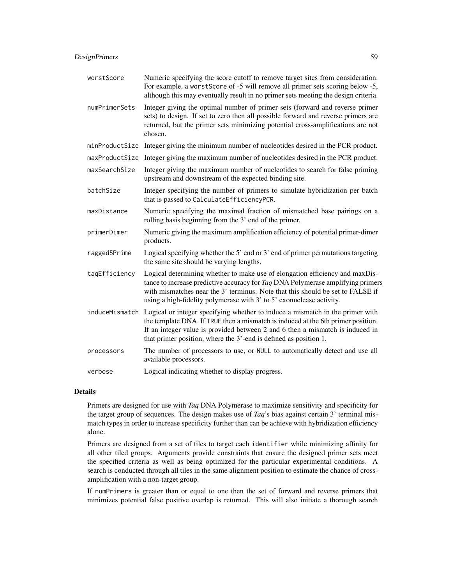## DesignPrimers 59

| worstScore     | Numeric specifying the score cutoff to remove target sites from consideration.<br>For example, a worst Score of -5 will remove all primer sets scoring below -5,<br>although this may eventually result in no primer sets meeting the design criteria.                                                                                |
|----------------|---------------------------------------------------------------------------------------------------------------------------------------------------------------------------------------------------------------------------------------------------------------------------------------------------------------------------------------|
| numPrimerSets  | Integer giving the optimal number of primer sets (forward and reverse primer<br>sets) to design. If set to zero then all possible forward and reverse primers are<br>returned, but the primer sets minimizing potential cross-amplifications are not<br>chosen.                                                                       |
| minProductSize | Integer giving the minimum number of nucleotides desired in the PCR product.                                                                                                                                                                                                                                                          |
| maxProductSize | Integer giving the maximum number of nucleotides desired in the PCR product.                                                                                                                                                                                                                                                          |
| maxSearchSize  | Integer giving the maximum number of nucleotides to search for false priming<br>upstream and downstream of the expected binding site.                                                                                                                                                                                                 |
| batchSize      | Integer specifying the number of primers to simulate hybridization per batch<br>that is passed to CalculateEfficiencyPCR.                                                                                                                                                                                                             |
| maxDistance    | Numeric specifying the maximal fraction of mismatched base pairings on a<br>rolling basis beginning from the 3' end of the primer.                                                                                                                                                                                                    |
| primerDimer    | Numeric giving the maximum amplification efficiency of potential primer-dimer<br>products.                                                                                                                                                                                                                                            |
| ragged5Prime   | Logical specifying whether the 5' end or 3' end of primer permutations targeting<br>the same site should be varying lengths.                                                                                                                                                                                                          |
| taqEfficiency  | Logical determining whether to make use of elongation efficiency and maxDis-<br>tance to increase predictive accuracy for Taq DNA Polymerase amplifying primers<br>with mismatches near the 3' terminus. Note that this should be set to FALSE if<br>using a high-fidelity polymerase with 3' to 5' exonuclease activity.             |
|                | induceMismatch Logical or integer specifying whether to induce a mismatch in the primer with<br>the template DNA. If TRUE then a mismatch is induced at the 6th primer position.<br>If an integer value is provided between 2 and 6 then a mismatch is induced in<br>that primer position, where the 3'-end is defined as position 1. |
| processors     | The number of processors to use, or NULL to automatically detect and use all<br>available processors.                                                                                                                                                                                                                                 |
| verbose        | Logical indicating whether to display progress.                                                                                                                                                                                                                                                                                       |

## Details

Primers are designed for use with *Taq* DNA Polymerase to maximize sensitivity and specificity for the target group of sequences. The design makes use of *Taq*'s bias against certain 3' terminal mismatch types in order to increase specificity further than can be achieve with hybridization efficiency alone.

Primers are designed from a set of tiles to target each identifier while minimizing affinity for all other tiled groups. Arguments provide constraints that ensure the designed primer sets meet the specified criteria as well as being optimized for the particular experimental conditions. A search is conducted through all tiles in the same alignment position to estimate the chance of crossamplification with a non-target group.

If numPrimers is greater than or equal to one then the set of forward and reverse primers that minimizes potential false positive overlap is returned. This will also initiate a thorough search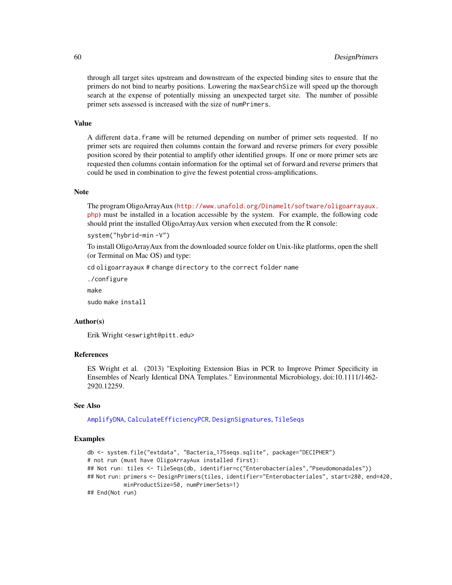through all target sites upstream and downstream of the expected binding sites to ensure that the primers do not bind to nearby positions. Lowering the maxSearchSize will speed up the thorough search at the expense of potentially missing an unexpected target site. The number of possible primer sets assessed is increased with the size of numPrimers.

#### Value

A different data.frame will be returned depending on number of primer sets requested. If no primer sets are required then columns contain the forward and reverse primers for every possible position scored by their potential to amplify other identified groups. If one or more primer sets are requested then columns contain information for the optimal set of forward and reverse primers that could be used in combination to give the fewest potential cross-amplifications.

## Note

The program OligoArrayAux ([http://www.unafold.org/Dinamelt/software/oligoarrayaux.](http://www.unafold.org/Dinamelt/software/oligoarrayaux.php) [php](http://www.unafold.org/Dinamelt/software/oligoarrayaux.php)) must be installed in a location accessible by the system. For example, the following code should print the installed OligoArrayAux version when executed from the R console:

```
system("hybrid-min -V")
```
To install OligoArrayAux from the downloaded source folder on Unix-like platforms, open the shell (or Terminal on Mac OS) and type:

cd oligoarrayaux # change directory to the correct folder name

./configure make

sudo make install

## Author(s)

Erik Wright <eswright@pitt.edu>

## References

ES Wright et al. (2013) "Exploiting Extension Bias in PCR to Improve Primer Specificity in Ensembles of Nearly Identical DNA Templates." Environmental Microbiology, doi:10.1111/1462- 2920.12259.

#### See Also

[AmplifyDNA](#page-23-0), [CalculateEfficiencyPCR](#page-35-0), [DesignSignatures](#page-63-0), [TileSeqs](#page-144-0)

```
db <- system.file("extdata", "Bacteria_175seqs.sqlite", package="DECIPHER")
# not run (must have OligoArrayAux installed first):
## Not run: tiles <- TileSeqs(db, identifier=c("Enterobacteriales","Pseudomonadales"))
## Not run: primers <- DesignPrimers(tiles, identifier="Enterobacteriales", start=280, end=420,
           minProductSize=50, numPrimerSets=1)
## End(Not run)
```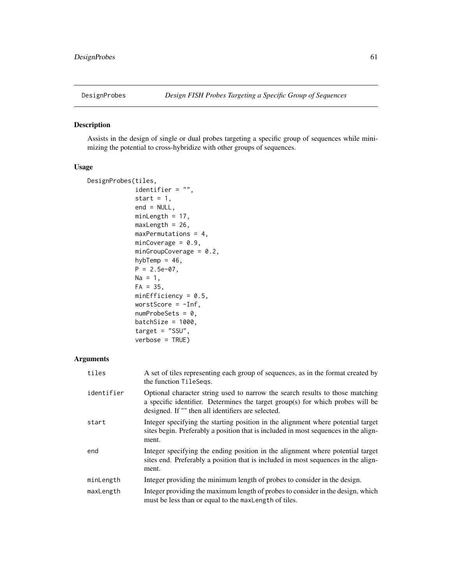### Description

Assists in the design of single or dual probes targeting a specific group of sequences while minimizing the potential to cross-hybridize with other groups of sequences.

## Usage

```
DesignProbes(tiles,
             identifier = "",
             start = 1,end = NULL,
            minLength = 17,
            maxLength = 26,
            maxPermutations = 4,
            minCoverage = 0.9,
            minGroupCoverage = 0.2,
            hybTemp = 46,
            P = 2.5e-07,
            Na = 1,FA = 35,minEfficiency = 0.5,
            worstScore = -Inf,numProbeSets = 0,batchSize = 1000,
             target = "SSU",
            verbose = TRUE)
```

| tiles      | A set of tiles representing each group of sequences, as in the format created by<br>the function TileSegs.                                                                                                            |
|------------|-----------------------------------------------------------------------------------------------------------------------------------------------------------------------------------------------------------------------|
| identifier | Optional character string used to narrow the search results to those matching<br>a specific identifier. Determines the target group(s) for which probes will be<br>designed. If "" then all identifiers are selected. |
| start      | Integer specifying the starting position in the alignment where potential target<br>sites begin. Preferably a position that is included in most sequences in the align-<br>ment.                                      |
| end        | Integer specifying the ending position in the alignment where potential target<br>sites end. Preferably a position that is included in most sequences in the align-<br>ment.                                          |
| minLength  | Integer providing the minimum length of probes to consider in the design.                                                                                                                                             |
| maxLength  | Integer providing the maximum length of probes to consider in the design, which<br>must be less than or equal to the maxLength of tiles.                                                                              |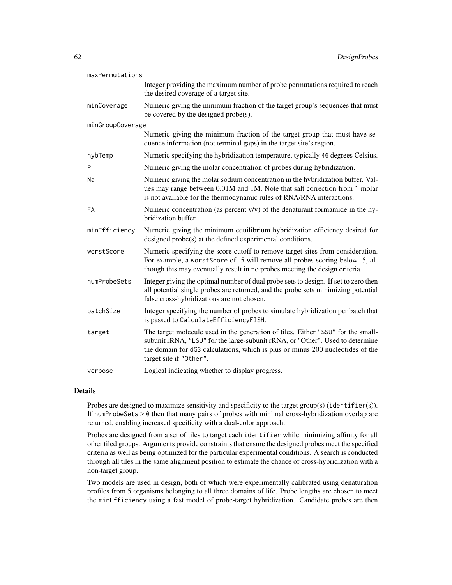| maxPermutations  |                                                                                                                                                                                                                                                                                |  |
|------------------|--------------------------------------------------------------------------------------------------------------------------------------------------------------------------------------------------------------------------------------------------------------------------------|--|
|                  | Integer providing the maximum number of probe permutations required to reach<br>the desired coverage of a target site.                                                                                                                                                         |  |
| minCoverage      | Numeric giving the minimum fraction of the target group's sequences that must<br>be covered by the designed probe(s).                                                                                                                                                          |  |
| minGroupCoverage |                                                                                                                                                                                                                                                                                |  |
|                  | Numeric giving the minimum fraction of the target group that must have se-<br>quence information (not terminal gaps) in the target site's region.                                                                                                                              |  |
| hybTemp          | Numeric specifying the hybridization temperature, typically 46 degrees Celsius.                                                                                                                                                                                                |  |
| P                | Numeric giving the molar concentration of probes during hybridization.                                                                                                                                                                                                         |  |
| Na               | Numeric giving the molar sodium concentration in the hybridization buffer. Val-<br>ues may range between 0.01M and 1M. Note that salt correction from 1 molar<br>is not available for the thermodynamic rules of RNA/RNA interactions.                                         |  |
| FA               | Numeric concentration (as percent $v/v$ ) of the denaturant formamide in the hy-<br>bridization buffer.                                                                                                                                                                        |  |
| minEfficiency    | Numeric giving the minimum equilibrium hybridization efficiency desired for<br>designed probe(s) at the defined experimental conditions.                                                                                                                                       |  |
| worstScore       | Numeric specifying the score cutoff to remove target sites from consideration.<br>For example, a worst Score of -5 will remove all probes scoring below -5, al-<br>though this may eventually result in no probes meeting the design criteria.                                 |  |
| numProbeSets     | Integer giving the optimal number of dual probe sets to design. If set to zero then<br>all potential single probes are returned, and the probe sets minimizing potential<br>false cross-hybridizations are not chosen.                                                         |  |
| batchSize        | Integer specifying the number of probes to simulate hybridization per batch that<br>is passed to CalculateEfficiencyFISH.                                                                                                                                                      |  |
| target           | The target molecule used in the generation of tiles. Either "SSU" for the small-<br>subunit rRNA, "LSU" for the large-subunit rRNA, or "Other". Used to determine<br>the domain for dG3 calculations, which is plus or minus 200 nucleotides of the<br>target site if "Other". |  |
| verbose          | Logical indicating whether to display progress.                                                                                                                                                                                                                                |  |

### Details

Probes are designed to maximize sensitivity and specificity to the target group(s) (identifier(s)). If numProbeSets > 0 then that many pairs of probes with minimal cross-hybridization overlap are returned, enabling increased specificity with a dual-color approach.

Probes are designed from a set of tiles to target each identifier while minimizing affinity for all other tiled groups. Arguments provide constraints that ensure the designed probes meet the specified criteria as well as being optimized for the particular experimental conditions. A search is conducted through all tiles in the same alignment position to estimate the chance of cross-hybridization with a non-target group.

Two models are used in design, both of which were experimentally calibrated using denaturation profiles from 5 organisms belonging to all three domains of life. Probe lengths are chosen to meet the minEfficiency using a fast model of probe-target hybridization. Candidate probes are then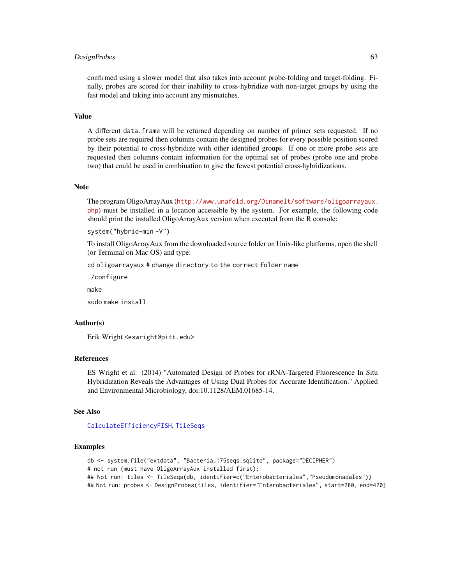### DesignProbes 63

confirmed using a slower model that also takes into account probe-folding and target-folding. Finally, probes are scored for their inability to cross-hybridize with non-target groups by using the fast model and taking into account any mismatches.

#### Value

A different data.frame will be returned depending on number of primer sets requested. If no probe sets are required then columns contain the designed probes for every possible position scored by their potential to cross-hybridize with other identified groups. If one or more probe sets are requested then columns contain information for the optimal set of probes (probe one and probe two) that could be used in combination to give the fewest potential cross-hybridizations.

#### Note

The program OligoArrayAux ([http://www.unafold.org/Dinamelt/software/oligoarrayaux.](http://www.unafold.org/Dinamelt/software/oligoarrayaux.php) [php](http://www.unafold.org/Dinamelt/software/oligoarrayaux.php)) must be installed in a location accessible by the system. For example, the following code should print the installed OligoArrayAux version when executed from the R console:

system("hybrid-min -V")

To install OligoArrayAux from the downloaded source folder on Unix-like platforms, open the shell (or Terminal on Mac OS) and type:

cd oligoarrayaux # change directory to the correct folder name

./configure

make

sudo make install

#### Author(s)

Erik Wright <eswright@pitt.edu>

## References

ES Wright et al. (2014) "Automated Design of Probes for rRNA-Targeted Fluorescence In Situ Hybridization Reveals the Advantages of Using Dual Probes for Accurate Identification." Applied and Environmental Microbiology, doi:10.1128/AEM.01685-14.

### See Also

[CalculateEfficiencyFISH](#page-33-0), [TileSeqs](#page-144-0)

```
db <- system.file("extdata", "Bacteria_175seqs.sqlite", package="DECIPHER")
# not run (must have OligoArrayAux installed first):
## Not run: tiles <- TileSeqs(db, identifier=c("Enterobacteriales","Pseudomonadales"))
## Not run: probes <- DesignProbes(tiles, identifier="Enterobacteriales", start=280, end=420)
```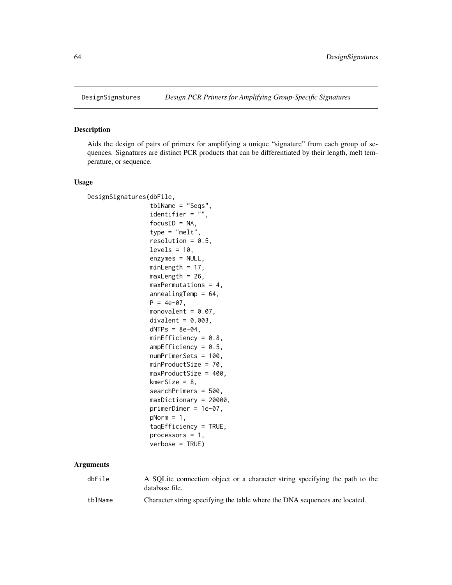<span id="page-63-0"></span>

## Description

Aids the design of pairs of primers for amplifying a unique "signature" from each group of sequences. Signatures are distinct PCR products that can be differentiated by their length, melt temperature, or sequence.

# Usage

| DesignSignatures(dbFile, |                           |
|--------------------------|---------------------------|
|                          | $tblName = "Seqs",$       |
|                          | identifier = $"$ ,        |
|                          | $focusID = NA$ ,          |
|                          | $type = "melt",$          |
|                          | resolution = $0.5$ ,      |
|                          | $levels = 10,$            |
|                          | $enzynes = NULL,$         |
|                          | $minLength = 17$ ,        |
|                          | $maxLength = 26$ ,        |
|                          | $maxPermutation = 4$ ,    |
|                          | $annealingTemp = 64$ ,    |
|                          | $P = 4e-07$ .             |
|                          | monovalent = $0.07$ ,     |
|                          | $divalent = 0.003$ .      |
|                          | $dNTPs = 8e-04$ ,         |
|                          | $minEfficiency = 0.8,$    |
|                          | $ampEfficiency = 0.5$ ,   |
|                          | $numPrimerSets = 100$ .   |
|                          | $minProductSize = 70$ ,   |
|                          | $maxProductSize = 400$ ,  |
|                          | $kmersize = 8,$           |
|                          | $searchPrimers = 500,$    |
|                          | $maxDictionary = 20000$ , |
|                          | $prime = 1e-07$ ,         |
|                          | $pNorm = 1$ ,             |
|                          | $tagEfficiency = TRUE,$   |
|                          | $processors = 1$ ,        |
|                          | $verbose = TRUE$ )        |

| dbFile  | A SQLite connection object or a character string specifying the path to the<br>database file. |
|---------|-----------------------------------------------------------------------------------------------|
| tblName | Character string specifying the table where the DNA sequences are located.                    |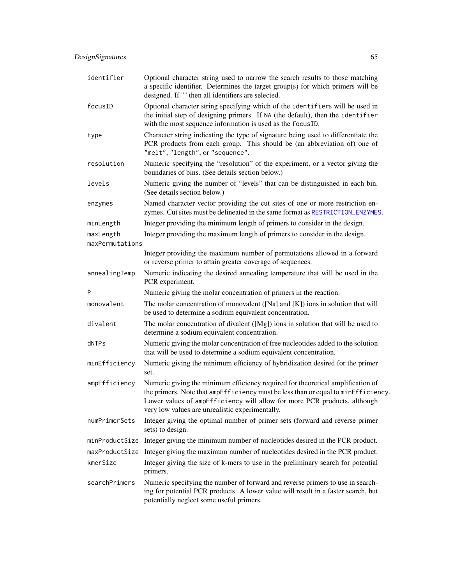| identifier                   | Optional character string used to narrow the search results to those matching<br>a specific identifier. Determines the target group(s) for which primers will be<br>designed. If "" then all identifiers are selected.                                                                              |
|------------------------------|-----------------------------------------------------------------------------------------------------------------------------------------------------------------------------------------------------------------------------------------------------------------------------------------------------|
| focusID                      | Optional character string specifying which of the identifiers will be used in<br>the initial step of designing primers. If NA (the default), then the identifier<br>with the most sequence information is used as the focusID.                                                                      |
| type                         | Character string indicating the type of signature being used to differentiate the<br>PCR products from each group. This should be (an abbreviation of) one of<br>"melt", "length", or "sequence".                                                                                                   |
| resolution                   | Numeric specifying the "resolution" of the experiment, or a vector giving the<br>boundaries of bins. (See details section below.)                                                                                                                                                                   |
| levels                       | Numeric giving the number of "levels" that can be distinguished in each bin.<br>(See details section below.)                                                                                                                                                                                        |
| enzymes                      | Named character vector providing the cut sites of one or more restriction en-<br>zymes. Cut sites must be delineated in the same format as RESTRICTION_ENZYMES.                                                                                                                                     |
| minLength                    | Integer providing the minimum length of primers to consider in the design.                                                                                                                                                                                                                          |
| maxLength<br>maxPermutations | Integer providing the maximum length of primers to consider in the design.                                                                                                                                                                                                                          |
|                              | Integer providing the maximum number of permutations allowed in a forward<br>or reverse primer to attain greater coverage of sequences.                                                                                                                                                             |
| annealingTemp                | Numeric indicating the desired annealing temperature that will be used in the<br>PCR experiment.                                                                                                                                                                                                    |
| P                            | Numeric giving the molar concentration of primers in the reaction.                                                                                                                                                                                                                                  |
| monovalent                   | The molar concentration of monovalent ( $[Na]$ and $[K]$ ) ions in solution that will<br>be used to determine a sodium equivalent concentration.                                                                                                                                                    |
| divalent                     | The molar concentration of divalent $([Mg])$ ions in solution that will be used to<br>determine a sodium equivalent concentration.                                                                                                                                                                  |
| dNTPs                        | Numeric giving the molar concentration of free nucleotides added to the solution<br>that will be used to determine a sodium equivalent concentration.                                                                                                                                               |
| minEfficiency                | Numeric giving the minimum efficiency of hybridization desired for the primer<br>set.                                                                                                                                                                                                               |
| ampEfficiency                | Numeric giving the minimum efficiency required for theoretical amplification of<br>the primers. Note that ampEfficiency must be less than or equal to minEfficiency.<br>Lower values of ampEfficiency will allow for more PCR products, although<br>very low values are unrealistic experimentally. |
| numPrimerSets                | Integer giving the optimal number of primer sets (forward and reverse primer<br>sets) to design.                                                                                                                                                                                                    |
|                              | minProductSize Integer giving the minimum number of nucleotides desired in the PCR product.                                                                                                                                                                                                         |
|                              | maxProductSize Integer giving the maximum number of nucleotides desired in the PCR product.                                                                                                                                                                                                         |
| kmerSize                     | Integer giving the size of k-mers to use in the preliminary search for potential<br>primers.                                                                                                                                                                                                        |
| searchPrimers                | Numeric specifying the number of forward and reverse primers to use in search-<br>ing for potential PCR products. A lower value will result in a faster search, but<br>potentially neglect some useful primers.                                                                                     |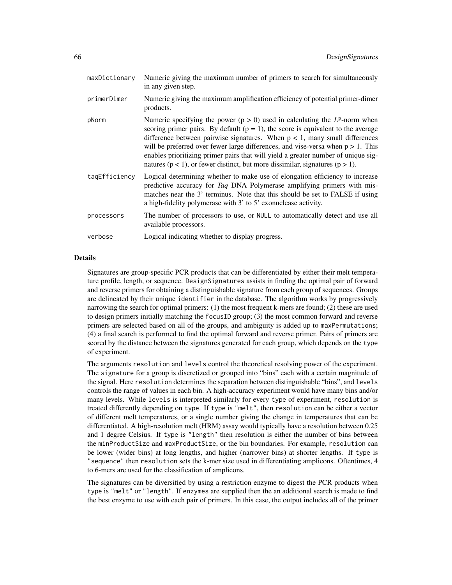| maxDictionary | Numeric giving the maximum number of primers to search for simultaneously<br>in any given step.                                                                                                                                                                                                                                                                                                                                                                                                                               |
|---------------|-------------------------------------------------------------------------------------------------------------------------------------------------------------------------------------------------------------------------------------------------------------------------------------------------------------------------------------------------------------------------------------------------------------------------------------------------------------------------------------------------------------------------------|
| primerDimer   | Numeric giving the maximum amplification efficiency of potential primer-dimer<br>products.                                                                                                                                                                                                                                                                                                                                                                                                                                    |
| pNorm         | Numeric specifying the power ( $p > 0$ ) used in calculating the $L^p$ -norm when<br>scoring primer pairs. By default ( $p = 1$ ), the score is equivalent to the average<br>difference between pairwise signatures. When $p < 1$ , many small differences<br>will be preferred over fewer large differences, and vise-versa when $p > 1$ . This<br>enables prioritizing primer pairs that will yield a greater number of unique sig-<br>natures ( $p < 1$ ), or fewer distinct, but more dissimilar, signatures ( $p > 1$ ). |
| tagEfficiency | Logical determining whether to make use of elongation efficiency to increase<br>predictive accuracy for Taq DNA Polymerase amplifying primers with mis-<br>matches near the 3' terminus. Note that this should be set to FALSE if using<br>a high-fidelity polymerase with 3' to 5' exonuclease activity.                                                                                                                                                                                                                     |
| processors    | The number of processors to use, or NULL to automatically detect and use all<br>available processors.                                                                                                                                                                                                                                                                                                                                                                                                                         |
| verbose       | Logical indicating whether to display progress.                                                                                                                                                                                                                                                                                                                                                                                                                                                                               |

#### Details

Signatures are group-specific PCR products that can be differentiated by either their melt temperature profile, length, or sequence. DesignSignatures assists in finding the optimal pair of forward and reverse primers for obtaining a distinguishable signature from each group of sequences. Groups are delineated by their unique identifier in the database. The algorithm works by progressively narrowing the search for optimal primers: (1) the most frequent k-mers are found; (2) these are used to design primers initially matching the focusID group; (3) the most common forward and reverse primers are selected based on all of the groups, and ambiguity is added up to maxPermutations; (4) a final search is performed to find the optimal forward and reverse primer. Pairs of primers are scored by the distance between the signatures generated for each group, which depends on the type of experiment.

The arguments resolution and levels control the theoretical resolving power of the experiment. The signature for a group is discretized or grouped into "bins" each with a certain magnitude of the signal. Here resolution determines the separation between distinguishable "bins", and levels controls the range of values in each bin. A high-accuracy experiment would have many bins and/or many levels. While levels is interpreted similarly for every type of experiment, resolution is treated differently depending on type. If type is "melt", then resolution can be either a vector of different melt temperatures, or a single number giving the change in temperatures that can be differentiated. A high-resolution melt (HRM) assay would typically have a resolution between 0.25 and 1 degree Celsius. If type is "length" then resolution is either the number of bins between the minProductSize and maxProductSize, or the bin boundaries. For example, resolution can be lower (wider bins) at long lengths, and higher (narrower bins) at shorter lengths. If type is "sequence" then resolution sets the k-mer size used in differentiating amplicons. Oftentimes, 4 to 6-mers are used for the classification of amplicons.

The signatures can be diversified by using a restriction enzyme to digest the PCR products when type is "melt" or "length". If enzymes are supplied then the an additional search is made to find the best enzyme to use with each pair of primers. In this case, the output includes all of the primer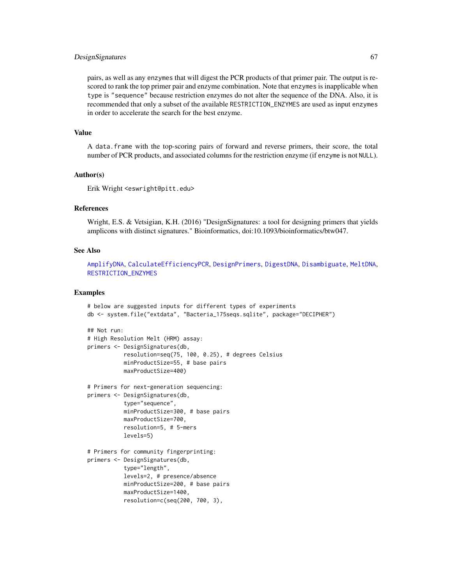### DesignSignatures 67

pairs, as well as any enzymes that will digest the PCR products of that primer pair. The output is rescored to rank the top primer pair and enzyme combination. Note that enzymes is inapplicable when type is "sequence" because restriction enzymes do not alter the sequence of the DNA. Also, it is recommended that only a subset of the available RESTRICTION\_ENZYMES are used as input enzymes in order to accelerate the search for the best enzyme.

### Value

A data.frame with the top-scoring pairs of forward and reverse primers, their score, the total number of PCR products, and associated columns for the restriction enzyme (if enzyme is not NULL).

## Author(s)

Erik Wright <eswright@pitt.edu>

### References

Wright, E.S. & Vetsigian, K.H. (2016) "DesignSignatures: a tool for designing primers that yields amplicons with distinct signatures." Bioinformatics, doi:10.1093/bioinformatics/btw047.

### See Also

[AmplifyDNA](#page-23-0), [CalculateEfficiencyPCR](#page-35-0), [DesignPrimers](#page-56-0), [DigestDNA](#page-70-0), [Disambiguate](#page-71-0), [MeltDNA](#page-109-0), [RESTRICTION\\_ENZYMES](#page-129-0)

```
# below are suggested inputs for different types of experiments
db <- system.file("extdata", "Bacteria_175seqs.sqlite", package="DECIPHER")
## Not run:
# High Resolution Melt (HRM) assay:
primers <- DesignSignatures(db,
           resolution=seq(75, 100, 0.25), # degrees Celsius
           minProductSize=55, # base pairs
           maxProductSize=400)
# Primers for next-generation sequencing:
primers <- DesignSignatures(db,
           type="sequence",
           minProductSize=300, # base pairs
           maxProductSize=700,
           resolution=5, # 5-mers
           levels=5)
# Primers for community fingerprinting:
primers <- DesignSignatures(db,
           type="length",
           levels=2, # presence/absence
           minProductSize=200, # base pairs
           maxProductSize=1400,
           resolution=c(seq(200, 700, 3),
```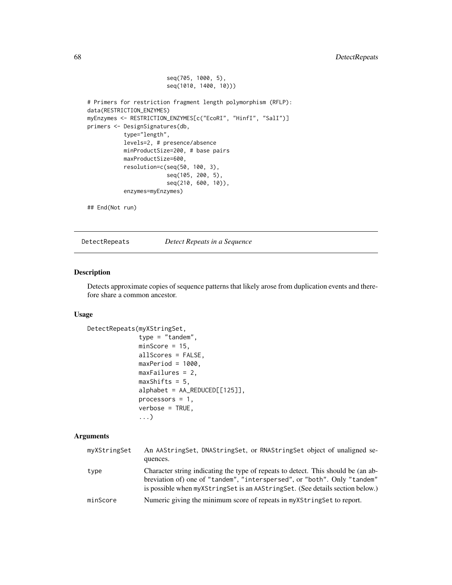```
seq(705, 1000, 5),
                        seq(1010, 1400, 10)))
# Primers for restriction fragment length polymorphism (RFLP):
data(RESTRICTION_ENZYMES)
myEnzymes <- RESTRICTION_ENZYMES[c("EcoRI", "HinfI", "SalI")]
primers <- DesignSignatures(db,
           type="length",
          levels=2, # presence/absence
          minProductSize=200, # base pairs
          maxProductSize=600,
           resolution=c(seq(50, 100, 3),
                        seq(105, 200, 5),
                        seq(210, 600, 10)),
           enzymes=myEnzymes)
```

```
## End(Not run)
```
DetectRepeats *Detect Repeats in a Sequence*

## Description

Detects approximate copies of sequence patterns that likely arose from duplication events and therefore share a common ancestor.

## Usage

```
DetectRepeats(myXStringSet,
              type = "tandem",
              minScore = 15,
              allScores = FALSE,
              maxPeriod = 1000,maxFailures = 2,
              maxShifts = 5,
              alphabet = AA_REDUCED[[125]],
              processors = 1,
              verbose = TRUE,
              ...)
```

| myXStringSet | An AAStringSet, DNAStringSet, or RNAStringSet object of unaligned se-<br>quences.                                                                                                                                                              |
|--------------|------------------------------------------------------------------------------------------------------------------------------------------------------------------------------------------------------------------------------------------------|
| type         | Character string indicating the type of repeats to detect. This should be (an ab-<br>breviation of) one of "tandem", "interspersed", or "both". Only "tandem"<br>is possible when myXStringSet is an AAStringSet. (See details section below.) |
| minScore     | Numeric giving the minimum score of repeats in myXStringSet to report.                                                                                                                                                                         |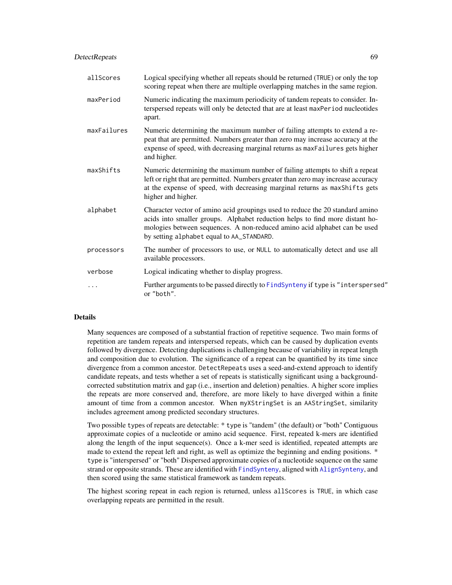## DetectRepeats 69

| allScores   | Logical specifying whether all repeats should be returned (TRUE) or only the top<br>scoring repeat when there are multiple overlapping matches in the same region.                                                                                                                      |
|-------------|-----------------------------------------------------------------------------------------------------------------------------------------------------------------------------------------------------------------------------------------------------------------------------------------|
| maxPeriod   | Numeric indicating the maximum periodicity of tandem repeats to consider. In-<br>terspersed repeats will only be detected that are at least maxPeriod nucleotides<br>apart.                                                                                                             |
| maxFailures | Numeric determining the maximum number of failing attempts to extend a re-<br>peat that are permitted. Numbers greater than zero may increase accuracy at the<br>expense of speed, with decreasing marginal returns as maxFailures gets higher<br>and higher.                           |
| maxShifts   | Numeric determining the maximum number of failing attempts to shift a repeat<br>left or right that are permitted. Numbers greater than zero may increase accuracy<br>at the expense of speed, with decreasing marginal returns as maxShifts gets<br>higher and higher.                  |
| alphabet    | Character vector of amino acid groupings used to reduce the 20 standard amino<br>acids into smaller groups. Alphabet reduction helps to find more distant ho-<br>mologies between sequences. A non-reduced amino acid alphabet can be used<br>by setting alphabet equal to AA_STANDARD. |
| processors  | The number of processors to use, or NULL to automatically detect and use all<br>available processors.                                                                                                                                                                                   |
| verbose     | Logical indicating whether to display progress.                                                                                                                                                                                                                                         |
|             | Further arguments to be passed directly to FindSynteny if type is "interspersed"<br>or "both".                                                                                                                                                                                          |

### Details

Many sequences are composed of a substantial fraction of repetitive sequence. Two main forms of repetition are tandem repeats and interspersed repeats, which can be caused by duplication events followed by divergence. Detecting duplications is challenging because of variability in repeat length and composition due to evolution. The significance of a repeat can be quantified by its time since divergence from a common ancestor. DetectRepeats uses a seed-and-extend approach to identify candidate repeats, and tests whether a set of repeats is statistically significant using a backgroundcorrected substitution matrix and gap (i.e., insertion and deletion) penalties. A higher score implies the repeats are more conserved and, therefore, are more likely to have diverged within a finite amount of time from a common ancestor. When myXStringSet is an AAStringSet, similarity includes agreement among predicted secondary structures.

Two possible types of repeats are detectable: \* type is "tandem" (the default) or "both" Contiguous approximate copies of a nucleotide or amino acid sequence. First, repeated k-mers are identified along the length of the input sequence(s). Once a k-mer seed is identified, repeated attempts are made to extend the repeat left and right, as well as optimize the beginning and ending positions. \* type is "interspersed" or "both" Dispersed approximate copies of a nucleotide sequence on the same strand or opposite strands. These are identified with [FindSynteny](#page-83-0), aligned with [AlignSynteny](#page-19-0), and then scored using the same statistical framework as tandem repeats.

The highest scoring repeat in each region is returned, unless allScores is TRUE, in which case overlapping repeats are permitted in the result.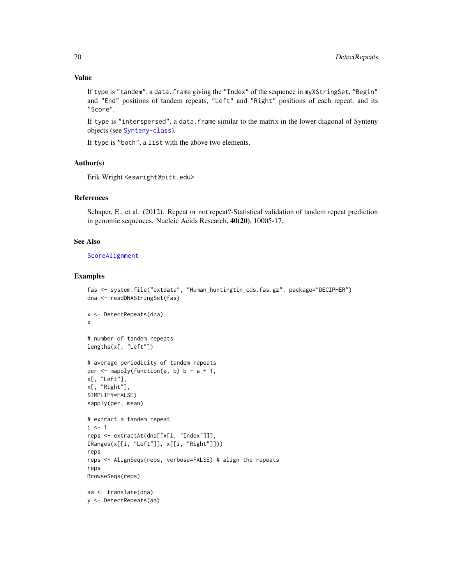If type is "tandem", a data.frame giving the "Index" of the sequence in myXStringSet, "Begin" and "End" positions of tandem repeats, "Left" and "Right" positions of each repeat, and its "Score".

If type is "interspersed", a data.frame similar to the matrix in the lower diagonal of Synteny objects (see [Synteny-class](#page-138-0)).

If type is "both", a list with the above two elements.

## Author(s)

Erik Wright <eswright@pitt.edu>

#### References

Schaper, E., et al. (2012). Repeat or not repeat?-Statistical validation of tandem repeat prediction in genomic sequences. Nucleic Acids Research, 40(20), 10005-17.

## See Also

[ScoreAlignment](#page-129-1)

```
fas <- system.file("extdata", "Human_huntingtin_cds.fas.gz", package="DECIPHER")
dna <- readDNAStringSet(fas)
x <- DetectRepeats(dna)
x
# number of tandem repeats
lengths(x[, "Left"])
# average periodicity of tandem repeats
per \leq mapply(function(a, b) b - a + 1,
x[, "Left"],
x[, "Right"],
SIMPLIFY=FALSE)
sapply(per, mean)
# extract a tandem repeat
i \leq 1reps <- extractAt(dna[[x[i, "Index"]]],
IRanges(x[[i, "Left"]], x[[i, "Right"]]))
reps
reps <- AlignSeqs(reps, verbose=FALSE) # align the repeats
reps
BrowseSeqs(reps)
aa <- translate(dna)
y <- DetectRepeats(aa)
```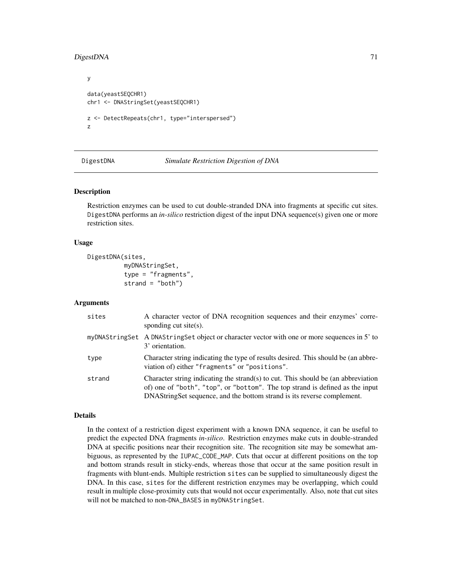# DigestDNA 71

```
y
data(yeastSEQCHR1)
chr1 <- DNAStringSet(yeastSEQCHR1)
z <- DetectRepeats(chr1, type="interspersed")
z
```
<span id="page-70-0"></span>

DigestDNA *Simulate Restriction Digestion of DNA*

#### Description

Restriction enzymes can be used to cut double-stranded DNA into fragments at specific cut sites. DigestDNA performs an *in-silico* restriction digest of the input DNA sequence(s) given one or more restriction sites.

#### Usage

```
DigestDNA(sites,
          myDNAStringSet,
          type = "fragments",
          strand = "both")
```
### Arguments

| sites  | A character vector of DNA recognition sequences and their enzymes' corre-<br>sponding cut site $(s)$ .                                                                                                                                        |
|--------|-----------------------------------------------------------------------------------------------------------------------------------------------------------------------------------------------------------------------------------------------|
|        | myDNAStringSet A DNAStringSet object or character vector with one or more sequences in 5' to<br>3' orientation.                                                                                                                               |
| type   | Character string indicating the type of results desired. This should be (an abbre-<br>viation of) either "fragments" or "positions".                                                                                                          |
| strand | Character string indicating the strand(s) to cut. This should be (an abbreviation<br>of) one of "both", "top", or "bottom". The top strand is defined as the input<br>DNAStringSet sequence, and the bottom strand is its reverse complement. |

## Details

In the context of a restriction digest experiment with a known DNA sequence, it can be useful to predict the expected DNA fragments *in-silico*. Restriction enzymes make cuts in double-stranded DNA at specific positions near their recognition site. The recognition site may be somewhat ambiguous, as represented by the IUPAC\_CODE\_MAP. Cuts that occur at different positions on the top and bottom strands result in sticky-ends, whereas those that occur at the same position result in fragments with blunt-ends. Multiple restriction sites can be supplied to simultaneously digest the DNA. In this case, sites for the different restriction enzymes may be overlapping, which could result in multiple close-proximity cuts that would not occur experimentally. Also, note that cut sites will not be matched to non-DNA\_BASES in myDNAStringSet.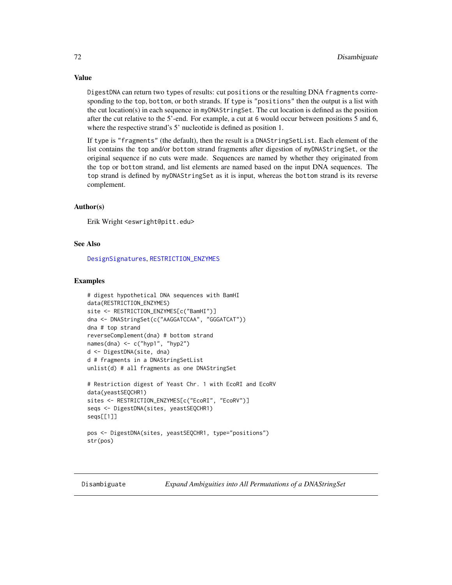DigestDNA can return two types of results: cut positions or the resulting DNA fragments corresponding to the top, bottom, or both strands. If type is "positions" then the output is a list with the cut location(s) in each sequence in myDNAStringSet. The cut location is defined as the position after the cut relative to the 5'-end. For example, a cut at 6 would occur between positions 5 and 6, where the respective strand's 5' nucleotide is defined as position 1.

If type is "fragments" (the default), then the result is a DNAStringSetList. Each element of the list contains the top and/or bottom strand fragments after digestion of myDNAStringSet, or the original sequence if no cuts were made. Sequences are named by whether they originated from the top or bottom strand, and list elements are named based on the input DNA sequences. The top strand is defined by myDNAStringSet as it is input, whereas the bottom strand is its reverse complement.

## Author(s)

Erik Wright <eswright@pitt.edu>

### See Also

[DesignSignatures](#page-63-0), [RESTRICTION\\_ENZYMES](#page-129-0)

#### Examples

```
# digest hypothetical DNA sequences with BamHI
data(RESTRICTION_ENZYMES)
site <- RESTRICTION_ENZYMES[c("BamHI")]
dna <- DNAStringSet(c("AAGGATCCAA", "GGGATCAT"))
dna # top strand
reverseComplement(dna) # bottom strand
names(dna) <- c("hyp1", "hyp2")
d <- DigestDNA(site, dna)
d # fragments in a DNAStringSetList
unlist(d) # all fragments as one DNAStringSet
# Restriction digest of Yeast Chr. 1 with EcoRI and EcoRV
data(yeastSEQCHR1)
sites <- RESTRICTION_ENZYMES[c("EcoRI", "EcoRV")]
seqs <- DigestDNA(sites, yeastSEQCHR1)
seqs[[1]]
pos <- DigestDNA(sites, yeastSEQCHR1, type="positions")
str(pos)
```
<span id="page-71-0"></span>Disambiguate *Expand Ambiguities into All Permutations of a DNAStringSet*

# Value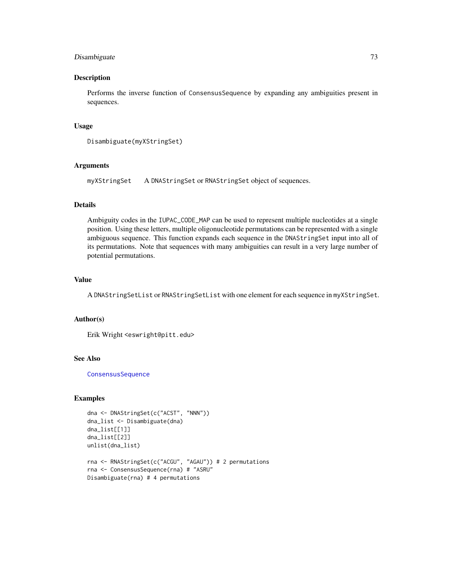# Disambiguate 73

### Description

Performs the inverse function of ConsensusSequence by expanding any ambiguities present in sequences.

### Usage

```
Disambiguate(myXStringSet)
```
## Arguments

```
myXStringSet A DNAStringSet or RNAStringSet object of sequences.
```
### Details

Ambiguity codes in the IUPAC\_CODE\_MAP can be used to represent multiple nucleotides at a single position. Using these letters, multiple oligonucleotide permutations can be represented with a single ambiguous sequence. This function expands each sequence in the DNAStringSet input into all of its permutations. Note that sequences with many ambiguities can result in a very large number of potential permutations.

## Value

A DNAStringSetList or RNAStringSetList with one element for each sequence in myXStringSet.

### Author(s)

Erik Wright <eswright@pitt.edu>

### See Also

**[ConsensusSequence](#page-38-0)** 

# Examples

```
dna <- DNAStringSet(c("ACST", "NNN"))
dna_list <- Disambiguate(dna)
dna_list[[1]]
dna_list[[2]]
unlist(dna_list)
rna <- RNAStringSet(c("ACGU", "AGAU")) # 2 permutations
rna <- ConsensusSequence(rna) # "ASRU"
Disambiguate(rna) # 4 permutations
```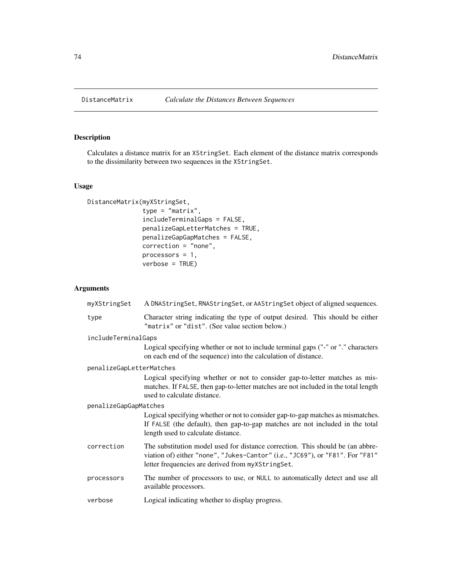# Description

Calculates a distance matrix for an XStringSet. Each element of the distance matrix corresponds to the dissimilarity between two sequences in the XStringSet.

# Usage

```
DistanceMatrix(myXStringSet,
               type = "matrix",
               includeTerminalGaps = FALSE,
               penalizeGapLetterMatches = TRUE,
               penalizeGapGapMatches = FALSE,
               correction = "none",
               processors = 1,
               verbose = TRUE)
```

| myXStringSet             | A DNAStringSet, RNAStringSet, or AAStringSet object of aligned sequences.                                                                                                                                            |  |
|--------------------------|----------------------------------------------------------------------------------------------------------------------------------------------------------------------------------------------------------------------|--|
| type                     | Character string indicating the type of output desired. This should be either<br>"matrix" or "dist". (See value section below.)                                                                                      |  |
| includeTerminalGaps      |                                                                                                                                                                                                                      |  |
|                          | Logical specifying whether or not to include terminal gaps ("-" or "." characters<br>on each end of the sequence) into the calculation of distance.                                                                  |  |
| penalizeGapLetterMatches |                                                                                                                                                                                                                      |  |
|                          | Logical specifying whether or not to consider gap-to-letter matches as mis-<br>matches. If FALSE, then gap-to-letter matches are not included in the total length<br>used to calculate distance.                     |  |
| penalizeGapGapMatches    |                                                                                                                                                                                                                      |  |
|                          | Logical specifying whether or not to consider gap-to-gap matches as mismatches.<br>If FALSE (the default), then gap-to-gap matches are not included in the total<br>length used to calculate distance.               |  |
| correction               | The substitution model used for distance correction. This should be (an abbre-<br>viation of) either "none", "Jukes-Cantor" (i.e., "JC69"), or "F81". For "F81"<br>letter frequencies are derived from myXStringSet. |  |
| processors               | The number of processors to use, or NULL to automatically detect and use all<br>available processors.                                                                                                                |  |
| verbose                  | Logical indicating whether to display progress.                                                                                                                                                                      |  |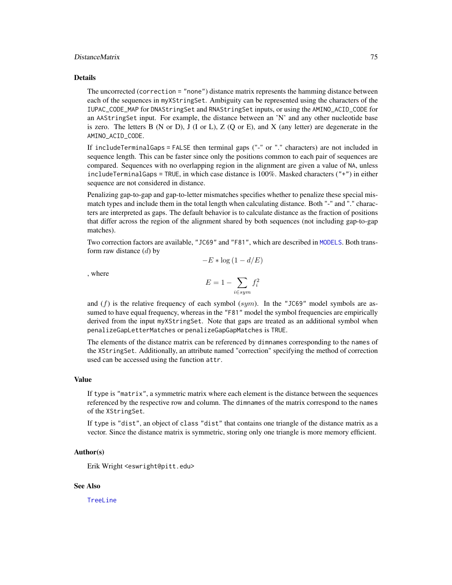#### DistanceMatrix 75

#### Details

The uncorrected (correction = "none") distance matrix represents the hamming distance between each of the sequences in myXStringSet. Ambiguity can be represented using the characters of the IUPAC\_CODE\_MAP for DNAStringSet and RNAStringSet inputs, or using the AMINO\_ACID\_CODE for an AAStringSet input. For example, the distance between an 'N' and any other nucleotide base is zero. The letters B (N or D), J (I or L), Z (Q or E), and X (any letter) are degenerate in the AMINO\_ACID\_CODE.

If includeTerminalGaps = FALSE then terminal gaps ("-" or "." characters) are not included in sequence length. This can be faster since only the positions common to each pair of sequences are compared. Sequences with no overlapping region in the alignment are given a value of NA, unless includeTerminalGaps = TRUE, in which case distance is  $100\%$ . Masked characters ("+") in either sequence are not considered in distance.

Penalizing gap-to-gap and gap-to-letter mismatches specifies whether to penalize these special mismatch types and include them in the total length when calculating distance. Both "-" and "." characters are interpreted as gaps. The default behavior is to calculate distance as the fraction of positions that differ across the region of the alignment shared by both sequences (not including gap-to-gap matches).

Two correction factors are available, "JC69" and "F81", which are described in [MODELS](#page-112-0). Both transform raw distance  $(d)$  by

$$
-E*\log\left(1-d/E\right)
$$

, where

$$
E = 1 - \sum_{i \in sym} f_i^2
$$

and  $(f)$  is the relative frequency of each symbol (sym). In the "JC69" model symbols are assumed to have equal frequency, whereas in the "F81" model the symbol frequencies are empirically derived from the input myXStringSet. Note that gaps are treated as an additional symbol when penalizeGapLetterMatches or penalizeGapGapMatches is TRUE.

The elements of the distance matrix can be referenced by dimnames corresponding to the names of the XStringSet. Additionally, an attribute named "correction" specifying the method of correction used can be accessed using the function attr.

#### Value

If type is "matrix", a symmetric matrix where each element is the distance between the sequences referenced by the respective row and column. The dimnames of the matrix correspond to the names of the XStringSet.

If type is "dist", an object of class "dist" that contains one triangle of the distance matrix as a vector. Since the distance matrix is symmetric, storing only one triangle is more memory efficient.

### Author(s)

Erik Wright <eswright@pitt.edu>

### See Also

[TreeLine](#page-147-0)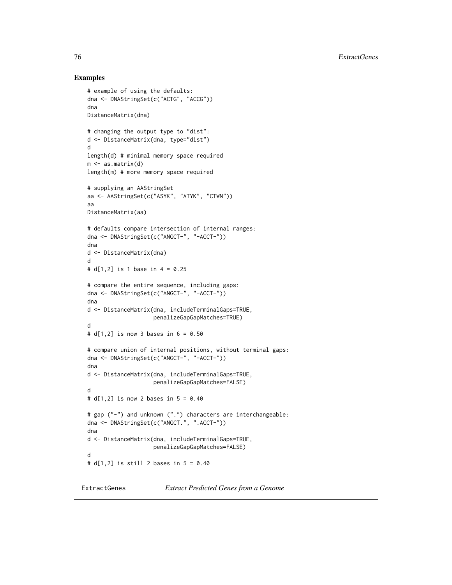76 ExtractGenes

### Examples

```
# example of using the defaults:
dna <- DNAStringSet(c("ACTG", "ACCG"))
dna
DistanceMatrix(dna)
# changing the output type to "dist":
d <- DistanceMatrix(dna, type="dist")
d
length(d) # minimal memory space required
m \leq -as.matrix(d)length(m) # more memory space required
# supplying an AAStringSet
aa <- AAStringSet(c("ASYK", "ATYK", "CTWN"))
aa
DistanceMatrix(aa)
# defaults compare intersection of internal ranges:
dna <- DNAStringSet(c("ANGCT-", "-ACCT-"))
dna
d <- DistanceMatrix(dna)
d
# d[1,2] is 1 base in 4 = 0.25
# compare the entire sequence, including gaps:
dna <- DNAStringSet(c("ANGCT-", "-ACCT-"))
dna
d <- DistanceMatrix(dna, includeTerminalGaps=TRUE,
                    penalizeGapGapMatches=TRUE)
d
# d[1,2] is now 3 bases in 6 = 0.50
# compare union of internal positions, without terminal gaps:
dna <- DNAStringSet(c("ANGCT-", "-ACCT-"))
dna
d <- DistanceMatrix(dna, includeTerminalGaps=TRUE,
                    penalizeGapGapMatches=FALSE)
d
# d[1,2] is now 2 bases in 5 = 0.40
# gap ("-") and unknown (".") characters are interchangeable:
dna <- DNAStringSet(c("ANGCT.", ".ACCT-"))
dna
d <- DistanceMatrix(dna, includeTerminalGaps=TRUE,
                    penalizeGapGapMatches=FALSE)
d
# d[1,2] is still 2 bases in 5 = 0.40
```
<span id="page-75-0"></span>ExtractGenes *Extract Predicted Genes from a Genome*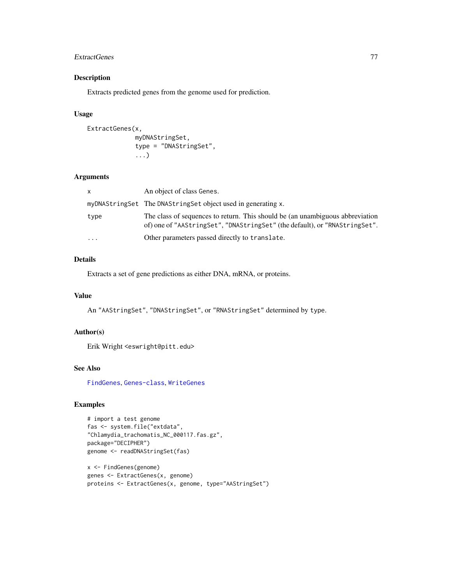#### ExtractGenes 77

## Description

Extracts predicted genes from the genome used for prediction.

## Usage

```
ExtractGenes(x,
             myDNAStringSet,
             type = "DNAStringSet",
             ...)
```
# Arguments

| x         | An object of class Genes.                                                                                                                                   |
|-----------|-------------------------------------------------------------------------------------------------------------------------------------------------------------|
|           | myDNAStringSet The DNAStringSet object used in generating x.                                                                                                |
| type      | The class of sequences to return. This should be (an unambiguous abbreviation<br>of) one of "AAStringSet", "DNAStringSet" (the default), or "RNAStringSet". |
| $\ddotsc$ | Other parameters passed directly to translate.                                                                                                              |

# Details

Extracts a set of gene predictions as either DNA, mRNA, or proteins.

### Value

An "AAStringSet", "DNAStringSet", or "RNAStringSet" determined by type.

# Author(s)

Erik Wright <eswright@pitt.edu>

#### See Also

[FindGenes](#page-79-0), [Genes-class](#page-87-0), [WriteGenes](#page-156-0)

# Examples

```
# import a test genome
fas <- system.file("extdata",
"Chlamydia_trachomatis_NC_000117.fas.gz",
package="DECIPHER")
genome <- readDNAStringSet(fas)
```
x <- FindGenes(genome) genes <- ExtractGenes(x, genome) proteins <- ExtractGenes(x, genome, type="AAStringSet")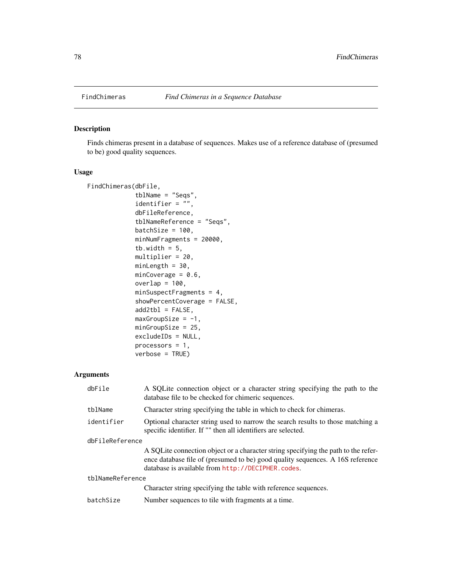# Description

Finds chimeras present in a database of sequences. Makes use of a reference database of (presumed to be) good quality sequences.

## Usage

```
FindChimeras(dbFile,
             tblName = "Seqs",
             identifier = ",
             dbFileReference,
             tblNameReference = "Seqs",
             batchSize = 100,
             minNumFragments = 20000,
             tb.width = 5,
             multiplier = 20,
             minLength = 30,
             minCoverage = 0.6,
             overlap = 100,
             minSuspectFragments = 4,
             showPercentCoverage = FALSE,
             add2tb1 = FALSE,maxGroupSize = -1,minGroupSize = 25,
             excludeIDs = NULL,
             processors = 1,
             verbose = TRUE)
```

| dbFile           | A SQLite connection object or a character string specifying the path to the<br>database file to be checked for chimeric sequences.                                                                                        |  |
|------------------|---------------------------------------------------------------------------------------------------------------------------------------------------------------------------------------------------------------------------|--|
| tblName          | Character string specifying the table in which to check for chimeras.                                                                                                                                                     |  |
| identifier       | Optional character string used to narrow the search results to those matching a<br>specific identifier. If "" then all identifiers are selected.                                                                          |  |
| dbFileReference  |                                                                                                                                                                                                                           |  |
|                  | A SQLite connection object or a character string specifying the path to the refer-<br>ence database file of (presumed to be) good quality sequences. A 16S reference<br>database is available from http://DECIPHER.codes. |  |
| tblNameReference |                                                                                                                                                                                                                           |  |
|                  | Character string specifying the table with reference sequences.                                                                                                                                                           |  |
| batchSize        | Number sequences to tile with fragments at a time.                                                                                                                                                                        |  |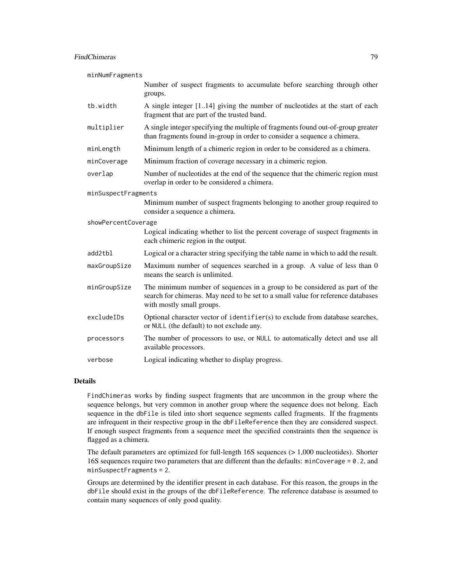### FindChimeras 79

minNumFragments

|                     | Number of suspect fragments to accumulate before searching through other<br>groups.                                                                                                         |  |
|---------------------|---------------------------------------------------------------------------------------------------------------------------------------------------------------------------------------------|--|
| tb.width            | A single integer [1.14] giving the number of nucleotides at the start of each<br>fragment that are part of the trusted band.                                                                |  |
| multiplier          | A single integer specifying the multiple of fragments found out-of-group greater<br>than fragments found in-group in order to consider a sequence a chimera.                                |  |
| minLength           | Minimum length of a chimeric region in order to be considered as a chimera.                                                                                                                 |  |
| minCoverage         | Minimum fraction of coverage necessary in a chimeric region.                                                                                                                                |  |
| overlap             | Number of nucleotides at the end of the sequence that the chimeric region must<br>overlap in order to be considered a chimera.                                                              |  |
| minSuspectFragments |                                                                                                                                                                                             |  |
|                     | Minimum number of suspect fragments belonging to another group required to<br>consider a sequence a chimera.                                                                                |  |
| showPercentCoverage |                                                                                                                                                                                             |  |
|                     | Logical indicating whether to list the percent coverage of suspect fragments in<br>each chimeric region in the output.                                                                      |  |
| add2tbl             | Logical or a character string specifying the table name in which to add the result.                                                                                                         |  |
| maxGroupSize        | Maximum number of sequences searched in a group. A value of less than 0<br>means the search is unlimited.                                                                                   |  |
| minGroupSize        | The minimum number of sequences in a group to be considered as part of the<br>search for chimeras. May need to be set to a small value for reference databases<br>with mostly small groups. |  |
| excludeIDs          | Optional character vector of identifier(s) to exclude from database searches,<br>or NULL (the default) to not exclude any.                                                                  |  |
| processors          | The number of processors to use, or NULL to automatically detect and use all<br>available processors.                                                                                       |  |
| verbose             | Logical indicating whether to display progress.                                                                                                                                             |  |

### Details

FindChimeras works by finding suspect fragments that are uncommon in the group where the sequence belongs, but very common in another group where the sequence does not belong. Each sequence in the dbFile is tiled into short sequence segments called fragments. If the fragments are infrequent in their respective group in the dbFileReference then they are considered suspect. If enough suspect fragments from a sequence meet the specified constraints then the sequence is flagged as a chimera.

The default parameters are optimized for full-length 16S sequences (> 1,000 nucleotides). Shorter 16S sequences require two parameters that are different than the defaults: minCoverage = 0.2, and minSuspectFragments = 2.

Groups are determined by the identifier present in each database. For this reason, the groups in the dbFile should exist in the groups of the dbFileReference. The reference database is assumed to contain many sequences of only good quality.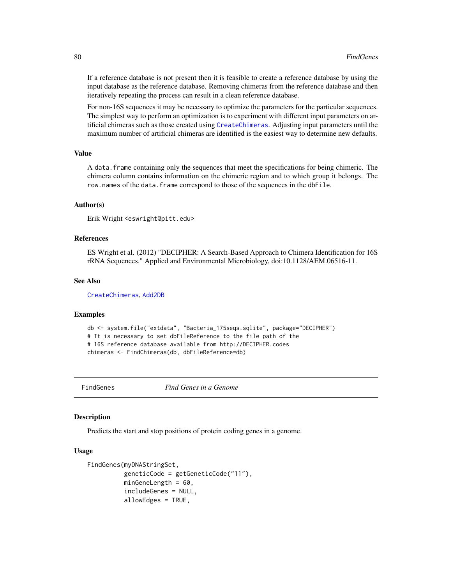If a reference database is not present then it is feasible to create a reference database by using the input database as the reference database. Removing chimeras from the reference database and then iteratively repeating the process can result in a clean reference database.

For non-16S sequences it may be necessary to optimize the parameters for the particular sequences. The simplest way to perform an optimization is to experiment with different input parameters on artificial chimeras such as those created using [CreateChimeras](#page-45-0). Adjusting input parameters until the maximum number of artificial chimeras are identified is the easiest way to determine new defaults.

#### Value

A data.frame containing only the sequences that meet the specifications for being chimeric. The chimera column contains information on the chimeric region and to which group it belongs. The row.names of the data.frame correspond to those of the sequences in the dbFile.

### Author(s)

Erik Wright <eswright@pitt.edu>

### References

ES Wright et al. (2012) "DECIPHER: A Search-Based Approach to Chimera Identification for 16S rRNA Sequences." Applied and Environmental Microbiology, doi:10.1128/AEM.06516-11.

#### See Also

[CreateChimeras](#page-45-0), [Add2DB](#page-6-0)

#### Examples

```
db <- system.file("extdata", "Bacteria_175seqs.sqlite", package="DECIPHER")
# It is necessary to set dbFileReference to the file path of the
# 16S reference database available from http://DECIPHER.codes
chimeras <- FindChimeras(db, dbFileReference=db)
```
<span id="page-79-0"></span>

FindGenes *Find Genes in a Genome*

#### **Description**

Predicts the start and stop positions of protein coding genes in a genome.

### Usage

```
FindGenes(myDNAStringSet,
          geneticCode = getGeneticCode("11"),
          minGeneLength = 60,
          includeGenes = NULL,
          allowEdges = TRUE,
```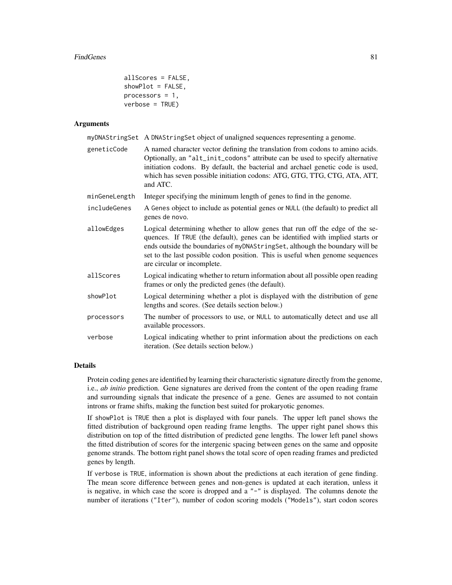```
allScores = FALSE,
showPlot = FALSE,
processors = 1,
verbose = TRUE)
```
### Arguments

|               | myDNAStringSet A DNAStringSet object of unaligned sequences representing a genome.                                                                                                                                                                                                                                                                            |
|---------------|---------------------------------------------------------------------------------------------------------------------------------------------------------------------------------------------------------------------------------------------------------------------------------------------------------------------------------------------------------------|
| geneticCode   | A named character vector defining the translation from codons to amino acids.<br>Optionally, an "alt_init_codons" attribute can be used to specify alternative<br>initiation codons. By default, the bacterial and archael genetic code is used,<br>which has seven possible initiation codons: ATG, GTG, TTG, CTG, ATA, ATT,<br>and ATC.                     |
| minGeneLength | Integer specifying the minimum length of genes to find in the genome.                                                                                                                                                                                                                                                                                         |
| includeGenes  | A Genes object to include as potential genes or NULL (the default) to predict all<br>genes de novo.                                                                                                                                                                                                                                                           |
| allowEdges    | Logical determining whether to allow genes that run off the edge of the se-<br>quences. If TRUE (the default), genes can be identified with implied starts or<br>ends outside the boundaries of myDNAStringSet, although the boundary will be<br>set to the last possible codon position. This is useful when genome sequences<br>are circular or incomplete. |
| allScores     | Logical indicating whether to return information about all possible open reading<br>frames or only the predicted genes (the default).                                                                                                                                                                                                                         |
| showPlot      | Logical determining whether a plot is displayed with the distribution of gene<br>lengths and scores. (See details section below.)                                                                                                                                                                                                                             |
| processors    | The number of processors to use, or NULL to automatically detect and use all<br>available processors.                                                                                                                                                                                                                                                         |
| verbose       | Logical indicating whether to print information about the predictions on each<br>iteration. (See details section below.)                                                                                                                                                                                                                                      |
|               |                                                                                                                                                                                                                                                                                                                                                               |

## Details

Protein coding genes are identified by learning their characteristic signature directly from the genome, i.e., *ab initio* prediction. Gene signatures are derived from the content of the open reading frame and surrounding signals that indicate the presence of a gene. Genes are assumed to not contain introns or frame shifts, making the function best suited for prokaryotic genomes.

If showPlot is TRUE then a plot is displayed with four panels. The upper left panel shows the fitted distribution of background open reading frame lengths. The upper right panel shows this distribution on top of the fitted distribution of predicted gene lengths. The lower left panel shows the fitted distribution of scores for the intergenic spacing between genes on the same and opposite genome strands. The bottom right panel shows the total score of open reading frames and predicted genes by length.

If verbose is TRUE, information is shown about the predictions at each iteration of gene finding. The mean score difference between genes and non-genes is updated at each iteration, unless it is negative, in which case the score is dropped and a "-" is displayed. The columns denote the number of iterations ("Iter"), number of codon scoring models ("Models"), start codon scores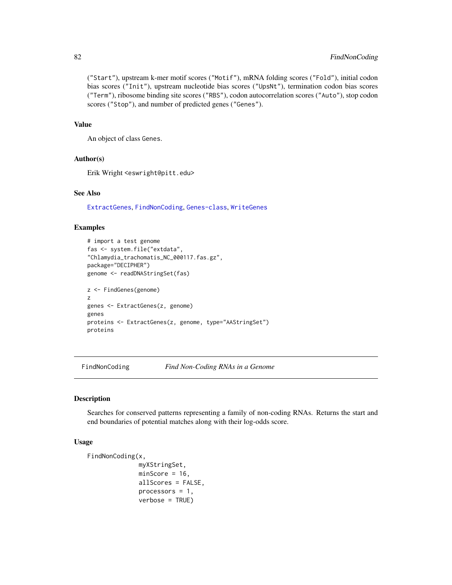# 82 FindNonCoding

("Start"), upstream k-mer motif scores ("Motif"), mRNA folding scores ("Fold"), initial codon bias scores ("Init"), upstream nucleotide bias scores ("UpsNt"), termination codon bias scores ("Term"), ribosome binding site scores ("RBS"), codon autocorrelation scores ("Auto"), stop codon scores ("Stop"), and number of predicted genes ("Genes").

## Value

An object of class Genes.

### Author(s)

Erik Wright <eswright@pitt.edu>

## See Also

[ExtractGenes](#page-75-0), [FindNonCoding](#page-81-0), [Genes-class](#page-87-0), [WriteGenes](#page-156-0)

## Examples

```
# import a test genome
fas <- system.file("extdata",
"Chlamydia_trachomatis_NC_000117.fas.gz",
package="DECIPHER")
genome <- readDNAStringSet(fas)
z <- FindGenes(genome)
z
genes <- ExtractGenes(z, genome)
genes
proteins <- ExtractGenes(z, genome, type="AAStringSet")
proteins
```
<span id="page-81-0"></span>FindNonCoding *Find Non-Coding RNAs in a Genome*

# Description

Searches for conserved patterns representing a family of non-coding RNAs. Returns the start and end boundaries of potential matches along with their log-odds score.

## Usage

```
FindNonCoding(x,
              myXStringSet,
              minScore = 16,
              allScores = FALSE,
              processors = 1,
              verbose = TRUE)
```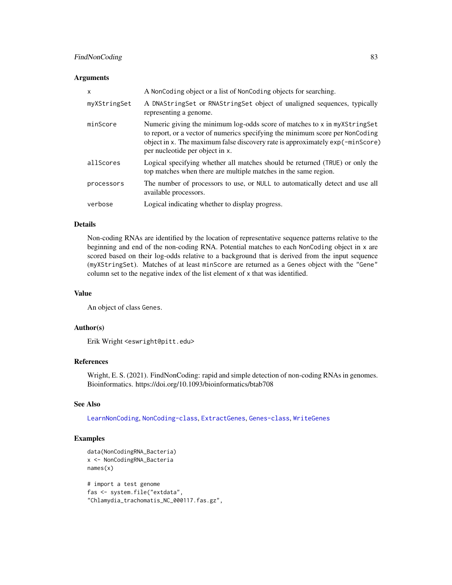# FindNonCoding 83

#### **Arguments**

| X            | A NonCoding object or a list of NonCoding objects for searching.                                                                                                                                                                                                               |
|--------------|--------------------------------------------------------------------------------------------------------------------------------------------------------------------------------------------------------------------------------------------------------------------------------|
| myXStringSet | A DNAStringSet or RNAStringSet object of unaligned sequences, typically<br>representing a genome.                                                                                                                                                                              |
| minScore     | Numeric giving the minimum log-odds score of matches to x in myXStringSet<br>to report, or a vector of numerics specifying the minimum score per NonCoding<br>object in x. The maximum false discovery rate is approximately exp(-minScore)<br>per nucleotide per object in x. |
| allScores    | Logical specifying whether all matches should be returned (TRUE) or only the<br>top matches when there are multiple matches in the same region.                                                                                                                                |
| processors   | The number of processors to use, or NULL to automatically detect and use all<br>available processors.                                                                                                                                                                          |
| verbose      | Logical indicating whether to display progress.                                                                                                                                                                                                                                |

## Details

Non-coding RNAs are identified by the location of representative sequence patterns relative to the beginning and end of the non-coding RNA. Potential matches to each NonCoding object in x are scored based on their log-odds relative to a background that is derived from the input sequence (myXStringSet). Matches of at least minScore are returned as a Genes object with the "Gene" column set to the negative index of the list element of x that was identified.

### Value

An object of class Genes.

### Author(s)

Erik Wright <eswright@pitt.edu>

# References

Wright, E. S. (2021). FindNonCoding: rapid and simple detection of non-coding RNAs in genomes. Bioinformatics. https://doi.org/10.1093/bioinformatics/btab708

## See Also

[LearnNonCoding](#page-98-0), [NonCoding-class](#page-116-0), [ExtractGenes](#page-75-0), [Genes-class](#page-87-0), [WriteGenes](#page-156-0)

# Examples

```
data(NonCodingRNA_Bacteria)
x <- NonCodingRNA_Bacteria
names(x)
# import a test genome
fas <- system.file("extdata",
"Chlamydia_trachomatis_NC_000117.fas.gz",
```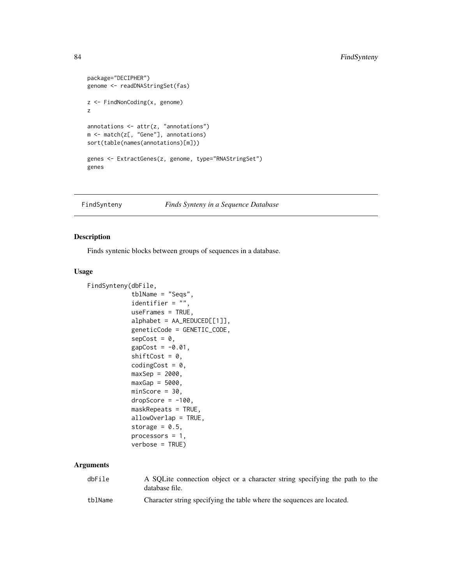```
package="DECIPHER")
genome <- readDNAStringSet(fas)
z <- FindNonCoding(x, genome)
z
annotations \leq attr(z, "annotations")
m <- match(z[, "Gene"], annotations)
sort(table(names(annotations)[m]))
genes <- ExtractGenes(z, genome, type="RNAStringSet")
genes
```
FindSynteny *Finds Synteny in a Sequence Database*

## Description

Finds syntenic blocks between groups of sequences in a database.

## Usage

```
FindSynteny(dbFile,
            tblName = "Seqs",
            identifier = ",
            useFrames = TRUE,
            alphabet = AA_REDUCED[[1]],
            geneticCode = GENETIC_CODE,
            sepcost = 0,
            gapCost = -0.01,shiftCost = 0,codingCost = 0,
            maxSep = 2000,maxGap = 5000,minScore = 30,
            dropScore = -100,maskRepeats = TRUE,
            allowOverlap = TRUE,
            storage = 0.5,
            processors = 1,
            verbose = TRUE)
```

| dbFile  | A SQLite connection object or a character string specifying the path to the<br>database file. |
|---------|-----------------------------------------------------------------------------------------------|
| tblName | Character string specifying the table where the sequences are located.                        |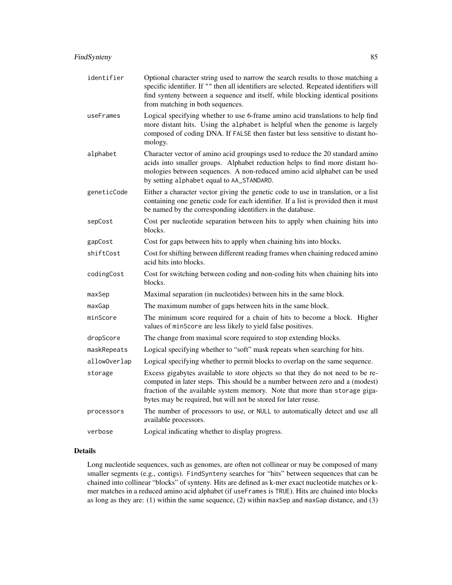| identifier   | Optional character string used to narrow the search results to those matching a<br>specific identifier. If "" then all identifiers are selected. Repeated identifiers will<br>find synteny between a sequence and itself, while blocking identical positions<br>from matching in both sequences.               |
|--------------|----------------------------------------------------------------------------------------------------------------------------------------------------------------------------------------------------------------------------------------------------------------------------------------------------------------|
| useFrames    | Logical specifying whether to use 6-frame amino acid translations to help find<br>more distant hits. Using the alphabet is helpful when the genome is largely<br>composed of coding DNA. If FALSE then faster but less sensitive to distant ho-<br>mology.                                                     |
| alphabet     | Character vector of amino acid groupings used to reduce the 20 standard amino<br>acids into smaller groups. Alphabet reduction helps to find more distant ho-<br>mologies between sequences. A non-reduced amino acid alphabet can be used<br>by setting alphabet equal to AA_STANDARD.                        |
| geneticCode  | Either a character vector giving the genetic code to use in translation, or a list<br>containing one genetic code for each identifier. If a list is provided then it must<br>be named by the corresponding identifiers in the database.                                                                        |
| sepCost      | Cost per nucleotide separation between hits to apply when chaining hits into<br>blocks.                                                                                                                                                                                                                        |
| gapCost      | Cost for gaps between hits to apply when chaining hits into blocks.                                                                                                                                                                                                                                            |
| shiftCost    | Cost for shifting between different reading frames when chaining reduced amino<br>acid hits into blocks.                                                                                                                                                                                                       |
| codingCost   | Cost for switching between coding and non-coding hits when chaining hits into<br>blocks.                                                                                                                                                                                                                       |
| maxSep       | Maximal separation (in nucleotides) between hits in the same block.                                                                                                                                                                                                                                            |
| maxGap       | The maximum number of gaps between hits in the same block.                                                                                                                                                                                                                                                     |
| minScore     | The minimum score required for a chain of hits to become a block. Higher<br>values of minScore are less likely to yield false positives.                                                                                                                                                                       |
| dropScore    | The change from maximal score required to stop extending blocks.                                                                                                                                                                                                                                               |
| maskRepeats  | Logical specifying whether to "soft" mask repeats when searching for hits.                                                                                                                                                                                                                                     |
| allowOverlap | Logical specifying whether to permit blocks to overlap on the same sequence.                                                                                                                                                                                                                                   |
| storage      | Excess gigabytes available to store objects so that they do not need to be re-<br>computed in later steps. This should be a number between zero and a (modest)<br>fraction of the available system memory. Note that more than storage giga-<br>bytes may be required, but will not be stored for later reuse. |
| processors   | The number of processors to use, or NULL to automatically detect and use all<br>available processors.                                                                                                                                                                                                          |
| verbose      | Logical indicating whether to display progress.                                                                                                                                                                                                                                                                |

# Details

Long nucleotide sequences, such as genomes, are often not collinear or may be composed of many smaller segments (e.g., contigs). FindSynteny searches for "hits" between sequences that can be chained into collinear "blocks" of synteny. Hits are defined as k-mer exact nucleotide matches or kmer matches in a reduced amino acid alphabet (if useFrames is TRUE). Hits are chained into blocks as long as they are: (1) within the same sequence, (2) within maxSep and maxGap distance, and (3)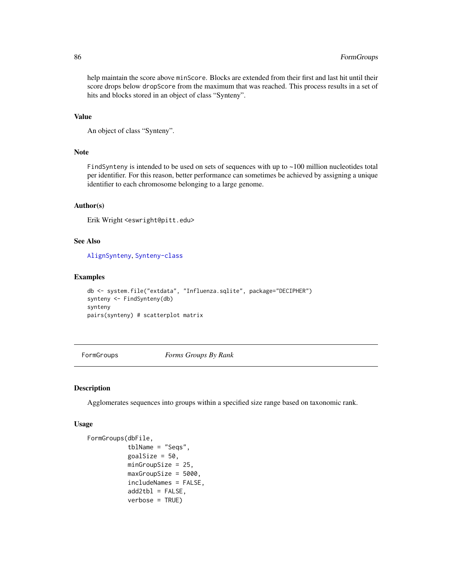# 86 FormGroups and the set of the set of the set of the set of the set of the set of the set of the set of the set of the set of the set of the set of the set of the set of the set of the set of the set of the set of the se

help maintain the score above minScore. Blocks are extended from their first and last hit until their score drops below dropScore from the maximum that was reached. This process results in a set of hits and blocks stored in an object of class "Synteny".

#### Value

```
An object of class "Synteny".
```
## Note

FindSynteny is intended to be used on sets of sequences with up to ~100 million nucleotides total per identifier. For this reason, better performance can sometimes be achieved by assigning a unique identifier to each chromosome belonging to a large genome.

## Author(s)

Erik Wright <eswright@pitt.edu>

# See Also

[AlignSynteny](#page-19-0), [Synteny-class](#page-138-0)

#### Examples

```
db <- system.file("extdata", "Influenza.sqlite", package="DECIPHER")
synteny <- FindSynteny(db)
synteny
pairs(synteny) # scatterplot matrix
```
<span id="page-85-0"></span>FormGroups *Forms Groups By Rank*

#### Description

Agglomerates sequences into groups within a specified size range based on taxonomic rank.

#### Usage

```
FormGroups(dbFile,
           tblName = "Seqs",
           goalSize = 50.
           minGroupSize = 25,
           maxGroupSize = 5000,
           includeNames = FALSE,
           add2tb1 = FALSE,verbose = TRUE)
```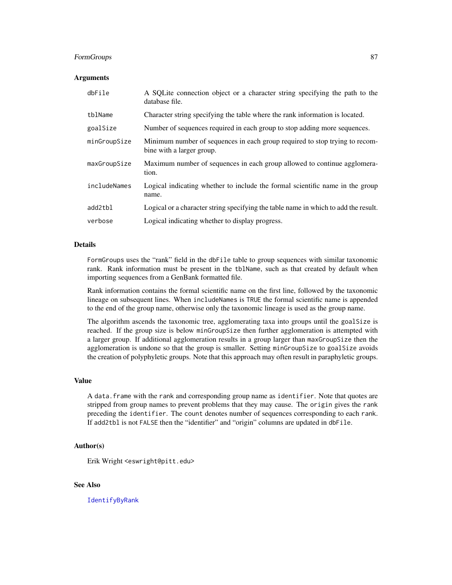# FormGroups 87

### **Arguments**

| dbFile       | A SQLite connection object or a character string specifying the path to the<br>database file.            |
|--------------|----------------------------------------------------------------------------------------------------------|
| tblName      | Character string specifying the table where the rank information is located.                             |
| goalSize     | Number of sequences required in each group to stop adding more sequences.                                |
| minGroupSize | Minimum number of sequences in each group required to stop trying to recom-<br>bine with a larger group. |
| maxGroupSize | Maximum number of sequences in each group allowed to continue agglomera-<br>tion.                        |
| includeNames | Logical indicating whether to include the formal scientific name in the group<br>name.                   |
| add2tbl      | Logical or a character string specifying the table name in which to add the result.                      |
| verbose      | Logical indicating whether to display progress.                                                          |

## Details

FormGroups uses the "rank" field in the dbFile table to group sequences with similar taxonomic rank. Rank information must be present in the tblName, such as that created by default when importing sequences from a GenBank formatted file.

Rank information contains the formal scientific name on the first line, followed by the taxonomic lineage on subsequent lines. When includeNames is TRUE the formal scientific name is appended to the end of the group name, otherwise only the taxonomic lineage is used as the group name.

The algorithm ascends the taxonomic tree, agglomerating taxa into groups until the goalSize is reached. If the group size is below minGroupSize then further agglomeration is attempted with a larger group. If additional agglomeration results in a group larger than maxGroupSize then the agglomeration is undone so that the group is smaller. Setting minGroupSize to goalSize avoids the creation of polyphyletic groups. Note that this approach may often result in paraphyletic groups.

#### Value

A data.frame with the rank and corresponding group name as identifier. Note that quotes are stripped from group names to prevent problems that they may cause. The origin gives the rank preceding the identifier. The count denotes number of sequences corresponding to each rank. If add2tbl is not FALSE then the "identifier" and "origin" columns are updated in dbFile.

### Author(s)

Erik Wright <eswright@pitt.edu>

## See Also

[IdentifyByRank](#page-93-0)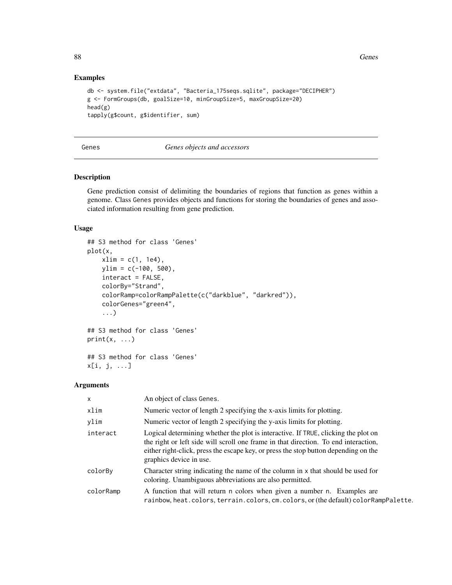88 Genes and the contract of the contract of the contract of the contract of the contract of the contract of the contract of the contract of the contract of the contract of the contract of the contract of the contract of t

### Examples

```
db <- system.file("extdata", "Bacteria_175seqs.sqlite", package="DECIPHER")
g <- FormGroups(db, goalSize=10, minGroupSize=5, maxGroupSize=20)
head(g)
tapply(g$count, g$identifier, sum)
```
### Genes *Genes objects and accessors*

### <span id="page-87-0"></span>Description

Gene prediction consist of delimiting the boundaries of regions that function as genes within a genome. Class Genes provides objects and functions for storing the boundaries of genes and associated information resulting from gene prediction.

### Usage

```
## S3 method for class 'Genes'
plot(x,
    xlim = c(1, 1e4),ylim = c(-100, 500),
    interact = FALSE,
    colorBy="Strand",
    colorRamp=colorRampPalette(c("darkblue", "darkred")),
    colorGenes="green4",
    ...)
## S3 method for class 'Genes'
print(x, \ldots)
```
## S3 method for class 'Genes' x[i, j, ...]

| $\mathsf{x}$ | An object of class Genes.                                                                                                                                                                                                                                                                   |
|--------------|---------------------------------------------------------------------------------------------------------------------------------------------------------------------------------------------------------------------------------------------------------------------------------------------|
| xlim         | Numeric vector of length 2 specifying the x-axis limits for plotting.                                                                                                                                                                                                                       |
| ylim         | Numeric vector of length 2 specifying the y-axis limits for plotting.                                                                                                                                                                                                                       |
| interact     | Logical determining whether the plot is interactive. If TRUE, clicking the plot on<br>the right or left side will scroll one frame in that direction. To end interaction,<br>either right-click, press the escape key, or press the stop button depending on the<br>graphics device in use. |
| colorBy      | Character string indicating the name of the column in x that should be used for<br>coloring. Unambiguous abbreviations are also permitted.                                                                                                                                                  |
| colorRamp    | A function that will return n colors when given a number n. Examples are<br>rainbow, heat.colors, terrain.colors, cm.colors, or (the default) colorRampPalette.                                                                                                                             |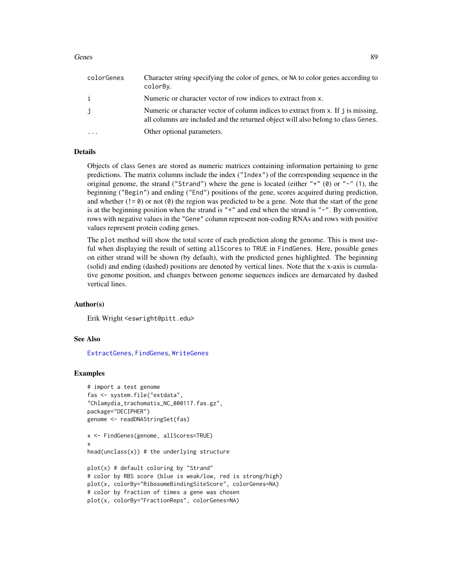#### Genes 89

| colorGenes | Character string specifying the color of genes, or NA to color genes according to<br>colorBy.                                                                          |
|------------|------------------------------------------------------------------------------------------------------------------------------------------------------------------------|
| i          | Numeric or character vector of row indices to extract from x.                                                                                                          |
| j          | Numeric or character vector of column indices to extract from x. If j is missing,<br>all columns are included and the returned object will also belong to class Genes. |
|            | Other optional parameters.                                                                                                                                             |

### Details

Objects of class Genes are stored as numeric matrices containing information pertaining to gene predictions. The matrix columns include the index ("Index") of the corresponding sequence in the original genome, the strand ("Strand") where the gene is located (either " $+$ " (0) or " $-$ " (1), the beginning ("Begin") and ending ("End") positions of the gene, scores acquired during prediction, and whether  $(!= 0)$  or not  $(0)$  the region was predicted to be a gene. Note that the start of the gene is at the beginning position when the strand is  $"+"$  and end when the strand is  $"-"$ . By convention, rows with negative values in the "Gene" column represent non-coding RNAs and rows with positive values represent protein coding genes.

The plot method will show the total score of each prediction along the genome. This is most useful when displaying the result of setting allScores to TRUE in FindGenes. Here, possible genes on either strand will be shown (by default), with the predicted genes highlighted. The beginning (solid) and ending (dashed) positions are denoted by vertical lines. Note that the x-axis is cumulative genome position, and changes between genome sequences indices are demarcated by dashed vertical lines.

### Author(s)

Erik Wright <eswright@pitt.edu>

#### See Also

[ExtractGenes](#page-75-0), [FindGenes](#page-79-0), [WriteGenes](#page-156-0)

## Examples

```
# import a test genome
fas <- system.file("extdata",
"Chlamydia_trachomatis_NC_000117.fas.gz",
package="DECIPHER")
genome <- readDNAStringSet(fas)
x <- FindGenes(genome, allScores=TRUE)
x
head(unclass(x)) # the underlying structure
plot(x) # default coloring by "Strand"
# color by RBS score (blue is weak/low, red is strong/high)
plot(x, colorBy="RibosomeBindingSiteScore", colorGenes=NA)
# color by fraction of times a gene was chosen
plot(x, colorBy="FractionReps", colorGenes=NA)
```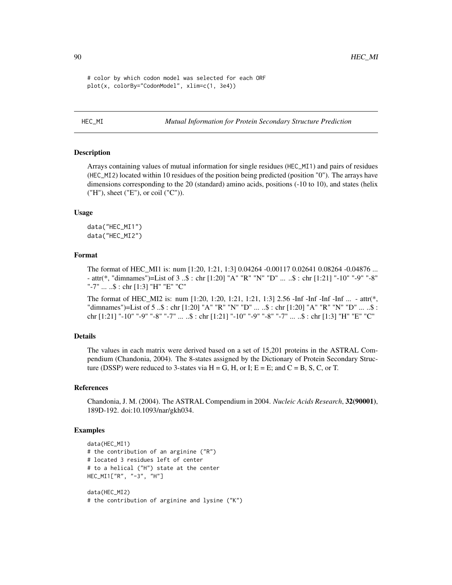```
# color by which codon model was selected for each ORF
plot(x, colorBy="CodonModel", xlim=c(1, 3e4))
```
HEC\_MI *Mutual Information for Protein Secondary Structure Prediction*

## Description

Arrays containing values of mutual information for single residues (HEC\_MI1) and pairs of residues (HEC\_MI2) located within 10 residues of the position being predicted (position "0"). The arrays have dimensions corresponding to the 20 (standard) amino acids, positions (-10 to 10), and states (helix ("H"), sheet ("E"), or coil ("C")).

### Usage

data("HEC\_MI1") data("HEC\_MI2")

### Format

The format of HEC\_MI1 is: num [1:20, 1:21, 1:3] 0.04264 -0.00117 0.02641 0.08264 -0.04876 ... - attr(\*, "dimnames")=List of 3 ..\$ : chr [1:20] "A" "R" "N" "D" ... ..\$ : chr [1:21] "-10" "-9" "-8" "-7" ... ..\$ : chr [1:3] "H" "E" "C"

The format of HEC\_MI2 is: num [1:20, 1:20, 1:21, 1:21, 1:3] 2.56 -Inf -Inf -Inf -Inf ... - attr(\*, "dimnames")=List of 5 ..\$ : chr [1:20] "A" "R" "N" "D" ... ..\$ : chr [1:20] "A" "R" "N" "D" ... ..\$ : chr [1:21] "-10" "-9" "-8" "-7" ... ..\$ : chr [1:21] "-10" "-9" "-8" "-7" ... ..\$ : chr [1:3] "H" "E" "C"

### Details

The values in each matrix were derived based on a set of 15,201 proteins in the ASTRAL Compendium (Chandonia, 2004). The 8-states assigned by the Dictionary of Protein Secondary Structure (DSSP) were reduced to 3-states via  $H = G$ , H, or I;  $E = E$ ; and  $C = B$ , S, C, or T.

#### References

Chandonia, J. M. (2004). The ASTRAL Compendium in 2004. *Nucleic Acids Research*, 32(90001), 189D-192. doi:10.1093/nar/gkh034.

### Examples

```
data(HEC_MI1)
# the contribution of an arginine ("R")
# located 3 residues left of center
# to a helical ("H") state at the center
HEC_MI1["R", "-3", "H"]
data(HEC_MI2)
```
# the contribution of arginine and lysine ("K")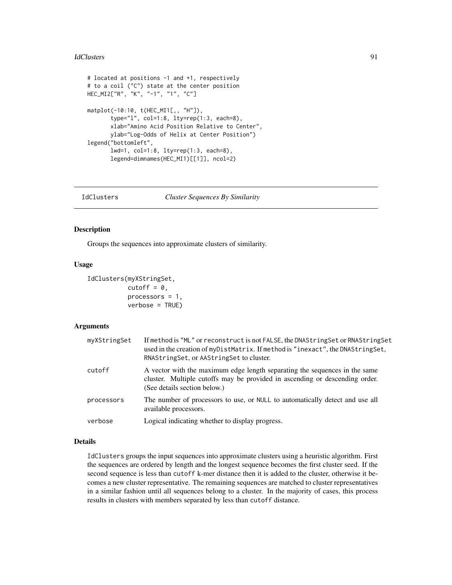#### IdClusters 91

```
# located at positions -1 and +1, respectively
# to a coil ("C") state at the center position
HEC_MI2["R", "K", "-1", "1", "C"]
matplot(-10:10, t(HEC_MI1[,, "H"]),
       type="l", col=1:8, lty=rep(1:3, each=8),
       xlab="Amino Acid Position Relative to Center",
       ylab="Log-Odds of Helix at Center Position")
legend("bottomleft",
       lwd=1, col=1:8, lty=rep(1:3, each=8),
       legend=dimnames(HEC_MI1)[[1]], ncol=2)
```
### IdClusters *Cluster Sequences By Similarity*

### **Description**

Groups the sequences into approximate clusters of similarity.

### Usage

```
IdClusters(myXStringSet,
           cutoff = 0,
           processors = 1,
           verbose = TRUE)
```
# **Arguments**

| myXStringSet | If method is "ML" or reconstruct is not FALSE, the DNAStringSet or RNAStringSet<br>used in the creation of myDistMatrix. If method is "inexact", the DNAStringSet,<br>RNAStringSet, or AAStringSet to cluster. |
|--------------|----------------------------------------------------------------------------------------------------------------------------------------------------------------------------------------------------------------|
| cutoff       | A vector with the maximum edge length separating the sequences in the same<br>cluster. Multiple cutoffs may be provided in ascending or descending order.<br>(See details section below.)                      |
| processors   | The number of processors to use, or NULL to automatically detect and use all<br>available processors.                                                                                                          |
| verbose      | Logical indicating whether to display progress.                                                                                                                                                                |

# Details

IdClusters groups the input sequences into approximate clusters using a heuristic algorithm. First the sequences are ordered by length and the longest sequence becomes the first cluster seed. If the second sequence is less than cutoff k-mer distance then it is added to the cluster, otherwise it becomes a new cluster representative. The remaining sequences are matched to cluster representatives in a similar fashion until all sequences belong to a cluster. In the majority of cases, this process results in clusters with members separated by less than cutoff distance.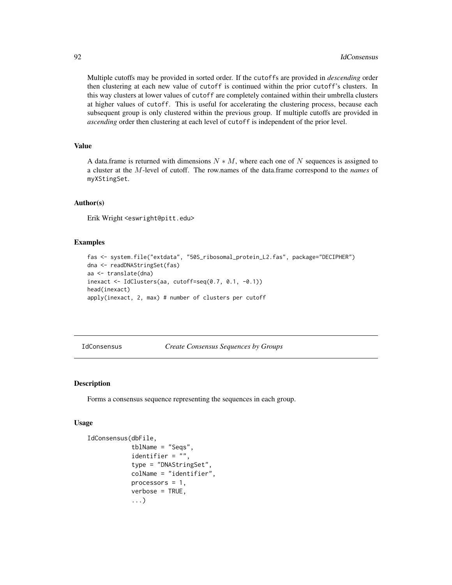Multiple cutoffs may be provided in sorted order. If the cutoffs are provided in *descending* order then clustering at each new value of cutoff is continued within the prior cutoff's clusters. In this way clusters at lower values of cutoff are completely contained within their umbrella clusters at higher values of cutoff. This is useful for accelerating the clustering process, because each subsequent group is only clustered within the previous group. If multiple cutoffs are provided in *ascending* order then clustering at each level of cutoff is independent of the prior level.

# Value

A data.frame is returned with dimensions  $N * M$ , where each one of N sequences is assigned to a cluster at the M-level of cutoff. The row.names of the data.frame correspond to the *names* of myXStingSet.

## Author(s)

Erik Wright <eswright@pitt.edu>

### Examples

```
fas <- system.file("extdata", "50S_ribosomal_protein_L2.fas", package="DECIPHER")
dna <- readDNAStringSet(fas)
aa <- translate(dna)
inexact <- IdClusters(aa, cutoff=seq(0.7, 0.1, -0.1))
head(inexact)
apply(inexact, 2, max) # number of clusters per cutoff
```

```
IdConsensus Create Consensus Sequences by Groups
```
### Description

Forms a consensus sequence representing the sequences in each group.

#### Usage

```
IdConsensus(dbFile,
            tblName = "Seqs",
            identifier = "",
            type = "DNAStringSet",
            colName = "identifier",
            processors = 1,
            verbose = TRUE,
            ...)
```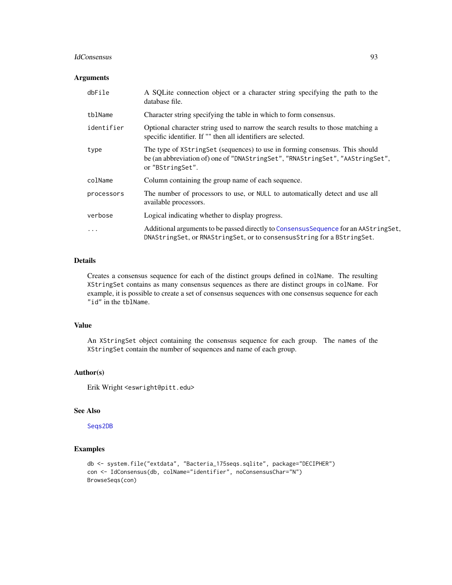#### IdConsensus 93

### Arguments

| dbFile     | A SQLite connection object or a character string specifying the path to the<br>database file.                                                                                    |
|------------|----------------------------------------------------------------------------------------------------------------------------------------------------------------------------------|
| tblName    | Character string specifying the table in which to form consensus.                                                                                                                |
| identifier | Optional character string used to narrow the search results to those matching a<br>specific identifier. If "" then all identifiers are selected.                                 |
| type       | The type of XStringSet (sequences) to use in forming consensus. This should<br>be (an abbreviation of) one of "DNAStringSet", "RNAStringSet", "AAStringSet",<br>or "BStringSet". |
| colName    | Column containing the group name of each sequence.                                                                                                                               |
| processors | The number of processors to use, or NULL to automatically detect and use all<br>available processors.                                                                            |
| verbose    | Logical indicating whether to display progress.                                                                                                                                  |
| $\ddots$   | Additional arguments to be passed directly to Consensus Sequence for an AAString Set,<br>DNAStringSet, or RNAStringSet, or to consensusString for a BStringSet.                  |

## Details

Creates a consensus sequence for each of the distinct groups defined in colName. The resulting XStringSet contains as many consensus sequences as there are distinct groups in colName. For example, it is possible to create a set of consensus sequences with one consensus sequence for each "id" in the tblName.

## Value

An XStringSet object containing the consensus sequence for each group. The names of the XStringSet contain the number of sequences and name of each group.

### Author(s)

Erik Wright <eswright@pitt.edu>

# See Also

# [Seqs2DB](#page-134-0)

## Examples

```
db <- system.file("extdata", "Bacteria_175seqs.sqlite", package="DECIPHER")
con <- IdConsensus(db, colName="identifier", noConsensusChar="N")
BrowseSeqs(con)
```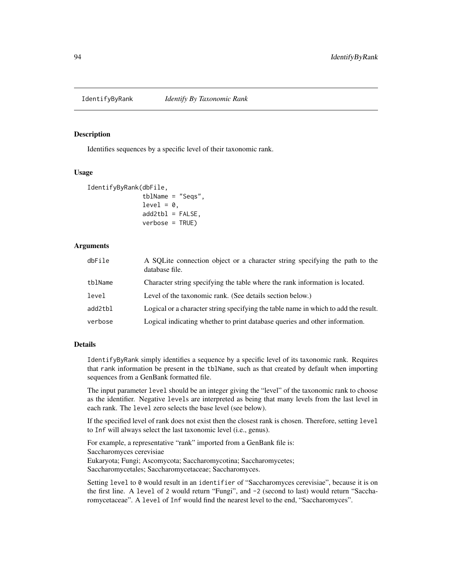<span id="page-93-0"></span>

## Description

Identifies sequences by a specific level of their taxonomic rank.

### Usage

```
IdentifyByRank(dbFile,
               tblName = "Seqs",
               level = 0,
               add2tb1 = FALSE,verbose = TRUE)
```
# Arguments

| dbFile  | A SQLite connection object or a character string specifying the path to the<br>database file. |
|---------|-----------------------------------------------------------------------------------------------|
| tblName | Character string specifying the table where the rank information is located.                  |
| level   | Level of the taxonomic rank. (See details section below.)                                     |
| add2tbl | Logical or a character string specifying the table name in which to add the result.           |
| verbose | Logical indicating whether to print database queries and other information.                   |

### Details

IdentifyByRank simply identifies a sequence by a specific level of its taxonomic rank. Requires that rank information be present in the tblName, such as that created by default when importing sequences from a GenBank formatted file.

The input parameter level should be an integer giving the "level" of the taxonomic rank to choose as the identifier. Negative levels are interpreted as being that many levels from the last level in each rank. The level zero selects the base level (see below).

If the specified level of rank does not exist then the closest rank is chosen. Therefore, setting level to Inf will always select the last taxonomic level (i.e., genus).

For example, a representative "rank" imported from a GenBank file is: Saccharomyces cerevisiae Eukaryota; Fungi; Ascomycota; Saccharomycotina; Saccharomycetes; Saccharomycetales; Saccharomycetaceae; Saccharomyces.

Setting level to 0 would result in an identifier of "Saccharomyces cerevisiae", because it is on the first line. A level of 2 would return "Fungi", and -2 (second to last) would return "Saccharomycetaceae". A level of Inf would find the nearest level to the end, "Saccharomyces".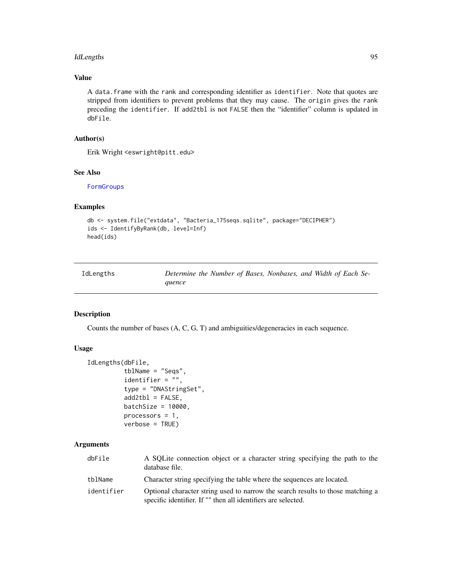#### IdLengths 95

# Value

A data.frame with the rank and corresponding identifier as identifier. Note that quotes are stripped from identifiers to prevent problems that they may cause. The origin gives the rank preceding the identifier. If add2tbl is not FALSE then the "identifier" column is updated in dbFile.

# Author(s)

Erik Wright <eswright@pitt.edu>

#### See Also

[FormGroups](#page-85-0)

## Examples

```
db <- system.file("extdata", "Bacteria_175seqs.sqlite", package="DECIPHER")
ids <- IdentifyByRank(db, level=Inf)
head(ids)
```

| IdLengths | Determine the Number of Bases, Nonbases, and Width of Each Se- |
|-----------|----------------------------------------------------------------|
|           | auence                                                         |

# Description

Counts the number of bases (A, C, G, T) and ambiguities/degeneracies in each sequence.

## Usage

```
IdLengths(dbFile,
          tblName = "Seqs",
          identifier = ",
          type = "DNAStringSet",
          add2tb1 = FALSE,batchSize = 10000,
         processors = 1,
         verbose = TRUE)
```

| dbFile     | A SOLite connection object or a character string specifying the path to the<br>database file.                                                    |
|------------|--------------------------------------------------------------------------------------------------------------------------------------------------|
| tblName    | Character string specifying the table where the sequences are located.                                                                           |
| identifier | Optional character string used to narrow the search results to those matching a<br>specific identifier. If "" then all identifiers are selected. |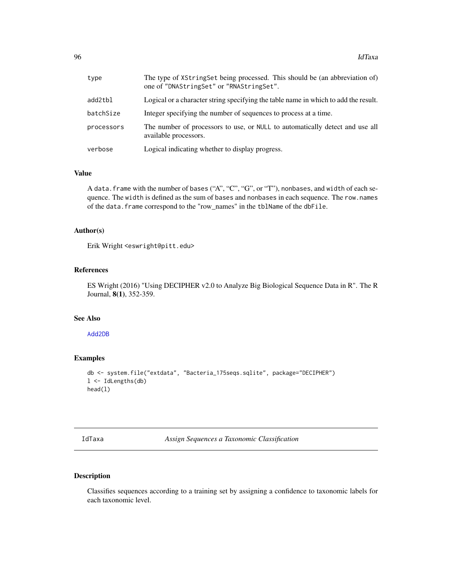| type       | The type of XStringSet being processed. This should be (an abbreviation of)<br>one of "DNAStringSet" or "RNAStringSet". |
|------------|-------------------------------------------------------------------------------------------------------------------------|
| add2tbl    | Logical or a character string specifying the table name in which to add the result.                                     |
| batchSize  | Integer specifying the number of sequences to process at a time.                                                        |
| processors | The number of processors to use, or NULL to automatically detect and use all<br>available processors.                   |
| verbose    | Logical indicating whether to display progress.                                                                         |

### Value

A data. frame with the number of bases ("A", "C", "G", or "T"), nonbases, and width of each sequence. The width is defined as the sum of bases and nonbases in each sequence. The row.names of the data.frame correspond to the "row\_names" in the tblName of the dbFile.

#### Author(s)

Erik Wright <eswright@pitt.edu>

### References

ES Wright (2016) "Using DECIPHER v2.0 to Analyze Big Biological Sequence Data in R". The R Journal, 8(1), 352-359.

### See Also

## [Add2DB](#page-6-0)

# Examples

```
db <- system.file("extdata", "Bacteria_175seqs.sqlite", package="DECIPHER")
l <- IdLengths(db)
head(l)
```
<span id="page-95-0"></span>

| <b>CL</b><br>ż. |  | xа |
|-----------------|--|----|
|-----------------|--|----|

**Assign Sequences a Taxonomic Classification** 

## Description

Classifies sequences according to a training set by assigning a confidence to taxonomic labels for each taxonomic level.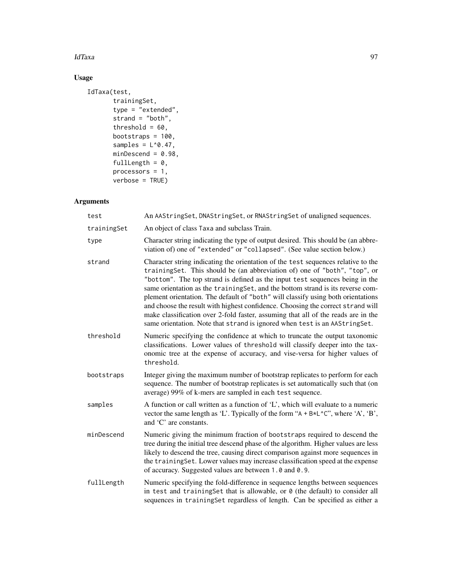### IdTaxa 97

# Usage

```
IdTaxa(test,
       trainingSet,
       type = "extended",
       strand = "both",
       threshold = 60,
       bootstraps = 100,
       samples = L^0.47,
       minDescend = 0.98,
       fullLength = 0,
       processors = 1,
       verbose = TRUE)
```

| test        | An AAStringSet, DNAStringSet, or RNAStringSet of unaligned sequences.                                                                                                                                                                                                                                                                                                                                                                                                                                                                                                                                                                                                      |
|-------------|----------------------------------------------------------------------------------------------------------------------------------------------------------------------------------------------------------------------------------------------------------------------------------------------------------------------------------------------------------------------------------------------------------------------------------------------------------------------------------------------------------------------------------------------------------------------------------------------------------------------------------------------------------------------------|
| trainingSet | An object of class Taxa and subclass Train.                                                                                                                                                                                                                                                                                                                                                                                                                                                                                                                                                                                                                                |
| type        | Character string indicating the type of output desired. This should be (an abbre-<br>viation of) one of "extended" or "collapsed". (See value section below.)                                                                                                                                                                                                                                                                                                                                                                                                                                                                                                              |
| strand      | Character string indicating the orientation of the test sequences relative to the<br>trainingSet. This should be (an abbreviation of) one of "both", "top", or<br>"bottom". The top strand is defined as the input test sequences being in the<br>same orientation as the trainingSet, and the bottom strand is its reverse com-<br>plement orientation. The default of "both" will classify using both orientations<br>and choose the result with highest confidence. Choosing the correct strand will<br>make classification over 2-fold faster, assuming that all of the reads are in the<br>same orientation. Note that strand is ignored when test is an AAStringSet. |
| threshold   | Numeric specifying the confidence at which to truncate the output taxonomic<br>classifications. Lower values of threshold will classify deeper into the tax-<br>onomic tree at the expense of accuracy, and vise-versa for higher values of<br>threshold.                                                                                                                                                                                                                                                                                                                                                                                                                  |
| bootstraps  | Integer giving the maximum number of bootstrap replicates to perform for each<br>sequence. The number of bootstrap replicates is set automatically such that (on<br>average) 99% of k-mers are sampled in each test sequence.                                                                                                                                                                                                                                                                                                                                                                                                                                              |
| samples     | A function or call written as a function of $L'$ , which will evaluate to a numeric<br>vector the same length as 'L'. Typically of the form " $A + B * L^c$ ", where 'A', 'B',<br>and 'C' are constants.                                                                                                                                                                                                                                                                                                                                                                                                                                                                   |
| minDescend  | Numeric giving the minimum fraction of bootstraps required to descend the<br>tree during the initial tree descend phase of the algorithm. Higher values are less<br>likely to descend the tree, causing direct comparison against more sequences in<br>the trainingSet. Lower values may increase classification speed at the expense<br>of accuracy. Suggested values are between 1.0 and 0.9.                                                                                                                                                                                                                                                                            |
| fullLength  | Numeric specifying the fold-difference in sequence lengths between sequences<br>in test and training Set that is allowable, or $\theta$ (the default) to consider all<br>sequences in trainingSet regardless of length. Can be specified as either a                                                                                                                                                                                                                                                                                                                                                                                                                       |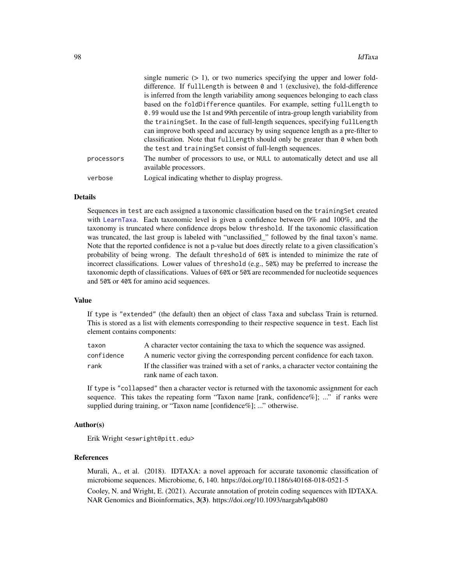|            | single numeric $(> 1)$ , or two numerics specifying the upper and lower fold-                         |
|------------|-------------------------------------------------------------------------------------------------------|
|            | difference. If fullLength is between 0 and 1 (exclusive), the fold-difference                         |
|            | is inferred from the length variability among sequences belonging to each class                       |
|            | based on the foldDifference quantiles. For example, setting fullLength to                             |
|            | 0.99 would use the 1st and 99th percentile of intra-group length variability from                     |
|            | the trainingSet. In the case of full-length sequences, specifying fullLength                          |
|            | can improve both speed and accuracy by using sequence length as a pre-filter to                       |
|            | classification. Note that full Length should only be greater than $\theta$ when both                  |
|            | the test and training Set consist of full-length sequences.                                           |
| processors | The number of processors to use, or NULL to automatically detect and use all<br>available processors. |
| verbose    | Logical indicating whether to display progress.                                                       |
|            |                                                                                                       |

### Details

Sequences in test are each assigned a taxonomic classification based on the trainingSet created with [LearnTaxa](#page-100-0). Each taxonomic level is given a confidence between 0% and 100%, and the taxonomy is truncated where confidence drops below threshold. If the taxonomic classification was truncated, the last group is labeled with "unclassified\_" followed by the final taxon's name. Note that the reported confidence is not a p-value but does directly relate to a given classification's probability of being wrong. The default threshold of 60% is intended to minimize the rate of incorrect classifications. Lower values of threshold (e.g., 50%) may be preferred to increase the taxonomic depth of classifications. Values of 60% or 50% are recommended for nucleotide sequences and 50% or 40% for amino acid sequences.

#### Value

If type is "extended" (the default) then an object of class Taxa and subclass Train is returned. This is stored as a list with elements corresponding to their respective sequence in test. Each list element contains components:

| taxon      | A character vector containing the taxa to which the sequence was assigned.                                       |
|------------|------------------------------------------------------------------------------------------------------------------|
| confidence | A numeric vector giving the corresponding percent confidence for each taxon.                                     |
| rank       | If the classifier was trained with a set of ranks, a character vector containing the<br>rank name of each taxon. |

If type is "collapsed" then a character vector is returned with the taxonomic assignment for each sequence. This takes the repeating form "Taxon name [rank, confidence%]; ..." if ranks were supplied during training, or "Taxon name [confidence%]; ..." otherwise.

#### Author(s)

Erik Wright <eswright@pitt.edu>

### References

Murali, A., et al. (2018). IDTAXA: a novel approach for accurate taxonomic classification of microbiome sequences. Microbiome, 6, 140. https://doi.org/10.1186/s40168-018-0521-5 Cooley, N. and Wright, E. (2021). Accurate annotation of protein coding sequences with IDTAXA. NAR Genomics and Bioinformatics, 3(3). https://doi.org/10.1093/nargab/lqab080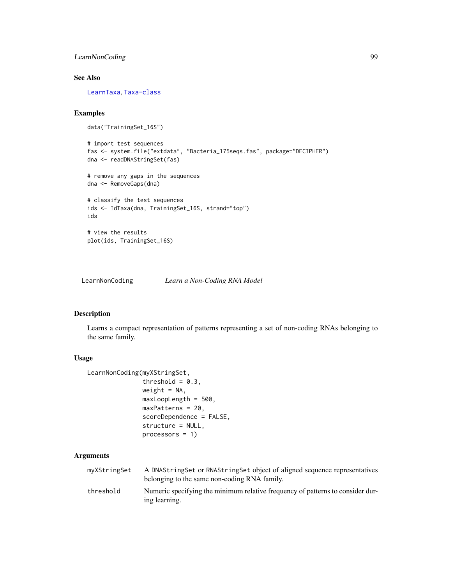# LearnNonCoding 99

## See Also

[LearnTaxa](#page-100-0), [Taxa-class](#page-141-0)

# Examples

```
data("TrainingSet_16S")
```

```
# import test sequences
fas <- system.file("extdata", "Bacteria_175seqs.fas", package="DECIPHER")
dna <- readDNAStringSet(fas)
```
# remove any gaps in the sequences dna <- RemoveGaps(dna)

```
# classify the test sequences
ids <- IdTaxa(dna, TrainingSet_16S, strand="top")
ids
# view the results
```
plot(ids, TrainingSet\_16S)

<span id="page-98-0"></span>LearnNonCoding *Learn a Non-Coding RNA Model*

## Description

Learns a compact representation of patterns representing a set of non-coding RNAs belonging to the same family.

# Usage

```
LearnNonCoding(myXStringSet,
               threshold = 0.3,
               weight = NA,
               maxLoopLength = 500,
               maxPatterns = 20,
               scoreDependence = FALSE,
               structure = NULL,
               processors = 1)
```

| myXStringSet | A DNAString Set or RNAString Set object of aligned sequence representatives<br>belonging to the same non-coding RNA family. |
|--------------|-----------------------------------------------------------------------------------------------------------------------------|
| threshold    | Numeric specifying the minimum relative frequency of patterns to consider dur-<br>ing learning.                             |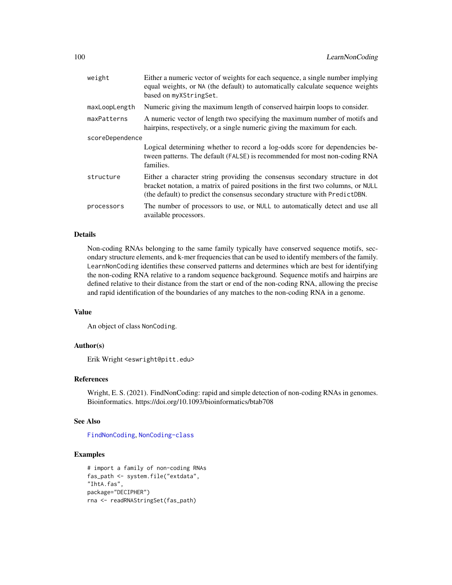| weight          | Either a numeric vector of weights for each sequence, a single number implying<br>equal weights, or NA (the default) to automatically calculate sequence weights<br>based on myXStringSet.                                                      |  |
|-----------------|-------------------------------------------------------------------------------------------------------------------------------------------------------------------------------------------------------------------------------------------------|--|
| maxLoopLength   | Numeric giving the maximum length of conserved hairpin loops to consider.                                                                                                                                                                       |  |
| maxPatterns     | A numeric vector of length two specifying the maximum number of motifs and<br>hairpins, respectively, or a single numeric giving the maximum for each.                                                                                          |  |
| scoreDependence |                                                                                                                                                                                                                                                 |  |
|                 | Logical determining whether to record a log-odds score for dependencies be-<br>tween patterns. The default (FALSE) is recommended for most non-coding RNA<br>families.                                                                          |  |
| structure       | Either a character string providing the consensus secondary structure in dot<br>bracket notation, a matrix of paired positions in the first two columns, or NULL<br>(the default) to predict the consensus secondary structure with PredictDBN. |  |
| processors      | The number of processors to use, or NULL to automatically detect and use all<br>available processors.                                                                                                                                           |  |

## Details

Non-coding RNAs belonging to the same family typically have conserved sequence motifs, secondary structure elements, and k-mer frequencies that can be used to identify members of the family. LearnNonCoding identifies these conserved patterns and determines which are best for identifying the non-coding RNA relative to a random sequence background. Sequence motifs and hairpins are defined relative to their distance from the start or end of the non-coding RNA, allowing the precise and rapid identification of the boundaries of any matches to the non-coding RNA in a genome.

## Value

An object of class NonCoding.

# Author(s)

Erik Wright <eswright@pitt.edu>

## References

Wright, E. S. (2021). FindNonCoding: rapid and simple detection of non-coding RNAs in genomes. Bioinformatics. https://doi.org/10.1093/bioinformatics/btab708

### See Also

[FindNonCoding](#page-81-0), [NonCoding-class](#page-116-0)

# Examples

```
# import a family of non-coding RNAs
fas_path <- system.file("extdata",
"IhtA.fas",
package="DECIPHER")
rna <- readRNAStringSet(fas_path)
```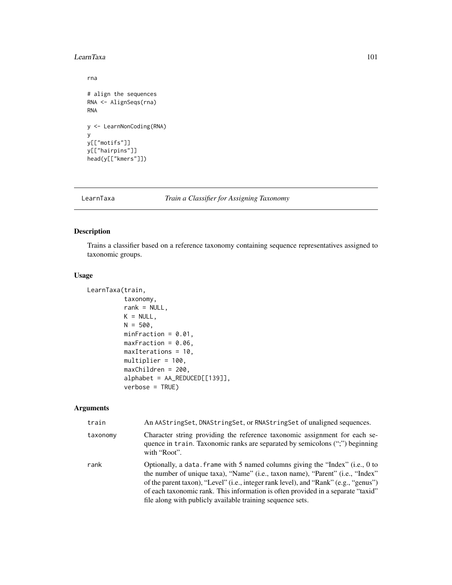#### LearnTaxa 101

```
rna
# align the sequences
RNA <- AlignSeqs(rna)
RNA
y <- LearnNonCoding(RNA)
y
y[["motifs"]]
y[["hairpins"]]
head(y[["kmers"]])
```
<span id="page-100-0"></span>LearnTaxa *Train a Classifier for Assigning Taxonomy*

# Description

Trains a classifier based on a reference taxonomy containing sequence representatives assigned to taxonomic groups.

# Usage

```
LearnTaxa(train,
          taxonomy,
          rank = NULL,K = NULL,N = 500,
          minFraction = 0.01,
          maxFraction = 0.06,
          maxIterations = 10,
          multiplier = 100,
          maxChildren = 200,
          alphabet = AA_REDUCED[[139]],
          verbose = TRUE)
```

| train    | An AAStringSet, DNAStringSet, or RNAStringSet of unaligned sequences.                                                                                                                                                                                                                                                                                                                                     |
|----------|-----------------------------------------------------------------------------------------------------------------------------------------------------------------------------------------------------------------------------------------------------------------------------------------------------------------------------------------------------------------------------------------------------------|
| taxonomy | Character string providing the reference taxonomic assignment for each se-<br>quence in train. Taxonomic ranks are separated by semicolons (";") beginning<br>with "Root".                                                                                                                                                                                                                                |
| rank     | Optionally, a data. frame with 5 named columns giving the "Index" (i.e., 0 to<br>the number of unique taxa), "Name" (i.e., taxon name), "Parent" (i.e., "Index"<br>of the parent taxon), "Level" (i.e., integer rank level), and "Rank" (e.g., "genus")<br>of each taxonomic rank. This information is often provided in a separate "taxid"<br>file along with publicly available training sequence sets. |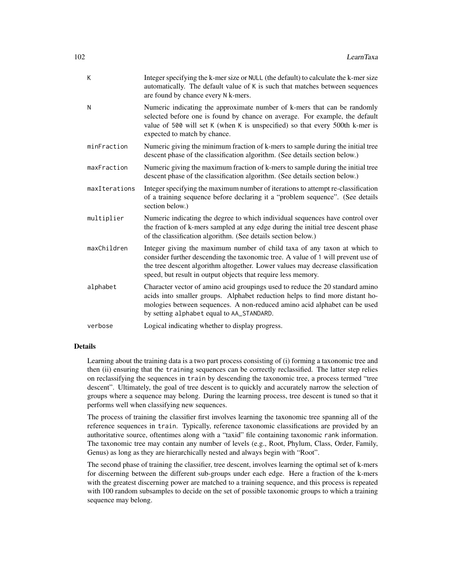| K             | Integer specifying the k-mer size or NULL (the default) to calculate the k-mer size<br>automatically. The default value of K is such that matches between sequences<br>are found by chance every N k-mers.                                                                                                       |
|---------------|------------------------------------------------------------------------------------------------------------------------------------------------------------------------------------------------------------------------------------------------------------------------------------------------------------------|
| N             | Numeric indicating the approximate number of k-mers that can be randomly<br>selected before one is found by chance on average. For example, the default<br>value of 500 will set K (when K is unspecified) so that every 500th k-mer is<br>expected to match by chance.                                          |
| minFraction   | Numeric giving the minimum fraction of k-mers to sample during the initial tree<br>descent phase of the classification algorithm. (See details section below.)                                                                                                                                                   |
| maxFraction   | Numeric giving the maximum fraction of k-mers to sample during the initial tree<br>descent phase of the classification algorithm. (See details section below.)                                                                                                                                                   |
| maxIterations | Integer specifying the maximum number of iterations to attempt re-classification<br>of a training sequence before declaring it a "problem sequence". (See details<br>section below.)                                                                                                                             |
| multiplier    | Numeric indicating the degree to which individual sequences have control over<br>the fraction of k-mers sampled at any edge during the initial tree descent phase<br>of the classification algorithm. (See details section below.)                                                                               |
| maxChildren   | Integer giving the maximum number of child taxa of any taxon at which to<br>consider further descending the taxonomic tree. A value of 1 will prevent use of<br>the tree descent algorithm altogether. Lower values may decrease classification<br>speed, but result in output objects that require less memory. |
| alphabet      | Character vector of amino acid groupings used to reduce the 20 standard amino<br>acids into smaller groups. Alphabet reduction helps to find more distant ho-<br>mologies between sequences. A non-reduced amino acid alphabet can be used<br>by setting alphabet equal to AA_STANDARD.                          |
| verbose       | Logical indicating whether to display progress.                                                                                                                                                                                                                                                                  |

# Details

Learning about the training data is a two part process consisting of (i) forming a taxonomic tree and then (ii) ensuring that the training sequences can be correctly reclassified. The latter step relies on reclassifying the sequences in train by descending the taxonomic tree, a process termed "tree descent". Ultimately, the goal of tree descent is to quickly and accurately narrow the selection of groups where a sequence may belong. During the learning process, tree descent is tuned so that it performs well when classifying new sequences.

The process of training the classifier first involves learning the taxonomic tree spanning all of the reference sequences in train. Typically, reference taxonomic classifications are provided by an authoritative source, oftentimes along with a "taxid" file containing taxonomic rank information. The taxonomic tree may contain any number of levels (e.g., Root, Phylum, Class, Order, Family, Genus) as long as they are hierarchically nested and always begin with "Root".

The second phase of training the classifier, tree descent, involves learning the optimal set of k-mers for discerning between the different sub-groups under each edge. Here a fraction of the k-mers with the greatest discerning power are matched to a training sequence, and this process is repeated with 100 random subsamples to decide on the set of possible taxonomic groups to which a training sequence may belong.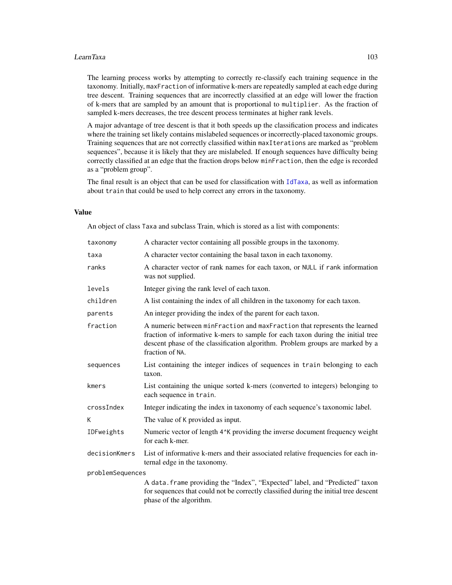#### LearnTaxa 103

The learning process works by attempting to correctly re-classify each training sequence in the taxonomy. Initially, maxFraction of informative k-mers are repeatedly sampled at each edge during tree descent. Training sequences that are incorrectly classified at an edge will lower the fraction of k-mers that are sampled by an amount that is proportional to multiplier. As the fraction of sampled k-mers decreases, the tree descent process terminates at higher rank levels.

A major advantage of tree descent is that it both speeds up the classification process and indicates where the training set likely contains mislabeled sequences or incorrectly-placed taxonomic groups. Training sequences that are not correctly classified within maxIterations are marked as "problem sequences", because it is likely that they are mislabeled. If enough sequences have difficulty being correctly classified at an edge that the fraction drops below minFraction, then the edge is recorded as a "problem group".

The final result is an object that can be used for classification with [IdTaxa](#page-95-0), as well as information about train that could be used to help correct any errors in the taxonomy.

# Value

An object of class Taxa and subclass Train, which is stored as a list with components:

| taxonomy         | A character vector containing all possible groups in the taxonomy.                                                                                                                                                                                               |  |
|------------------|------------------------------------------------------------------------------------------------------------------------------------------------------------------------------------------------------------------------------------------------------------------|--|
| taxa             | A character vector containing the basal taxon in each taxonomy.                                                                                                                                                                                                  |  |
| ranks            | A character vector of rank names for each taxon, or NULL if rank information<br>was not supplied.                                                                                                                                                                |  |
| levels           | Integer giving the rank level of each taxon.                                                                                                                                                                                                                     |  |
| children         | A list containing the index of all children in the taxonomy for each taxon.                                                                                                                                                                                      |  |
| parents          | An integer providing the index of the parent for each taxon.                                                                                                                                                                                                     |  |
| fraction         | A numeric between minFraction and maxFraction that represents the learned<br>fraction of informative k-mers to sample for each taxon during the initial tree<br>descent phase of the classification algorithm. Problem groups are marked by a<br>fraction of NA. |  |
| sequences        | List containing the integer indices of sequences in train belonging to each<br>taxon.                                                                                                                                                                            |  |
| kmers            | List containing the unique sorted k-mers (converted to integers) belonging to<br>each sequence in train.                                                                                                                                                         |  |
| crossIndex       | Integer indicating the index in taxonomy of each sequence's taxonomic label.                                                                                                                                                                                     |  |
| К                | The value of K provided as input.                                                                                                                                                                                                                                |  |
| IDFweights       | Numeric vector of length 4 <sup><math>\lambda</math></sup> K providing the inverse document frequency weight<br>for each k-mer.                                                                                                                                  |  |
| decisionKmers    | List of informative k-mers and their associated relative frequencies for each in-<br>ternal edge in the taxonomy.                                                                                                                                                |  |
| problemSequences |                                                                                                                                                                                                                                                                  |  |
|                  | A data. frame providing the "Index", "Expected" label, and "Predicted" taxon<br>for sequences that could not be correctly classified during the initial tree descent<br>phase of the algorithm.                                                                  |  |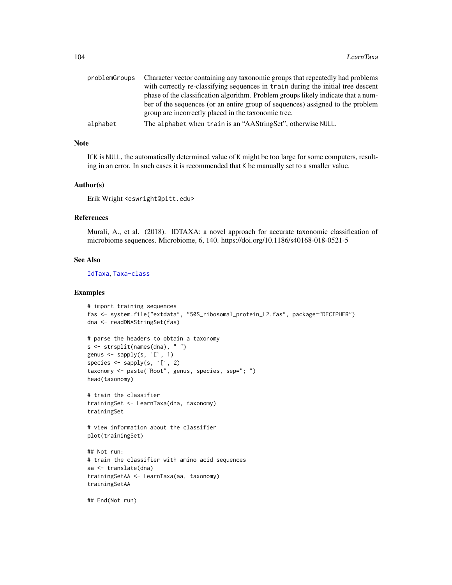| problemGroups | Character vector containing any taxonomic groups that repeatedly had problems     |
|---------------|-----------------------------------------------------------------------------------|
|               | with correctly re-classifying sequences in train during the initial tree descent  |
|               | phase of the classification algorithm. Problem groups likely indicate that a num- |
|               | ber of the sequences (or an entire group of sequences) assigned to the problem    |
|               | group are incorrectly placed in the taxonomic tree.                               |
| alphabet      | The alphabet when train is an "AAStringSet", otherwise NULL.                      |
|               |                                                                                   |

# Note

If K is NULL, the automatically determined value of K might be too large for some computers, resulting in an error. In such cases it is recommended that K be manually set to a smaller value.

#### Author(s)

Erik Wright <eswright@pitt.edu>

#### References

Murali, A., et al. (2018). IDTAXA: a novel approach for accurate taxonomic classification of microbiome sequences. Microbiome, 6, 140. https://doi.org/10.1186/s40168-018-0521-5

## See Also

[IdTaxa](#page-95-0), [Taxa-class](#page-141-0)

## Examples

```
# import training sequences
fas <- system.file("extdata", "50S_ribosomal_protein_L2.fas", package="DECIPHER")
dna <- readDNAStringSet(fas)
```

```
# parse the headers to obtain a taxonomy
s <- strsplit(names(dna), " ")
# parse the headers to obt<br>s <- strsplit(names(dna),<br>genus <- sapply(s, `[`, 1)
genus \leq sapply(s, [\cdot, 1)<br>species \leq sapply(s, [\cdot, 2)taxonomy <- paste("Root", genus, species, sep="; ")
head(taxonomy)
```

```
# train the classifier
trainingSet <- LearnTaxa(dna, taxonomy)
trainingSet
```

```
# view information about the classifier
plot(trainingSet)
```

```
## Not run:
# train the classifier with amino acid sequences
aa <- translate(dna)
trainingSetAA <- LearnTaxa(aa, taxonomy)
trainingSetAA
```
## End(Not run)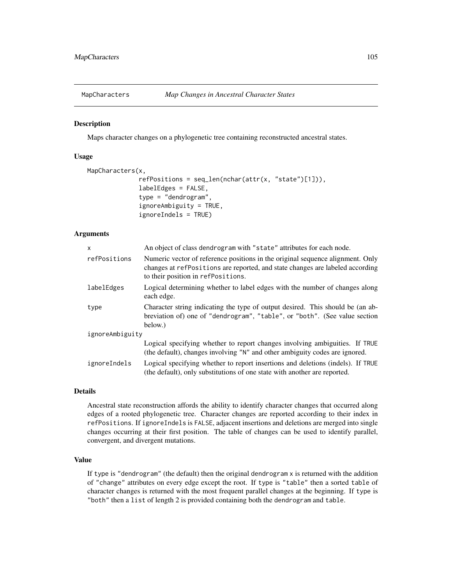### Description

Maps character changes on a phylogenetic tree containing reconstructed ancestral states.

### Usage

```
MapCharacters(x,
              refPositions = seq_length(nchar(attr(x, "state")[1]),labelEdges = FALSE,
              type = "dendrogram",
              ignoreAmbiguity = TRUE,
              ignoreIndels = TRUE)
```
## Arguments

| $\mathsf{x}$    | An object of class dendrogram with "state" attributes for each node.                                                                                                                                  |  |
|-----------------|-------------------------------------------------------------------------------------------------------------------------------------------------------------------------------------------------------|--|
| refPositions    | Numeric vector of reference positions in the original sequence alignment. Only<br>changes at refPositions are reported, and state changes are labeled according<br>to their position in refPositions. |  |
| labelEdges      | Logical determining whether to label edges with the number of changes along<br>each edge.                                                                                                             |  |
| type            | Character string indicating the type of output desired. This should be (an ab-<br>breviation of) one of "dendrogram", "table", or "both". (See value section<br>below.)                               |  |
| ignoreAmbiguity |                                                                                                                                                                                                       |  |
|                 | Logical specifying whether to report changes involving ambiguities. If TRUE<br>(the default), changes involving "N" and other ambiguity codes are ignored.                                            |  |
| ignoreIndels    | Logical specifying whether to report insertions and deletions (indels). If TRUE<br>(the default), only substitutions of one state with another are reported.                                          |  |

### Details

Ancestral state reconstruction affords the ability to identify character changes that occurred along edges of a rooted phylogenetic tree. Character changes are reported according to their index in refPositions. If ignoreIndels is FALSE, adjacent insertions and deletions are merged into single changes occurring at their first position. The table of changes can be used to identify parallel, convergent, and divergent mutations.

## Value

If type is "dendrogram" (the default) then the original dendrogram x is returned with the addition of "change" attributes on every edge except the root. If type is "table" then a sorted table of character changes is returned with the most frequent parallel changes at the beginning. If type is "both" then a list of length 2 is provided containing both the dendrogram and table.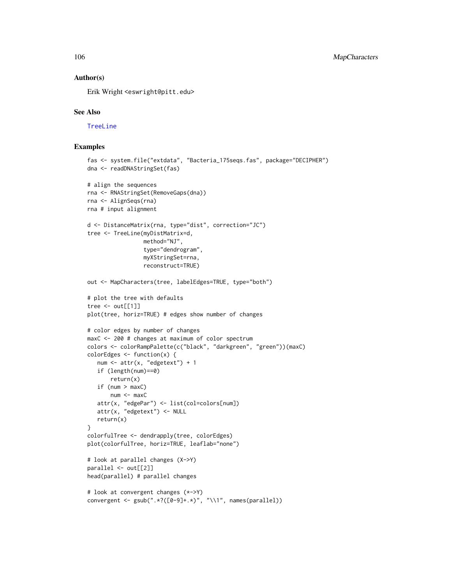### Author(s)

Erik Wright <eswright@pitt.edu>

### See Also

[TreeLine](#page-147-0)

# Examples

```
fas <- system.file("extdata", "Bacteria_175seqs.fas", package="DECIPHER")
dna <- readDNAStringSet(fas)
# align the sequences
rna <- RNAStringSet(RemoveGaps(dna))
rna <- AlignSeqs(rna)
rna # input alignment
d <- DistanceMatrix(rna, type="dist", correction="JC")
tree <- TreeLine(myDistMatrix=d,
                 method="NJ",
                 type="dendrogram",
                 myXStringSet=rna,
                 reconstruct=TRUE)
out <- MapCharacters(tree, labelEdges=TRUE, type="both")
# plot the tree with defaults
tree \leq out[[1]]
plot(tree, horiz=TRUE) # edges show number of changes
# color edges by number of changes
maxC <- 200 # changes at maximum of color spectrum
colors <- colorRampPalette(c("black", "darkgreen", "green"))(maxC)
colorEdges <- function(x) {
   num <- attr(x, "edgetext") + 1
   if (length(num)==0)
      return(x)
   if (num > maxC)
      num < - maxCattr(x, "edgePar") <- list(col=colors[num])
   attr(x, "edgetext") <- NULL
   return(x)
}
colorfulTree <- dendrapply(tree, colorEdges)
plot(colorfulTree, horiz=TRUE, leaflab="none")
# look at parallel changes (X->Y)
parallel <- out[[2]]
head(parallel) # parallel changes
# look at convergent changes (*->Y)
convergent <- gsub(".*?([0-9]+.*)", "\\1", names(parallel))
```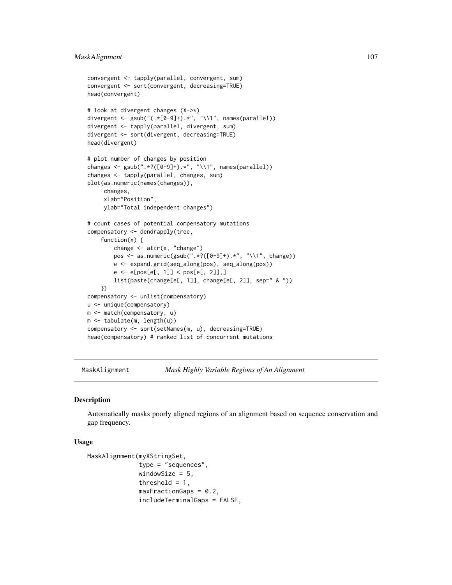# MaskAlignment 107

```
convergent <- tapply(parallel, convergent, sum)
convergent <- sort(convergent, decreasing=TRUE)
head(convergent)
# look at divergent changes (X->*)
divergent <- gsub("(.*[0-9]+).*", "\\1", names(parallel))
divergent <- tapply(parallel, divergent, sum)
divergent <- sort(divergent, decreasing=TRUE)
head(divergent)
# plot number of changes by position
changes <- gsub(".*?([0-9]+).*", "\\1", names(parallel))
changes <- tapply(parallel, changes, sum)
plot(as.numeric(names(changes)),
     changes,
     xlab="Position",
     ylab="Total independent changes")
# count cases of potential compensatory mutations
compensatory <- dendrapply(tree,
    function(x) {
        change \leq attr(x, "change")
        pos <- as.numeric(gsub(".*?([0-9]+).*", "\\1", change))
        e <- expand.grid(seq_along(pos), seq_along(pos))
        e <- e[pos[e[, 1]] < pos[e[, 2]],]
        list(paste(change[e[, 1]], change[e[, 2]], sep=" & "))
    })
compensatory <- unlist(compensatory)
u <- unique(compensatory)
m <- match(compensatory, u)
m <- tabulate(m, length(u))
compensatory <- sort(setNames(m, u), decreasing=TRUE)
head(compensatory) # ranked list of concurrent mutations
```
MaskAlignment *Mask Highly Variable Regions of An Alignment*

#### **Description**

Automatically masks poorly aligned regions of an alignment based on sequence conservation and gap frequency.

## Usage

```
MaskAlignment(myXStringSet,
              type = "sequences",
              windowSize = 5,
              threshold = 1,
              maxFractionGaps = 0.2,
              includeTerminalGaps = FALSE,
```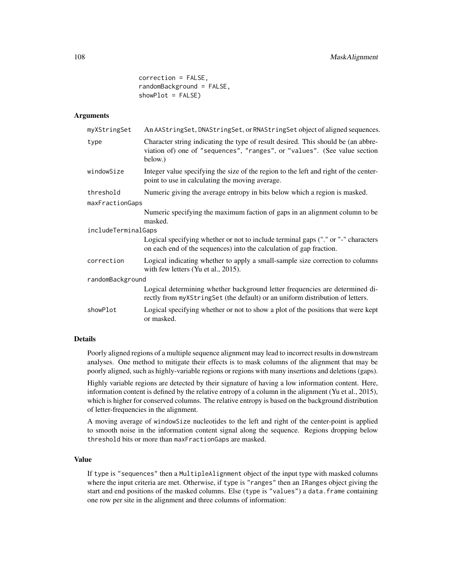correction = FALSE, randomBackground = FALSE, showPlot = FALSE)

### Arguments

| myXStringSet        | An AAStringSet, DNAStringSet, or RNAStringSet object of aligned sequences.                                                                                                |  |
|---------------------|---------------------------------------------------------------------------------------------------------------------------------------------------------------------------|--|
| type                | Character string indicating the type of result desired. This should be (an abbre-<br>viation of) one of "sequences", "ranges", or "values". (See value section<br>below.) |  |
| windowSize          | Integer value specifying the size of the region to the left and right of the center-<br>point to use in calculating the moving average.                                   |  |
| threshold           | Numeric giving the average entropy in bits below which a region is masked.                                                                                                |  |
| maxFractionGaps     |                                                                                                                                                                           |  |
|                     | Numeric specifying the maximum faction of gaps in an alignment column to be<br>masked.                                                                                    |  |
| includeTerminalGaps |                                                                                                                                                                           |  |
|                     | Logical specifying whether or not to include terminal gaps ("." or "-" characters<br>on each end of the sequences) into the calculation of gap fraction.                  |  |
| correction          | Logical indicating whether to apply a small-sample size correction to columns<br>with few letters (Yu et al., $2015$ ).                                                   |  |
| randomBackground    |                                                                                                                                                                           |  |
|                     | Logical determining whether background letter frequencies are determined di-<br>rectly from myXStringSet (the default) or an uniform distribution of letters.             |  |
| showPlot            | Logical specifying whether or not to show a plot of the positions that were kept<br>or masked.                                                                            |  |
|                     |                                                                                                                                                                           |  |

### Details

Poorly aligned regions of a multiple sequence alignment may lead to incorrect results in downstream analyses. One method to mitigate their effects is to mask columns of the alignment that may be poorly aligned, such as highly-variable regions or regions with many insertions and deletions (gaps).

Highly variable regions are detected by their signature of having a low information content. Here, information content is defined by the relative entropy of a column in the alignment (Yu et al., 2015), which is higher for conserved columns. The relative entropy is based on the background distribution of letter-frequencies in the alignment.

A moving average of windowSize nucleotides to the left and right of the center-point is applied to smooth noise in the information content signal along the sequence. Regions dropping below threshold bits or more than maxFractionGaps are masked.

## Value

If type is "sequences" then a MultipleAlignment object of the input type with masked columns where the input criteria are met. Otherwise, if type is "ranges" then an IRanges object giving the start and end positions of the masked columns. Else (type is "values") a data. frame containing one row per site in the alignment and three columns of information: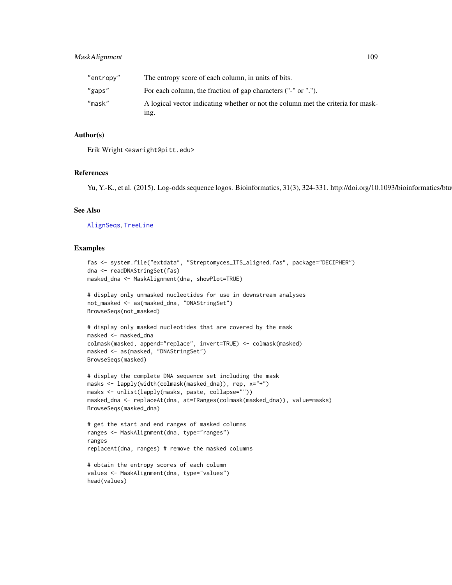|  |  | l |
|--|--|---|
|  |  |   |

| "entropy" | The entropy score of each column, in units of bits.                                      |
|-----------|------------------------------------------------------------------------------------------|
| "gaps"    | For each column, the fraction of gap characters ("-" or ".").                            |
| "mask"    | A logical vector indicating whether or not the column met the criteria for mask-<br>ing. |

# Author(s)

Erik Wright <eswright@pitt.edu>

#### References

Yu, Y.-K., et al. (2015). Log-odds sequence logos. Bioinformatics, 31(3), 324-331. http://doi.org/10.1093/bioinformatics/btu634

## See Also

[AlignSeqs](#page-16-0), [TreeLine](#page-147-0)

```
fas <- system.file("extdata", "Streptomyces_ITS_aligned.fas", package="DECIPHER")
dna <- readDNAStringSet(fas)
masked_dna <- MaskAlignment(dna, showPlot=TRUE)
```

```
# display only unmasked nucleotides for use in downstream analyses
not_masked <- as(masked_dna, "DNAStringSet")
BrowseSeqs(not_masked)
```

```
# display only masked nucleotides that are covered by the mask
masked <- masked_dna
colmask(masked, append="replace", invert=TRUE) <- colmask(masked)
masked <- as(masked, "DNAStringSet")
BrowseSeqs(masked)
```

```
# display the complete DNA sequence set including the mask
masks <- lapply(width(colmask(masked_dna)), rep, x="+")
masks <- unlist(lapply(masks, paste, collapse=""))
masked_dna <- replaceAt(dna, at=IRanges(colmask(masked_dna)), value=masks)
BrowseSeqs(masked_dna)
```

```
# get the start and end ranges of masked columns
ranges <- MaskAlignment(dna, type="ranges")
ranges
replaceAt(dna, ranges) # remove the masked columns
```

```
# obtain the entropy scores of each column
values <- MaskAlignment(dna, type="values")
head(values)
```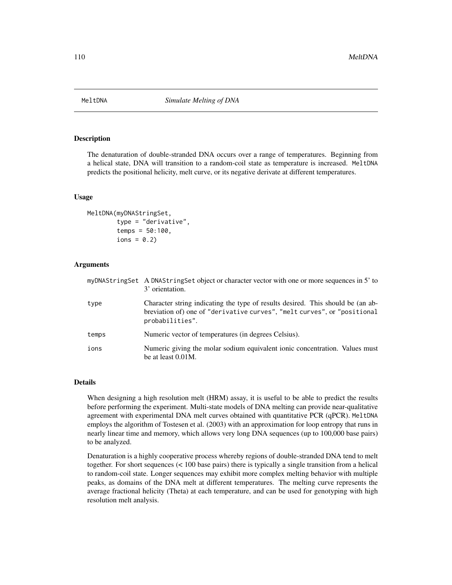#### Description

The denaturation of double-stranded DNA occurs over a range of temperatures. Beginning from a helical state, DNA will transition to a random-coil state as temperature is increased. MeltDNA predicts the positional helicity, melt curve, or its negative derivate at different temperatures.

#### Usage

```
MeltDNA(myDNAStringSet,
        type = "derivative",
        temps = 50:100,ions = 0.2)
```
## Arguments

|       | myDNAStringSet A DNAStringSet object or character vector with one or more sequences in 5' to<br>3' orientation.                                                                |
|-------|--------------------------------------------------------------------------------------------------------------------------------------------------------------------------------|
| type  | Character string indicating the type of results desired. This should be (an ab-<br>breviation of) one of "derivative curves", "melt curves", or "positional<br>probabilities". |
| temps | Numeric vector of temperatures (in degrees Celsius).                                                                                                                           |
| ions  | Numeric giving the molar sodium equivalent ionic concentration. Values must<br>be at least 0.01M.                                                                              |

# Details

When designing a high resolution melt (HRM) assay, it is useful to be able to predict the results before performing the experiment. Multi-state models of DNA melting can provide near-qualitative agreement with experimental DNA melt curves obtained with quantitative PCR (qPCR). MeltDNA employs the algorithm of Tostesen et al. (2003) with an approximation for loop entropy that runs in nearly linear time and memory, which allows very long DNA sequences (up to 100,000 base pairs) to be analyzed.

Denaturation is a highly cooperative process whereby regions of double-stranded DNA tend to melt together. For short sequences (< 100 base pairs) there is typically a single transition from a helical to random-coil state. Longer sequences may exhibit more complex melting behavior with multiple peaks, as domains of the DNA melt at different temperatures. The melting curve represents the average fractional helicity (Theta) at each temperature, and can be used for genotyping with high resolution melt analysis.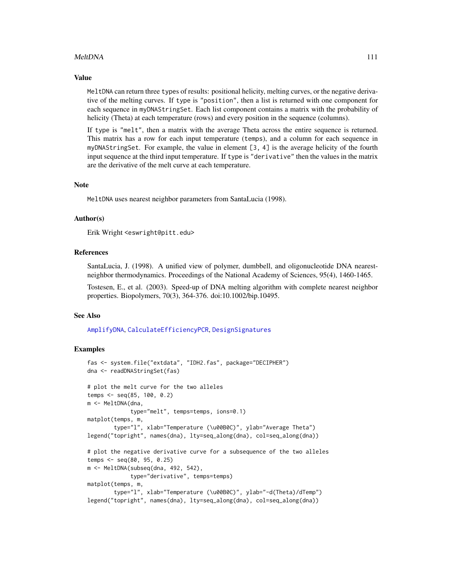## MeltDNA 111

#### Value

MeltDNA can return three types of results: positional helicity, melting curves, or the negative derivative of the melting curves. If type is "position", then a list is returned with one component for each sequence in myDNAStringSet. Each list component contains a matrix with the probability of helicity (Theta) at each temperature (rows) and every position in the sequence (columns).

If type is "melt", then a matrix with the average Theta across the entire sequence is returned. This matrix has a row for each input temperature (temps), and a column for each sequence in myDNAStringSet. For example, the value in element [3, 4] is the average helicity of the fourth input sequence at the third input temperature. If type is "derivative" then the values in the matrix are the derivative of the melt curve at each temperature.

#### Note

MeltDNA uses nearest neighbor parameters from SantaLucia (1998).

#### Author(s)

Erik Wright <eswright@pitt.edu>

## References

SantaLucia, J. (1998). A unified view of polymer, dumbbell, and oligonucleotide DNA nearestneighbor thermodynamics. Proceedings of the National Academy of Sciences, 95(4), 1460-1465.

Tostesen, E., et al. (2003). Speed-up of DNA melting algorithm with complete nearest neighbor properties. Biopolymers, 70(3), 364-376. doi:10.1002/bip.10495.

#### See Also

[AmplifyDNA](#page-23-0), [CalculateEfficiencyPCR](#page-35-0), [DesignSignatures](#page-63-0)

```
fas <- system.file("extdata", "IDH2.fas", package="DECIPHER")
dna <- readDNAStringSet(fas)
# plot the melt curve for the two alleles
temps <- seq(85, 100, 0.2)
m <- MeltDNA(dna,
             type="melt", temps=temps, ions=0.1)
matplot(temps, m,
        type="l", xlab="Temperature (\u00B0C)", ylab="Average Theta")
legend("topright", names(dna), lty=seq_along(dna), col=seq_along(dna))
# plot the negative derivative curve for a subsequence of the two alleles
temps <- seq(80, 95, 0.25)
m <- MeltDNA(subseq(dna, 492, 542),
            type="derivative", temps=temps)
matplot(temps, m,
       type="l", xlab="Temperature (\u00B0C)", ylab="-d(Theta)/dTemp")
legend("topright", names(dna), lty=seq_along(dna), col=seq_along(dna))
```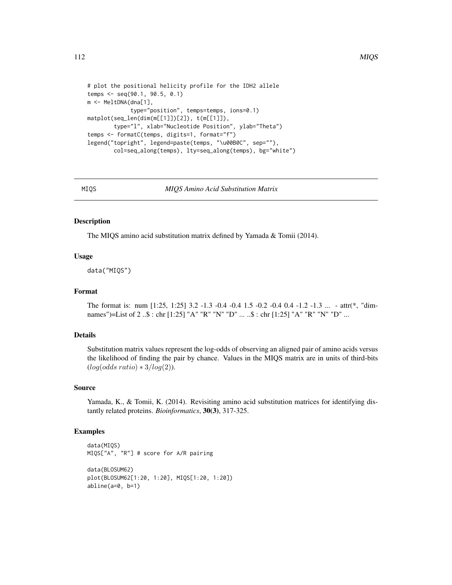```
# plot the positional helicity profile for the IDH2 allele
temps <- seq(90.1, 90.5, 0.1)
m <- MeltDNA(dna[1],
             type="position", temps=temps, ions=0.1)
matplot(seq_len(dim(m[[1]])[2]), t(m[[1]]),
        type="l", xlab="Nucleotide Position", ylab="Theta")
temps <- formatC(temps, digits=1, format="f")
legend("topright", legend=paste(temps, "\u00B0C", sep=""),
        col=seq_along(temps), lty=seq_along(temps), bg="white")
```
MIQS *MIQS Amino Acid Substitution Matrix*

## **Description**

The MIQS amino acid substitution matrix defined by Yamada & Tomii (2014).

# Usage

data("MIQS")

## Format

The format is: num [1:25, 1:25] 3.2 -1.3 -0.4 -0.4 1.5 -0.2 -0.4 0.4 -1.2 -1.3 ... - attr(\*, "dimnames")=List of 2 ..\$ : chr [1:25] "A" "R" "N" "D" ... ..\$ : chr [1:25] "A" "R" "N" "D" ...

## Details

Substitution matrix values represent the log-odds of observing an aligned pair of amino acids versus the likelihood of finding the pair by chance. Values in the MIQS matrix are in units of third-bits  $(log(odds ratio) * 3/log(2)).$ 

## Source

Yamada, K., & Tomii, K. (2014). Revisiting amino acid substitution matrices for identifying distantly related proteins. *Bioinformatics*, 30(3), 317-325.

```
data(MIQS)
MIQS["A", "R"] # score for A/R pairing
data(BLOSUM62)
plot(BLOSUM62[1:20, 1:20], MIQS[1:20, 1:20])
abline(a=0, b=1)
```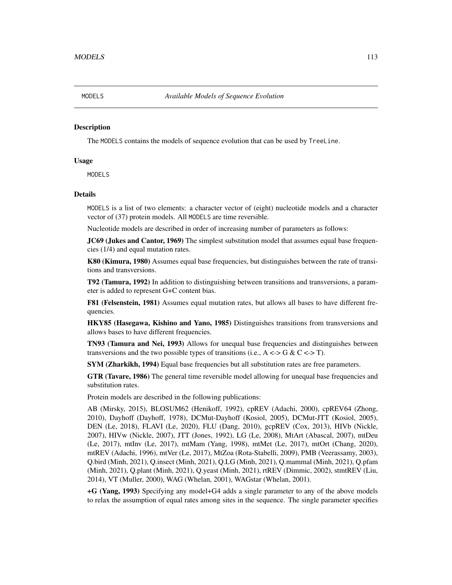#### **Description**

The MODELS contains the models of sequence evolution that can be used by TreeLine.

#### Usage

MODELS

## Details

MODELS is a list of two elements: a character vector of (eight) nucleotide models and a character vector of (37) protein models. All MODELS are time reversible.

Nucleotide models are described in order of increasing number of parameters as follows:

**JC69** (Jukes and Cantor, 1969) The simplest substitution model that assumes equal base frequencies (1/4) and equal mutation rates.

K80 (Kimura, 1980) Assumes equal base frequencies, but distinguishes between the rate of transitions and transversions.

T92 (Tamura, 1992) In addition to distinguishing between transitions and transversions, a parameter is added to represent G+C content bias.

F81 (Felsenstein, 1981) Assumes equal mutation rates, but allows all bases to have different frequencies.

HKY85 (Hasegawa, Kishino and Yano, 1985) Distinguishes transitions from transversions and allows bases to have different frequencies.

TN93 (Tamura and Nei, 1993) Allows for unequal base frequencies and distinguishes between transversions and the two possible types of transitions (i.e.,  $A \leq S \& C \leq T$ ).

**SYM (Zharkikh, 1994)** Equal base frequencies but all substitution rates are free parameters.

GTR (Tavare, 1986) The general time reversible model allowing for unequal base frequencies and substitution rates.

Protein models are described in the following publications:

AB (Mirsky, 2015), BLOSUM62 (Henikoff, 1992), cpREV (Adachi, 2000), cpREV64 (Zhong, 2010), Dayhoff (Dayhoff, 1978), DCMut-Dayhoff (Kosiol, 2005), DCMut-JTT (Kosiol, 2005), DEN (Le, 2018), FLAVI (Le, 2020), FLU (Dang, 2010), gcpREV (Cox, 2013), HIVb (Nickle, 2007), HIVw (Nickle, 2007), JTT (Jones, 1992), LG (Le, 2008), MtArt (Abascal, 2007), mtDeu (Le, 2017), mtInv (Le, 2017), mtMam (Yang, 1998), mtMet (Le, 2017), mtOrt (Chang, 2020), mtREV (Adachi, 1996), mtVer (Le, 2017), MtZoa (Rota-Stabelli, 2009), PMB (Veerassamy, 2003), Q.bird (Minh, 2021), Q.insect (Minh, 2021), Q.LG (Minh, 2021), Q.mammal (Minh, 2021), Q.pfam (Minh, 2021), Q.plant (Minh, 2021), Q.yeast (Minh, 2021), rtREV (Dimmic, 2002), stmtREV (Liu, 2014), VT (Muller, 2000), WAG (Whelan, 2001), WAGstar (Whelan, 2001).

+G (Yang, 1993) Specifying any model+G4 adds a single parameter to any of the above models to relax the assumption of equal rates among sites in the sequence. The single parameter specifies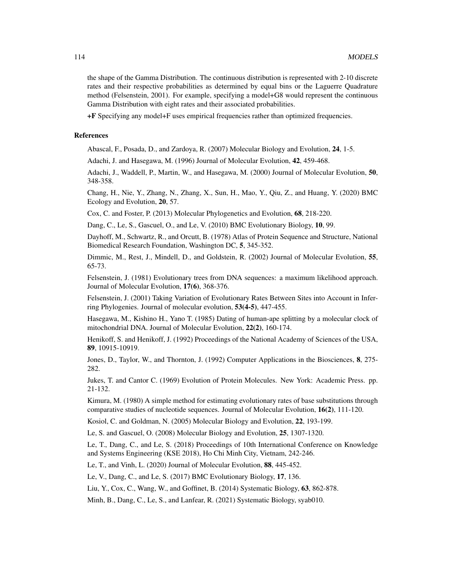the shape of the Gamma Distribution. The continuous distribution is represented with 2-10 discrete rates and their respective probabilities as determined by equal bins or the Laguerre Quadrature method (Felsenstein, 2001). For example, specifying a model+G8 would represent the continuous Gamma Distribution with eight rates and their associated probabilities.

+F Specifying any model+F uses empirical frequencies rather than optimized frequencies.

#### References

Abascal, F., Posada, D., and Zardoya, R. (2007) Molecular Biology and Evolution, 24, 1-5.

Adachi, J. and Hasegawa, M. (1996) Journal of Molecular Evolution, 42, 459-468.

Adachi, J., Waddell, P., Martin, W., and Hasegawa, M. (2000) Journal of Molecular Evolution, 50, 348-358.

Chang, H., Nie, Y., Zhang, N., Zhang, X., Sun, H., Mao, Y., Qiu, Z., and Huang, Y. (2020) BMC Ecology and Evolution, 20, 57.

Cox, C. and Foster, P. (2013) Molecular Phylogenetics and Evolution, 68, 218-220.

Dang, C., Le, S., Gascuel, O., and Le, V. (2010) BMC Evolutionary Biology, 10, 99.

Dayhoff, M., Schwartz, R., and Orcutt, B. (1978) Atlas of Protein Sequence and Structure, National Biomedical Research Foundation, Washington DC, 5, 345-352.

Dimmic, M., Rest, J., Mindell, D., and Goldstein, R. (2002) Journal of Molecular Evolution, 55, 65-73.

Felsenstein, J. (1981) Evolutionary trees from DNA sequences: a maximum likelihood approach. Journal of Molecular Evolution, 17(6), 368-376.

Felsenstein, J. (2001) Taking Variation of Evolutionary Rates Between Sites into Account in Inferring Phylogenies. Journal of molecular evolution, 53(4-5), 447-455.

Hasegawa, M., Kishino H., Yano T. (1985) Dating of human-ape splitting by a molecular clock of mitochondrial DNA. Journal of Molecular Evolution, 22(2), 160-174.

Henikoff, S. and Henikoff, J. (1992) Proceedings of the National Academy of Sciences of the USA, 89, 10915-10919.

Jones, D., Taylor, W., and Thornton, J. (1992) Computer Applications in the Biosciences, 8, 275- 282.

Jukes, T. and Cantor C. (1969) Evolution of Protein Molecules. New York: Academic Press. pp. 21-132.

Kimura, M. (1980) A simple method for estimating evolutionary rates of base substitutions through comparative studies of nucleotide sequences. Journal of Molecular Evolution, 16(2), 111-120.

Kosiol, C. and Goldman, N. (2005) Molecular Biology and Evolution, 22, 193-199.

Le, S. and Gascuel, O. (2008) Molecular Biology and Evolution, 25, 1307-1320.

Le, T., Dang, C., and Le, S. (2018) Proceedings of 10th International Conference on Knowledge and Systems Engineering (KSE 2018), Ho Chi Minh City, Vietnam, 242-246.

Le, T., and Vinh, L. (2020) Journal of Molecular Evolution, 88, 445-452.

Le, V., Dang, C., and Le, S. (2017) BMC Evolutionary Biology, 17, 136.

Liu, Y., Cox, C., Wang, W., and Goffinet, B. (2014) Systematic Biology, 63, 862-878.

Minh, B., Dang, C., Le, S., and Lanfear, R. (2021) Systematic Biology, syab010.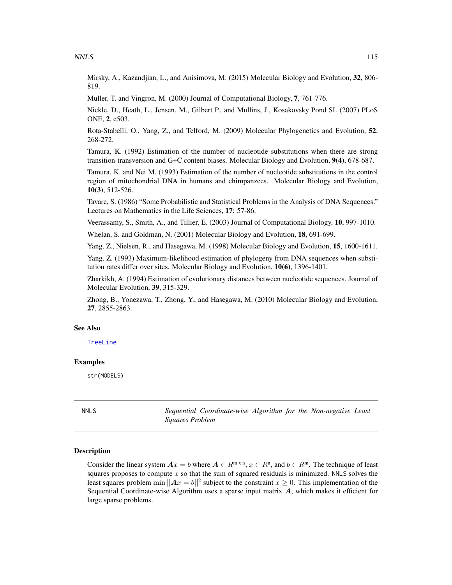Mirsky, A., Kazandjian, L., and Anisimova, M. (2015) Molecular Biology and Evolution, 32, 806-819.

Muller, T. and Vingron, M. (2000) Journal of Computational Biology, 7, 761-776.

Nickle, D., Heath, L., Jensen, M., Gilbert P., and Mullins, J., Kosakovsky Pond SL (2007) PLoS ONE, 2, e503.

Rota-Stabelli, O., Yang, Z., and Telford, M. (2009) Molecular Phylogenetics and Evolution, 52, 268-272.

Tamura, K. (1992) Estimation of the number of nucleotide substitutions when there are strong transition-transversion and G+C content biases. Molecular Biology and Evolution, 9(4), 678-687.

Tamura, K. and Nei M. (1993) Estimation of the number of nucleotide substitutions in the control region of mitochondrial DNA in humans and chimpanzees. Molecular Biology and Evolution, 10(3), 512-526.

Tavare, S. (1986) "Some Probabilistic and Statistical Problems in the Analysis of DNA Sequences." Lectures on Mathematics in the Life Sciences, 17: 57-86.

Veerassamy, S., Smith, A., and Tillier, E. (2003) Journal of Computational Biology, 10, 997-1010.

Whelan, S. and Goldman, N. (2001) Molecular Biology and Evolution, 18, 691-699.

Yang, Z., Nielsen, R., and Hasegawa, M. (1998) Molecular Biology and Evolution, 15, 1600-1611.

Yang, Z. (1993) Maximum-likelihood estimation of phylogeny from DNA sequences when substitution rates differ over sites. Molecular Biology and Evolution, 10(6), 1396-1401.

Zharkikh, A. (1994) Estimation of evolutionary distances between nucleotide sequences. Journal of Molecular Evolution, 39, 315-329.

Zhong, B., Yonezawa, T., Zhong, Y., and Hasegawa, M. (2010) Molecular Biology and Evolution, 27, 2855-2863.

#### See Also

[TreeLine](#page-147-0)

#### Examples

str(MODELS)

NNLS *Sequential Coordinate-wise Algorithm for the Non-negative Least Squares Problem*

## Description

Consider the linear system  $Ax = b$  where  $A \in \mathbb{R}^{m \times n}$ ,  $x \in \mathbb{R}^{n}$ , and  $b \in \mathbb{R}^{m}$ . The technique of least squares proposes to compute  $x$  so that the sum of squared residuals is minimized. NNLS solves the least squares problem  $\min ||Ax = b||^2$  subject to the constraint  $x \ge 0$ . This implementation of the Sequential Coordinate-wise Algorithm uses a sparse input matrix A, which makes it efficient for large sparse problems.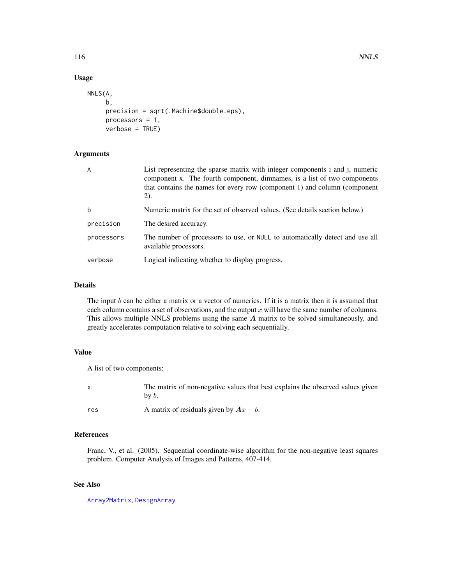# Usage

```
NNLS(A,
     b,
     precision = sqrt(.Machine$double.eps),
     processors = 1,
     verbose = TRUE)
```
# Arguments

| A          | List representing the sparse matrix with integer components i and j, numeric<br>component x. The fourth component, dimnames, is a list of two components<br>that contains the names for every row (component 1) and column (component<br>(2). |
|------------|-----------------------------------------------------------------------------------------------------------------------------------------------------------------------------------------------------------------------------------------------|
| b          | Numeric matrix for the set of observed values. (See details section below.)                                                                                                                                                                   |
| precision  | The desired accuracy.                                                                                                                                                                                                                         |
| processors | The number of processors to use, or NULL to automatically detect and use all<br>available processors.                                                                                                                                         |
| verbose    | Logical indicating whether to display progress.                                                                                                                                                                                               |

## Details

The input b can be either a matrix or a vector of numerics. If it is a matrix then it is assumed that each column contains a set of observations, and the output  $x$  will have the same number of columns. This allows multiple NNLS problems using the same A matrix to be solved simultaneously, and greatly accelerates computation relative to solving each sequentially.

## Value

A list of two components:

| $\mathbf{x}$ | The matrix of non-negative values that best explains the observed values given<br>$b\mathbf{v}$ b. |
|--------------|----------------------------------------------------------------------------------------------------|
| res          | A matrix of residuals given by $Ax - b$ .                                                          |

# References

Franc, V., et al. (2005). Sequential coordinate-wise algorithm for the non-negative least squares problem. Computer Analysis of Images and Patterns, 407-414.

# See Also

[Array2Matrix](#page-25-0), [DesignArray](#page-54-0)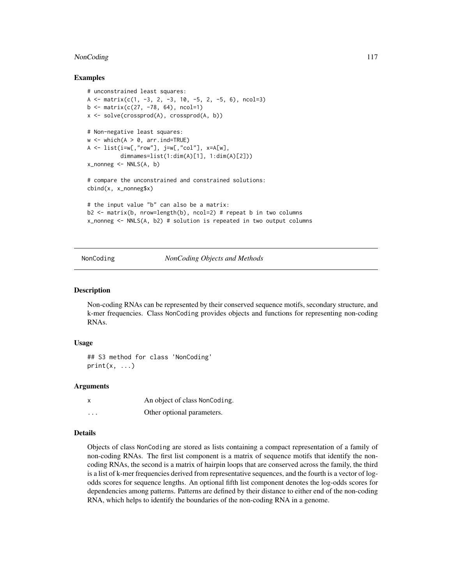# NonCoding 117

## Examples

```
# unconstrained least squares:
A \le matrix(c(1, -3, 2, -3, 10, -5, 2, -5, 6), ncol=3)
b \le - matrix(c(27, -78, 64), ncol=1)
x <- solve(crossprod(A), crossprod(A, b))
# Non-negative least squares:
w \le - which(A > 0, arr.ind=TRUE)
A \leq -\text{list}(i=w[, \text{"row"}], \text{ j=w[, "col"}], \text{ x=A[w]},dimnames=list(1:dim(A)[1], 1:dim(A)[2]))
x\_nonneg \leftarrow NNLS(A, b)# compare the unconstrained and constrained solutions:
cbind(x, x_nonneg$x)
# the input value "b" can also be a matrix:
b2 \le - matrix(b, nrow=length(b), ncol=2) # repeat b in two columns
x_nonneg <- NNLS(A, b2) # solution is repeated in two output columns
```
NonCoding *NonCoding Objects and Methods*

#### Description

Non-coding RNAs can be represented by their conserved sequence motifs, secondary structure, and k-mer frequencies. Class NonCoding provides objects and functions for representing non-coding RNAs.

#### Usage

## S3 method for class 'NonCoding'  $print(x, \ldots)$ 

## Arguments

|          | An object of class NonCoding. |
|----------|-------------------------------|
| $\cdots$ | Other optional parameters.    |

## Details

Objects of class NonCoding are stored as lists containing a compact representation of a family of non-coding RNAs. The first list component is a matrix of sequence motifs that identify the noncoding RNAs, the second is a matrix of hairpin loops that are conserved across the family, the third is a list of k-mer frequencies derived from representative sequences, and the fourth is a vector of logodds scores for sequence lengths. An optional fifth list component denotes the log-odds scores for dependencies among patterns. Patterns are defined by their distance to either end of the non-coding RNA, which helps to identify the boundaries of the non-coding RNA in a genome.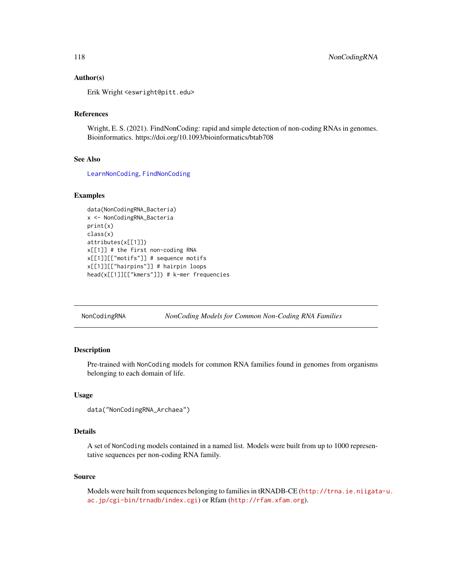## Author(s)

Erik Wright <eswright@pitt.edu>

# References

Wright, E. S. (2021). FindNonCoding: rapid and simple detection of non-coding RNAs in genomes. Bioinformatics. https://doi.org/10.1093/bioinformatics/btab708

## See Also

[LearnNonCoding](#page-98-0), [FindNonCoding](#page-81-0)

# Examples

```
data(NonCodingRNA_Bacteria)
x <- NonCodingRNA_Bacteria
print(x)
class(x)
attributes(x[[1]])
x[[1]] # the first non-coding RNA
x[[1]][["motifs"]] # sequence motifs
x[[1]][["hairpins"]] # hairpin loops
head(x[[1]][["kmers"]]) # k-mer frequencies
```
NonCodingRNA *NonCoding Models for Common Non-Coding RNA Families*

# Description

Pre-trained with NonCoding models for common RNA families found in genomes from organisms belonging to each domain of life.

#### Usage

```
data("NonCodingRNA_Archaea")
```
## Details

A set of NonCoding models contained in a named list. Models were built from up to 1000 representative sequences per non-coding RNA family.

## Source

Models were built from sequences belonging to families in tRNADB-CE ([http://trna.ie.niigata](http://trna.ie.niigata-u.ac.jp/cgi-bin/trnadb/index.cgi)-u. [ac.jp/cgi-bin/trnadb/index.cgi](http://trna.ie.niigata-u.ac.jp/cgi-bin/trnadb/index.cgi)) or Rfam (<http://rfam.xfam.org>).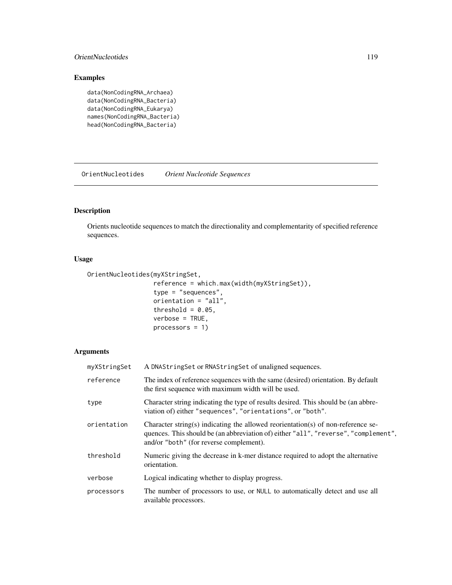## OrientNucleotides 119

# Examples

```
data(NonCodingRNA_Archaea)
data(NonCodingRNA_Bacteria)
data(NonCodingRNA_Eukarya)
names(NonCodingRNA_Bacteria)
head(NonCodingRNA_Bacteria)
```
OrientNucleotides *Orient Nucleotide Sequences*

# Description

Orients nucleotide sequences to match the directionality and complementarity of specified reference sequences.

# Usage

```
OrientNucleotides(myXStringSet,
```

```
reference = which.max(width(myXStringSet)),
type = "sequences",
orientation = "all",
threshold = 0.05,
verbose = TRUE,
processors = 1)
```
# Arguments

| myXStringSet | A DNAString Set or RNAString Set of unaligned sequences.                                                                                                                                                           |
|--------------|--------------------------------------------------------------------------------------------------------------------------------------------------------------------------------------------------------------------|
| reference    | The index of reference sequences with the same (desired) orientation. By default<br>the first sequence with maximum width will be used.                                                                            |
| type         | Character string indicating the type of results desired. This should be (an abbre-<br>viation of) either "sequences", "orientations", or "both".                                                                   |
| orientation  | Character string(s) indicating the allowed reorientation(s) of non-reference se-<br>quences. This should be (an abbreviation of) either "all", "reverse", "complement",<br>and/or "both" (for reverse complement). |
| threshold    | Numeric giving the decrease in k-mer distance required to adopt the alternative<br>orientation.                                                                                                                    |
| verbose      | Logical indicating whether to display progress.                                                                                                                                                                    |
| processors   | The number of processors to use, or NULL to automatically detect and use all<br>available processors.                                                                                                              |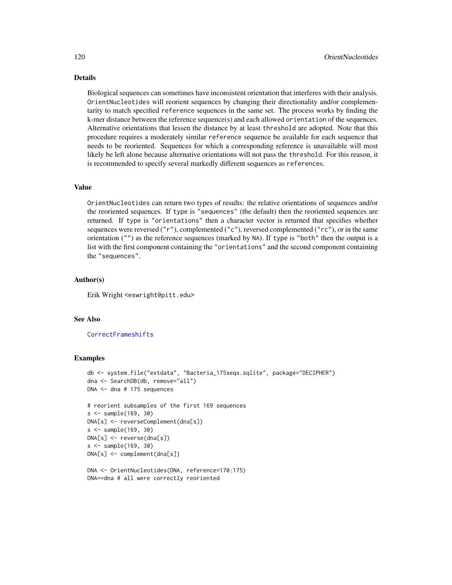# Details

Biological sequences can sometimes have inconsistent orientation that interferes with their analysis. OrientNucleotides will reorient sequences by changing their directionality and/or complementarity to match specified reference sequences in the same set. The process works by finding the k-mer distance between the reference sequence(s) and each allowed orientation of the sequences. Alternative orientations that lessen the distance by at least threshold are adopted. Note that this procedure requires a moderately similar reference sequence be available for each sequence that needs to be reoriented. Sequences for which a corresponding reference is unavailable will most likely be left alone because alternative orientations will not pass the threshold. For this reason, it is recommended to specify several markedly different sequences as references.

## Value

OrientNucleotides can return two types of results: the relative orientations of sequences and/or the reoriented sequences. If type is "sequences" (the default) then the reoriented sequences are returned. If type is "orientations" then a character vector is returned that specifies whether sequences were reversed  $("r")$ , complemented  $("c")$ , reversed complemented  $("c")$ , or in the same orientation ("") as the reference sequences (marked by NA). If type is "both" then the output is a list with the first component containing the "orientations" and the second component containing the "sequences".

# Author(s)

Erik Wright <eswright@pitt.edu>

# See Also

**[CorrectFrameshifts](#page-42-0)** 

```
db <- system.file("extdata", "Bacteria_175seqs.sqlite", package="DECIPHER")
dna <- SearchDB(db, remove="all")
DNA <- dna # 175 sequences
# reorient subsamples of the first 169 sequences
s <- sample(169, 30)
DNA[s] <- reverseComplement(dna[s])
s <- sample(169, 30)
DNA[s] <- reverse(dna[s])
s <- sample(169, 30)
DNA[s] <- complement(dna[s])
```

```
DNA <- OrientNucleotides(DNA, reference=170:175)
DNA==dna # all were correctly reoriented
```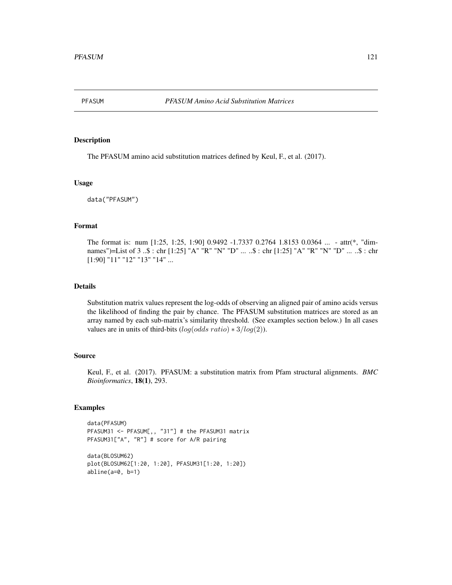<span id="page-120-0"></span>

## Description

The PFASUM amino acid substitution matrices defined by Keul, F., et al. (2017).

#### Usage

data("PFASUM")

## Format

The format is: num [1:25, 1:25, 1:90] 0.9492 -1.7337 0.2764 1.8153 0.0364 ... - attr(\*, "dimnames")=List of 3 ..\$ : chr [1:25] "A" "R" "N" "D" ... ..\$ : chr [1:25] "A" "R" "N" "D" ... ..\$ : chr [1:90] "11" "12" "13" "14" ...

#### Details

Substitution matrix values represent the log-odds of observing an aligned pair of amino acids versus the likelihood of finding the pair by chance. The PFASUM substitution matrices are stored as an array named by each sub-matrix's similarity threshold. (See examples section below.) In all cases values are in units of third-bits  $(log(odds ratio) * 3/log(2)).$ 

#### Source

Keul, F., et al. (2017). PFASUM: a substitution matrix from Pfam structural alignments. *BMC Bioinformatics*, 18(1), 293.

## Examples

abline(a=0, b=1)

```
data(PFASUM)
PFASUM31 <- PFASUM[,, "31"] # the PFASUM31 matrix
PFASUM31["A", "R"] # score for A/R pairing
data(BLOSUM62)
plot(BLOSUM62[1:20, 1:20], PFASUM31[1:20, 1:20])
```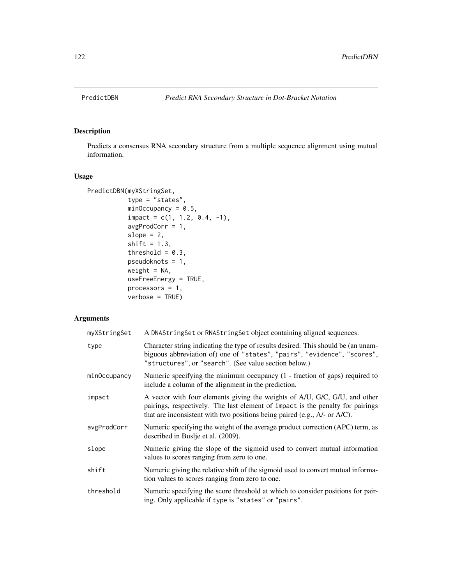<span id="page-121-0"></span>

# Description

Predicts a consensus RNA secondary structure from a multiple sequence alignment using mutual information.

## Usage

```
PredictDBN(myXStringSet,
           type = "states",
           minOccupancy = 0.5,
           impact = c(1, 1.2, 0.4, -1),avgProdCorr = 1,
           slope = 2,
           shift = 1.3,
           threshold = 0.3,
           pseudoknots = 1,
           weight = NA,
           useFreeEnergy = TRUE,
           processors = 1,
           verbose = TRUE)
```
# Arguments

| myXStringSet | A DNAString Set or RNAString Set object containing aligned sequences.                                                                                                                                                                     |
|--------------|-------------------------------------------------------------------------------------------------------------------------------------------------------------------------------------------------------------------------------------------|
| type         | Character string indicating the type of results desired. This should be (an unam-<br>biguous abbreviation of) one of "states", "pairs", "evidence", "scores",<br>"structures", or "search". (See value section below.)                    |
| minOccupancy | Numeric specifying the minimum occupancy (1 - fraction of gaps) required to<br>include a column of the alignment in the prediction.                                                                                                       |
| impact       | A vector with four elements giving the weights of A/U, G/C, G/U, and other<br>pairings, respectively. The last element of impact is the penalty for pairings<br>that are inconsistent with two positions being paired (e.g., A/- or A/C). |
| avgProdCorr  | Numeric specifying the weight of the average product correction (APC) term, as<br>described in Buslje et al. (2009).                                                                                                                      |
| slope        | Numeric giving the slope of the sigmoid used to convert mutual information<br>values to scores ranging from zero to one.                                                                                                                  |
| shift        | Numeric giving the relative shift of the sigmoid used to convert mutual informa-<br>tion values to scores ranging from zero to one.                                                                                                       |
| threshold    | Numeric specifying the score threshold at which to consider positions for pair-<br>ing. Only applicable if type is "states" or "pairs".                                                                                                   |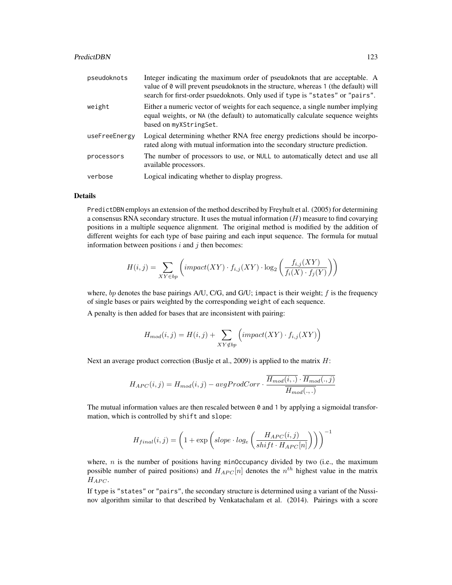#### PredictDBN 123

| pseudoknots   | Integer indicating the maximum order of pseudoknots that are acceptable. A<br>value of 0 will prevent pseudoknots in the structure, whereas 1 (the default) will<br>search for first-order psuedoknots. Only used if type is "states" or "pairs". |
|---------------|---------------------------------------------------------------------------------------------------------------------------------------------------------------------------------------------------------------------------------------------------|
| weight        | Either a numeric vector of weights for each sequence, a single number implying<br>equal weights, or NA (the default) to automatically calculate sequence weights<br>based on myXStringSet.                                                        |
| useFreeEnergy | Logical determining whether RNA free energy predictions should be incorpo-<br>rated along with mutual information into the secondary structure prediction.                                                                                        |
| processors    | The number of processors to use, or NULL to automatically detect and use all<br>available processors.                                                                                                                                             |
| verbose       | Logical indicating whether to display progress.                                                                                                                                                                                                   |

## Details

PredictDBN employs an extension of the method described by Freyhult et al. (2005) for determining a consensus RNA secondary structure. It uses the mutual information  $(H)$  measure to find covarying positions in a multiple sequence alignment. The original method is modified by the addition of different weights for each type of base pairing and each input sequence. The formula for mutual information between positions  $i$  and  $j$  then becomes:

$$
H(i,j) = \sum_{XY \in bp} \left( impact(XY) \cdot f_{i,j}(XY) \cdot \log_2\left(\frac{f_{i,j}(XY)}{f_i(X) \cdot f_j(Y)}\right)\right)
$$

where, bp denotes the base pairings A/U, C/G, and G/U; impact is their weight;  $f$  is the frequency of single bases or pairs weighted by the corresponding weight of each sequence.

A penalty is then added for bases that are inconsistent with pairing:

$$
H_{mod}(i, j) = H(i, j) + \sum_{XY \notin bp} \left( impact(XY) \cdot f_{i,j}(XY)\right)
$$

Next an average product correction (Buslje et al., 2009) is applied to the matrix  $H$ :

$$
H_{APC}(i, j) = H_{mod}(i, j) - avgProdCorr \cdot \frac{\overline{H_{mod}(i, .)} \cdot \overline{H_{mod}(., j)}}{\overline{H_{mod}(., .)}}
$$

The mutual information values are then rescaled between  $\theta$  and 1 by applying a sigmoidal transformation, which is controlled by shift and slope:

$$
H_{final}(i,j) = \left(1+\exp \left(slope \cdot log_{e}\left(\frac{H_{APC}(i,j)}{shift \cdot H_{APC}[n]}\right)\right)\right)^{-1}
$$

where,  $n$  is the number of positions having minOccupancy divided by two (i.e., the maximum possible number of paired positions) and  $H_{APC}[n]$  denotes the  $n^{th}$  highest value in the matrix  $H_{APC}$ .

If type is "states" or "pairs", the secondary structure is determined using a variant of the Nussinov algorithm similar to that described by Venkatachalam et al. (2014). Pairings with a score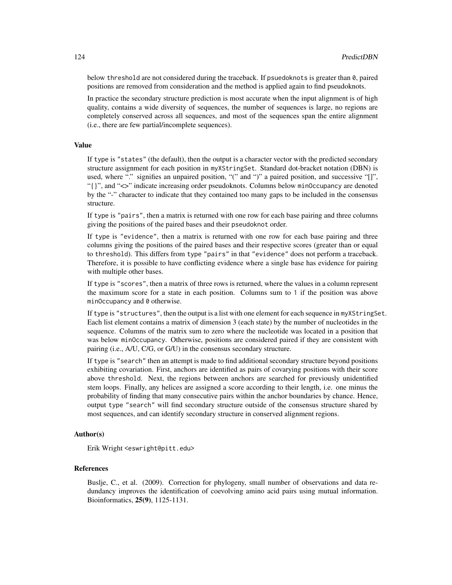below threshold are not considered during the traceback. If psuedoknots is greater than 0, paired positions are removed from consideration and the method is applied again to find pseudoknots.

In practice the secondary structure prediction is most accurate when the input alignment is of high quality, contains a wide diversity of sequences, the number of sequences is large, no regions are completely conserved across all sequences, and most of the sequences span the entire alignment (i.e., there are few partial/incomplete sequences).

#### Value

If type is "states" (the default), then the output is a character vector with the predicted secondary structure assignment for each position in myXStringSet. Standard dot-bracket notation (DBN) is used, where "." signifies an unpaired position, "(" and ")" a paired position, and successive "[]", "{}", and "<>" indicate increasing order pseudoknots. Columns below minOccupancy are denoted by the "-" character to indicate that they contained too many gaps to be included in the consensus structure.

If type is "pairs", then a matrix is returned with one row for each base pairing and three columns giving the positions of the paired bases and their pseudoknot order.

If type is "evidence", then a matrix is returned with one row for each base pairing and three columns giving the positions of the paired bases and their respective scores (greater than or equal to threshold). This differs from type "pairs" in that "evidence" does not perform a traceback. Therefore, it is possible to have conflicting evidence where a single base has evidence for pairing with multiple other bases.

If type is "scores", then a matrix of three rows is returned, where the values in a column represent the maximum score for a state in each position. Columns sum to 1 if the position was above minOccupancy and 0 otherwise.

If type is "structures", then the output is a list with one element for each sequence in myXStringSet. Each list element contains a matrix of dimension 3 (each state) by the number of nucleotides in the sequence. Columns of the matrix sum to zero where the nucleotide was located in a position that was below minOccupancy. Otherwise, positions are considered paired if they are consistent with pairing (i.e., A/U, C/G, or G/U) in the consensus secondary structure.

If type is "search" then an attempt is made to find additional secondary structure beyond positions exhibiting covariation. First, anchors are identified as pairs of covarying positions with their score above threshold. Next, the regions between anchors are searched for previously unidentified stem loops. Finally, any helices are assigned a score according to their length, i.e. one minus the probability of finding that many consecutive pairs within the anchor boundaries by chance. Hence, output type "search" will find secondary structure outside of the consensus structure shared by most sequences, and can identify secondary structure in conserved alignment regions.

## Author(s)

Erik Wright <eswright@pitt.edu>

#### References

Buslje, C., et al. (2009). Correction for phylogeny, small number of observations and data redundancy improves the identification of coevolving amino acid pairs using mutual information. Bioinformatics, 25(9), 1125-1131.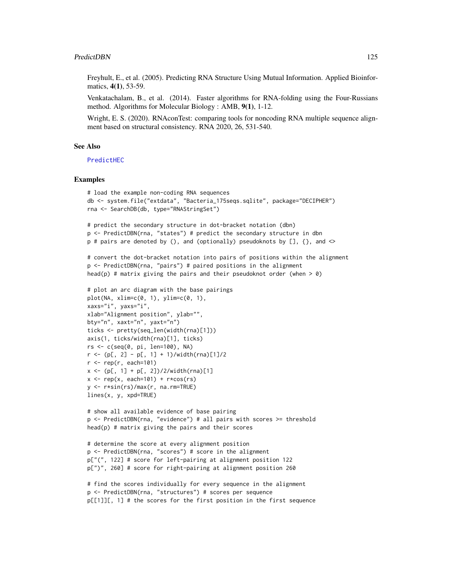#### PredictDBN 125

Freyhult, E., et al. (2005). Predicting RNA Structure Using Mutual Information. Applied Bioinformatics, 4(1), 53-59.

Venkatachalam, B., et al. (2014). Faster algorithms for RNA-folding using the Four-Russians method. Algorithms for Molecular Biology : AMB, 9(1), 1-12.

Wright, E. S. (2020). RNAconTest: comparing tools for noncoding RNA multiple sequence alignment based on structural consistency. RNA 2020, 26, 531-540.

## See Also

[PredictHEC](#page-125-0)

```
# load the example non-coding RNA sequences
db <- system.file("extdata", "Bacteria_175seqs.sqlite", package="DECIPHER")
rna <- SearchDB(db, type="RNAStringSet")
# predict the secondary structure in dot-bracket notation (dbn)
p <- PredictDBN(rna, "states") # predict the secondary structure in dbn
p \# pairs are denoted by (), and (optionally) pseudoknots by [], {}, and <>
# convert the dot-bracket notation into pairs of positions within the alignment
p <- PredictDBN(rna, "pairs") # paired positions in the alignment
head(p) # matrix giving the pairs and their pseudoknot order (when > 0)
# plot an arc diagram with the base pairings
plot(NA, xlim=c(0, 1), ylim=c(0, 1),xaxs="i", yaxs="i",
xlab="Alignment position", ylab="",
bty="n", xaxt="n", yaxt="n")
ticks <- pretty(seq_len(width(rna)[1]))
axis(1, ticks/width(rna)[1], ticks)
rs <- c(seq(0, pi, len=100), NA)
r \le -(p[, 2] - p[, 1] + 1)/width(rna)[1]/2r \leq -\text{rep}(r, \text{ each=101})x \le -(p[, 1] + p[, 2]/2/width(rna)[1]x \leftarrow rep(x, each=101) + r \times cos(rs)y <- r*sin(rs)/max(r, na.rm=TRUE)
lines(x, y, xpd=TRUE)
# show all available evidence of base pairing
p <- PredictDBN(rna, "evidence") # all pairs with scores >= threshold
head(p) # matrix giving the pairs and their scores
```

```
# determine the score at every alignment position
p <- PredictDBN(rna, "scores") # score in the alignment
p["(", 122] # score for left-pairing at alignment position 122
p[")", 260] # score for right-pairing at alignment position 260
```

```
# find the scores individually for every sequence in the alignment
p <- PredictDBN(rna, "structures") # scores per sequence
p[[1]][, 1] # the scores for the first position in the first sequence
```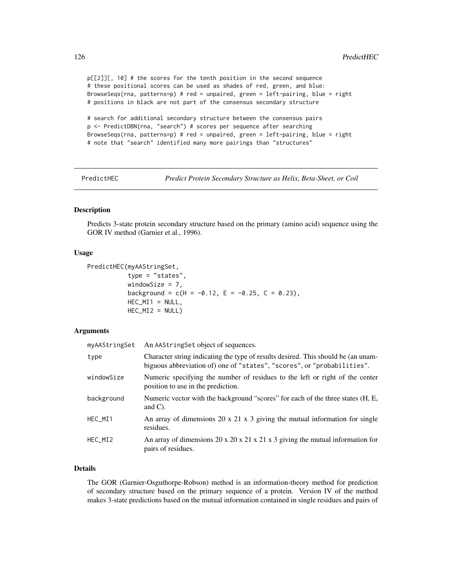p[[2]][, 10] # the scores for the tenth position in the second sequence # these positional scores can be used as shades of red, green, and blue: BrowseSeqs(rna, patterns=p) # red = unpaired, green = left-pairing, blue = right # positions in black are not part of the consensus secondary structure

# search for additional secondary structure between the consensus pairs p <- PredictDBN(rna, "search") # scores per sequence after searching BrowseSeqs(rna, patterns=p) # red = unpaired, green = left-pairing, blue = right # note that "search" identified many more pairings than "structures"

<span id="page-125-0"></span>PredictHEC *Predict Protein Secondary Structure as Helix, Beta-Sheet, or Coil*

## Description

Predicts 3-state protein secondary structure based on the primary (amino acid) sequence using the GOR IV method (Garnier et al., 1996).

## Usage

```
PredictHEC(myAAStringSet,
           type = "states",
           windowSize = 7,
           background = c(H = -0.12, E = -0.25, C = 0.23),
           HEC_MI1 = NULL,
           HEC_MI2 = NULL)
```
## Arguments

| myAAStringSet | An AAStringSet object of sequences.                                                                                                                          |
|---------------|--------------------------------------------------------------------------------------------------------------------------------------------------------------|
| type          | Character string indicating the type of results desired. This should be (an unam-<br>biguous abbreviation of) one of "states", "scores", or "probabilities". |
| windowSize    | Numeric specifying the number of residues to the left or right of the center<br>position to use in the prediction.                                           |
| background    | Numeric vector with the background "scores" for each of the three states (H, E,<br>and $C$ ).                                                                |
| HEC_MI1       | An array of dimensions 20 x 21 x 3 giving the mutual information for single<br>residues.                                                                     |
| HEC MI2       | An array of dimensions 20 x 20 x 21 x 21 x 3 giving the mutual information for<br>pairs of residues.                                                         |

# Details

The GOR (Garnier-Osguthorpe-Robson) method is an information-theory method for prediction of secondary structure based on the primary sequence of a protein. Version IV of the method makes 3-state predictions based on the mutual information contained in single residues and pairs of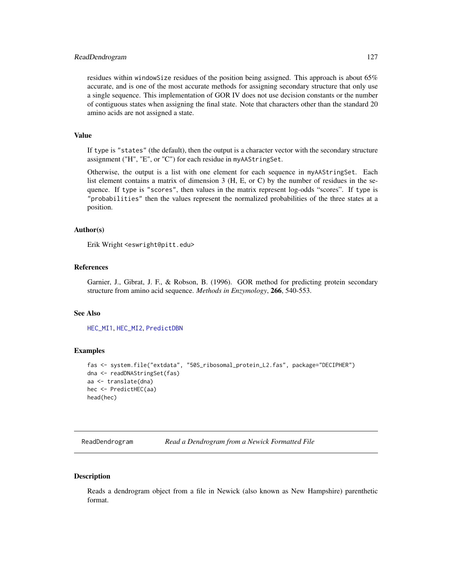#### ReadDendrogram 127

residues within windowSize residues of the position being assigned. This approach is about 65% accurate, and is one of the most accurate methods for assigning secondary structure that only use a single sequence. This implementation of GOR IV does not use decision constants or the number of contiguous states when assigning the final state. Note that characters other than the standard 20 amino acids are not assigned a state.

## Value

If type is "states" (the default), then the output is a character vector with the secondary structure assignment ("H", "E", or "C") for each residue in myAAStringSet.

Otherwise, the output is a list with one element for each sequence in myAAStringSet. Each list element contains a matrix of dimension 3 (H, E, or C) by the number of residues in the sequence. If type is "scores", then values in the matrix represent log-odds "scores". If type is "probabilities" then the values represent the normalized probabilities of the three states at a position.

#### Author(s)

Erik Wright <eswright@pitt.edu>

# References

Garnier, J., Gibrat, J. F., & Robson, B. (1996). GOR method for predicting protein secondary structure from amino acid sequence. *Methods in Enzymology*, 266, 540-553.

#### See Also

[HEC\\_MI1](#page-89-0), [HEC\\_MI2](#page-89-0), [PredictDBN](#page-121-0)

#### Examples

```
fas <- system.file("extdata", "50S_ribosomal_protein_L2.fas", package="DECIPHER")
dna <- readDNAStringSet(fas)
aa <- translate(dna)
hec <- PredictHEC(aa)
head(hec)
```
ReadDendrogram *Read a Dendrogram from a Newick Formatted File*

# **Description**

Reads a dendrogram object from a file in Newick (also known as New Hampshire) parenthetic format.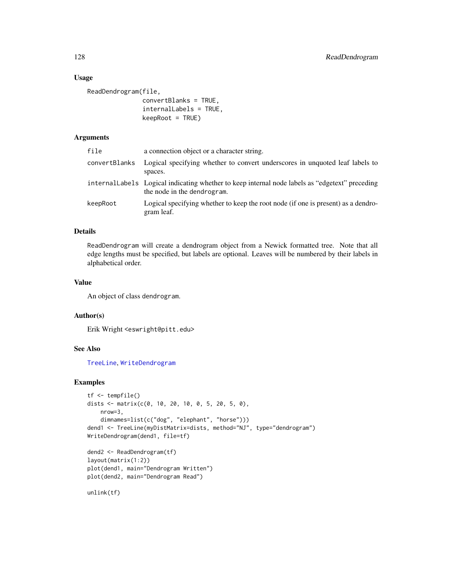# Usage

```
ReadDendrogram(file,
               convertBlanks = TRUE,
               internalLabels = TRUE,
               keepRoot = TRUE)
```
## Arguments

| file          | a connection object or a character string.                                                                                     |
|---------------|--------------------------------------------------------------------------------------------------------------------------------|
| convertBlanks | Logical specifying whether to convert underscores in unquoted leaf labels to<br>spaces.                                        |
|               | internal Labels Logical indicating whether to keep internal node labels as "edgetext" preceding<br>the node in the dendrogram. |
| keepRoot      | Logical specifying whether to keep the root node (if one is present) as a dendro-<br>gram leaf.                                |

# Details

ReadDendrogram will create a dendrogram object from a Newick formatted tree. Note that all edge lengths must be specified, but labels are optional. Leaves will be numbered by their labels in alphabetical order.

#### Value

An object of class dendrogram.

## Author(s)

Erik Wright <eswright@pitt.edu>

# See Also

[TreeLine](#page-147-0), [WriteDendrogram](#page-154-0)

# Examples

```
tf <- tempfile()
dists \leq matrix(c(0, 10, 20, 10, 0, 5, 20, 5, 0),
   nrow=3,
   dimnames=list(c("dog", "elephant", "horse")))
dend1 <- TreeLine(myDistMatrix=dists, method="NJ", type="dendrogram")
WriteDendrogram(dend1, file=tf)
dend2 <- ReadDendrogram(tf)
layout(matrix(1:2))
plot(dend1, main="Dendrogram Written")
plot(dend2, main="Dendrogram Read")
```
unlink(tf)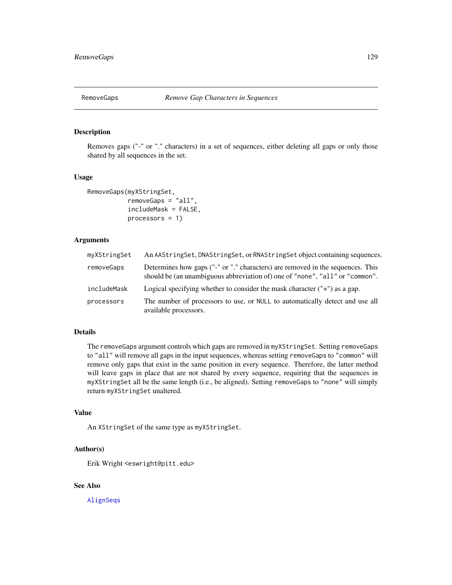# Description

Removes gaps ("-" or "." characters) in a set of sequences, either deleting all gaps or only those shared by all sequences in the set.

#### Usage

```
RemoveGaps(myXStringSet,
           removeGaps = "all",
           includeMask = FALSE,
           processors = 1)
```
# Arguments

| myXStringSet | An AAStringSet, DNAStringSet, or RNAStringSet object containing sequences.                                                                                     |
|--------------|----------------------------------------------------------------------------------------------------------------------------------------------------------------|
| removeGaps   | Determines how gaps ("-" or "." characters) are removed in the sequences. This<br>should be (an unambiguous abbreviation of) one of "none", "all" or "common". |
| includeMask  | Logical specifying whether to consider the mask character $("+")$ as a gap.                                                                                    |
| processors   | The number of processors to use, or NULL to automatically detect and use all<br>available processors.                                                          |

# Details

The removeGaps argument controls which gaps are removed in myXStringSet. Setting removeGaps to "all" will remove all gaps in the input sequences, whereas setting removeGaps to "common" will remove only gaps that exist in the same position in every sequence. Therefore, the latter method will leave gaps in place that are not shared by every sequence, requiring that the sequences in myXStringSet all be the same length (i.e., be aligned). Setting removeGaps to "none" will simply return myXStringSet unaltered.

# Value

An XStringSet of the same type as myXStringSet.

## Author(s)

Erik Wright <eswright@pitt.edu>

## See Also

[AlignSeqs](#page-16-0)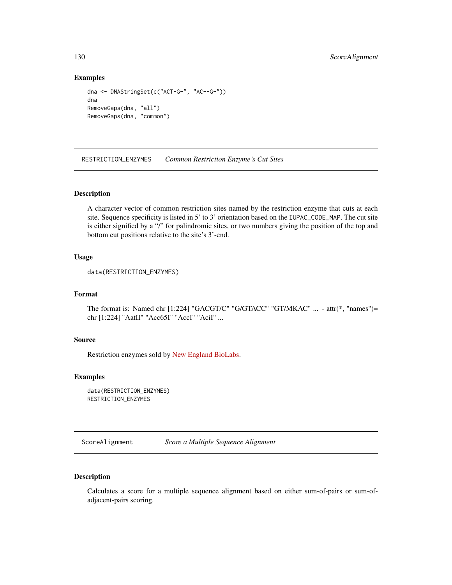## Examples

```
dna <- DNAStringSet(c("ACT-G-", "AC--G-"))
dna
RemoveGaps(dna, "all")
RemoveGaps(dna, "common")
```
RESTRICTION\_ENZYMES *Common Restriction Enzyme's Cut Sites*

## Description

A character vector of common restriction sites named by the restriction enzyme that cuts at each site. Sequence specificity is listed in 5' to 3' orientation based on the IUPAC\_CODE\_MAP. The cut site is either signified by a "/" for palindromic sites, or two numbers giving the position of the top and bottom cut positions relative to the site's 3'-end.

## Usage

```
data(RESTRICTION_ENZYMES)
```
## Format

The format is: Named chr [1:224] "GACGT/C" "G/GTACC" "GT/MKAC" ... - attr(\*, "names")= chr [1:224] "AatII" "Acc65I" "AccI" "AciI" ...

## Source

Restriction enzymes sold by [New England BioLabs.](http://www.neb.com)

## Examples

```
data(RESTRICTION_ENZYMES)
RESTRICTION_ENZYMES
```
ScoreAlignment *Score a Multiple Sequence Alignment*

# Description

Calculates a score for a multiple sequence alignment based on either sum-of-pairs or sum-ofadjacent-pairs scoring.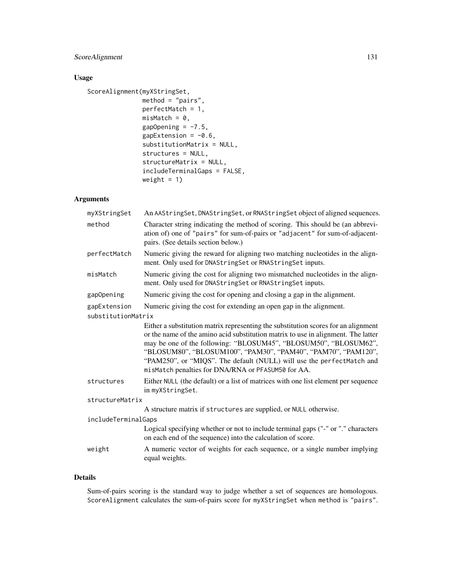# ScoreAlignment 131

# Usage

```
ScoreAlignment(myXStringSet,
               method = "pairs",
               perfectMatch = 1,
               misMatch = 0,gapOpening = -7.5,
               gapExtension = -0.6,
               substitutionMatrix = NULL,
               structures = NULL,
               structureMatrix = NULL,
               includeTerminalGaps = FALSE,
               weight = 1)
```
# Arguments

| myXStringSet                       | An AAStringSet, DNAStringSet, or RNAStringSet object of aligned sequences.                                                                                                                                                                                                                                                                                                                                                                  |
|------------------------------------|---------------------------------------------------------------------------------------------------------------------------------------------------------------------------------------------------------------------------------------------------------------------------------------------------------------------------------------------------------------------------------------------------------------------------------------------|
| method                             | Character string indicating the method of scoring. This should be (an abbrevi-<br>ation of) one of "pairs" for sum-of-pairs or "adjacent" for sum-of-adjacent-<br>pairs. (See details section below.)                                                                                                                                                                                                                                       |
| perfectMatch                       | Numeric giving the reward for aligning two matching nucleotides in the align-<br>ment. Only used for DNAStringSet or RNAStringSet inputs.                                                                                                                                                                                                                                                                                                   |
| misMatch                           | Numeric giving the cost for aligning two mismatched nucleotides in the align-<br>ment. Only used for DNAStringSet or RNAStringSet inputs.                                                                                                                                                                                                                                                                                                   |
| gapOpening                         | Numeric giving the cost for opening and closing a gap in the alignment.                                                                                                                                                                                                                                                                                                                                                                     |
| gapExtension<br>substitutionMatrix | Numeric giving the cost for extending an open gap in the alignment.                                                                                                                                                                                                                                                                                                                                                                         |
|                                    |                                                                                                                                                                                                                                                                                                                                                                                                                                             |
|                                    | Either a substitution matrix representing the substitution scores for an alignment<br>or the name of the amino acid substitution matrix to use in alignment. The latter<br>may be one of the following: "BLOSUM45", "BLOSUM50", "BLOSUM62",<br>"BLOSUM80", "BLOSUM100", "PAM30", "PAM40", "PAM70", "PAM120",<br>"PAM250", or "MIQS". The default (NULL) will use the perfectMatch and<br>misMatch penalties for DNA/RNA or PFASUM50 for AA. |
| structures                         | Either NULL (the default) or a list of matrices with one list element per sequence<br>in myXStringSet.                                                                                                                                                                                                                                                                                                                                      |
| structureMatrix                    |                                                                                                                                                                                                                                                                                                                                                                                                                                             |
|                                    | A structure matrix if structures are supplied, or NULL otherwise.                                                                                                                                                                                                                                                                                                                                                                           |
| includeTerminalGaps                |                                                                                                                                                                                                                                                                                                                                                                                                                                             |
|                                    | Logical specifying whether or not to include terminal gaps ("-" or "." characters<br>on each end of the sequence) into the calculation of score.                                                                                                                                                                                                                                                                                            |
| weight                             | A numeric vector of weights for each sequence, or a single number implying<br>equal weights.                                                                                                                                                                                                                                                                                                                                                |

# Details

Sum-of-pairs scoring is the standard way to judge whether a set of sequences are homologous. ScoreAlignment calculates the sum-of-pairs score for myXStringSet when method is "pairs".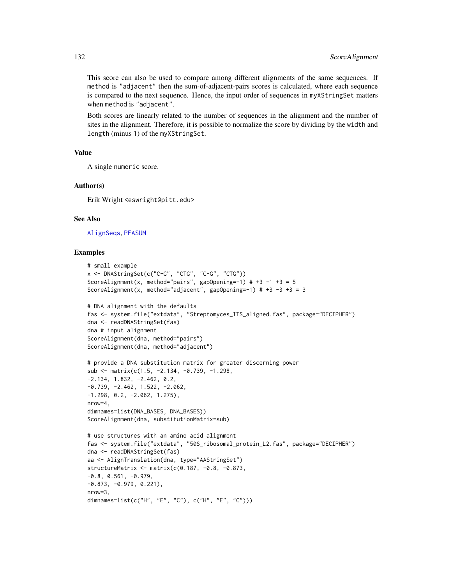This score can also be used to compare among different alignments of the same sequences. If method is "adjacent" then the sum-of-adjacent-pairs scores is calculated, where each sequence is compared to the next sequence. Hence, the input order of sequences in myXStringSet matters when method is "adjacent".

Both scores are linearly related to the number of sequences in the alignment and the number of sites in the alignment. Therefore, it is possible to normalize the score by dividing by the width and length (minus 1) of the myXStringSet.

## Value

A single numeric score.

## Author(s)

Erik Wright <eswright@pitt.edu>

#### See Also

[AlignSeqs](#page-16-0), [PFASUM](#page-120-0)

```
# small example
x <- DNAStringSet(c("C-G", "CTG", "C-G", "CTG"))
ScoreAlignment(x, method="pairs", gapOpening=-1) # +3 -1 +3 = 5
ScoreAlignment(x, method="adjacent", gapOpening=-1) # +3 -3 +3 = 3
# DNA alignment with the defaults
fas <- system.file("extdata", "Streptomyces_ITS_aligned.fas", package="DECIPHER")
dna <- readDNAStringSet(fas)
dna # input alignment
ScoreAlignment(dna, method="pairs")
ScoreAlignment(dna, method="adjacent")
# provide a DNA substitution matrix for greater discerning power
sub <- matrix(c(1.5, -2.134, -0.739, -1.298,
-2.134, 1.832, -2.462, 0.2,
-0.739, -2.462, 1.522, -2.062,
-1.298, 0.2, -2.062, 1.275),
nrow=4,
dimnames=list(DNA_BASES, DNA_BASES))
ScoreAlignment(dna, substitutionMatrix=sub)
# use structures with an amino acid alignment
fas <- system.file("extdata", "50S_ribosomal_protein_L2.fas", package="DECIPHER")
dna <- readDNAStringSet(fas)
aa <- AlignTranslation(dna, type="AAStringSet")
structureMatrix <- matrix(c(0.187, -0.8, -0.873,
-0.8, 0.561, -0.979,-0.873, -0.979, 0.221),
nrow=3,
dimnames=list(c("H", "E", "C"), c("H", "E", "C")))
```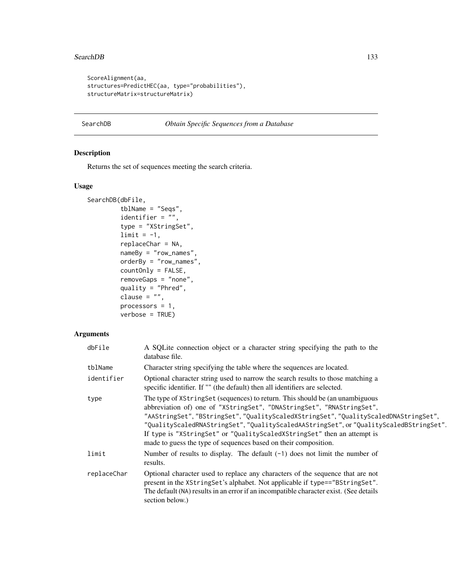#### SearchDB 133

```
ScoreAlignment(aa,
structures=PredictHEC(aa, type="probabilities"),
structureMatrix=structureMatrix)
```
# <span id="page-132-0"></span>SearchDB *Obtain Specific Sequences from a Database*

# Description

Returns the set of sequences meeting the search criteria.

# Usage

```
SearchDB(dbFile,
         tblName = "Seqs",
         identifier = ",
         type = "XStringSet",
         limit = -1,replaceChar = NA,
         nameBy = "row_names",
         orderBy = "row_names",
         countOnly = FALSE,
         removeGaps = "none",
         quality = "Phred",
         clause = ",
         processors = 1,
         verbose = TRUE)
```
## Arguments

| dbFile      | A SQLite connection object or a character string specifying the path to the<br>database file.                                                                                                                                                                                                                                                                                                                                                                                         |
|-------------|---------------------------------------------------------------------------------------------------------------------------------------------------------------------------------------------------------------------------------------------------------------------------------------------------------------------------------------------------------------------------------------------------------------------------------------------------------------------------------------|
| tblName     | Character string specifying the table where the sequences are located.                                                                                                                                                                                                                                                                                                                                                                                                                |
| identifier  | Optional character string used to narrow the search results to those matching a<br>specific identifier. If "" (the default) then all identifiers are selected.                                                                                                                                                                                                                                                                                                                        |
| type        | The type of XStringSet (sequences) to return. This should be (an unambiguous<br>abbreviation of) one of "XStringSet", "DNAStringSet", "RNAStringSet",<br>"AAStringSet", "BStringSet", "QualityScaledXStringSet", "QualityScaledDNAStringSet",<br>"QualityScaledRNAStringSet", "QualityScaledAAStringSet", or "QualityScaledBStringSet".<br>If type is "XStringSet" or "QualityScaledXStringSet" then an attempt is<br>made to guess the type of sequences based on their composition. |
| limit       | Number of results to display. The default $(-1)$ does not limit the number of<br>results.                                                                                                                                                                                                                                                                                                                                                                                             |
| replaceChar | Optional character used to replace any characters of the sequence that are not<br>present in the XString Set's alphabet. Not applicable if type=="BString Set".<br>The default (NA) results in an error if an incompatible character exist. (See details<br>section below.)                                                                                                                                                                                                           |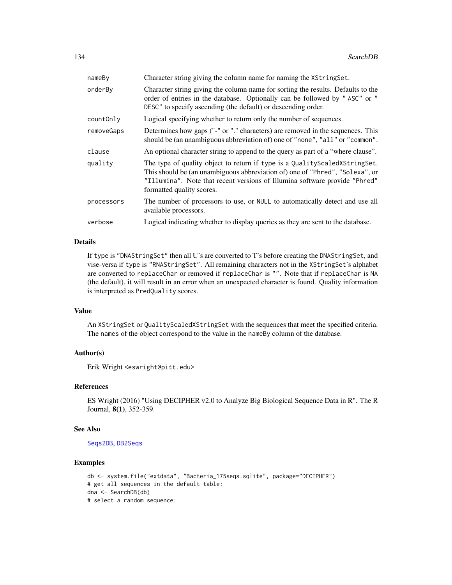| nameBy     | Character string giving the column name for naming the XStringSet.                                                                                                                                                                                                        |
|------------|---------------------------------------------------------------------------------------------------------------------------------------------------------------------------------------------------------------------------------------------------------------------------|
| orderBy    | Character string giving the column name for sorting the results. Defaults to the<br>order of entries in the database. Optionally can be followed by "ASC" or "<br>DESC" to specify ascending (the default) or descending order.                                           |
| countOnly  | Logical specifying whether to return only the number of sequences.                                                                                                                                                                                                        |
| removeGaps | Determines how gaps ("-" or "." characters) are removed in the sequences. This<br>should be (an unambiguous abbreviation of) one of "none", "all" or "common".                                                                                                            |
| clause     | An optional character string to append to the query as part of a "where clause".                                                                                                                                                                                          |
| quality    | The type of quality object to return if type is a Quality Scaled X String Set.<br>This should be (an unambiguous abbreviation of) one of "Phred", "Solexa", or<br>"Illumina". Note that recent versions of Illumina software provide "Phred"<br>formatted quality scores. |
| processors | The number of processors to use, or NULL to automatically detect and use all<br>available processors.                                                                                                                                                                     |
| verbose    | Logical indicating whether to display queries as they are sent to the database.                                                                                                                                                                                           |

#### Details

If type is "DNAStringSet" then all U's are converted to T's before creating the DNAStringSet, and vise-versa if type is "RNAStringSet". All remaining characters not in the XStringSet's alphabet are converted to replaceChar or removed if replaceChar is "". Note that if replaceChar is NA (the default), it will result in an error when an unexpected character is found. Quality information is interpreted as PredQuality scores.

# Value

An XStringSet or QualityScaledXStringSet with the sequences that meet the specified criteria. The names of the object correspond to the value in the nameBy column of the database.

# Author(s)

Erik Wright <eswright@pitt.edu>

## References

ES Wright (2016) "Using DECIPHER v2.0 to Analyze Big Biological Sequence Data in R". The R Journal, 8(1), 352-359.

#### See Also

[Seqs2DB](#page-134-0), [DB2Seqs](#page-47-0)

```
db <- system.file("extdata", "Bacteria_175seqs.sqlite", package="DECIPHER")
# get all sequences in the default table:
dna <- SearchDB(db)
# select a random sequence:
```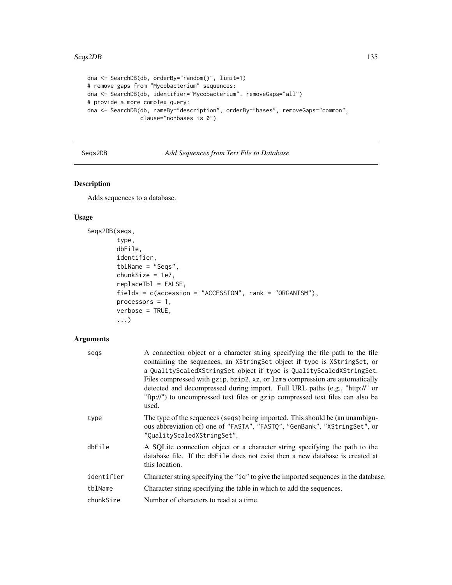#### Seqs2DB 135

```
dna <- SearchDB(db, orderBy="random()", limit=1)
# remove gaps from "Mycobacterium" sequences:
dna <- SearchDB(db, identifier="Mycobacterium", removeGaps="all")
# provide a more complex query:
dna <- SearchDB(db, nameBy="description", orderBy="bases", removeGaps="common",
                clause="nonbases is 0")
```
# <span id="page-134-0"></span>Seqs2DB *Add Sequences from Text File to Database*

# Description

Adds sequences to a database.

# Usage

```
Seqs2DB(seqs,
        type,
        dbFile,
        identifier,
        tblName = "Seqs",
        chunkSize = 1e7,
        replaceTbl = FALSE,
        fields = c(accession = "ACCESSION", rank = "ORGANISM"),
        processors = 1,
        verbose = TRUE,
        ...)
```
## Arguments

| segs       | A connection object or a character string specifying the file path to the file<br>containing the sequences, an XStringSet object if type is XStringSet, or<br>a QualityScaledXStringSet object if type is QualityScaledXStringSet.<br>Files compressed with gzip, bzip2, xz, or 1zma compression are automatically<br>detected and decompressed during import. Full URL paths (e.g., "http://" or<br>"ftp://") to uncompressed text files or gzip compressed text files can also be<br>used. |
|------------|----------------------------------------------------------------------------------------------------------------------------------------------------------------------------------------------------------------------------------------------------------------------------------------------------------------------------------------------------------------------------------------------------------------------------------------------------------------------------------------------|
| type       | The type of the sequences (seqs) being imported. This should be (an unambigu-<br>ous abbreviation of) one of "FASTA", "FASTQ", "GenBank", "XStringSet", or<br>"QualityScaledXStringSet".                                                                                                                                                                                                                                                                                                     |
| dbFile     | A SQLite connection object or a character string specifying the path to the<br>database file. If the dbFile does not exist then a new database is created at<br>this location.                                                                                                                                                                                                                                                                                                               |
| identifier | Character string specifying the "id" to give the imported sequences in the database.                                                                                                                                                                                                                                                                                                                                                                                                         |
| tblName    | Character string specifying the table in which to add the sequences.                                                                                                                                                                                                                                                                                                                                                                                                                         |
| chunkSize  | Number of characters to read at a time.                                                                                                                                                                                                                                                                                                                                                                                                                                                      |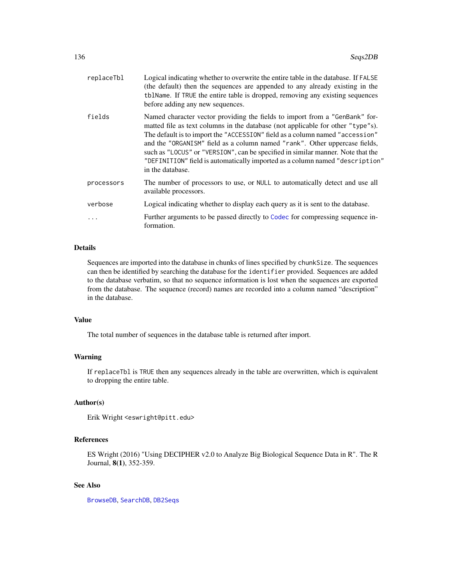| replaceTbl | Logical indicating whether to overwrite the entire table in the database. If FALSE<br>(the default) then the sequences are appended to any already existing in the<br>tblName. If TRUE the entire table is dropped, removing any existing sequences<br>before adding any new sequences.                                                                                                                                                                                                                             |
|------------|---------------------------------------------------------------------------------------------------------------------------------------------------------------------------------------------------------------------------------------------------------------------------------------------------------------------------------------------------------------------------------------------------------------------------------------------------------------------------------------------------------------------|
| fields     | Named character vector providing the fields to import from a "GenBank" for-<br>matted file as text columns in the database (not applicable for other "type"s).<br>The default is to import the "ACCESSION" field as a column named "accession"<br>and the "ORGANISM" field as a column named "rank". Other uppercase fields,<br>such as "LOCUS" or "VERSION", can be specified in similar manner. Note that the<br>"DEFINITION" field is automatically imported as a column named "description"<br>in the database. |
| processors | The number of processors to use, or NULL to automatically detect and use all<br>available processors.                                                                                                                                                                                                                                                                                                                                                                                                               |
| verbose    | Logical indicating whether to display each query as it is sent to the database.                                                                                                                                                                                                                                                                                                                                                                                                                                     |
| $\ddotsc$  | Further arguments to be passed directly to Codec for compressing sequence in-<br>formation.                                                                                                                                                                                                                                                                                                                                                                                                                         |

# Details

Sequences are imported into the database in chunks of lines specified by chunkSize. The sequences can then be identified by searching the database for the identifier provided. Sequences are added to the database verbatim, so that no sequence information is lost when the sequences are exported from the database. The sequence (record) names are recorded into a column named "description" in the database.

# Value

The total number of sequences in the database table is returned after import.

# Warning

If replaceTbl is TRUE then any sequences already in the table are overwritten, which is equivalent to dropping the entire table.

# Author(s)

Erik Wright <eswright@pitt.edu>

# References

ES Wright (2016) "Using DECIPHER v2.0 to Analyze Big Biological Sequence Data in R". The R Journal, 8(1), 352-359.

## See Also

[BrowseDB](#page-26-0), [SearchDB](#page-132-0), [DB2Seqs](#page-47-0)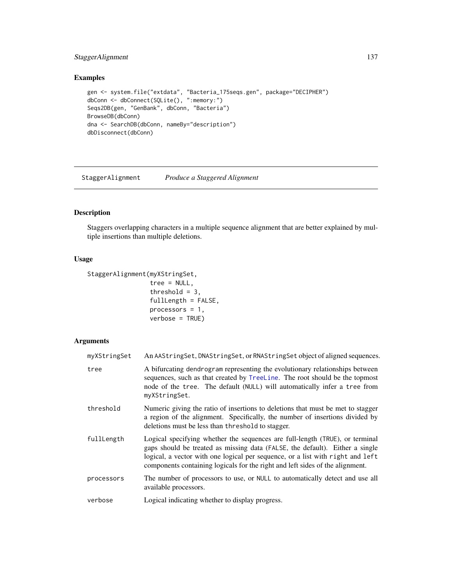# StaggerAlignment 137

# Examples

```
gen <- system.file("extdata", "Bacteria_175seqs.gen", package="DECIPHER")
dbConn <- dbConnect(SQLite(), ":memory:")
Seqs2DB(gen, "GenBank", dbConn, "Bacteria")
BrowseDB(dbConn)
dna <- SearchDB(dbConn, nameBy="description")
dbDisconnect(dbConn)
```
StaggerAlignment *Produce a Staggered Alignment*

# Description

Staggers overlapping characters in a multiple sequence alignment that are better explained by multiple insertions than multiple deletions.

## Usage

```
StaggerAlignment(myXStringSet,
```

```
tree = NULL,
threshold = 3,
fullLength = FALSE,
processors = 1,
verbose = TRUE)
```
# Arguments

| myXStringSet | An AAStringSet, DNAStringSet, or RNAStringSet object of aligned sequences.                                                                                                                                                                                                                                                      |
|--------------|---------------------------------------------------------------------------------------------------------------------------------------------------------------------------------------------------------------------------------------------------------------------------------------------------------------------------------|
| tree         | A bifurcating dendrogram representing the evolutionary relationships between<br>sequences, such as that created by TreeLine. The root should be the topmost<br>node of the tree. The default (NULL) will automatically infer a tree from<br>myXStringSet.                                                                       |
| threshold    | Numeric giving the ratio of insertions to deletions that must be met to stagger<br>a region of the alignment. Specifically, the number of insertions divided by<br>deletions must be less than threshold to stagger.                                                                                                            |
| fullLength   | Logical specifying whether the sequences are full-length (TRUE), or terminal<br>gaps should be treated as missing data (FALSE, the default). Either a single<br>logical, a vector with one logical per sequence, or a list with right and left<br>components containing logicals for the right and left sides of the alignment. |
| processors   | The number of processors to use, or NULL to automatically detect and use all<br>available processors.                                                                                                                                                                                                                           |
| verbose      | Logical indicating whether to display progress.                                                                                                                                                                                                                                                                                 |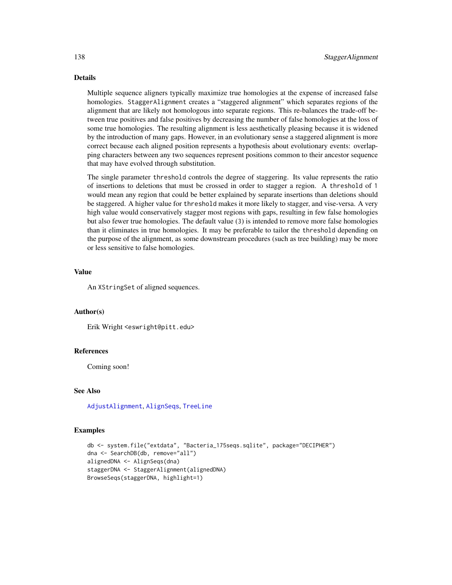# Details

Multiple sequence aligners typically maximize true homologies at the expense of increased false homologies. StaggerAlignment creates a "staggered alignment" which separates regions of the alignment that are likely not homologous into separate regions. This re-balances the trade-off between true positives and false positives by decreasing the number of false homologies at the loss of some true homologies. The resulting alignment is less aesthetically pleasing because it is widened by the introduction of many gaps. However, in an evolutionary sense a staggered alignment is more correct because each aligned position represents a hypothesis about evolutionary events: overlapping characters between any two sequences represent positions common to their ancestor sequence that may have evolved through substitution.

The single parameter threshold controls the degree of staggering. Its value represents the ratio of insertions to deletions that must be crossed in order to stagger a region. A threshold of 1 would mean any region that could be better explained by separate insertions than deletions should be staggered. A higher value for threshold makes it more likely to stagger, and vise-versa. A very high value would conservatively stagger most regions with gaps, resulting in few false homologies but also fewer true homologies. The default value (3) is intended to remove more false homologies than it eliminates in true homologies. It may be preferable to tailor the threshold depending on the purpose of the alignment, as some downstream procedures (such as tree building) may be more or less sensitive to false homologies.

# Value

An XStringSet of aligned sequences.

## Author(s)

Erik Wright <eswright@pitt.edu>

#### References

Coming soon!

#### See Also

[AdjustAlignment](#page-7-0), [AlignSeqs](#page-16-0), [TreeLine](#page-147-0)

```
db <- system.file("extdata", "Bacteria_175seqs.sqlite", package="DECIPHER")
dna <- SearchDB(db, remove="all")
alignedDNA <- AlignSeqs(dna)
staggerDNA <- StaggerAlignment(alignedDNA)
BrowseSeqs(staggerDNA, highlight=1)
```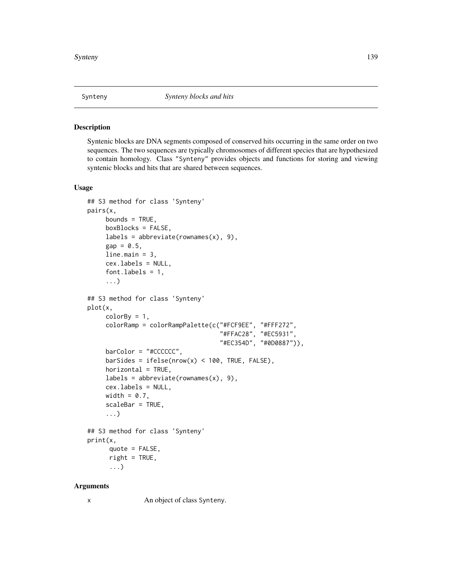#### Description

Syntenic blocks are DNA segments composed of conserved hits occurring in the same order on two sequences. The two sequences are typically chromosomes of different species that are hypothesized to contain homology. Class "Synteny" provides objects and functions for storing and viewing syntenic blocks and hits that are shared between sequences.

### Usage

```
## S3 method for class 'Synteny'
pairs(x,
     bounds = TRUE,
     boxBlocks = FALSE,
     labels = abbreviate(rownames(x), 9),gap = 0.5,line.main = 3,
     cex.labels = NULL,
     font.labels = 1,
     ...)
## S3 method for class 'Synteny'
plot(x,
     colorBy = 1,colorRamp = colorRampPalette(c("#FCF9EE", "#FFF272",
                                     "#FFAC28", "#EC5931",
                                     "#EC354D", "#0D0887")),
     barColor = "#CCCCCC",
     barSides = ifelse(nrow(x) < 100, TRUE, FALSE),horizontal = TRUE,
     labels = abbreviate(rownames(x), 9),cex.labels = NULL,
     width = 0.7,
     scaleBar = TRUE,
     ...)
## S3 method for class 'Synteny'
print(x,
      quote = FALSE,
      right = TRUE,...)
```
## Arguments

x An object of class Synteny.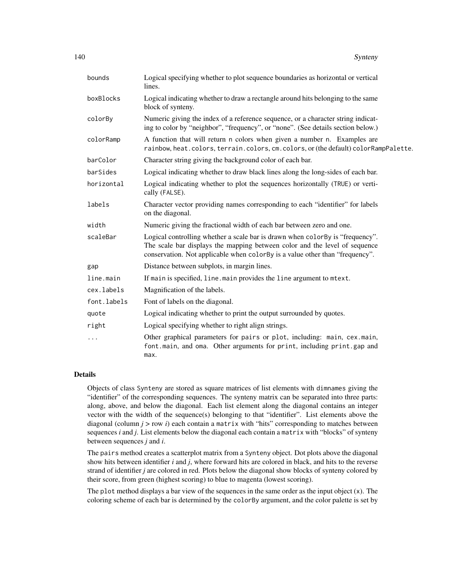| bounds      | Logical specifying whether to plot sequence boundaries as horizontal or vertical<br>lines.                                                                                                                                                   |
|-------------|----------------------------------------------------------------------------------------------------------------------------------------------------------------------------------------------------------------------------------------------|
| boxBlocks   | Logical indicating whether to draw a rectangle around hits belonging to the same<br>block of synteny.                                                                                                                                        |
| colorBy     | Numeric giving the index of a reference sequence, or a character string indicat-<br>ing to color by "neighbor", "frequency", or "none". (See details section below.)                                                                         |
| colorRamp   | A function that will return n colors when given a number n. Examples are<br>rainbow, heat.colors, terrain.colors, cm.colors, or (the default) colorRampPalette.                                                                              |
| barColor    | Character string giving the background color of each bar.                                                                                                                                                                                    |
| barSides    | Logical indicating whether to draw black lines along the long-sides of each bar.                                                                                                                                                             |
| horizontal  | Logical indicating whether to plot the sequences horizontally (TRUE) or verti-<br>cally (FALSE).                                                                                                                                             |
| labels      | Character vector providing names corresponding to each "identifier" for labels<br>on the diagonal.                                                                                                                                           |
| width       | Numeric giving the fractional width of each bar between zero and one.                                                                                                                                                                        |
| scaleBar    | Logical controlling whether a scale bar is drawn when color By is "frequency".<br>The scale bar displays the mapping between color and the level of sequence<br>conservation. Not applicable when colorBy is a value other than "frequency". |
| gap         | Distance between subplots, in margin lines.                                                                                                                                                                                                  |
| line.main   | If main is specified, line . main provides the line argument to mtext.                                                                                                                                                                       |
| cex.labels  | Magnification of the labels.                                                                                                                                                                                                                 |
| font.labels | Font of labels on the diagonal.                                                                                                                                                                                                              |
| quote       | Logical indicating whether to print the output surrounded by quotes.                                                                                                                                                                         |
| right       | Logical specifying whether to right align strings.                                                                                                                                                                                           |
| $\cdots$    | Other graphical parameters for pairs or plot, including: main, cex.main,<br>font.main, and oma. Other arguments for print, including print.gap and<br>max.                                                                                   |

# Details

Objects of class Synteny are stored as square matrices of list elements with dimnames giving the "identifier" of the corresponding sequences. The synteny matrix can be separated into three parts: along, above, and below the diagonal. Each list element along the diagonal contains an integer vector with the width of the sequence(s) belonging to that "identifier". List elements above the diagonal (column  $j >$  row  $i$ ) each contain a matrix with "hits" corresponding to matches between sequences *i* and *j*. List elements below the diagonal each contain a matrix with "blocks" of synteny between sequences *j* and *i*.

The pairs method creates a scatterplot matrix from a Synteny object. Dot plots above the diagonal show hits between identifier *i* and *j*, where forward hits are colored in black, and hits to the reverse strand of identifier *j* are colored in red. Plots below the diagonal show blocks of synteny colored by their score, from green (highest scoring) to blue to magenta (lowest scoring).

The plot method displays a bar view of the sequences in the same order as the input object  $(x)$ . The coloring scheme of each bar is determined by the colorBy argument, and the color palette is set by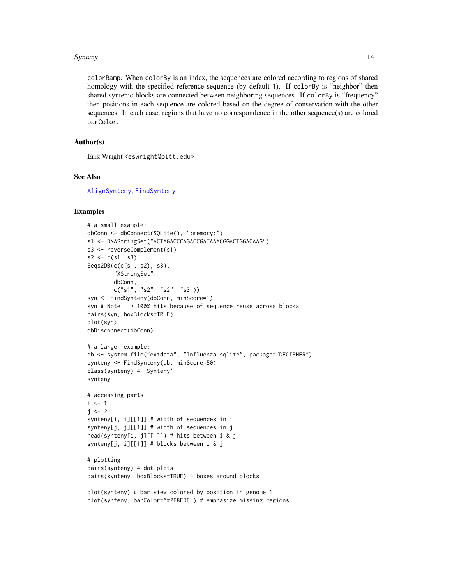#### Synteny 141

colorRamp. When colorBy is an index, the sequences are colored according to regions of shared homology with the specified reference sequence (by default 1). If colorBy is "neighbor" then shared syntenic blocks are connected between neighboring sequences. If colorBy is "frequency" then positions in each sequence are colored based on the degree of conservation with the other sequences. In each case, regions that have no correspondence in the other sequence(s) are colored barColor.

# Author(s)

Erik Wright <eswright@pitt.edu>

## See Also

[AlignSynteny](#page-19-0), [FindSynteny](#page-83-0)

```
# a small example:
dbConn <- dbConnect(SQLite(), ":memory:")
s1 <- DNAStringSet("ACTAGACCCAGACCGATAAACGGACTGGACAAG")
s3 <- reverseComplement(s1)
s2 \leq c(s1, s3)Seqs2DB(c(c(s1, s2), s3),
        "XStringSet",
        dbConn,
        c("s1", "s2", "s2", "s3"))
syn <- FindSynteny(dbConn, minScore=1)
syn # Note: > 100% hits because of sequence reuse across blocks
pairs(syn, boxBlocks=TRUE)
plot(syn)
dbDisconnect(dbConn)
# a larger example:
db <- system.file("extdata", "Influenza.sqlite", package="DECIPHER")
synteny <- FindSynteny(db, minScore=50)
class(synteny) # 'Synteny'
synteny
# accessing parts
i \leq 1j \leq -2synteny[i, i][[1]] # width of sequences in i
synteny[j, j][[1]] # width of sequences in j
head(synteny[i, j][[1]]) # hits between i & j
synteny[j, i][[1]] # blocks between i & j
# plotting
pairs(synteny) # dot plots
pairs(synteny, boxBlocks=TRUE) # boxes around blocks
plot(synteny) # bar view colored by position in genome 1
plot(synteny, barColor="#268FD6") # emphasize missing regions
```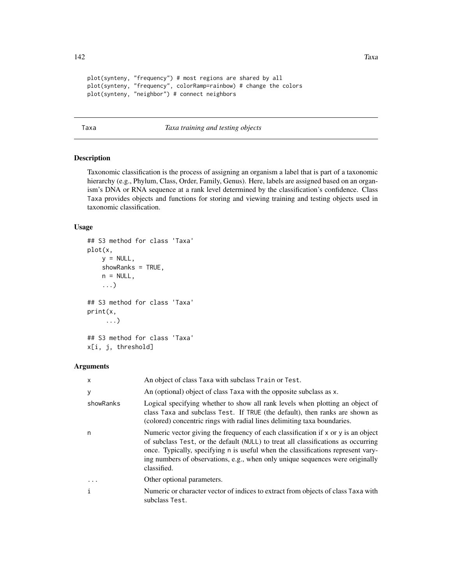```
plot(synteny, "frequency") # most regions are shared by all
plot(synteny, "frequency", colorRamp=rainbow) # change the colors
plot(synteny, "neighbor") # connect neighbors
```
## Taxa *Taxa training and testing objects*

# Description

Taxonomic classification is the process of assigning an organism a label that is part of a taxonomic hierarchy (e.g., Phylum, Class, Order, Family, Genus). Here, labels are assigned based on an organism's DNA or RNA sequence at a rank level determined by the classification's confidence. Class Taxa provides objects and functions for storing and viewing training and testing objects used in taxonomic classification.

## Usage

```
## S3 method for class 'Taxa'
plot(x,
    y = NULL,showRanks = TRUE,
    n = NULL,...)
## S3 method for class 'Taxa'
print(x,
     ...)
## S3 method for class 'Taxa'
```

```
x[i, j, threshold]
```
# Arguments

| $\mathsf{x}$ | An object of class Taxa with subclass Train or Test.                                                                                                                                                                                                                                                                                                           |
|--------------|----------------------------------------------------------------------------------------------------------------------------------------------------------------------------------------------------------------------------------------------------------------------------------------------------------------------------------------------------------------|
| у            | An (optional) object of class Taxa with the opposite subclass as x.                                                                                                                                                                                                                                                                                            |
| showRanks    | Logical specifying whether to show all rank levels when plotting an object of<br>class Taxa and subclass Test. If TRUE (the default), then ranks are shown as<br>(colored) concentric rings with radial lines delimiting taxa boundaries.                                                                                                                      |
| n            | Numeric vector giving the frequency of each classification if $x$ or $y$ is an object<br>of subclass Test, or the default (NULL) to treat all classifications as occurring<br>once. Typically, specifying n is useful when the classifications represent vary-<br>ing numbers of observations, e.g., when only unique sequences were originally<br>classified. |
| $\ddotsc$    | Other optional parameters.                                                                                                                                                                                                                                                                                                                                     |
| $\mathbf{i}$ | Numeric or character vector of indices to extract from objects of class Taxa with<br>subclass Test.                                                                                                                                                                                                                                                            |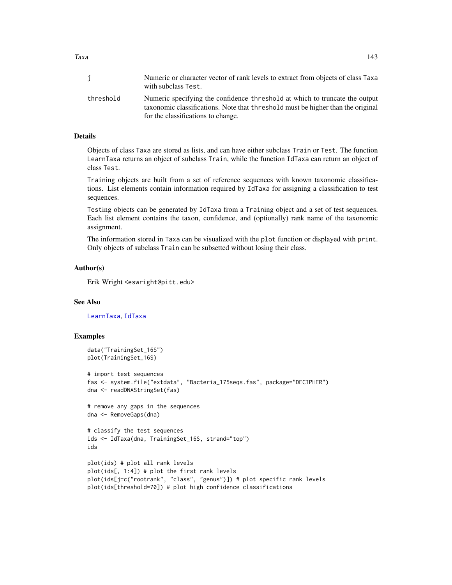Taxa 143

|           | Numeric or character vector of rank levels to extract from objects of class Taxa<br>with subclass Test.                                                                                              |
|-----------|------------------------------------------------------------------------------------------------------------------------------------------------------------------------------------------------------|
| threshold | Numeric specifying the confidence threshold at which to truncate the output<br>taxonomic classifications. Note that threshold must be higher than the original<br>for the classifications to change. |

## Details

Objects of class Taxa are stored as lists, and can have either subclass Train or Test. The function LearnTaxa returns an object of subclass Train, while the function IdTaxa can return an object of class Test.

Training objects are built from a set of reference sequences with known taxonomic classifications. List elements contain information required by IdTaxa for assigning a classification to test sequences.

Testing objects can be generated by IdTaxa from a Training object and a set of test sequences. Each list element contains the taxon, confidence, and (optionally) rank name of the taxonomic assignment.

The information stored in Taxa can be visualized with the plot function or displayed with print. Only objects of subclass Train can be subsetted without losing their class.

# Author(s)

Erik Wright <eswright@pitt.edu>

### See Also

[LearnTaxa](#page-100-0), [IdTaxa](#page-95-0)

```
data("TrainingSet_16S")
plot(TrainingSet_16S)
# import test sequences
fas <- system.file("extdata", "Bacteria_175seqs.fas", package="DECIPHER")
dna <- readDNAStringSet(fas)
# remove any gaps in the sequences
dna <- RemoveGaps(dna)
# classify the test sequences
ids <- IdTaxa(dna, TrainingSet_16S, strand="top")
ids
plot(ids) # plot all rank levels
plot(ids[, 1:4]) # plot the first rank levels
plot(ids[j=c("rootrank", "class", "genus")]) # plot specific rank levels
plot(ids[threshold=70]) # plot high confidence classifications
```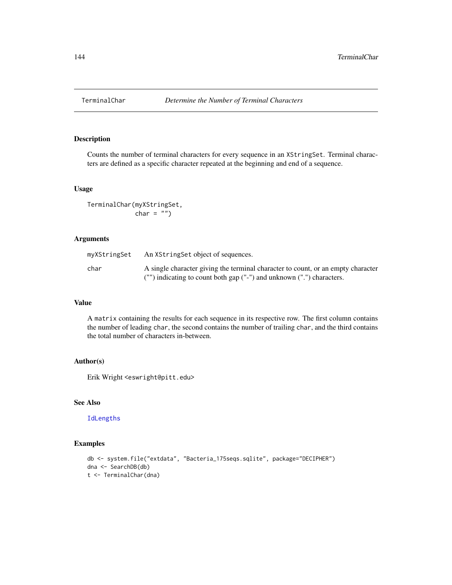## Description

Counts the number of terminal characters for every sequence in an XStringSet. Terminal characters are defined as a specific character repeated at the beginning and end of a sequence.

#### Usage

```
TerminalChar(myXStringSet,
            char = "")
```
# Arguments

| myXStringSet | An XString Set object of sequences.                                              |
|--------------|----------------------------------------------------------------------------------|
| char         | A single character giving the terminal character to count, or an empty character |
|              | ("") indicating to count both gap ("-") and unknown (".") characters.            |

## Value

A matrix containing the results for each sequence in its respective row. The first column contains the number of leading char, the second contains the number of trailing char, and the third contains the total number of characters in-between.

# Author(s)

Erik Wright <eswright@pitt.edu>

# See Also

# [IdLengths](#page-94-0)

```
db <- system.file("extdata", "Bacteria_175seqs.sqlite", package="DECIPHER")
dna <- SearchDB(db)
t <- TerminalChar(dna)
```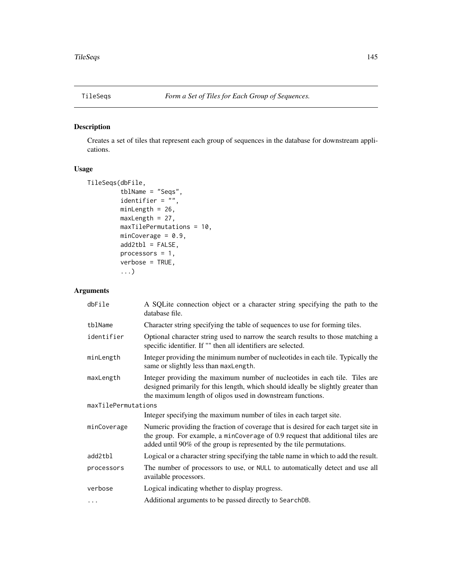<span id="page-144-0"></span>

## Description

Creates a set of tiles that represent each group of sequences in the database for downstream applications.

#### Usage

```
TileSeqs(dbFile,
        tblName = "Seqs",
        identifier = ",
        minLength = 26,
        maxLength = 27,
        maxTilePermutations = 10,
        minCoverage = 0.9,add2tb1 = FALSE,processors = 1,
        verbose = TRUE,
         ...)
```
## Arguments

| dbFile              | A SQLite connection object or a character string specifying the path to the<br>database file.                                                                                                                                                 |
|---------------------|-----------------------------------------------------------------------------------------------------------------------------------------------------------------------------------------------------------------------------------------------|
| tblName             | Character string specifying the table of sequences to use for forming tiles.                                                                                                                                                                  |
| identifier          | Optional character string used to narrow the search results to those matching a<br>specific identifier. If "" then all identifiers are selected.                                                                                              |
| minLength           | Integer providing the minimum number of nucleotides in each tile. Typically the<br>same or slightly less than maxLength.                                                                                                                      |
| maxLength           | Integer providing the maximum number of nucleotides in each tile. Tiles are<br>designed primarily for this length, which should ideally be slightly greater than<br>the maximum length of oligos used in downstream functions.                |
| maxTilePermutations |                                                                                                                                                                                                                                               |
|                     | Integer specifying the maximum number of tiles in each target site.                                                                                                                                                                           |
| minCoverage         | Numeric providing the fraction of coverage that is desired for each target site in<br>the group. For example, a minCoverage of 0.9 request that additional tiles are<br>added until 90% of the group is represented by the tile permutations. |
| add2tbl             | Logical or a character string specifying the table name in which to add the result.                                                                                                                                                           |
| processors          | The number of processors to use, or NULL to automatically detect and use all<br>available processors.                                                                                                                                         |
| verbose             | Logical indicating whether to display progress.                                                                                                                                                                                               |
| $\cdots$            | Additional arguments to be passed directly to SearchDB.                                                                                                                                                                                       |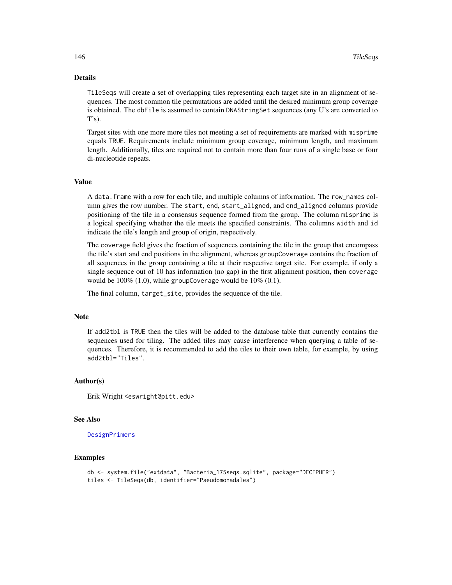#### <span id="page-145-0"></span>Details

TileSeqs will create a set of overlapping tiles representing each target site in an alignment of sequences. The most common tile permutations are added until the desired minimum group coverage is obtained. The dbFile is assumed to contain DNAStringSet sequences (any U's are converted to  $T's$ ).

Target sites with one more more tiles not meeting a set of requirements are marked with misprime equals TRUE. Requirements include minimum group coverage, minimum length, and maximum length. Additionally, tiles are required not to contain more than four runs of a single base or four di-nucleotide repeats.

#### Value

A data.frame with a row for each tile, and multiple columns of information. The row\_names column gives the row number. The start, end, start\_aligned, and end\_aligned columns provide positioning of the tile in a consensus sequence formed from the group. The column misprime is a logical specifying whether the tile meets the specified constraints. The columns width and id indicate the tile's length and group of origin, respectively.

The coverage field gives the fraction of sequences containing the tile in the group that encompass the tile's start and end positions in the alignment, whereas groupCoverage contains the fraction of all sequences in the group containing a tile at their respective target site. For example, if only a single sequence out of 10 has information (no gap) in the first alignment position, then coverage would be  $100\%$  (1.0), while groupCoverage would be  $10\%$  (0.1).

The final column, target\_site, provides the sequence of the tile.

#### Note

If add2tbl is TRUE then the tiles will be added to the database table that currently contains the sequences used for tiling. The added tiles may cause interference when querying a table of sequences. Therefore, it is recommended to add the tiles to their own table, for example, by using add2tbl="Tiles".

#### Author(s)

Erik Wright <eswright@pitt.edu>

#### See Also

[DesignPrimers](#page-56-0)

#### Examples

```
db <- system.file("extdata", "Bacteria_175seqs.sqlite", package="DECIPHER")
tiles <- TileSeqs(db, identifier="Pseudomonadales")
```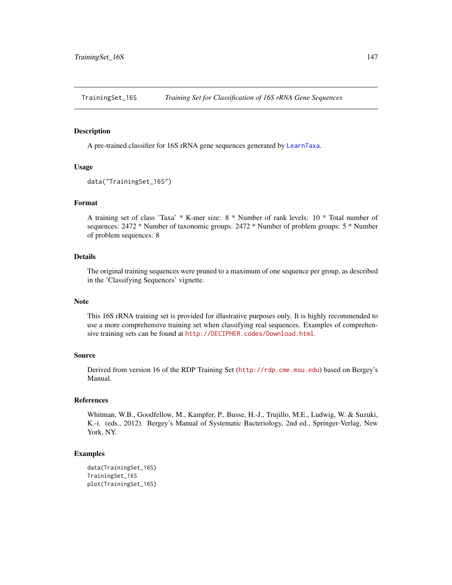<span id="page-146-0"></span>TrainingSet\_16S *Training Set for Classification of 16S rRNA Gene Sequences*

#### Description

A pre-trained classifier for 16S rRNA gene sequences generated by [LearnTaxa](#page-100-0).

#### Usage

```
data("TrainingSet_16S")
```
## Format

A training set of class 'Taxa' \* K-mer size: 8 \* Number of rank levels: 10 \* Total number of sequences: 2472 \* Number of taxonomic groups: 2472 \* Number of problem groups: 5 \* Number of problem sequences: 8

#### Details

The original training sequences were pruned to a maximum of one sequence per group, as described in the 'Classifying Sequences' vignette.

#### Note

This 16S rRNA training set is provided for illustrative purposes only. It is highly recommended to use a more comprehensive training set when classifying real sequences. Examples of comprehensive training sets can be found at  $http://DECIPHER.codes/Download.html$ .

#### Source

Derived from version 16 of the RDP Training Set (<http://rdp.cme.msu.edu>) based on Bergey's Manual.

#### References

Whitman, W.B., Goodfellow, M., Kampfer, P., Busse, H.-J., Trujillo, M.E., Ludwig, W. & Suzuki, K.-i. (eds., 2012). Bergey's Manual of Systematic Bacteriology, 2nd ed., Springer-Verlag, New York, NY.

#### Examples

```
data(TrainingSet_16S)
TrainingSet_16S
plot(TrainingSet_16S)
```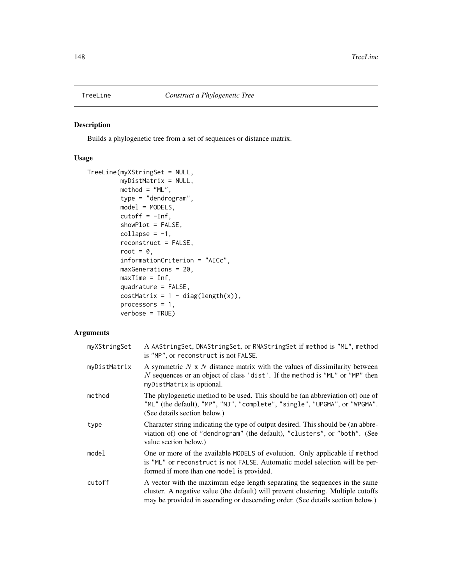<span id="page-147-1"></span><span id="page-147-0"></span>

## Description

Builds a phylogenetic tree from a set of sequences or distance matrix.

## Usage

```
TreeLine(myXStringSet = NULL,
         myDistMatrix = NULL,
         method = "ML",type = "dendrogram",
         model = MODELS,cutoff = -Inf,showPlot = FALSE,
         collapse = -1,
         reconstruct = FALSE,
         root = \theta,
         informationCriterion = "AICc",
         maxGenerations = 20,
         maxTime = Inf,quadrature = FALSE,
         costMatrix = 1 - diag(length(x)),processors = 1,
         verbose = TRUE)
```
## Arguments

| myXStringSet | A AAStringSet, DNAStringSet, or RNAStringSet if method is "ML", method<br>is "MP", or reconstruct is not FALSE.                                                                                                                                   |
|--------------|---------------------------------------------------------------------------------------------------------------------------------------------------------------------------------------------------------------------------------------------------|
| myDistMatrix | A symmetric $N \times N$ distance matrix with the values of dissimilarity between<br>N sequences or an object of class 'dist'. If the method is "ML" or "MP" then<br>myDistMatrix is optional.                                                    |
| method       | The phylogenetic method to be used. This should be (an abbreviation of) one of<br>"ML" (the default), "MP", "NJ", "complete", "single", "UPGMA", or "WPGMA".<br>(See details section below.)                                                      |
| type         | Character string indicating the type of output desired. This should be (an abbre-<br>viation of) one of "dendrogram" (the default), "clusters", or "both". (See<br>value section below.)                                                          |
| model        | One or more of the available MODELS of evolution. Only applicable if method<br>is "ML" or reconstruct is not FALSE. Automatic model selection will be per-<br>formed if more than one model is provided.                                          |
| cutoff       | A vector with the maximum edge length separating the sequences in the same<br>cluster. A negative value (the default) will prevent clustering. Multiple cutoffs<br>may be provided in ascending or descending order. (See details section below.) |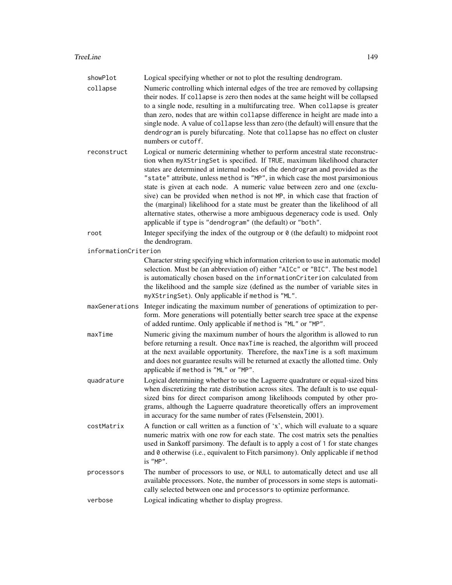| showPlot             | Logical specifying whether or not to plot the resulting dendrogram.                                                                                                                                                                                                                                                                                                                                                                                                                                                                                                                                                                                                                                                          |
|----------------------|------------------------------------------------------------------------------------------------------------------------------------------------------------------------------------------------------------------------------------------------------------------------------------------------------------------------------------------------------------------------------------------------------------------------------------------------------------------------------------------------------------------------------------------------------------------------------------------------------------------------------------------------------------------------------------------------------------------------------|
| collapse             | Numeric controlling which internal edges of the tree are removed by collapsing<br>their nodes. If collapse is zero then nodes at the same height will be collapsed<br>to a single node, resulting in a multifurcating tree. When collapse is greater<br>than zero, nodes that are within collapse difference in height are made into a<br>single node. A value of collapse less than zero (the default) will ensure that the<br>dendrogram is purely bifurcating. Note that collapse has no effect on cluster<br>numbers or cutoff.                                                                                                                                                                                          |
| reconstruct          | Logical or numeric determining whether to perform ancestral state reconstruc-<br>tion when myXStringSet is specified. If TRUE, maximum likelihood character<br>states are determined at internal nodes of the dendrogram and provided as the<br>"state" attribute, unless method is "MP", in which case the most parsimonious<br>state is given at each node. A numeric value between zero and one (exclu-<br>sive) can be provided when method is not MP, in which case that fraction of<br>the (marginal) likelihood for a state must be greater than the likelihood of all<br>alternative states, otherwise a more ambiguous degeneracy code is used. Only<br>applicable if type is "dendrogram" (the default) or "both". |
| root                 | Integer specifying the index of the outgroup or $\theta$ (the default) to midpoint root<br>the dendrogram.                                                                                                                                                                                                                                                                                                                                                                                                                                                                                                                                                                                                                   |
| informationCriterion |                                                                                                                                                                                                                                                                                                                                                                                                                                                                                                                                                                                                                                                                                                                              |
|                      | Character string specifying which information criterion to use in automatic model<br>selection. Must be (an abbreviation of) either "AICc" or "BIC". The best model<br>is automatically chosen based on the informationCriterion calculated from<br>the likelihood and the sample size (defined as the number of variable sites in<br>myXStringSet). Only applicable if method is "ML".                                                                                                                                                                                                                                                                                                                                      |
| maxGenerations       | Integer indicating the maximum number of generations of optimization to per-<br>form. More generations will potentially better search tree space at the expense<br>of added runtime. Only applicable if method is "ML" or "MP".                                                                                                                                                                                                                                                                                                                                                                                                                                                                                              |
| maxTime              | Numeric giving the maximum number of hours the algorithm is allowed to run<br>before returning a result. Once maxTime is reached, the algorithm will proceed<br>at the next available opportunity. Therefore, the maxTime is a soft maximum<br>and does not guarantee results will be returned at exactly the allotted time. Only<br>applicable if method is "ML" or "MP".                                                                                                                                                                                                                                                                                                                                                   |
| quadrature           | Logical determining whether to use the Laguerre quadrature or equal-sized bins<br>when discretizing the rate distribution across sites. The default is to use equal-<br>sized bins for direct comparison among likelihoods computed by other pro-<br>grams, although the Laguerre quadrature theoretically offers an improvement<br>in accuracy for the same number of rates (Felsenstein, 2001).                                                                                                                                                                                                                                                                                                                            |
| costMatrix           | A function or call written as a function of 'x', which will evaluate to a square<br>numeric matrix with one row for each state. The cost matrix sets the penalties<br>used in Sankoff parsimony. The default is to apply a cost of 1 for state changes<br>and 0 otherwise (i.e., equivalent to Fitch parsimony). Only applicable if method<br>$is$ "MP".                                                                                                                                                                                                                                                                                                                                                                     |
| processors           | The number of processors to use, or NULL to automatically detect and use all<br>available processors. Note, the number of processors in some steps is automati-<br>cally selected between one and processors to optimize performance.                                                                                                                                                                                                                                                                                                                                                                                                                                                                                        |
| verbose              | Logical indicating whether to display progress.                                                                                                                                                                                                                                                                                                                                                                                                                                                                                                                                                                                                                                                                              |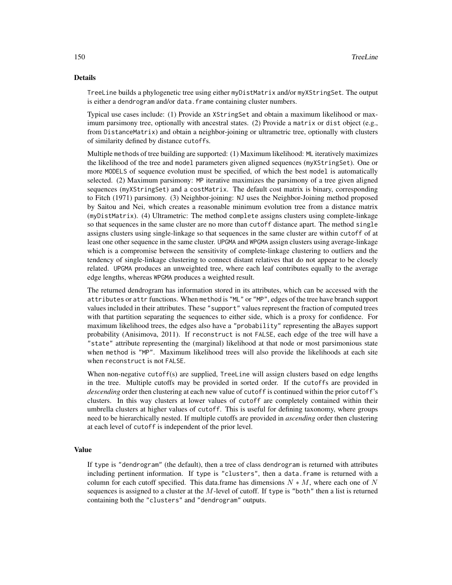#### Details

TreeLine builds a phylogenetic tree using either myDistMatrix and/or myXStringSet. The output is either a dendrogram and/or data. frame containing cluster numbers.

Typical use cases include: (1) Provide an XStringSet and obtain a maximum likelihood or maximum parsimony tree, optionally with ancestral states. (2) Provide a matrix or dist object (e.g., from DistanceMatrix) and obtain a neighbor-joining or ultrametric tree, optionally with clusters of similarity defined by distance cutoffs.

Multiple methods of tree building are supported: (1) Maximum likelihood: ML iteratively maximizes the likelihood of the tree and model parameters given aligned sequences (myXStringSet). One or more MODELS of sequence evolution must be specified, of which the best model is automatically selected. (2) Maximum parsimony: MP iterative maximizes the parsimony of a tree given aligned sequences (myXStringSet) and a costMatrix. The default cost matrix is binary, corresponding to Fitch (1971) parsimony. (3) Neighbor-joining: NJ uses the Neighbor-Joining method proposed by Saitou and Nei, which creates a reasonable minimum evolution tree from a distance matrix (myDistMatrix). (4) Ultrametric: The method complete assigns clusters using complete-linkage so that sequences in the same cluster are no more than cutoff distance apart. The method single assigns clusters using single-linkage so that sequences in the same cluster are within cutoff of at least one other sequence in the same cluster. UPGMA and WPGMA assign clusters using average-linkage which is a compromise between the sensitivity of complete-linkage clustering to outliers and the tendency of single-linkage clustering to connect distant relatives that do not appear to be closely related. UPGMA produces an unweighted tree, where each leaf contributes equally to the average edge lengths, whereas WPGMA produces a weighted result.

The returned dendrogram has information stored in its attributes, which can be accessed with the attributes or attr functions. When method is "ML" or "MP", edges of the tree have branch support values included in their attributes. These "support" values represent the fraction of computed trees with that partition separating the sequences to either side, which is a proxy for confidence. For maximum likelihood trees, the edges also have a "probability" representing the aBayes support probability (Anisimova, 2011). If reconstruct is not FALSE, each edge of the tree will have a "state" attribute representing the (marginal) likelihood at that node or most parsimonious state when method is "MP". Maximum likelihood trees will also provide the likelihoods at each site when reconstruct is not FALSE.

When non-negative cutoff(s) are supplied, TreeLine will assign clusters based on edge lengths in the tree. Multiple cutoffs may be provided in sorted order. If the cutoffs are provided in *descending* order then clustering at each new value of cutoff is continued within the prior cutoff's clusters. In this way clusters at lower values of cutoff are completely contained within their umbrella clusters at higher values of cutoff. This is useful for defining taxonomy, where groups need to be hierarchically nested. If multiple cutoffs are provided in *ascending* order then clustering at each level of cutoff is independent of the prior level.

#### Value

If type is "dendrogram" (the default), then a tree of class dendrogram is returned with attributes including pertinent information. If type is "clusters", then a data.frame is returned with a column for each cutoff specified. This data.frame has dimensions  $N * M$ , where each one of N sequences is assigned to a cluster at the  $M$ -level of cutoff. If type is "both" then a list is returned containing both the "clusters" and "dendrogram" outputs.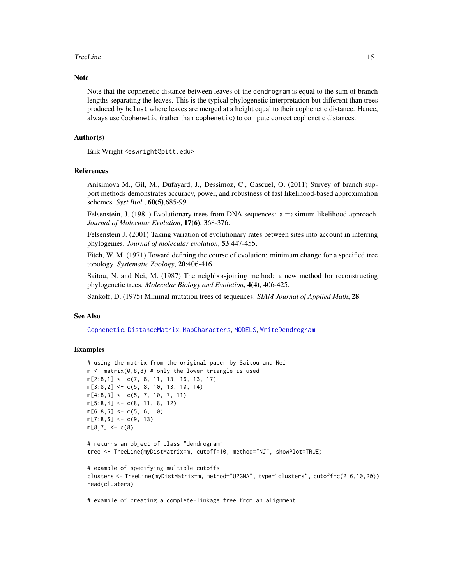#### <span id="page-150-0"></span>TreeLine 151

#### Note

Note that the cophenetic distance between leaves of the dendrogram is equal to the sum of branch lengths separating the leaves. This is the typical phylogenetic interpretation but different than trees produced by hclust where leaves are merged at a height equal to their cophenetic distance. Hence, always use Cophenetic (rather than cophenetic) to compute correct cophenetic distances.

#### Author(s)

Erik Wright <eswright@pitt.edu>

#### References

Anisimova M., Gil, M., Dufayard, J., Dessimoz, C., Gascuel, O. (2011) Survey of branch support methods demonstrates accuracy, power, and robustness of fast likelihood-based approximation schemes. *Syst Biol.*, 60(5),685-99.

Felsenstein, J. (1981) Evolutionary trees from DNA sequences: a maximum likelihood approach. *Journal of Molecular Evolution*, 17(6), 368-376.

Felsenstein J. (2001) Taking variation of evolutionary rates between sites into account in inferring phylogenies. *Journal of molecular evolution*, 53:447-455.

Fitch, W. M. (1971) Toward defining the course of evolution: minimum change for a specified tree topology. *Systematic Zoology*, 20:406-416.

Saitou, N. and Nei, M. (1987) The neighbor-joining method: a new method for reconstructing phylogenetic trees. *Molecular Biology and Evolution*, 4(4), 406-425.

Sankoff, D. (1975) Minimal mutation trees of sequences. *SIAM Journal of Applied Math*, 28.

## See Also

[Cophenetic](#page-41-0), [DistanceMatrix](#page-73-0), [MapCharacters](#page-104-0), [MODELS](#page-112-0), [WriteDendrogram](#page-154-0)

#### **Examples**

```
# using the matrix from the original paper by Saitou and Nei
m \le - matrix(0,8,8) # only the lower triangle is used
m[2:8,1] <- c(7, 8, 11, 13, 16, 13, 17)
m[3:8,2] <- c(5, 8, 10, 13, 10, 14)
m[4:8,3] \leq c(5, 7, 10, 7, 11)m[5:8,4] \leq c(8, 11, 8, 12)m[6:8,5] \leq c(5, 6, 10)m[7:8,6] < -c(9, 13)m[8,7] < -c(8)# returns an object of class "dendrogram"
tree <- TreeLine(myDistMatrix=m, cutoff=10, method="NJ", showPlot=TRUE)
# example of specifying multiple cutoffs
clusters <- TreeLine(myDistMatrix=m, method="UPGMA", type="clusters", cutoff=c(2,6,10,20))
head(clusters)
```
# example of creating a complete-linkage tree from an alignment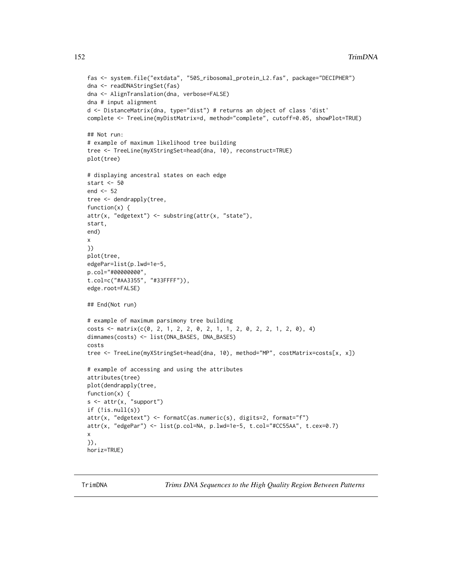```
fas <- system.file("extdata", "50S_ribosomal_protein_L2.fas", package="DECIPHER")
dna <- readDNAStringSet(fas)
dna <- AlignTranslation(dna, verbose=FALSE)
dna # input alignment
d <- DistanceMatrix(dna, type="dist") # returns an object of class 'dist'
complete <- TreeLine(myDistMatrix=d, method="complete", cutoff=0.05, showPlot=TRUE)
## Not run:
# example of maximum likelihood tree building
tree <- TreeLine(myXStringSet=head(dna, 10), reconstruct=TRUE)
plot(tree)
# displaying ancestral states on each edge
start <- 50
end <- 52
tree <- dendrapply(tree,
function(x) {
attr(x, "edgetext") <- substring(attr(x, "state"),
start,
end)
x
})
plot(tree,
edgePar=list(p.lwd=1e-5,
p.col="#00000000",
t.col=c("#AA3355", "#33FFFF")),
edge.root=FALSE)
## End(Not run)
# example of maximum parsimony tree building
costs <- matrix(c(0, 2, 1, 2, 2, 0, 2, 1, 1, 2, 0, 2, 2, 1, 2, 0), 4)
dimnames(costs) <- list(DNA_BASES, DNA_BASES)
costs
tree <- TreeLine(myXStringSet=head(dna, 10), method="MP", costMatrix=costs[x, x])
# example of accessing and using the attributes
attributes(tree)
plot(dendrapply(tree,
function(x) {
s \leftarrow \text{attr}(x, "support")if (!is.null(s))
attr(x, "edgetext") <- formatC(as.numeric(s), digits=2, format="f")
attr(x, "edgePar") <- list(p.col=NA, p.lwd=1e-5, t.col="#CC55AA", t.cex=0.7)
x
}),
horiz=TRUE)
```
TrimDNA *Trims DNA Sequences to the High Quality Region Between Patterns*

<span id="page-151-0"></span>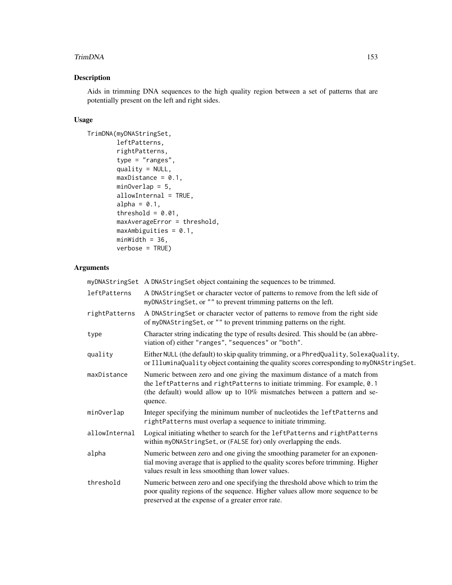#### TrimDNA 153

# Description

Aids in trimming DNA sequences to the high quality region between a set of patterns that are potentially present on the left and right sides.

#### Usage

```
TrimDNA(myDNAStringSet,
        leftPatterns,
        rightPatterns,
        type = "ranges",
        quality = NULL,
        maxDistance = 0.1,
        minOverlap = 5,
        allowInternal = TRUE,
        alpha = 0.1,
        threshold = 0.01,
        maxAverageError = threshold,
        maxAmbiguities = 0.1,
        minWidth = 36,verbose = TRUE)
```
# Arguments

|               | myDNAStringSet A DNAStringSet object containing the sequences to be trimmed.                                                                                                                                                                 |
|---------------|----------------------------------------------------------------------------------------------------------------------------------------------------------------------------------------------------------------------------------------------|
| leftPatterns  | A DNAStringSet or character vector of patterns to remove from the left side of<br>myDNAStringSet, or "" to prevent trimming patterns on the left.                                                                                            |
| rightPatterns | A DNAStringSet or character vector of patterns to remove from the right side<br>of myDNAStringSet, or "" to prevent trimming patterns on the right.                                                                                          |
| type          | Character string indicating the type of results desired. This should be (an abbre-<br>viation of) either "ranges", "sequences" or "both".                                                                                                    |
| quality       | Either NULL (the default) to skip quality trimming, or a PhredQuality, SolexaQuality,<br>or IlluminaQuality object containing the quality scores corresponding to myDNAStringSet.                                                            |
| maxDistance   | Numeric between zero and one giving the maximum distance of a match from<br>the leftPatterns and rightPatterns to initiate trimming. For example, 0.1<br>(the default) would allow up to 10% mismatches between a pattern and se-<br>quence. |
| minOverlap    | Integer specifying the minimum number of nucleotides the leftPatterns and<br>rightPatterns must overlap a sequence to initiate trimming.                                                                                                     |
| allowInternal | Logical initiating whether to search for the leftPatterns and rightPatterns<br>within myDNAStringSet, or (FALSE for) only overlapping the ends.                                                                                              |
| alpha         | Numeric between zero and one giving the smoothing parameter for an exponen-<br>tial moving average that is applied to the quality scores before trimming. Higher<br>values result in less smoothing than lower values.                       |
| threshold     | Numeric between zero and one specifying the threshold above which to trim the<br>poor quality regions of the sequence. Higher values allow more sequence to be<br>preserved at the expense of a greater error rate.                          |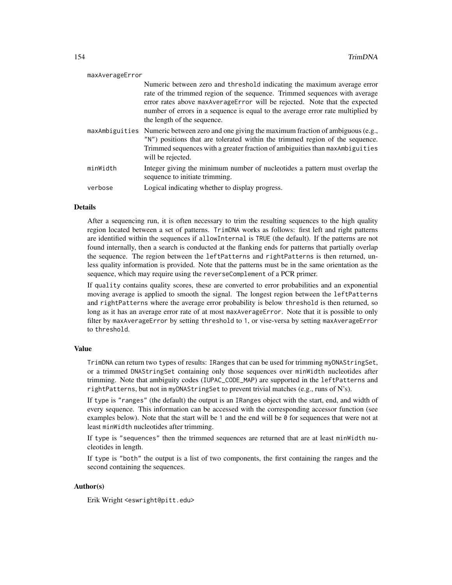| maxAverageError |                                                                                                                                                                                                                                                                                                                                                       |
|-----------------|-------------------------------------------------------------------------------------------------------------------------------------------------------------------------------------------------------------------------------------------------------------------------------------------------------------------------------------------------------|
|                 | Numeric between zero and threshold indicating the maximum average error<br>rate of the trimmed region of the sequence. Trimmed sequences with average<br>error rates above maxAverageError will be rejected. Note that the expected<br>number of errors in a sequence is equal to the average error rate multiplied by<br>the length of the sequence. |
|                 | $maxAmbiguities$ Numeric between zero and one giving the maximum fraction of ambiguous (e.g.,<br>"N") positions that are tolerated within the trimmed region of the sequence.<br>Trimmed sequences with a greater fraction of ambiguities than maxAmbiguities<br>will be rejected.                                                                    |
| minWidth        | Integer giving the minimum number of nucleotides a pattern must overlap the<br>sequence to initiate trimming.                                                                                                                                                                                                                                         |
| verbose         | Logical indicating whether to display progress.                                                                                                                                                                                                                                                                                                       |

#### Details

After a sequencing run, it is often necessary to trim the resulting sequences to the high quality region located between a set of patterns. TrimDNA works as follows: first left and right patterns are identified within the sequences if allowInternal is TRUE (the default). If the patterns are not found internally, then a search is conducted at the flanking ends for patterns that partially overlap the sequence. The region between the leftPatterns and rightPatterns is then returned, unless quality information is provided. Note that the patterns must be in the same orientation as the sequence, which may require using the reverseComplement of a PCR primer.

If quality contains quality scores, these are converted to error probabilities and an exponential moving average is applied to smooth the signal. The longest region between the leftPatterns and rightPatterns where the average error probability is below threshold is then returned, so long as it has an average error rate of at most maxAverageError. Note that it is possible to only filter by maxAverageError by setting threshold to 1, or vise-versa by setting maxAverageError to threshold.

#### Value

TrimDNA can return two types of results: IRanges that can be used for trimming myDNAStringSet, or a trimmed DNAStringSet containing only those sequences over minWidth nucleotides after trimming. Note that ambiguity codes (IUPAC\_CODE\_MAP) are supported in the leftPatterns and rightPatterns, but not in myDNAStringSet to prevent trivial matches (e.g., runs of N's).

If type is "ranges" (the default) the output is an IRanges object with the start, end, and width of every sequence. This information can be accessed with the corresponding accessor function (see examples below). Note that the start will be 1 and the end will be 0 for sequences that were not at least minWidth nucleotides after trimming.

If type is "sequences" then the trimmed sequences are returned that are at least minWidth nucleotides in length.

If type is "both" the output is a list of two components, the first containing the ranges and the second containing the sequences.

#### Author(s)

Erik Wright <eswright@pitt.edu>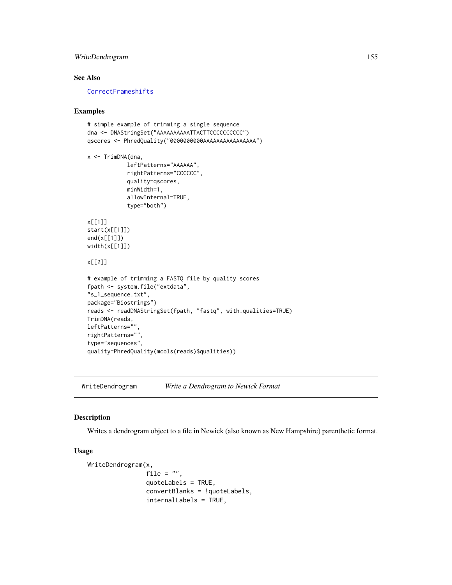## <span id="page-154-1"></span>WriteDendrogram 155

#### See Also

**[CorrectFrameshifts](#page-42-0)** 

#### Examples

```
# simple example of trimming a single sequence
dna <- DNAStringSet("AAAAAAAAAATTACTTCCCCCCCCCC")
qscores <- PhredQuality("0000000000AAAAAAAAAAAAAAAA")
x <- TrimDNA(dna,
            leftPatterns="AAAAAA",
            rightPatterns="CCCCCC",
            quality=qscores,
            minWidth=1,
            allowInternal=TRUE,
            type="both")
x[[1]]
start(x[[1]])
end(x[[1]])
width(x[[1]])
x[[2]]
# example of trimming a FASTQ file by quality scores
fpath <- system.file("extdata",
"s_1_sequence.txt",
package="Biostrings")
reads <- readDNAStringSet(fpath, "fastq", with.qualities=TRUE)
TrimDNA(reads,
leftPatterns="",
rightPatterns="",
type="sequences",
quality=PhredQuality(mcols(reads)$qualities))
```
<span id="page-154-0"></span>WriteDendrogram *Write a Dendrogram to Newick Format*

#### Description

Writes a dendrogram object to a file in Newick (also known as New Hampshire) parenthetic format.

#### Usage

```
WriteDendrogram(x,
                file = ".
                quoteLabels = TRUE,
                convertBlanks = !quoteLabels,
                internalLabels = TRUE,
```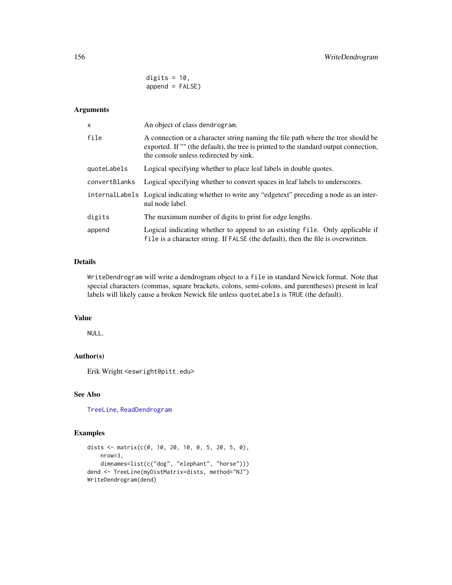digits =  $10$ ,  $append = FALSE)$ 

## <span id="page-155-0"></span>Arguments

| $\mathsf{x}$  | An object of class dendrogram.                                                                                                                                                                                      |
|---------------|---------------------------------------------------------------------------------------------------------------------------------------------------------------------------------------------------------------------|
| file          | A connection or a character string naming the file path where the tree should be<br>exported. If "" (the default), the tree is printed to the standard output connection,<br>the console unless redirected by sink. |
| quoteLabels   | Logical specifying whether to place leaf labels in double quotes.                                                                                                                                                   |
| convertBlanks | Logical specifying whether to convert spaces in leaf labels to underscores.                                                                                                                                         |
|               | internal Labels Logical indicating whether to write any "edgetext" preceding a node as an inter-<br>nal node label.                                                                                                 |
| digits        | The maximum number of digits to print for edge lengths.                                                                                                                                                             |
| append        | Logical indicating whether to append to an existing file. Only applicable if<br>file is a character string. If FALSE (the default), then the file is overwritten.                                                   |

## Details

WriteDendrogram will write a dendrogram object to a file in standard Newick format. Note that special characters (commas, square brackets, colons, semi-colons, and parentheses) present in leaf labels will likely cause a broken Newick file unless quoteLabels is TRUE (the default).

#### Value

NULL.

## Author(s)

Erik Wright <eswright@pitt.edu>

# See Also

[TreeLine](#page-147-0), [ReadDendrogram](#page-126-0)

#### Examples

```
dists <- matrix(c(0, 10, 20, 10, 0, 5, 20, 5, 0),
   nrow=3,
   dimnames=list(c("dog", "elephant", "horse")))
dend <- TreeLine(myDistMatrix=dists, method="NJ")
WriteDendrogram(dend)
```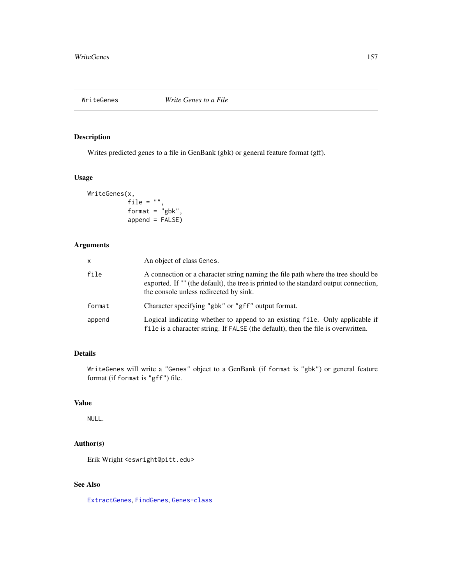<span id="page-156-0"></span>

## Description

Writes predicted genes to a file in GenBank (gbk) or general feature format (gff).

## Usage

```
WriteGenes(x,
           file = ",
           format = "gbk",
           append = FALSE)
```
# Arguments

| X      | An object of class Genes.                                                                                                                                                                                           |
|--------|---------------------------------------------------------------------------------------------------------------------------------------------------------------------------------------------------------------------|
| file   | A connection or a character string naming the file path where the tree should be<br>exported. If "" (the default), the tree is printed to the standard output connection,<br>the console unless redirected by sink. |
| format | Character specifying "gbk" or "gff" output format.                                                                                                                                                                  |
| append | Logical indicating whether to append to an existing file. Only applicable if<br>file is a character string. If FALSE (the default), then the file is overwritten.                                                   |

# Details

WriteGenes will write a "Genes" object to a GenBank (if format is "gbk") or general feature format (if format is "gff") file.

# Value

NULL.

# Author(s)

Erik Wright <eswright@pitt.edu>

# See Also

[ExtractGenes](#page-75-0), [FindGenes](#page-79-0), [Genes-class](#page-87-0)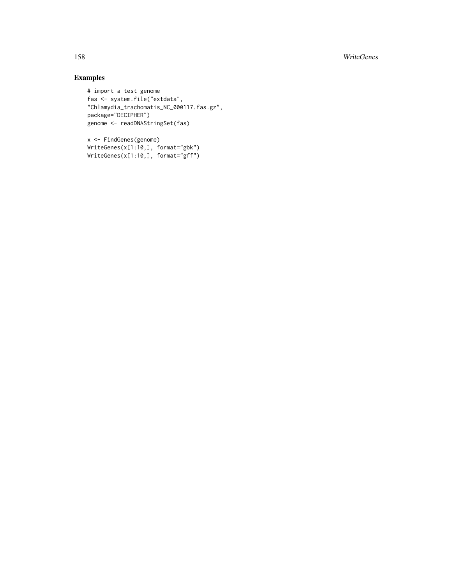158 WriteGenes

# Examples

```
# import a test genome
fas <- system.file("extdata",
"Chlamydia_trachomatis_NC_000117.fas.gz",
package="DECIPHER")
genome <- readDNAStringSet(fas)
```
x <- FindGenes(genome) WriteGenes(x[1:10,], format="gbk") WriteGenes(x[1:10,], format="gff")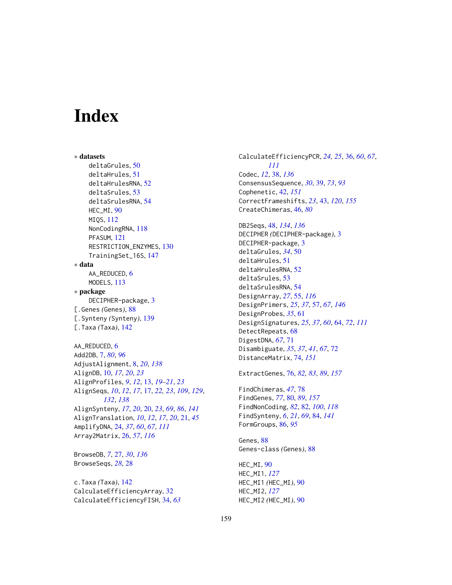# **Index**

∗ datasets deltaGrules, [50](#page-49-0) deltaHrules, [51](#page-50-0) deltaHrulesRNA, [52](#page-51-0) deltaSrules, [53](#page-52-0) deltaSrulesRNA, [54](#page-53-0) HEC\_MI, [90](#page-89-0) MIQS, [112](#page-111-0) NonCodingRNA, [118](#page-117-0) PFASUM, [121](#page-120-0) RESTRICTION\_ENZYMES, [130](#page-129-0) TrainingSet\_16S, [147](#page-146-0) ∗ data AA\_REDUCED, [6](#page-5-0) MODELS, [113](#page-112-1) ∗ package DECIPHER-package, [3](#page-2-0) [.Genes *(*Genes*)*, [88](#page-87-1) [.Synteny *(*Synteny*)*, [139](#page-138-0) [.Taxa *(*Taxa*)*, [142](#page-141-0) AA\_REDUCED, [6](#page-5-0) Add2DB, [7,](#page-6-0) *[80](#page-79-1)*, *[96](#page-95-0)* AdjustAlignment, [8,](#page-7-0) *[20](#page-19-0)*, *[138](#page-137-0)*

AlignDB, [10,](#page-9-0) *[17](#page-16-0)*, *[20](#page-19-0)*, *[23](#page-22-0)* AlignProfiles, *[9](#page-8-0)*, *[12](#page-11-0)*, [13,](#page-12-0) *[19–](#page-18-0)[21](#page-20-0)*, *[23](#page-22-0)* AlignSeqs, *[10](#page-9-0)*, *[12](#page-11-0)*, *[17](#page-16-0)*, [17,](#page-16-0) *[22,](#page-21-0) [23](#page-22-0)*, *[109](#page-108-0)*, *[129](#page-128-0)*, *[132](#page-131-0)*, *[138](#page-137-0)* AlignSynteny, *[17](#page-16-0)*, *[20](#page-19-0)*, [20,](#page-19-0) *[23](#page-22-0)*, *[69](#page-68-0)*, *[86](#page-85-0)*, *[141](#page-140-0)* AlignTranslation, *[10](#page-9-0)*, *[12](#page-11-0)*, *[17](#page-16-0)*, *[20](#page-19-0)*, [21,](#page-20-0) *[45](#page-44-0)* AmplifyDNA, [24,](#page-23-0) *[37](#page-36-0)*, *[60](#page-59-0)*, *[67](#page-66-0)*, *[111](#page-110-0)* Array2Matrix, [26,](#page-25-0) *[57](#page-56-1)*, *[116](#page-115-0)*

BrowseDB, *[7](#page-6-0)*, [27,](#page-26-0) *[30](#page-29-0)*, *[136](#page-135-0)* BrowseSeqs, *[28](#page-27-0)*, [28](#page-27-0)

c.Taxa *(*Taxa*)*, [142](#page-141-0) CalculateEfficiencyArray, [32](#page-31-0) CalculateEfficiencyFISH, [34,](#page-33-0) *[63](#page-62-0)* CalculateEfficiencyPCR, *[24,](#page-23-0) [25](#page-24-0)*, [36,](#page-35-0) *[60](#page-59-0)*, *[67](#page-66-0)*, *[111](#page-110-0)* Codec, *[12](#page-11-0)*, [38,](#page-37-0) *[136](#page-135-0)* ConsensusSequence, *[30](#page-29-0)*, [39,](#page-38-0) *[73](#page-72-0)*, *[93](#page-92-0)* Cophenetic, [42,](#page-41-1) *[151](#page-150-0)* CorrectFrameshifts, *[23](#page-22-0)*, [43,](#page-42-1) *[120](#page-119-0)*, *[155](#page-154-1)* CreateChimeras, [46,](#page-45-0) *[80](#page-79-1)* DB2Seqs, [48,](#page-47-0) *[134](#page-133-0)*, *[136](#page-135-0)*

DECIPHER *(*DECIPHER-package*)*, [3](#page-2-0) DECIPHER-package, [3](#page-2-0) deltaGrules, *[34](#page-33-0)*, [50](#page-49-0) deltaHrules, [51](#page-50-0) deltaHrulesRNA, [52](#page-51-0) deltaSrules, [53](#page-52-0) deltaSrulesRNA, [54](#page-53-0) DesignArray, *[27](#page-26-0)*, [55,](#page-54-0) *[116](#page-115-0)* DesignPrimers, *[25](#page-24-0)*, *[37](#page-36-0)*, [57,](#page-56-1) *[67](#page-66-0)*, *[146](#page-145-0)* DesignProbes, *[35](#page-34-0)*, [61](#page-60-0) DesignSignatures, *[25](#page-24-0)*, *[37](#page-36-0)*, *[60](#page-59-0)*, [64,](#page-63-0) *[72](#page-71-0)*, *[111](#page-110-0)* DetectRepeats, [68](#page-67-0) DigestDNA, *[67](#page-66-0)*, [71](#page-70-0) Disambiguate, *[35](#page-34-0)*, *[37](#page-36-0)*, *[41](#page-40-0)*, *[67](#page-66-0)*, [72](#page-71-0) DistanceMatrix, [74,](#page-73-1) *[151](#page-150-0)*

ExtractGenes, [76,](#page-75-1) *[82,](#page-81-0) [83](#page-82-0)*, *[89](#page-88-0)*, *[157](#page-156-0)*

FindChimeras, *[47](#page-46-0)*, [78](#page-77-0) FindGenes, *[77](#page-76-0)*, [80,](#page-79-1) *[89](#page-88-0)*, *[157](#page-156-0)* FindNonCoding, *[82](#page-81-0)*, [82,](#page-81-0) *[100](#page-99-0)*, *[118](#page-117-0)* FindSynteny, *[6](#page-5-0)*, *[21](#page-20-0)*, *[69](#page-68-0)*, [84,](#page-83-0) *[141](#page-140-0)* FormGroups, [86,](#page-85-0) *[95](#page-94-0)*

Genes, [88](#page-87-1) Genes-class *(*Genes*)*, [88](#page-87-1)

HEC\_MI, [90](#page-89-0) HEC\_MI1, *[127](#page-126-1)* HEC\_MI1 *(*HEC\_MI*)*, [90](#page-89-0) HEC\_MI2, *[127](#page-126-1)* HEC\_MI2 *(*HEC\_MI*)*, [90](#page-89-0)